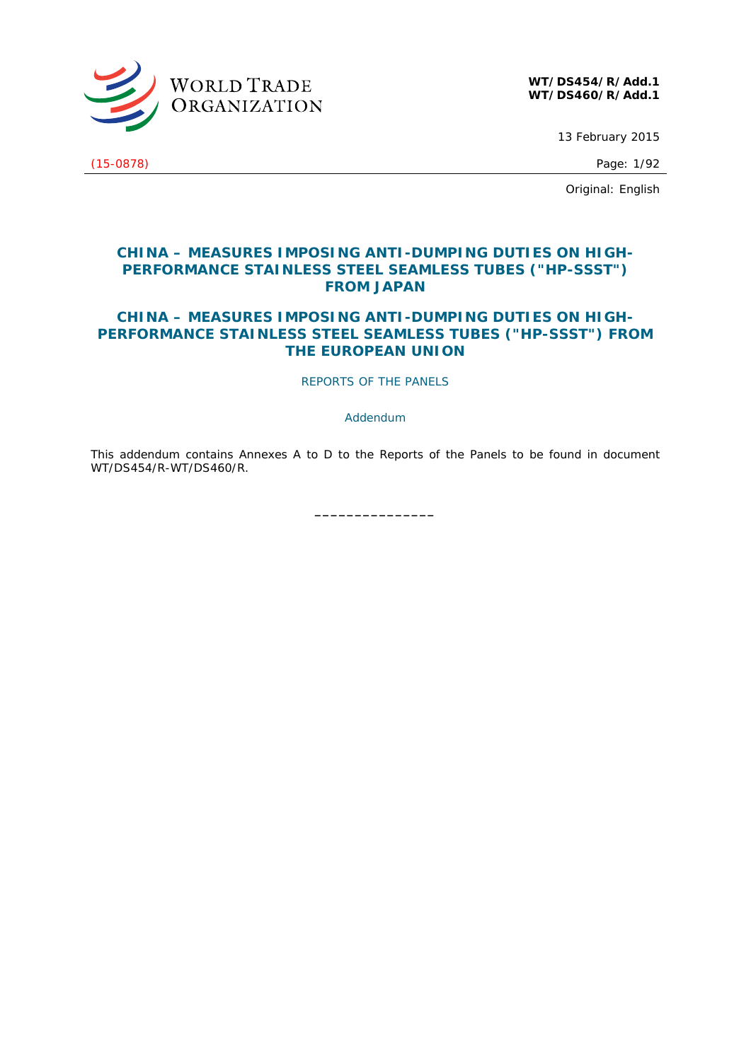

**WT/DS454/R/Add.1 WT/DS460/R/Add.1**

13 February 2015

(15-0878) Page: 1/92

Original: English

# **CHINA – MEASURES IMPOSING ANTI-DUMPING DUTIES ON HIGH-PERFORMANCE STAINLESS STEEL SEAMLESS TUBES ("HP-SSST") FROM JAPAN**

# **CHINA – MEASURES IMPOSING ANTI-DUMPING DUTIES ON HIGH-PERFORMANCE STAINLESS STEEL SEAMLESS TUBES ("HP-SSST") FROM THE EUROPEAN UNION**

REPORTS OF THE PANELS

*Addendum* 

This *addendum* contains Annexes A to D to the Reports of the Panels to be found in document WT/DS454/R-WT/DS460/R.

**\_\_\_\_\_\_\_\_\_\_\_\_\_\_\_**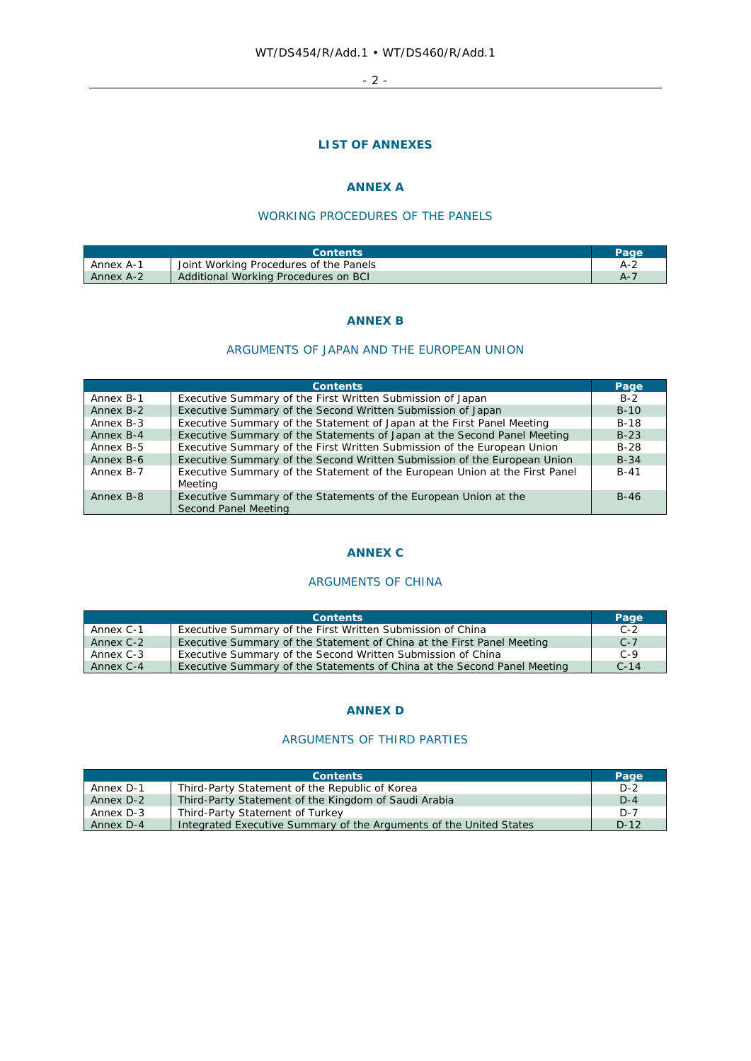- 2 -

# **LIST OF ANNEXES**

# **ANNEX A**

# WORKING PROCEDURES OF THE PANELS

|           | <b>Contents</b>                        | Page |
|-----------|----------------------------------------|------|
| Annex A-1 | Joint Working Procedures of the Panels | A-2  |
| Annex A-2 | Additional Working Procedures on BCI   |      |

### **ANNEX B**

### ARGUMENTS OF JAPAN AND THE EUROPEAN UNION

|           | <b>Contents</b>                                                                          | Page   |
|-----------|------------------------------------------------------------------------------------------|--------|
| Annex B-1 | Executive Summary of the First Written Submission of Japan                               | $B-2$  |
| Annex B-2 | Executive Summary of the Second Written Submission of Japan                              | $B-10$ |
| Annex B-3 | Executive Summary of the Statement of Japan at the First Panel Meeting                   | $B-18$ |
| Annex B-4 | Executive Summary of the Statements of Japan at the Second Panel Meeting                 | $B-23$ |
| Annex B-5 | Executive Summary of the First Written Submission of the European Union                  | $B-28$ |
| Annex B-6 | Executive Summary of the Second Written Submission of the European Union                 | $B-34$ |
| Annex B-7 | Executive Summary of the Statement of the European Union at the First Panel<br>Meetina   | B-41   |
| Annex B-8 | Executive Summary of the Statements of the European Union at the<br>Second Panel Meeting | $B-46$ |

### **ANNEX C**

# ARGUMENTS OF CHINA

|           | <b>Contents</b>                                                          | Page   |
|-----------|--------------------------------------------------------------------------|--------|
| Annex C-1 | Executive Summary of the First Written Submission of China               | $C-2$  |
| Annex C-2 | Executive Summary of the Statement of China at the First Panel Meeting   | $C-7$  |
| Annex C-3 | Executive Summary of the Second Written Submission of China              | $C-9$  |
| Annex C-4 | Executive Summary of the Statements of China at the Second Panel Meeting | $C-14$ |

# **ANNEX D**

## ARGUMENTS OF THIRD PARTIES

|           | <b>Contents</b>                                                    | Page    |
|-----------|--------------------------------------------------------------------|---------|
| Annex D-1 | Third-Party Statement of the Republic of Korea                     | $D-2$   |
| Annex D-2 | Third-Party Statement of the Kingdom of Saudi Arabia               | $D-4$   |
| Annex D-3 | Third-Party Statement of Turkey                                    | $D - 7$ |
| Annex D-4 | Integrated Executive Summary of the Arguments of the United States | $D-12$  |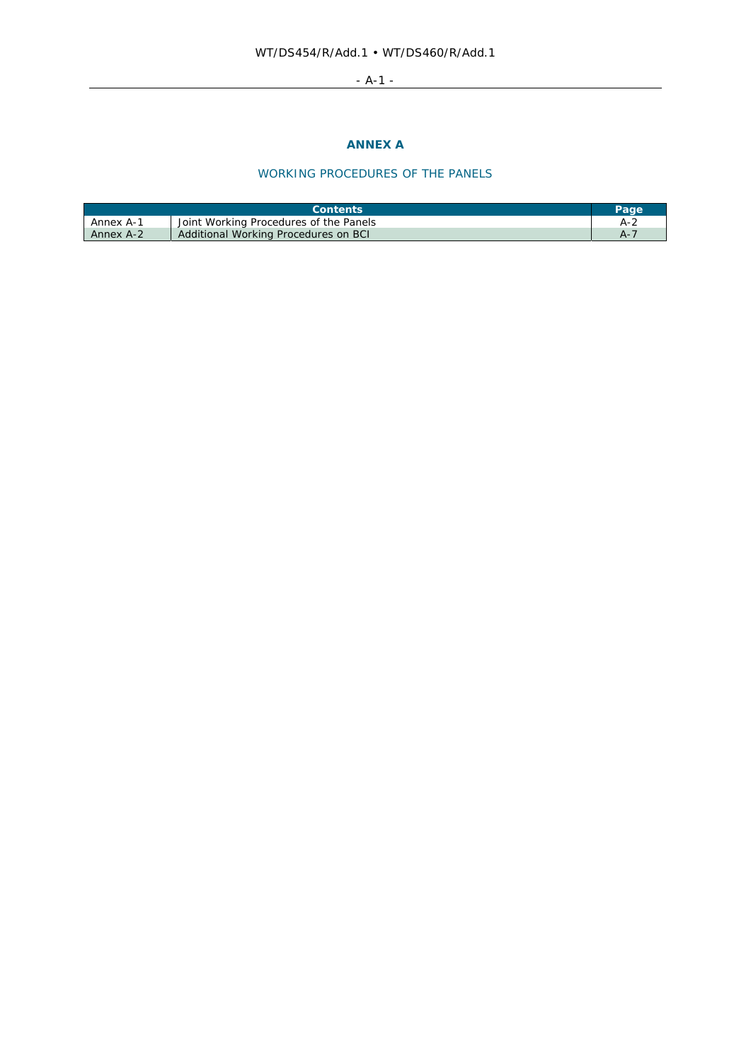# - A-1 -

# **ANNEX A**

# WORKING PROCEDURES OF THE PANELS

|           | <b>Contents</b>                        | Page |
|-----------|----------------------------------------|------|
| Annex A-1 | Joint Working Procedures of the Panels | A-2  |
| Annex A-2 | Additional Working Procedures on BCI   |      |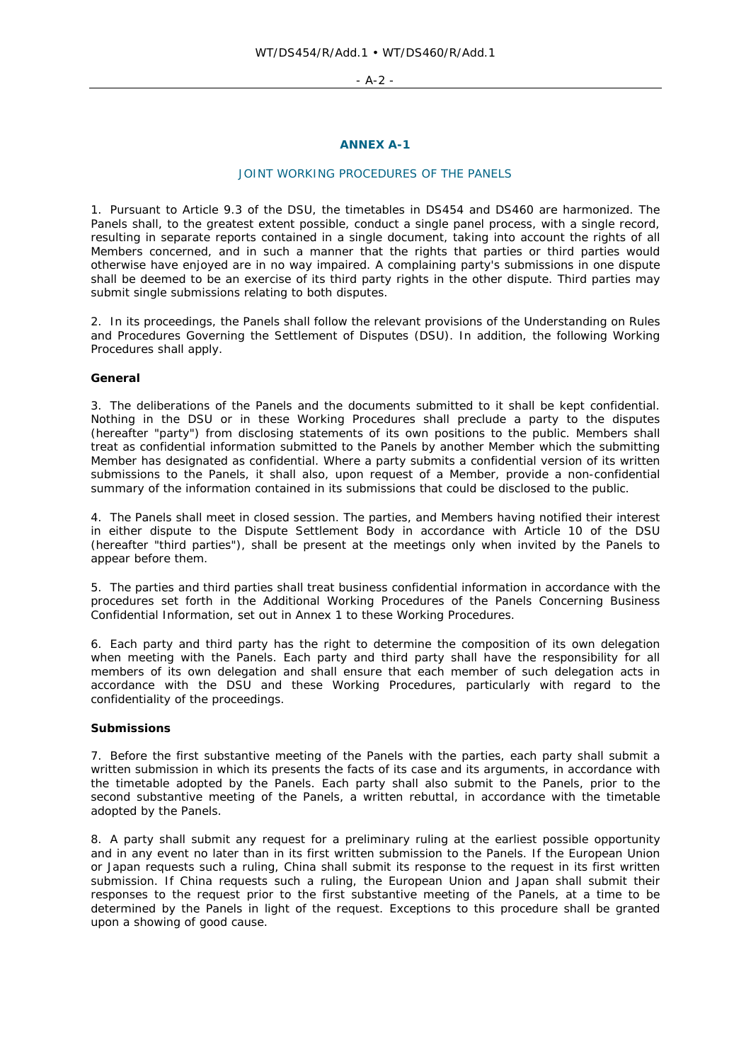- A-2 -

# **ANNEX A-1**

### JOINT WORKING PROCEDURES OF THE PANELS

1. Pursuant to Article 9.3 of the DSU, the timetables in DS454 and DS460 are harmonized. The Panels shall, to the greatest extent possible, conduct a single panel process, with a single record, resulting in separate reports contained in a single document, taking into account the rights of all Members concerned, and in such a manner that the rights that parties or third parties would otherwise have enjoyed are in no way impaired. A complaining party's submissions in one dispute shall be deemed to be an exercise of its third party rights in the other dispute. Third parties may submit single submissions relating to both disputes.

2. In its proceedings, the Panels shall follow the relevant provisions of the Understanding on Rules and Procedures Governing the Settlement of Disputes (DSU). In addition, the following Working Procedures shall apply.

### **General**

3. The deliberations of the Panels and the documents submitted to it shall be kept confidential. Nothing in the DSU or in these Working Procedures shall preclude a party to the disputes (hereafter "party") from disclosing statements of its own positions to the public. Members shall treat as confidential information submitted to the Panels by another Member which the submitting Member has designated as confidential. Where a party submits a confidential version of its written submissions to the Panels, it shall also, upon request of a Member, provide a non-confidential summary of the information contained in its submissions that could be disclosed to the public.

4. The Panels shall meet in closed session. The parties, and Members having notified their interest in either dispute to the Dispute Settlement Body in accordance with Article 10 of the DSU (hereafter "third parties"), shall be present at the meetings only when invited by the Panels to appear before them.

5. The parties and third parties shall treat business confidential information in accordance with the procedures set forth in the Additional Working Procedures of the Panels Concerning Business Confidential Information, set out in Annex 1 to these Working Procedures.

6. Each party and third party has the right to determine the composition of its own delegation when meeting with the Panels. Each party and third party shall have the responsibility for all members of its own delegation and shall ensure that each member of such delegation acts in accordance with the DSU and these Working Procedures, particularly with regard to the confidentiality of the proceedings.

### **Submissions**

7. Before the first substantive meeting of the Panels with the parties, each party shall submit a written submission in which its presents the facts of its case and its arguments, in accordance with the timetable adopted by the Panels. Each party shall also submit to the Panels, prior to the second substantive meeting of the Panels, a written rebuttal, in accordance with the timetable adopted by the Panels.

8. A party shall submit any request for a preliminary ruling at the earliest possible opportunity and in any event no later than in its first written submission to the Panels. If the European Union or Japan requests such a ruling, China shall submit its response to the request in its first written submission. If China requests such a ruling, the European Union and Japan shall submit their responses to the request prior to the first substantive meeting of the Panels, at a time to be determined by the Panels in light of the request. Exceptions to this procedure shall be granted upon a showing of good cause.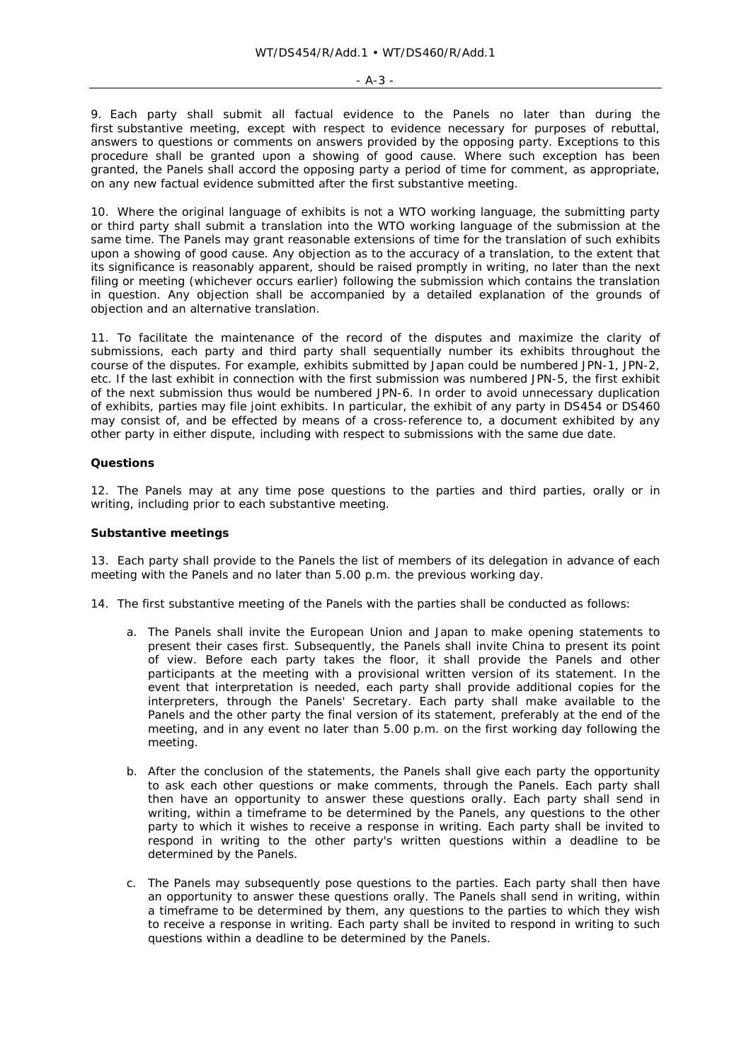#### - A-3 -

9. Each party shall submit all factual evidence to the Panels no later than during the first substantive meeting, except with respect to evidence necessary for purposes of rebuttal, answers to questions or comments on answers provided by the opposing party. Exceptions to this procedure shall be granted upon a showing of good cause. Where such exception has been granted, the Panels shall accord the opposing party a period of time for comment, as appropriate, on any new factual evidence submitted after the first substantive meeting.

10. Where the original language of exhibits is not a WTO working language, the submitting party or third party shall submit a translation into the WTO working language of the submission at the same time. The Panels may grant reasonable extensions of time for the translation of such exhibits upon a showing of good cause. Any objection as to the accuracy of a translation, to the extent that its significance is reasonably apparent, should be raised promptly in writing, no later than the next filing or meeting (whichever occurs earlier) following the submission which contains the translation in question. Any objection shall be accompanied by a detailed explanation of the grounds of objection and an alternative translation.

11. To facilitate the maintenance of the record of the disputes and maximize the clarity of submissions, each party and third party shall sequentially number its exhibits throughout the course of the disputes. For example, exhibits submitted by Japan could be numbered JPN-1, JPN-2, etc. If the last exhibit in connection with the first submission was numbered JPN-5, the first exhibit of the next submission thus would be numbered JPN-6. In order to avoid unnecessary duplication of exhibits, parties may file joint exhibits. In particular, the exhibit of any party in DS454 or DS460 may consist of, and be effected by means of a cross-reference to, a document exhibited by any other party in either dispute, including with respect to submissions with the same due date.

### **Questions**

12. The Panels may at any time pose questions to the parties and third parties, orally or in writing, including prior to each substantive meeting.

### **Substantive meetings**

13. Each party shall provide to the Panels the list of members of its delegation in advance of each meeting with the Panels and no later than 5.00 p.m. the previous working day.

14. The first substantive meeting of the Panels with the parties shall be conducted as follows:

- a. The Panels shall invite the European Union and Japan to make opening statements to present their cases first. Subsequently, the Panels shall invite China to present its point of view. Before each party takes the floor, it shall provide the Panels and other participants at the meeting with a provisional written version of its statement. In the event that interpretation is needed, each party shall provide additional copies for the interpreters, through the Panels' Secretary. Each party shall make available to the Panels and the other party the final version of its statement, preferably at the end of the meeting, and in any event no later than 5.00 p.m. on the first working day following the meeting.
- b. After the conclusion of the statements, the Panels shall give each party the opportunity to ask each other questions or make comments, through the Panels. Each party shall then have an opportunity to answer these questions orally. Each party shall send in writing, within a timeframe to be determined by the Panels, any questions to the other party to which it wishes to receive a response in writing. Each party shall be invited to respond in writing to the other party's written questions within a deadline to be determined by the Panels.
- c. The Panels may subsequently pose questions to the parties. Each party shall then have an opportunity to answer these questions orally. The Panels shall send in writing, within a timeframe to be determined by them, any questions to the parties to which they wish to receive a response in writing. Each party shall be invited to respond in writing to such questions within a deadline to be determined by the Panels.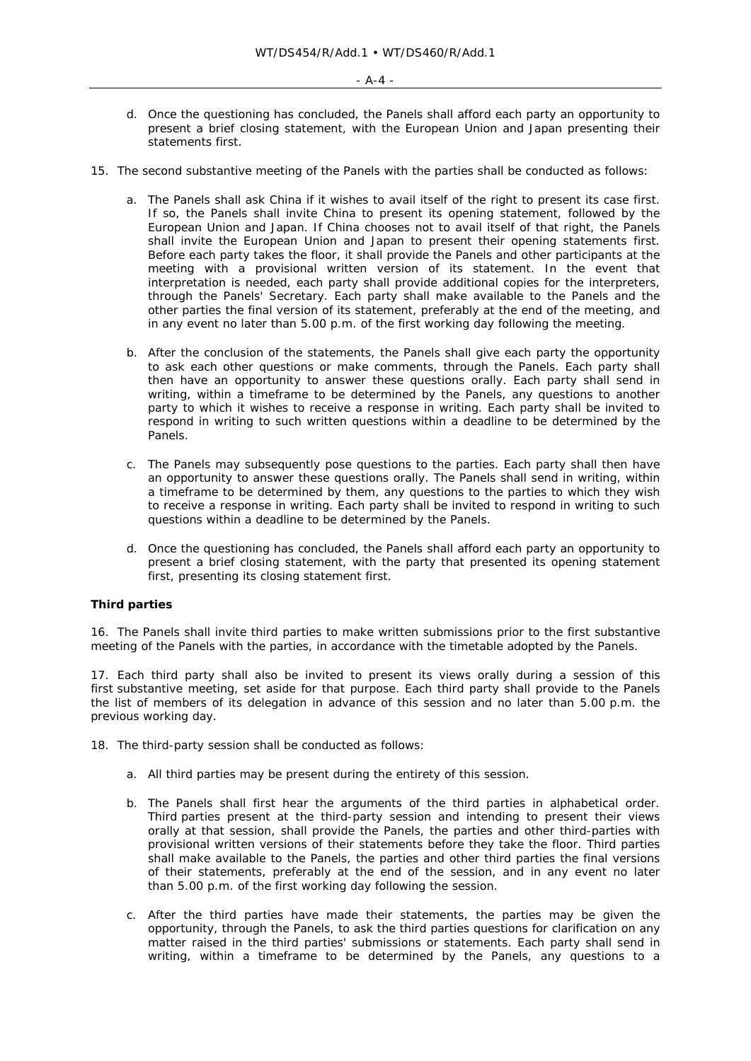- d. Once the questioning has concluded, the Panels shall afford each party an opportunity to present a brief closing statement, with the European Union and Japan presenting their statements first.
- 15. The second substantive meeting of the Panels with the parties shall be conducted as follows:
	- a. The Panels shall ask China if it wishes to avail itself of the right to present its case first. If so, the Panels shall invite China to present its opening statement, followed by the European Union and Japan. If China chooses not to avail itself of that right, the Panels shall invite the European Union and Japan to present their opening statements first. Before each party takes the floor, it shall provide the Panels and other participants at the meeting with a provisional written version of its statement. In the event that interpretation is needed, each party shall provide additional copies for the interpreters, through the Panels' Secretary. Each party shall make available to the Panels and the other parties the final version of its statement, preferably at the end of the meeting, and in any event no later than 5.00 p.m. of the first working day following the meeting.
	- b. After the conclusion of the statements, the Panels shall give each party the opportunity to ask each other questions or make comments, through the Panels. Each party shall then have an opportunity to answer these questions orally. Each party shall send in writing, within a timeframe to be determined by the Panels, any questions to another party to which it wishes to receive a response in writing. Each party shall be invited to respond in writing to such written questions within a deadline to be determined by the Panels.
	- c. The Panels may subsequently pose questions to the parties. Each party shall then have an opportunity to answer these questions orally. The Panels shall send in writing, within a timeframe to be determined by them, any questions to the parties to which they wish to receive a response in writing. Each party shall be invited to respond in writing to such questions within a deadline to be determined by the Panels.
	- d. Once the questioning has concluded, the Panels shall afford each party an opportunity to present a brief closing statement, with the party that presented its opening statement first, presenting its closing statement first.

### **Third parties**

16. The Panels shall invite third parties to make written submissions prior to the first substantive meeting of the Panels with the parties, in accordance with the timetable adopted by the Panels.

17. Each third party shall also be invited to present its views orally during a session of this first substantive meeting, set aside for that purpose. Each third party shall provide to the Panels the list of members of its delegation in advance of this session and no later than 5.00 p.m. the previous working day.

- 18. The third-party session shall be conducted as follows:
	- a. All third parties may be present during the entirety of this session.
	- b. The Panels shall first hear the arguments of the third parties in alphabetical order. Third parties present at the third-party session and intending to present their views orally at that session, shall provide the Panels, the parties and other third-parties with provisional written versions of their statements before they take the floor. Third parties shall make available to the Panels, the parties and other third parties the final versions of their statements, preferably at the end of the session, and in any event no later than 5.00 p.m. of the first working day following the session.
	- c. After the third parties have made their statements, the parties may be given the opportunity, through the Panels, to ask the third parties questions for clarification on any matter raised in the third parties' submissions or statements. Each party shall send in writing, within a timeframe to be determined by the Panels, any questions to a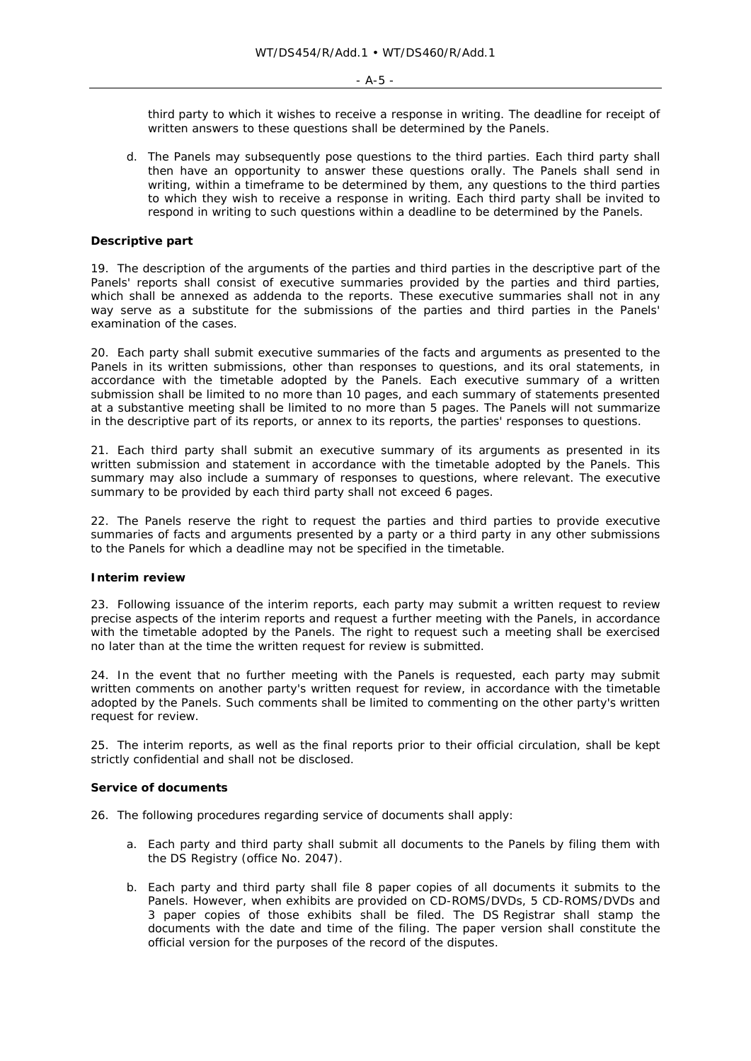third party to which it wishes to receive a response in writing. The deadline for receipt of written answers to these questions shall be determined by the Panels.

d. The Panels may subsequently pose questions to the third parties. Each third party shall then have an opportunity to answer these questions orally. The Panels shall send in writing, within a timeframe to be determined by them, any questions to the third parties to which they wish to receive a response in writing. Each third party shall be invited to respond in writing to such questions within a deadline to be determined by the Panels.

## **Descriptive part**

19. The description of the arguments of the parties and third parties in the descriptive part of the Panels' reports shall consist of executive summaries provided by the parties and third parties, which shall be annexed as addenda to the reports. These executive summaries shall not in any way serve as a substitute for the submissions of the parties and third parties in the Panels' examination of the cases.

20. Each party shall submit executive summaries of the facts and arguments as presented to the Panels in its written submissions, other than responses to questions, and its oral statements, in accordance with the timetable adopted by the Panels. Each executive summary of a written submission shall be limited to no more than 10 pages, and each summary of statements presented at a substantive meeting shall be limited to no more than 5 pages. The Panels will not summarize in the descriptive part of its reports, or annex to its reports, the parties' responses to questions.

21. Each third party shall submit an executive summary of its arguments as presented in its written submission and statement in accordance with the timetable adopted by the Panels. This summary may also include a summary of responses to questions, where relevant. The executive summary to be provided by each third party shall not exceed 6 pages.

22. The Panels reserve the right to request the parties and third parties to provide executive summaries of facts and arguments presented by a party or a third party in any other submissions to the Panels for which a deadline may not be specified in the timetable.

### **Interim review**

23. Following issuance of the interim reports, each party may submit a written request to review precise aspects of the interim reports and request a further meeting with the Panels, in accordance with the timetable adopted by the Panels. The right to request such a meeting shall be exercised no later than at the time the written request for review is submitted.

24. In the event that no further meeting with the Panels is requested, each party may submit written comments on another party's written request for review, in accordance with the timetable adopted by the Panels. Such comments shall be limited to commenting on the other party's written request for review.

25. The interim reports, as well as the final reports prior to their official circulation, shall be kept strictly confidential and shall not be disclosed.

### **Service of documents**

- 26. The following procedures regarding service of documents shall apply:
	- a. Each party and third party shall submit all documents to the Panels by filing them with the DS Registry (office No. 2047).
	- b. Each party and third party shall file 8 paper copies of all documents it submits to the Panels. However, when exhibits are provided on CD-ROMS/DVDs, 5 CD-ROMS/DVDs and 3 paper copies of those exhibits shall be filed. The DS Registrar shall stamp the documents with the date and time of the filing. The paper version shall constitute the official version for the purposes of the record of the disputes.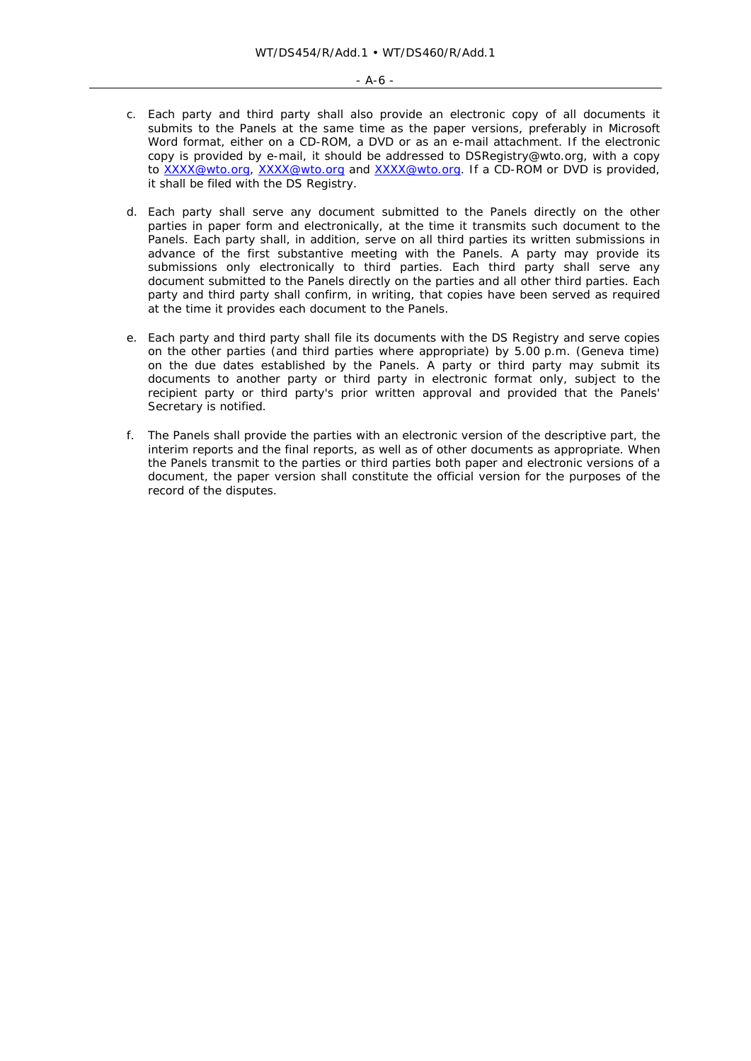- c. Each party and third party shall also provide an electronic copy of all documents it submits to the Panels at the same time as the paper versions, preferably in Microsoft Word format, either on a CD-ROM, a DVD or as an e-mail attachment. If the electronic copy is provided by e-mail, it should be addressed to DSRegistry@wto.org, with a copy to XXXX@wto.org, XXXX@wto.org and XXXX@wto.org. If a CD-ROM or DVD is provided, it shall be filed with the DS Registry.
- d. Each party shall serve any document submitted to the Panels directly on the other parties in paper form and electronically, at the time it transmits such document to the Panels. Each party shall, in addition, serve on all third parties its written submissions in advance of the first substantive meeting with the Panels. A party may provide its submissions only electronically to third parties. Each third party shall serve any document submitted to the Panels directly on the parties and all other third parties. Each party and third party shall confirm, in writing, that copies have been served as required at the time it provides each document to the Panels.
- e. Each party and third party shall file its documents with the DS Registry and serve copies on the other parties (and third parties where appropriate) by 5.00 p.m. (Geneva time) on the due dates established by the Panels. A party or third party may submit its documents to another party or third party in electronic format only, subject to the recipient party or third party's prior written approval and provided that the Panels' Secretary is notified.
- f. The Panels shall provide the parties with an electronic version of the descriptive part, the interim reports and the final reports, as well as of other documents as appropriate. When the Panels transmit to the parties or third parties both paper and electronic versions of a document, the paper version shall constitute the official version for the purposes of the record of the disputes.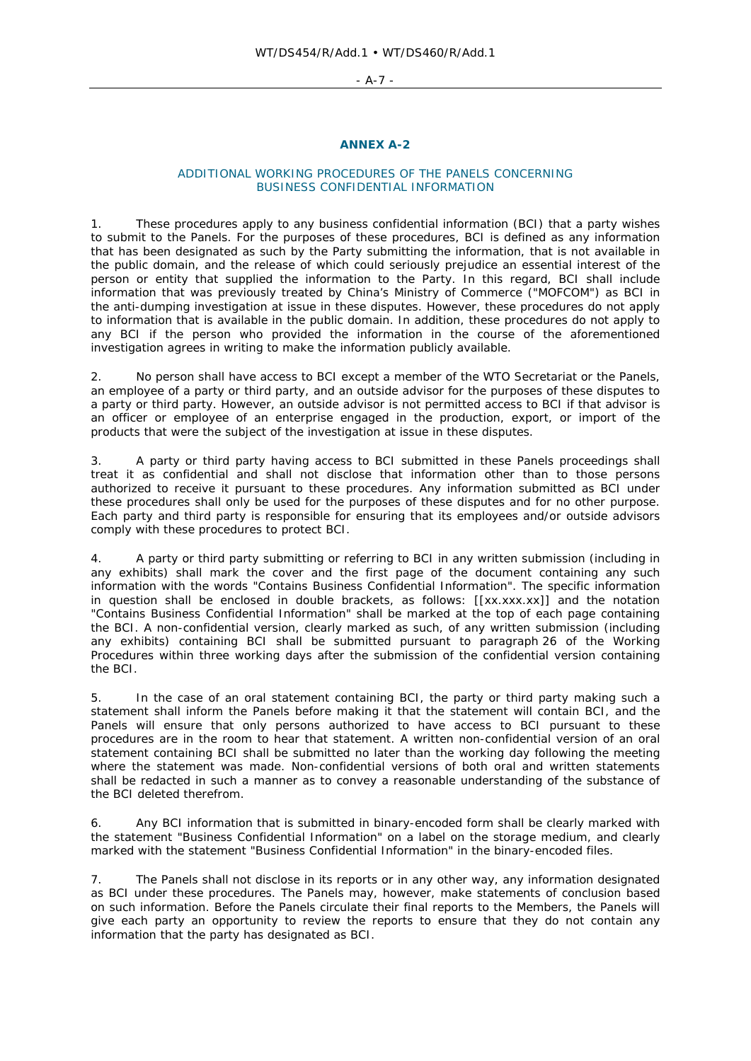#### - A-7 -

# **ANNEX A-2**

### ADDITIONAL WORKING PROCEDURES OF THE PANELS CONCERNING BUSINESS CONFIDENTIAL INFORMATION

1. These procedures apply to any business confidential information (BCI) that a party wishes to submit to the Panels. For the purposes of these procedures, BCI is defined as any information that has been designated as such by the Party submitting the information, that is not available in the public domain, and the release of which could seriously prejudice an essential interest of the person or entity that supplied the information to the Party. In this regard, BCI shall include information that was previously treated by China's Ministry of Commerce ("MOFCOM") as BCI in the anti-dumping investigation at issue in these disputes. However, these procedures do not apply to information that is available in the public domain. In addition, these procedures do not apply to any BCI if the person who provided the information in the course of the aforementioned investigation agrees in writing to make the information publicly available.

2. No person shall have access to BCI except a member of the WTO Secretariat or the Panels, an employee of a party or third party, and an outside advisor for the purposes of these disputes to a party or third party. However, an outside advisor is not permitted access to BCI if that advisor is an officer or employee of an enterprise engaged in the production, export, or import of the products that were the subject of the investigation at issue in these disputes.

3. A party or third party having access to BCI submitted in these Panels proceedings shall treat it as confidential and shall not disclose that information other than to those persons authorized to receive it pursuant to these procedures. Any information submitted as BCI under these procedures shall only be used for the purposes of these disputes and for no other purpose. Each party and third party is responsible for ensuring that its employees and/or outside advisors comply with these procedures to protect BCI.

4. A party or third party submitting or referring to BCI in any written submission (including in any exhibits) shall mark the cover and the first page of the document containing any such information with the words "Contains Business Confidential Information". The specific information in question shall be enclosed in double brackets, as follows:  $[[xx.xxx.xx]]$  and the notation "Contains Business Confidential Information" shall be marked at the top of each page containing the BCI. A non-confidential version, clearly marked as such, of any written submission (including any exhibits) containing BCI shall be submitted pursuant to paragraph 26 of the Working Procedures within three working days after the submission of the confidential version containing the BCI.

5. In the case of an oral statement containing BCI, the party or third party making such a statement shall inform the Panels before making it that the statement will contain BCI, and the Panels will ensure that only persons authorized to have access to BCI pursuant to these procedures are in the room to hear that statement. A written non-confidential version of an oral statement containing BCI shall be submitted no later than the working day following the meeting where the statement was made. Non-confidential versions of both oral and written statements shall be redacted in such a manner as to convey a reasonable understanding of the substance of the BCI deleted therefrom.

6. Any BCI information that is submitted in binary-encoded form shall be clearly marked with the statement "Business Confidential Information" on a label on the storage medium, and clearly marked with the statement "Business Confidential Information" in the binary-encoded files.

7. The Panels shall not disclose in its reports or in any other way, any information designated as BCI under these procedures. The Panels may, however, make statements of conclusion based on such information. Before the Panels circulate their final reports to the Members, the Panels will give each party an opportunity to review the reports to ensure that they do not contain any information that the party has designated as BCI.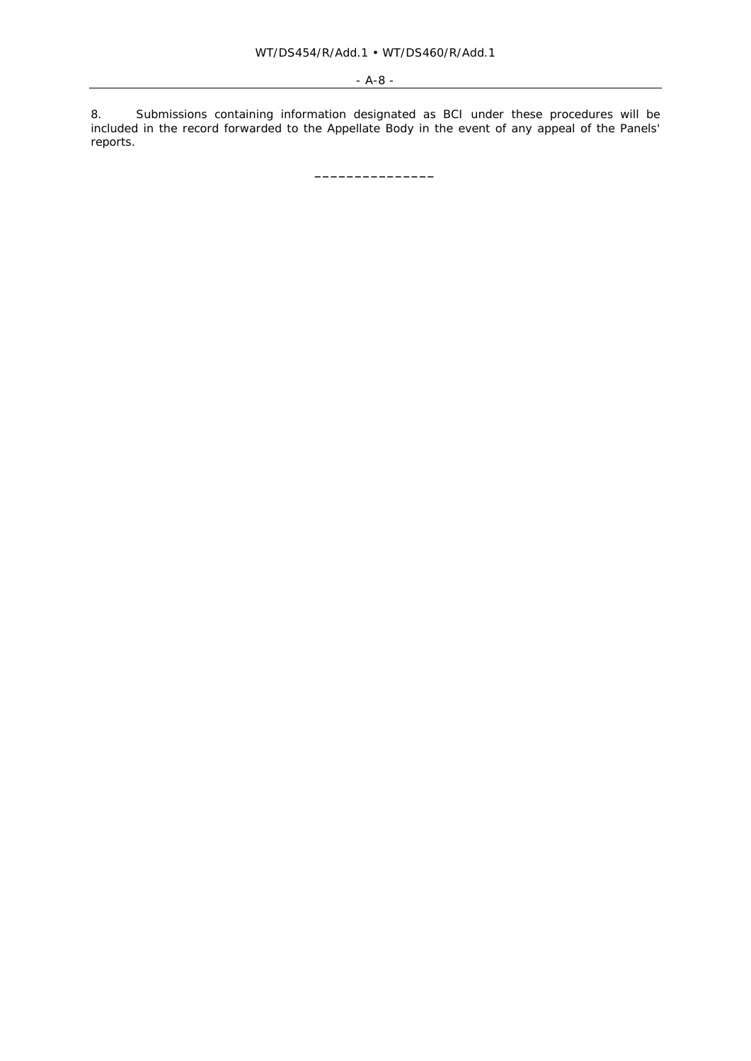8. Submissions containing information designated as BCI under these procedures will be included in the record forwarded to the Appellate Body in the event of any appeal of the Panels' reports.

**\_\_\_\_\_\_\_\_\_\_\_\_\_\_\_**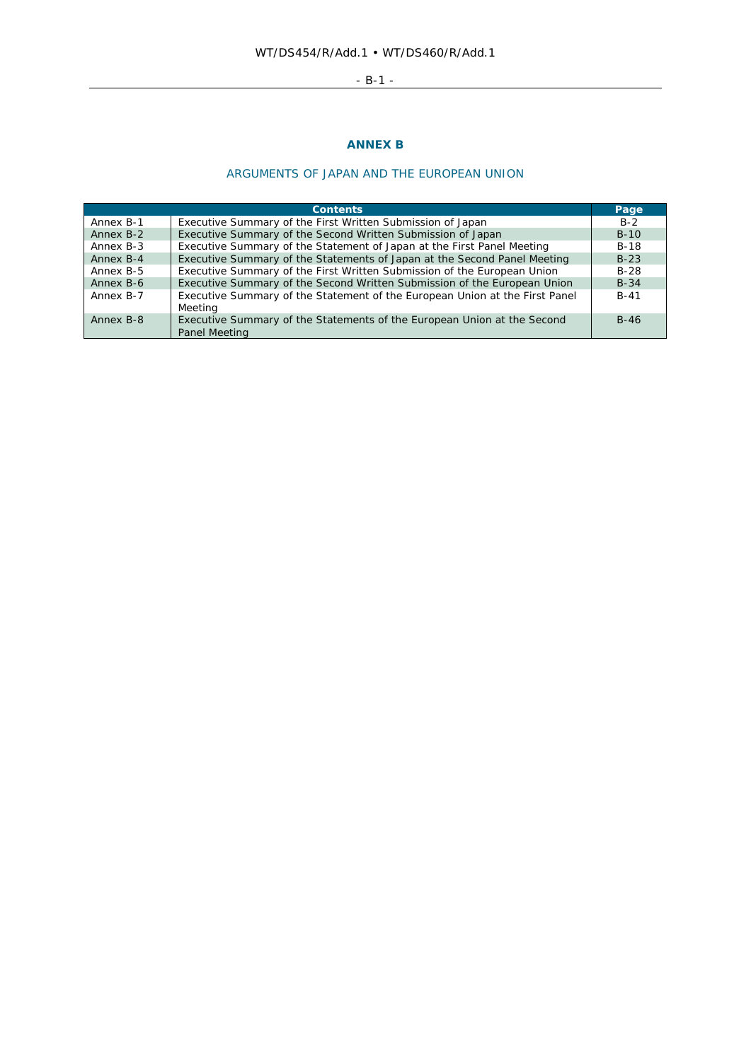# - B-1 -

# **ANNEX B**

# ARGUMENTS OF JAPAN AND THE EUROPEAN UNION

|           | <b>Contents</b>                                                                          | Page   |
|-----------|------------------------------------------------------------------------------------------|--------|
| Annex B-1 | Executive Summary of the First Written Submission of Japan                               | $B-2$  |
| Annex B-2 | Executive Summary of the Second Written Submission of Japan                              | $B-10$ |
| Annex B-3 | Executive Summary of the Statement of Japan at the First Panel Meeting                   | $B-18$ |
| Annex B-4 | Executive Summary of the Statements of Japan at the Second Panel Meeting                 | $B-23$ |
| Annex B-5 | Executive Summary of the First Written Submission of the European Union                  | $B-28$ |
| Annex B-6 | Executive Summary of the Second Written Submission of the European Union                 | $B-34$ |
| Annex B-7 | Executive Summary of the Statement of the European Union at the First Panel<br>Meeting   | $B-41$ |
| Annex B-8 | Executive Summary of the Statements of the European Union at the Second<br>Panel Meeting | $B-46$ |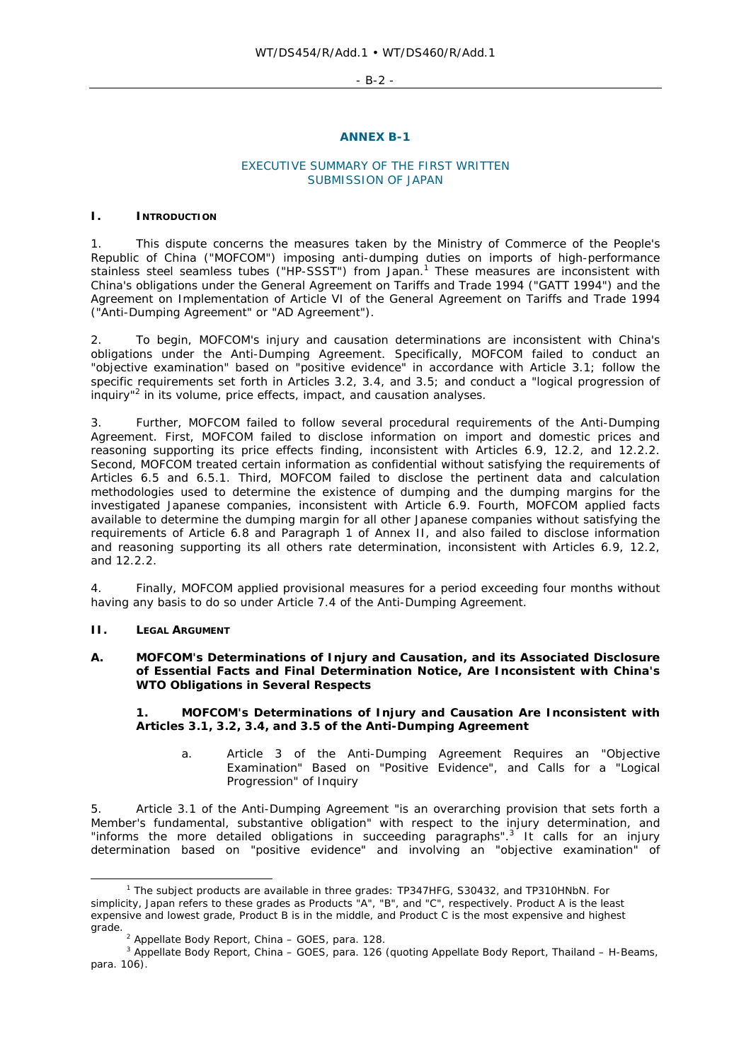- B-2 -

### **ANNEX B-1**

### EXECUTIVE SUMMARY OF THE FIRST WRITTEN SUBMISSION OF JAPAN

### **I. INTRODUCTION**

1. This dispute concerns the measures taken by the Ministry of Commerce of the People's Republic of China ("MOFCOM") imposing anti-dumping duties on imports of high-performance stainless steel seamless tubes ("HP-SSST") from Japan.<sup>1</sup> These measures are inconsistent with China's obligations under the General Agreement on Tariffs and Trade 1994 ("GATT 1994") and the Agreement on Implementation of Article VI of the General Agreement on Tariffs and Trade 1994 ("Anti-Dumping Agreement" or "AD Agreement").

2. To begin, MOFCOM's injury and causation determinations are inconsistent with China's obligations under the Anti-Dumping Agreement. Specifically, MOFCOM failed to conduct an "objective examination" based on "positive evidence" in accordance with Article 3.1; follow the specific requirements set forth in Articles 3.2, 3.4, and 3.5; and conduct a "logical progression of inquiry<sup>"2</sup> in its volume, price effects, impact, and causation analyses.

3. Further, MOFCOM failed to follow several procedural requirements of the Anti-Dumping Agreement. First, MOFCOM failed to disclose information on import and domestic prices and reasoning supporting its price effects finding, inconsistent with Articles 6.9, 12.2, and 12.2.2. Second, MOFCOM treated certain information as confidential without satisfying the requirements of Articles 6.5 and 6.5.1. Third, MOFCOM failed to disclose the pertinent data and calculation methodologies used to determine the existence of dumping and the dumping margins for the investigated Japanese companies, inconsistent with Article 6.9. Fourth, MOFCOM applied facts available to determine the dumping margin for all other Japanese companies without satisfying the requirements of Article 6.8 and Paragraph 1 of Annex II, and also failed to disclose information and reasoning supporting its all others rate determination, inconsistent with Articles 6.9, 12.2, and 12.2.2.

4. Finally, MOFCOM applied provisional measures for a period exceeding four months without having any basis to do so under Article 7.4 of the Anti-Dumping Agreement.

### **II. LEGAL ARGUMENT**

### **A. MOFCOM's Determinations of Injury and Causation, and its Associated Disclosure of Essential Facts and Final Determination Notice, Are Inconsistent with China's WTO Obligations in Several Respects**

## **1. MOFCOM's Determinations of Injury and Causation Are Inconsistent with Articles 3.1, 3.2, 3.4, and 3.5 of the Anti-Dumping Agreement**

*a. Article 3 of the Anti-Dumping Agreement Requires an "Objective Examination" Based on "Positive Evidence", and Calls for a "Logical Progression" of Inquiry* 

5. Article 3.1 of the Anti-Dumping Agreement "is an overarching provision that sets forth a Member's fundamental, substantive obligation" with respect to the injury determination, and "informs the more detailed obligations in succeeding paragraphs". $3$  It calls for an injury determination based on "positive evidence" and involving an "objective examination" of

 $\overline{\phantom{a}}$ <sup>1</sup> The subject products are available in three grades: TP347HFG, S30432, and TP310HNbN. For simplicity, Japan refers to these grades as Products "A", "B", and "C", respectively. Product A is the least expensive and lowest grade, Product B is in the middle, and Product C is the most expensive and highest grade.

<sup>&</sup>lt;sup>2</sup> Appellate Body Report, *China - GOES*, para. 128.

Appellate Body Report, *China – GOES*, para. 126 (quoting Appellate Body Report, *Thailand – H-Beams*, para. 106).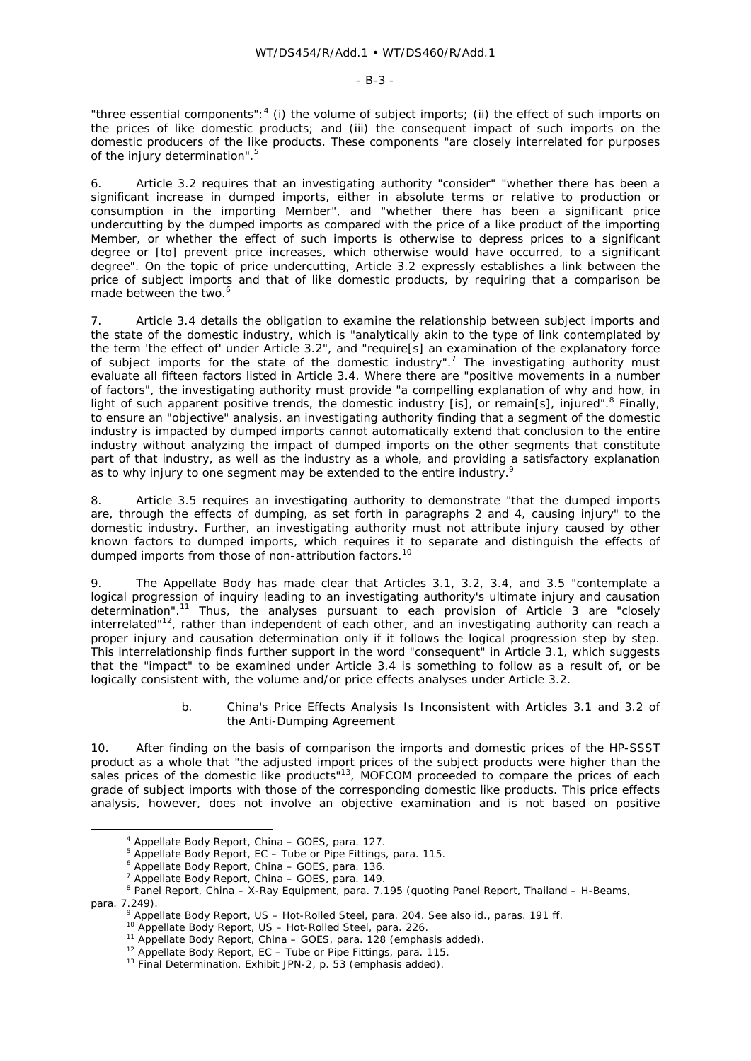"three essential components": $4$  (i) the volume of subject imports; (ii) the effect of such imports on the prices of like domestic products; and (iii) the consequent impact of such imports on the domestic producers of the like products. These components "are closely interrelated for purposes of the injury determination".<sup>5</sup>

6. Article 3.2 requires that an investigating authority "consider" "whether there has been a significant increase in dumped imports, either in absolute terms or relative to production or consumption in the importing Member", and "whether there has been a significant price undercutting by the dumped imports as compared with the price of a like product of the importing Member, or whether the effect of such imports is otherwise to depress prices to a significant degree or [to] prevent price increases, which otherwise would have occurred, to a significant degree". On the topic of price undercutting, Article 3.2 expressly establishes a *link* between the price of subject imports and that of like domestic products, by requiring that a comparison be made between the two.<sup>6</sup>

7. Article 3.4 details the obligation to examine the relationship between subject imports and the state of the domestic industry, which is "analytically akin to the type of link contemplated by the term 'the effect of' under Article 3.2", and "require[s] an examination of the explanatory force of subject imports for the state of the domestic industry".<sup>7</sup> The investigating authority must evaluate *all* fifteen factors listed in Article 3.4. Where there are "positive movements in a number of factors", the investigating authority must provide "a compelling explanation of why and how, in light of such apparent positive trends, the domestic industry [is], or remain[s], injured".<sup>8</sup> Finally, to ensure an "objective" analysis, an investigating authority finding that *a segment* of the domestic industry is impacted by dumped imports cannot automatically extend that conclusion to the *entire* industry without analyzing the impact of dumped imports on the *other segments* that constitute part of that industry, as well as the *industry as a whole*, and providing a *satisfactory explanation* as to why injury to one segment may be extended to the entire industry.

8. Article 3.5 requires an investigating authority to demonstrate "that the dumped imports are, through the effects of dumping, as set forth in paragraphs 2 and 4, causing injury" to the domestic industry. Further, an investigating authority must not attribute injury caused by other known factors to dumped imports, which requires it to separate and distinguish the effects of dumped imports from those of non-attribution factors.<sup>10</sup>

9. The Appellate Body has made clear that Articles 3.1, 3.2, 3.4, and 3.5 "contemplate a *logical progression of inquiry* leading to an investigating authority's ultimate injury and causation determination".11 Thus, the analyses pursuant to each provision of Article 3 are "closely interrelated" $12$ , rather than independent of each other, and an investigating authority can reach a proper injury and causation determination only if it follows the logical progression step by step. This interrelationship finds further support in the word "consequent" in Article 3.1, which suggests that the "impact" to be examined under Article 3.4 is something to follow as a result of, or be logically consistent with, the volume and/or price effects analyses under Article 3.2.

### *b. China's Price Effects Analysis Is Inconsistent with Articles 3.1 and 3.2 of the Anti-Dumping Agreement*

10. After finding on the basis of comparison the imports and domestic prices of the HP-SSST product as a whole that "the adjusted import prices of the subject products were *higher* than the sales prices of the domestic like products"<sup>13</sup>, MOFCOM proceeded to compare the prices of each grade of subject imports with those of the corresponding domestic like products. This price effects analysis, however, does not involve an objective examination and is not based on positive

 $\frac{1}{4}$ Appellate Body Report, *China – GOES*, para. 127. 5

Appellate Body Report, *EC – Tube or Pipe Fittings*, para. 115. 6

Appellate Body Report, *China – GOES*, para. 136. 7

<sup>&</sup>lt;sup>7</sup> Appellate Body Report, *China - GOES*, para. 149.

Panel Report, *China – X-Ray Equipment*, para. 7.195 (quoting Panel Report, *Thailand – H-Beams*, para. 7.249).<br><sup>9</sup> Appellate Body Report, US – Hot-Rolled Steel, para. 204. See also id., paras. 191 ff.

<sup>&</sup>lt;sup>10</sup> Appellate Body Report, *US – Hot-Rolled Steel*, para. 226.<br><sup>11</sup> Appellate Body Report, *China – GOES*, para. 128 (emphasis added).<br><sup>12</sup> Appellate Body Report, *EC – Tube or Pipe Fittings*, para. 115.<br><sup>13</sup> Final Deter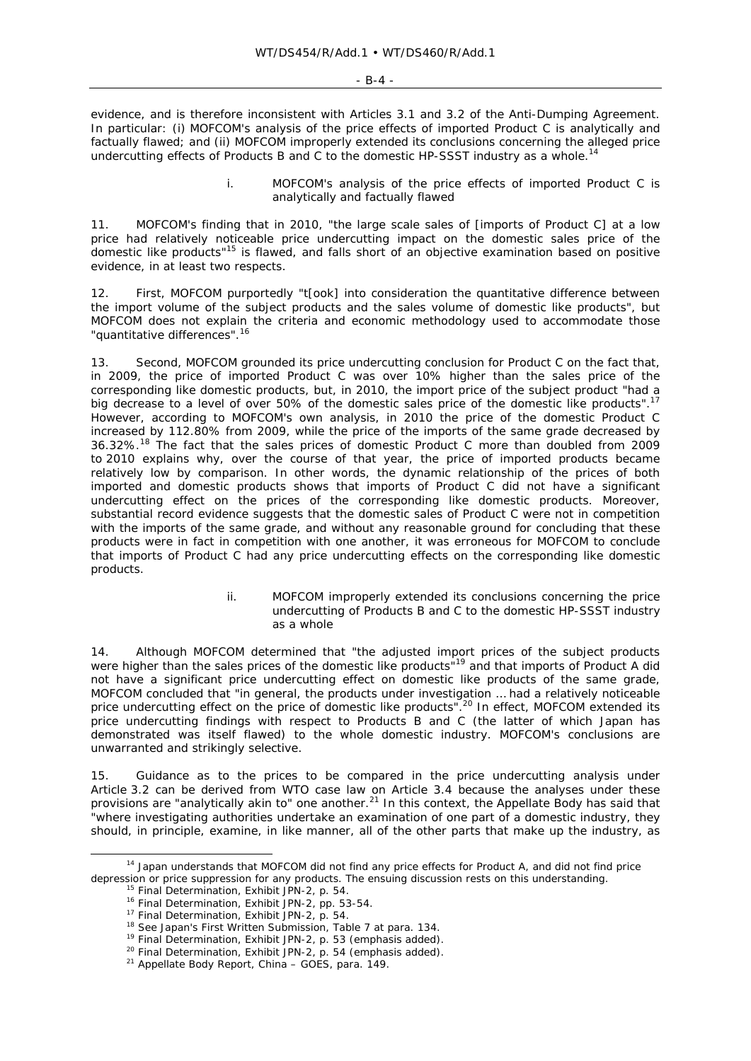evidence, and is therefore inconsistent with Articles 3.1 and 3.2 of the Anti-Dumping Agreement. In particular: (i) MOFCOM's analysis of the price effects of imported Product C is analytically and factually flawed; and (ii) MOFCOM improperly extended its conclusions concerning the alleged price undercutting effects of Products B and C to the domestic HP-SSST industry as a whole.<sup>14</sup>

### *i. MOFCOM's analysis of the price effects of imported Product C is analytically and factually flawed*

11. MOFCOM's finding that in 2010, "the large scale sales of [imports of Product C] at a low price had relatively noticeable price undercutting impact on the domestic sales price of the domestic like products"<sup>15</sup> is flawed, and falls short of an objective examination based on positive evidence, in at least two respects.

12. First, MOFCOM purportedly "t[ook] into consideration the quantitative difference between the import volume of the subject products and the sales volume of domestic like products", but MOFCOM does not explain the criteria and economic methodology used to accommodate those "quantitative differences".<sup>16</sup>

13. Second, MOFCOM grounded its price undercutting conclusion for Product C on the fact that, in 2009, the price of imported Product C was over 10% higher than the sales price of the corresponding like domestic products, but, in 2010, the import price of the subject product "had a big decrease to a level of over 50% of the domestic sales price of the domestic like products".<sup>17</sup> However, according to MOFCOM's own analysis, in 2010 the price of the domestic Product C *increased* by 112.80% from 2009, while the price of the imports of the same grade *decreased* by 36.32%.18 The fact that the sales prices of domestic Product C more than doubled from 2009 to 2010 explains why, over the course of that year, the price of imported products became relatively low by comparison. In other words, the dynamic relationship of the prices of *both*  imported and domestic products shows that imports of Product C did not have a significant undercutting effect on the prices of the corresponding like domestic products. Moreover, substantial record evidence suggests that the domestic sales of Product C were not in competition with the imports of the same grade, and without any reasonable ground for concluding that these products were in fact in competition with one another, it was erroneous for MOFCOM to conclude that imports of Product C had any price undercutting effects on the corresponding like domestic products.

### *ii. MOFCOM improperly extended its conclusions concerning the price undercutting of Products B and C to the domestic HP-SSST industry as a whole*

14. Although MOFCOM determined that "the adjusted import prices of the subject products were *higher* than the sales prices of the domestic like products<sup>"19</sup> and that imports of Product A did not have a significant price undercutting effect on domestic like products of the same grade, MOFCOM concluded that "*in general*, the products under investigation … had a relatively noticeable price undercutting effect on the price of domestic like products".<sup>20</sup> In effect, MOFCOM extended its price undercutting findings with respect to Products B and C (the latter of which Japan has demonstrated was itself flawed) to the *whole* domestic industry. MOFCOM's conclusions are unwarranted and strikingly selective.

15. Guidance as to the prices to be compared in the price undercutting analysis under Article 3.2 can be derived from WTO case law on Article 3.4 because the analyses under these provisions are "analytically akin to" one another. $^{21}$  In this context, the Appellate Body has said that "where investigating authorities undertake an examination of one part of a domestic industry, they should, in principle, examine, in like manner, *all of the other parts that make up the industry, as* 

<sup>&</sup>lt;sup>14</sup> Japan understands that MOFCOM did not find any price effects for Product A, and did not find price depression or price suppression for any products. The ensuing discussion rests on this understanding.<br><sup>15</sup> Final Determination, Exhibit JPN-2, p. 54.<br><sup>16</sup> Final Determination, Exhibit JPN-2, pp. 53-54.<br><sup>17</sup> Final Determin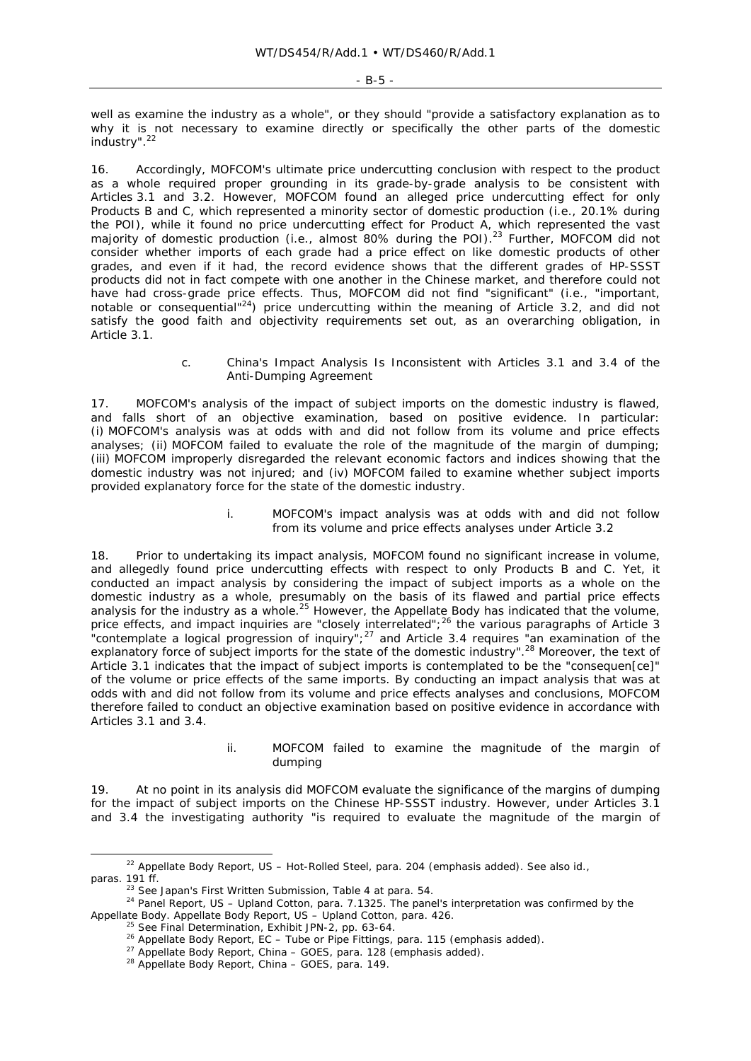*well as examine the industry as a whole*", or they should "provide a *satisfactory explanation as to why it is not necessary to examine directly or specifically the other parts of the domestic industry*".<sup>22</sup>

16. Accordingly, MOFCOM's ultimate price undercutting conclusion with respect to the product *as a whole* required proper grounding in its grade-by-grade analysis to be consistent with Articles 3.1 and 3.2. However, MOFCOM found an alleged price undercutting effect for only Products B and C, which represented a *minority sector* of domestic production (i.e., 20.1% during the POI), while it found no price undercutting effect for Product A, which represented the *vast majority* of domestic production (i.e., almost 80% during the POI).<sup>23</sup> Further, MOFCOM did not consider whether imports of each grade had a price effect on like domestic products of *other* grades, and even if it had, the record evidence shows that the different grades of HP-SSST products did not in fact compete with one another in the Chinese market, and therefore could not have had cross-grade price effects. Thus, MOFCOM did not find "significant" (i.e., "important, notable or consequential"24) price undercutting within the meaning of Article 3.2, and did not satisfy the good faith and objectivity requirements set out, as an overarching obligation, in Article 3.1.

### *c. China's Impact Analysis Is Inconsistent with Articles 3.1 and 3.4 of the Anti-Dumping Agreement*

17. MOFCOM's analysis of the impact of subject imports on the domestic industry is flawed, and falls short of an objective examination, based on positive evidence. In particular: (i) MOFCOM's analysis was at odds with and did not follow from its volume and price effects analyses; (ii) MOFCOM failed to evaluate the role of the magnitude of the margin of dumping; (iii) MOFCOM improperly disregarded the relevant economic factors and indices showing that the domestic industry was not injured; and (iv) MOFCOM failed to examine whether subject imports provided explanatory force for the state of the domestic industry.

### *i. MOFCOM's impact analysis was at odds with and did not follow from its volume and price effects analyses under Article 3.2*

18. Prior to undertaking its impact analysis, MOFCOM found no significant increase in volume, and allegedly found price undercutting effects with respect to only Products B and C. Yet, it conducted an impact analysis by considering the impact of subject imports as a whole on the domestic industry as a whole, presumably on the basis of its flawed and partial price effects analysis for the industry as a whole.<sup>25</sup> However, the Appellate Body has indicated that the volume, price effects, and impact inquiries are "*closely interrelated*";<sup>26</sup> the various paragraphs of Article 3 "contemplate a *logical progression of inquiry*";<sup>27</sup> and Article 3.4 requires "an examination of the explanatory force of subject imports for the state of the domestic industry".<sup>28</sup> Moreover, the text of Article 3.1 indicates that the impact of subject imports is contemplated to be the "consequen[ce]" of the volume or price effects of the same imports. By conducting an impact analysis that was at odds with and did not follow from its volume and price effects analyses and conclusions, MOFCOM therefore failed to conduct an objective examination based on positive evidence in accordance with Articles 3.1 and 3.4.

### *ii. MOFCOM failed to examine the magnitude of the margin of dumping*

19. At no point in its analysis did MOFCOM evaluate the significance of the margins of dumping for the impact of subject imports on the Chinese HP-SSST industry. However, under Articles 3.1 and 3.4 the investigating authority "is required to evaluate the magnitude of the margin of

 <sup>22</sup> Appellate Body Report, *US – Hot-Rolled Steel*, para. 204 (emphasis added). *See also id.*,

<sup>&</sup>lt;sup>23</sup> See Japan's First Written Submission, Table 4 at para. 54.<br><sup>24</sup> Panel Report, *US – Upland Cotton*, para. 7.1325. The panel's interpretation was confirmed by the Appellate Body. Appellate Body Report,  $US - Upland Coton$ , para. 426.<br><sup>25</sup> See Final Determination, Exhibit JPN-2, pp. 63-64.<br><sup>26</sup> Appellate Body Report,  $EC - Tube$  or Pipe Fittings, para. 115 (emphasis added).<br><sup>27</sup> Appellate Body Repo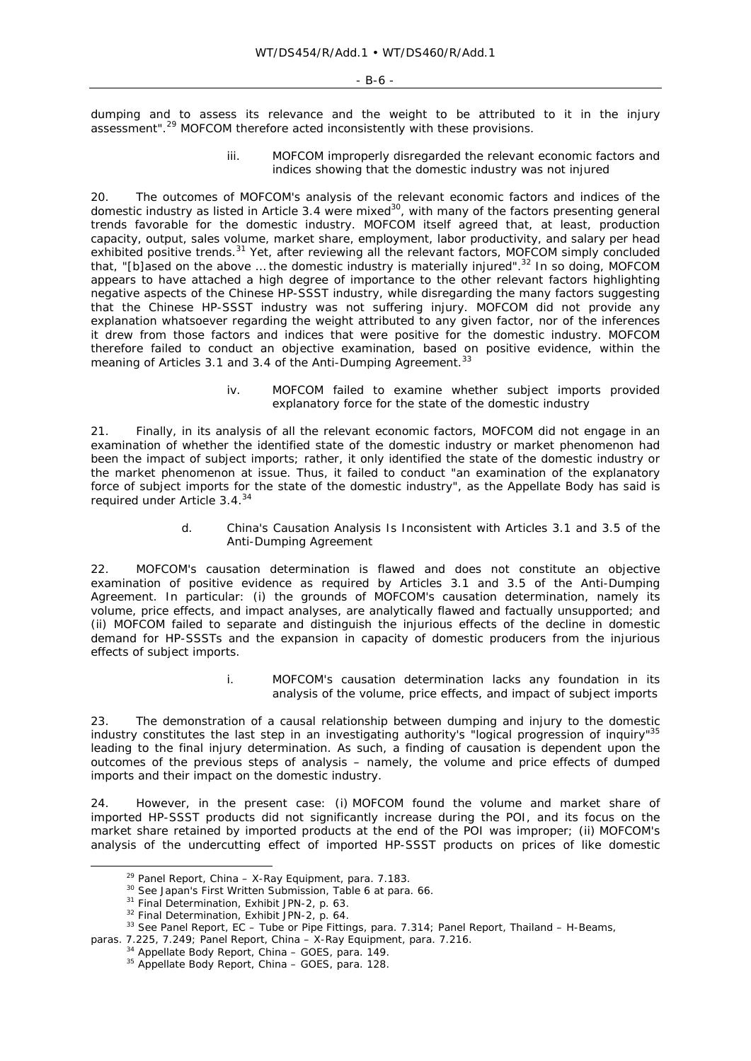dumping and to assess its relevance and the weight to be attributed to it in the injury assessment".29 MOFCOM therefore acted inconsistently with these provisions.

### *iii. MOFCOM improperly disregarded the relevant economic factors and indices showing that the domestic industry was not injured*

20. The outcomes of MOFCOM's analysis of the relevant economic factors and indices of the domestic industry as listed in Article 3.4 were mixed<sup>30</sup>, with many of the factors presenting general trends *favorable* for the domestic industry. MOFCOM itself agreed that, at least, production capacity, output, sales volume, market share, employment, labor productivity, and salary per head exhibited positive trends.<sup>31</sup> Yet, after reviewing all the relevant factors, MOFCOM simply concluded that, "[b]ased on the above ... the domestic industry is materially injured".<sup>32</sup> In so doing, MOFCOM appears to have attached a high degree of importance to the other relevant factors highlighting negative aspects of the Chinese HP-SSST industry, while disregarding the many factors suggesting that the Chinese HP-SSST industry was not suffering injury. MOFCOM did not provide any explanation whatsoever regarding the weight attributed to any given factor, nor of the inferences it drew from those factors and indices that were positive for the domestic industry. MOFCOM therefore failed to conduct an objective examination, based on positive evidence, within the meaning of Articles 3.1 and 3.4 of the Anti-Dumping Agreement.<sup>33</sup>

## *iv. MOFCOM failed to examine whether subject imports provided explanatory force for the state of the domestic industry*

21. Finally, in its analysis of all the relevant economic factors, MOFCOM did not engage in an examination of whether the identified state of the domestic industry or market phenomenon had been the impact of subject imports; rather, it only identified the state of the domestic industry or the market phenomenon at issue. Thus, it failed to conduct "an examination of the explanatory force of subject imports for the state of the domestic industry", as the Appellate Body has said is required under Article 3.4.34

### *d. China's Causation Analysis Is Inconsistent with Articles 3.1 and 3.5 of the Anti-Dumping Agreement*

22. MOFCOM's causation determination is flawed and does not constitute an objective examination of positive evidence as required by Articles 3.1 and 3.5 of the Anti-Dumping Agreement. In particular: (i) the grounds of MOFCOM's causation determination, namely its volume, price effects, and impact analyses, are analytically flawed and factually unsupported; and (ii) MOFCOM failed to separate and distinguish the injurious effects of the decline in domestic demand for HP-SSSTs and the expansion in capacity of domestic producers from the injurious effects of subject imports.

### *i. MOFCOM's causation determination lacks any foundation in its analysis of the volume, price effects, and impact of subject imports*

23. The demonstration of a causal relationship between dumping and injury to the domestic industry constitutes the last step in an investigating authority's "logical progression of inquiry"35 leading to the final injury determination. As such, a finding of causation is *dependent* upon the outcomes of the previous steps of analysis – namely, the volume and price effects of dumped imports and their impact on the domestic industry.

24. However, in the present case: (i) MOFCOM found the volume and market share of imported HP-SSST products did not significantly increase during the POI, and its focus on the market share *retained* by imported products at the end of the POI was improper; (ii) MOFCOM's analysis of the undercutting effect of imported HP-SSST products on prices of like domestic

<sup>&</sup>lt;sup>29</sup> Panel Report, *China – X-Ray Equipment*, para. 7.183.<br><sup>30</sup> See Japan's First Written Submission, Table 6 at para. 66.<br><sup>31</sup> Final Determination, Exhibit JPN-2, p. 63.<br><sup>32</sup> Final Determination, Exhibit JPN-2, p. 64.<br><sup>3</sup>

paras. 7.225, 7.249; Panel Report, *China – X-Ray Equipment*, para. 7.216. 34 Appellate Body Report, *China – GOES*, para. 149. 35 Appellate Body Report, *China – GOES*, para. 128.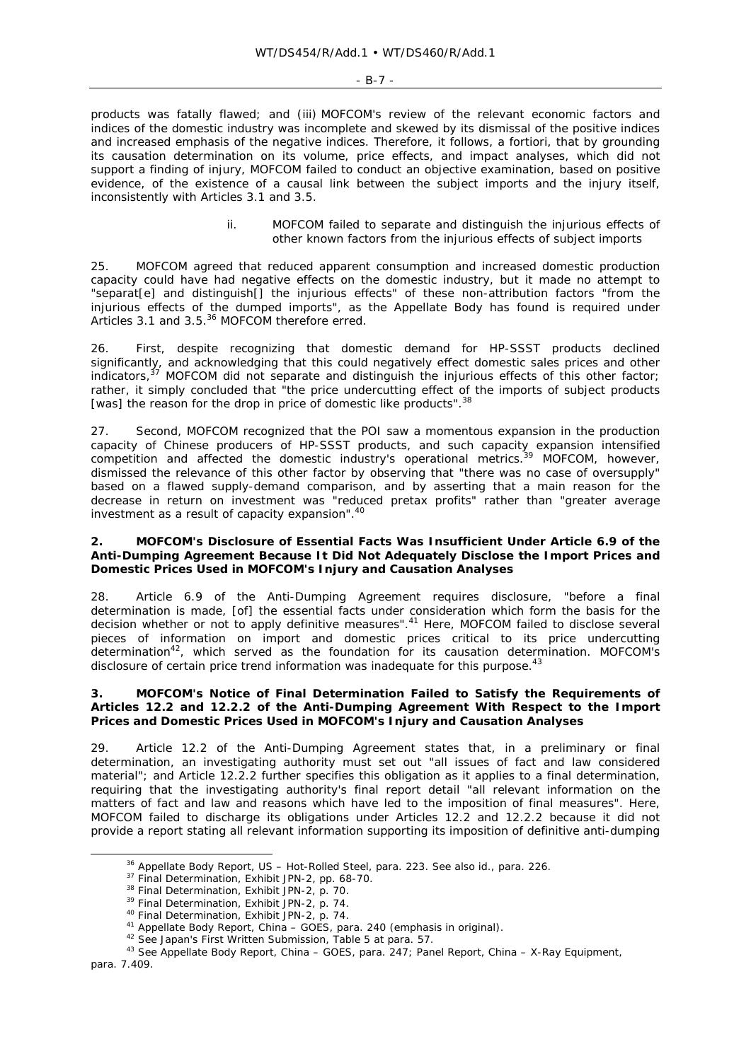#### - B-7 -

products was fatally flawed; and (iii) MOFCOM's review of the relevant economic factors and indices of the domestic industry was incomplete and skewed by its dismissal of the positive indices and increased emphasis of the negative indices. Therefore, it follows, *a fortiori*, that by grounding its causation determination on its volume, price effects, and impact analyses, which did not support a finding of injury, MOFCOM failed to conduct an objective examination, based on positive evidence, of the existence of a causal link between the subject imports and the injury itself, inconsistently with Articles 3.1 and 3.5.

### *ii. MOFCOM failed to separate and distinguish the injurious effects of other known factors from the injurious effects of subject imports*

25. MOFCOM agreed that reduced apparent consumption and increased domestic production capacity could have had negative effects on the domestic industry, but it made no attempt to "separat[e] and distinguish[] the injurious effects" of these non-attribution factors "from the injurious effects of the dumped imports", as the Appellate Body has found is required under Articles 3.1 and 3.5.<sup>36</sup> MOFCOM therefore erred.

26. First, despite recognizing that domestic demand for HP-SSST products declined significantly, and acknowledging that this could negatively effect domestic sales prices and other indicators, $37$  MOFCOM did not separate and distinguish the injurious effects of this other factor; rather, it simply concluded that "the price undercutting effect of the imports of subject products [was] the reason for the drop in price of domestic like products".<sup>38</sup>

27. Second, MOFCOM recognized that the POI saw a momentous expansion in the production capacity of Chinese producers of HP-SSST products, and such capacity expansion intensified competition and affected the domestic industry's operational metrics.<sup>39</sup> MOFCOM, however, dismissed the relevance of this other factor by observing that "there was no case of oversupply" based on a flawed supply-demand comparison, and by asserting that a main reason for the decrease in return on investment was "reduced pretax profits" rather than "greater average investment as a result of capacity expansion".40

### **2. MOFCOM's Disclosure of Essential Facts Was Insufficient Under Article 6.9 of the Anti-Dumping Agreement Because It Did Not Adequately Disclose the Import Prices and Domestic Prices Used in MOFCOM's Injury and Causation Analyses**

28. Article 6.9 of the Anti-Dumping Agreement requires disclosure, "before a final determination is made, [of] the essential facts under consideration *which form the basis for* the decision whether or not to apply definitive measures".<sup>41</sup> Here, MOFCOM failed to disclose several pieces of information on import and domestic prices critical to its price undercutting determination<sup>42</sup>, which served as the foundation for its causation determination. MOFCOM's disclosure of certain price trend information was inadequate for this purpose.<sup>43</sup>

### **3. MOFCOM's Notice of Final Determination Failed to Satisfy the Requirements of Articles 12.2 and 12.2.2 of the Anti-Dumping Agreement With Respect to the Import Prices and Domestic Prices Used in MOFCOM's Injury and Causation Analyses**

29. Article 12.2 of the Anti-Dumping Agreement states that, in a preliminary or final determination, an investigating authority must set out "all issues of fact and law considered material"; and Article 12.2.2 further specifies this obligation as it applies to a final determination, requiring that the investigating authority's final report detail "all relevant information on the matters of fact and law and reasons which have led to the imposition of final measures". Here, MOFCOM failed to discharge its obligations under Articles 12.2 and 12.2.2 because it did not provide a report stating all relevant information supporting its imposition of definitive anti-dumping

<sup>&</sup>lt;sup>36</sup> Appellate Body Report, *US – Hot-Rolled Steel*, para. 223. *See also id.*, para. 226.<br><sup>37</sup> Final Determination, Exhibit JPN-2, pp. 68-70.<br><sup>38</sup> Final Determination, Exhibit JPN-2, p. 70.<br><sup>39</sup> Final Determination, Exhi para. 7.409.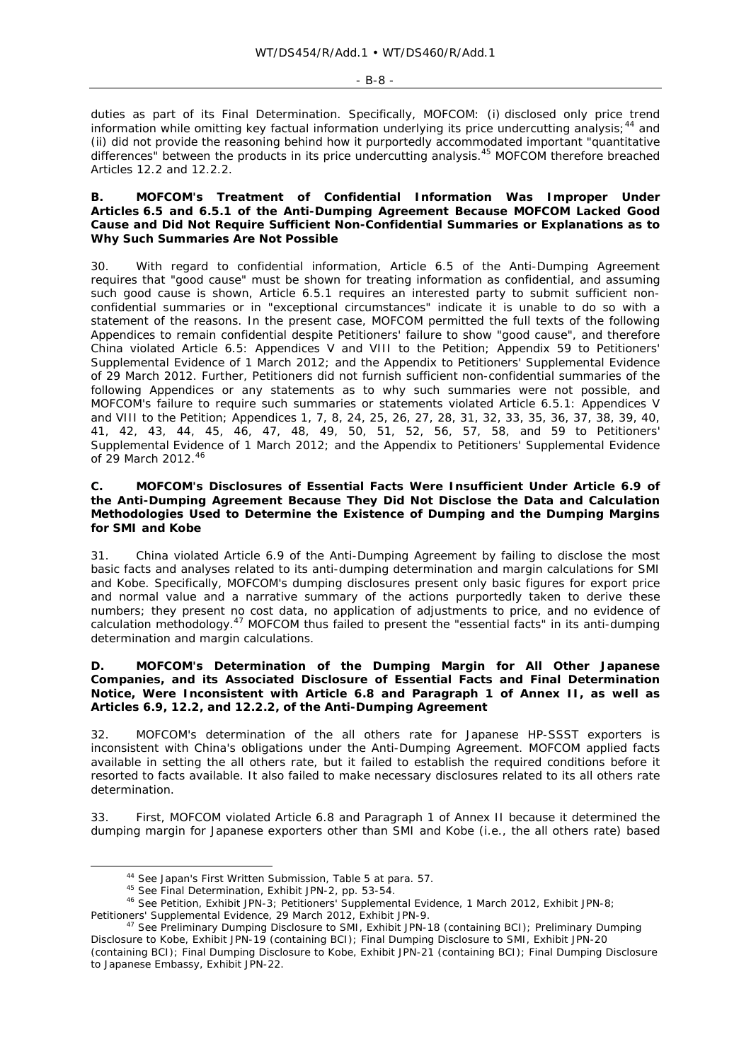#### $-$  B-8  $-$

duties as part of its Final Determination. Specifically, MOFCOM: (i) disclosed only price trend information while omitting key factual information underlying its price undercutting analysis;<sup>44</sup> and (ii) did not provide the reasoning behind how it purportedly accommodated important "quantitative differences" between the products in its price undercutting analysis.<sup>45</sup> MOFCOM therefore breached Articles 12.2 and 12.2.2.

### **B. MOFCOM's Treatment of Confidential Information Was Improper Under Articles 6.5 and 6.5.1 of the Anti-Dumping Agreement Because MOFCOM Lacked Good Cause and Did Not Require Sufficient Non-Confidential Summaries or Explanations as to Why Such Summaries Are Not Possible**

30. With regard to confidential information, Article 6.5 of the Anti-Dumping Agreement requires that "good cause" must be shown for treating information as confidential, and assuming such good cause is shown, Article 6.5.1 requires an interested party to submit sufficient nonconfidential summaries or in "exceptional circumstances" indicate it is unable to do so with a statement of the reasons. In the present case, MOFCOM permitted the full texts of the following Appendices to remain confidential despite Petitioners' failure to show "good cause", and therefore China violated Article 6.5: Appendices V and VIII to the Petition; Appendix 59 to Petitioners' Supplemental Evidence of 1 March 2012; and the Appendix to Petitioners' Supplemental Evidence of 29 March 2012. Further, Petitioners did not furnish sufficient non-confidential summaries of the following Appendices or any statements as to why such summaries were not possible, and MOFCOM's failure to require such summaries or statements violated Article 6.5.1: Appendices V and VIII to the Petition; Appendices 1, 7, 8, 24, 25, 26, 27, 28, 31, 32, 33, 35, 36, 37, 38, 39, 40, 41, 42, 43, 44, 45, 46, 47, 48, 49, 50, 51, 52, 56, 57, 58, and 59 to Petitioners' Supplemental Evidence of 1 March 2012; and the Appendix to Petitioners' Supplemental Evidence of 29 March 2012.<sup>46</sup>

### **C. MOFCOM's Disclosures of Essential Facts Were Insufficient Under Article 6.9 of the Anti-Dumping Agreement Because They Did Not Disclose the Data and Calculation Methodologies Used to Determine the Existence of Dumping and the Dumping Margins for SMI and Kobe**

31. China violated Article 6.9 of the Anti-Dumping Agreement by failing to disclose the most basic facts and analyses related to its anti-dumping determination and margin calculations for SMI and Kobe. Specifically, MOFCOM's dumping disclosures present only basic figures for export price and normal value and a narrative summary of the actions purportedly taken to derive these numbers; they present no cost data, no application of adjustments to price, and no evidence of calculation methodology.47 MOFCOM thus failed to present the "essential facts" in its anti-dumping determination and margin calculations.

### **D. MOFCOM's Determination of the Dumping Margin for All Other Japanese Companies, and its Associated Disclosure of Essential Facts and Final Determination Notice, Were Inconsistent with Article 6.8 and Paragraph 1 of Annex II, as well as Articles 6.9, 12.2, and 12.2.2, of the Anti-Dumping Agreement**

32. MOFCOM's determination of the all others rate for Japanese HP-SSST exporters is inconsistent with China's obligations under the Anti-Dumping Agreement. MOFCOM applied facts available in setting the all others rate, but it failed to establish the required conditions before it resorted to facts available. It also failed to make necessary disclosures related to its all others rate determination.

33. First, MOFCOM violated Article 6.8 and Paragraph 1 of Annex II because it determined the dumping margin for Japanese exporters other than SMI and Kobe (i.e., the all others rate) based

<sup>&</sup>lt;sup>44</sup> See Japan's First Written Submission, Table 5 at para. 57.<br><sup>45</sup> See Final Determination, Exhibit JPN-2, pp. 53-54.<br><sup>46</sup> See Petition, Exhibit JPN-3; Petitioners' Supplemental Evidence, 1 March 2012, Exhibit JPN-8; Petitioners' Supplemental Evidence, 29 March 2012, Exhibit JPN-9. 47 *See* Preliminary Dumping Disclosure to SMI, Exhibit JPN-18 (containing BCI); Preliminary Dumping

Disclosure to Kobe, Exhibit JPN-19 (containing BCI); Final Dumping Disclosure to SMI, Exhibit JPN-20 (containing BCI); Final Dumping Disclosure to Kobe, Exhibit JPN-21 (containing BCI); Final Dumping Disclosure to Japanese Embassy, Exhibit JPN-22.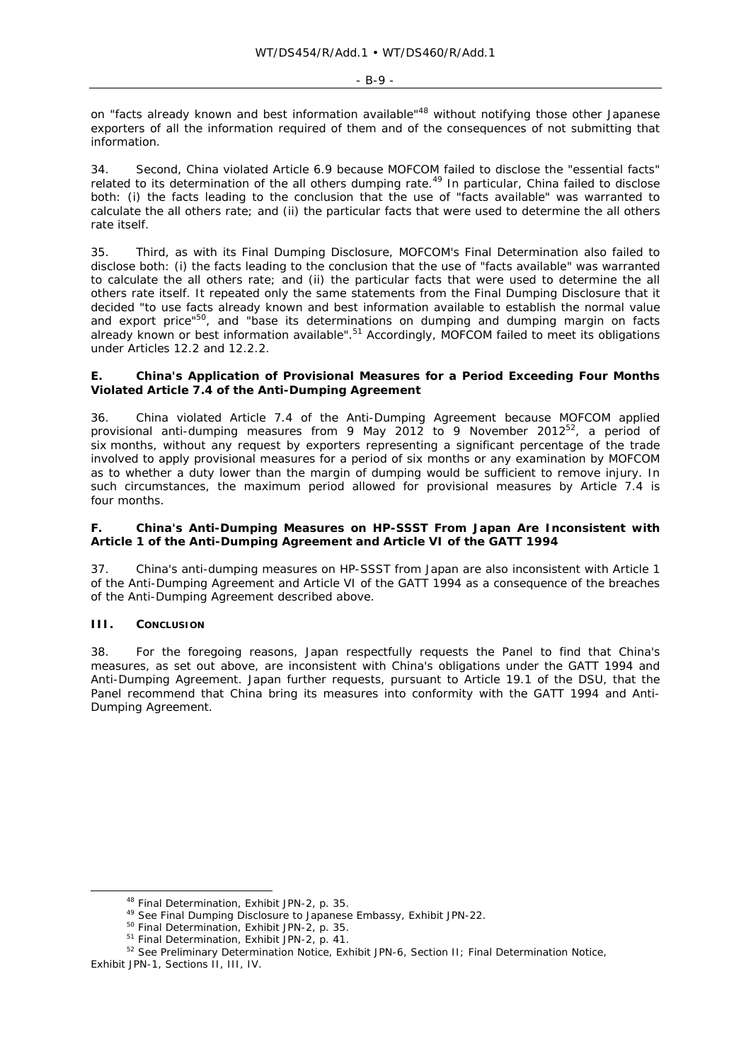$-$  R-9  $-$ 

on "facts already known and best information available"<sup>48</sup> without notifying those other Japanese exporters of all the information required of them and of the consequences of not submitting that information.

34. Second, China violated Article 6.9 because MOFCOM failed to disclose the "essential facts" related to its determination of the all others dumping rate.<sup>49</sup> In particular, China failed to disclose both: (i) the facts leading to the conclusion that the use of "facts available" was warranted to calculate the all others rate; and (ii) the particular facts that were used to determine the all others rate itself.

35. Third, as with its Final Dumping Disclosure, MOFCOM's Final Determination also failed to disclose both: (i) the facts leading to the conclusion that the use of "facts available" was warranted to calculate the all others rate; and (ii) the particular facts that were used to determine the all others rate itself. It repeated only the same statements from the Final Dumping Disclosure that it decided "to use facts already known and best information available to establish the normal value and export price"<sup>50</sup>, and "base its determinations on dumping and dumping margin on facts already known or best information available".<sup>51</sup> Accordingly, MOFCOM failed to meet its obligations under Articles 12.2 and 12.2.2.

### **E. China's Application of Provisional Measures for a Period Exceeding Four Months Violated Article 7.4 of the Anti-Dumping Agreement**

36. China violated Article 7.4 of the Anti-Dumping Agreement because MOFCOM applied provisional anti-dumping measures from 9 May 2012 to 9 November 2012<sup>52</sup>, a period of six months, without any request by exporters representing a significant percentage of the trade involved to apply provisional measures for a period of six months or any examination by MOFCOM as to whether a duty lower than the margin of dumping would be sufficient to remove injury. In such circumstances, the maximum period allowed for provisional measures by Article 7.4 is four months.

# **F. China's Anti-Dumping Measures on HP-SSST From Japan Are Inconsistent with Article 1 of the Anti-Dumping Agreement and Article VI of the GATT 1994**

37. China's anti-dumping measures on HP-SSST from Japan are also inconsistent with Article 1 of the Anti-Dumping Agreement and Article VI of the GATT 1994 as a consequence of the breaches of the Anti-Dumping Agreement described above.

# **III. CONCLUSION**

38. For the foregoing reasons, Japan respectfully requests the Panel to find that China's measures, as set out above, are inconsistent with China's obligations under the GATT 1994 and Anti-Dumping Agreement. Japan further requests, pursuant to Article 19.1 of the DSU, that the Panel recommend that China bring its measures into conformity with the GATT 1994 and Anti-Dumping Agreement.

<sup>&</sup>lt;sup>48</sup> Final Determination, Exhibit JPN-2, p. 35.<br><sup>49</sup> See Final Dumping Disclosure to Japanese Embassy, Exhibit JPN-22.<br><sup>50</sup> Final Determination, Exhibit JPN-2, p. 35.<br><sup>51</sup> Final Determination, Exhibit JPN-2, p. 41.<br><sup>52</sup> S

Exhibit JPN-1, Sections II, III, IV.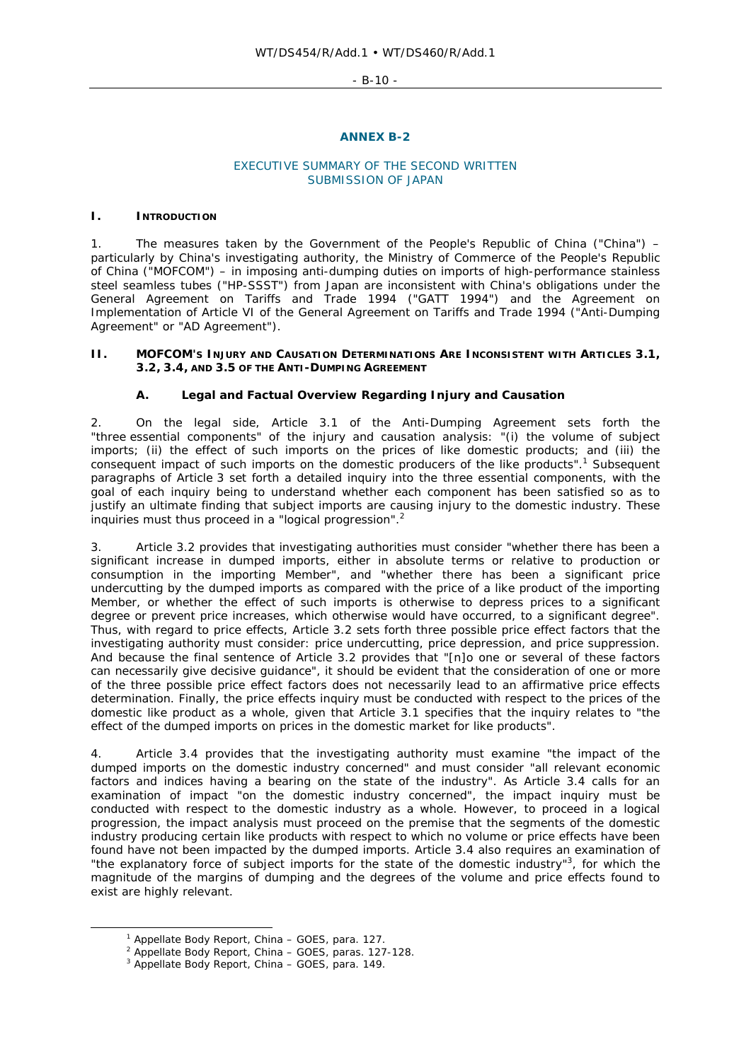- B-10 -

### **ANNEX B-2**

# EXECUTIVE SUMMARY OF THE SECOND WRITTEN SUBMISSION OF JAPAN

### **I. INTRODUCTION**

1. The measures taken by the Government of the People's Republic of China ("China") – particularly by China's investigating authority, the Ministry of Commerce of the People's Republic of China ("MOFCOM") – in imposing anti-dumping duties on imports of high-performance stainless steel seamless tubes ("HP-SSST") from Japan are inconsistent with China's obligations under the General Agreement on Tariffs and Trade 1994 ("GATT 1994") and the Agreement on Implementation of Article VI of the General Agreement on Tariffs and Trade 1994 ("Anti-Dumping Agreement" or "AD Agreement").

### **II. MOFCOM'S INJURY AND CAUSATION DETERMINATIONS ARE INCONSISTENT WITH ARTICLES 3.1, 3.2, 3.4, AND 3.5 OF THE ANTI-DUMPING AGREEMENT**

# **A. Legal and Factual Overview Regarding Injury and Causation**

2. On the legal side, Article 3.1 of the Anti-Dumping Agreement sets forth the "three essential components" of the injury and causation analysis: "(i) the volume of subject imports; (ii) the effect of such imports on the prices of like domestic products; and (iii) the consequent impact of such imports on the domestic producers of the like products".<sup>1</sup> Subsequent paragraphs of Article 3 set forth a detailed inquiry into the three essential components, with the goal of each inquiry being to understand whether each component has been satisfied so as to justify an ultimate finding that subject imports are causing injury to the domestic industry. These inquiries must thus proceed in a "logical progression".<sup>2</sup>

3. Article 3.2 provides that investigating authorities must consider "whether there has been a significant increase in dumped imports, either in absolute terms or relative to production or consumption in the importing Member", and "whether there has been a significant price undercutting by the dumped imports as compared with the price of a like product of the importing Member, or whether the effect of such imports is otherwise to depress prices to a significant degree or prevent price increases, which otherwise would have occurred, to a significant degree". Thus, with regard to price effects, Article 3.2 sets forth three possible price effect factors that the investigating authority must consider: price undercutting, price depression, and price suppression. And because the final sentence of Article 3.2 provides that "[n]o one or several of these factors can necessarily give decisive guidance", it should be evident that the consideration of one or more of the three possible price effect factors does not necessarily lead to an affirmative price effects determination. Finally, the price effects inquiry must be conducted with respect to the prices of the domestic like product as a whole, given that Article 3.1 specifies that the inquiry relates to "the effect of the dumped imports on prices in the domestic market for like products".

4. Article 3.4 provides that the investigating authority must examine "the impact of the dumped imports on the domestic industry concerned" and must consider "all relevant economic factors and indices having a bearing on the state of the industry". As Article 3.4 calls for an examination of impact "on the domestic industry concerned", the impact inquiry must be conducted with respect to the domestic industry as a whole. However, to proceed in a logical progression, the impact analysis must proceed on the premise that the segments of the domestic industry producing certain like products with respect to which no volume or price effects have been found have not been impacted by the dumped imports. Article 3.4 also requires an examination of "the explanatory force of subject imports for the state of the domestic industry"<sup>3</sup>, for which the magnitude of the margins of dumping and the degrees of the volume and price effects found to exist are highly relevant.

 $\overline{\phantom{a}}$ <sup>1</sup> Appellate Body Report, *China - GOES*, para. 127.

<sup>&</sup>lt;sup>2</sup> Appellate Body Report, *China – GOES*, paras. 127-128.

Appellate Body Report, *China – GOES*, para. 149.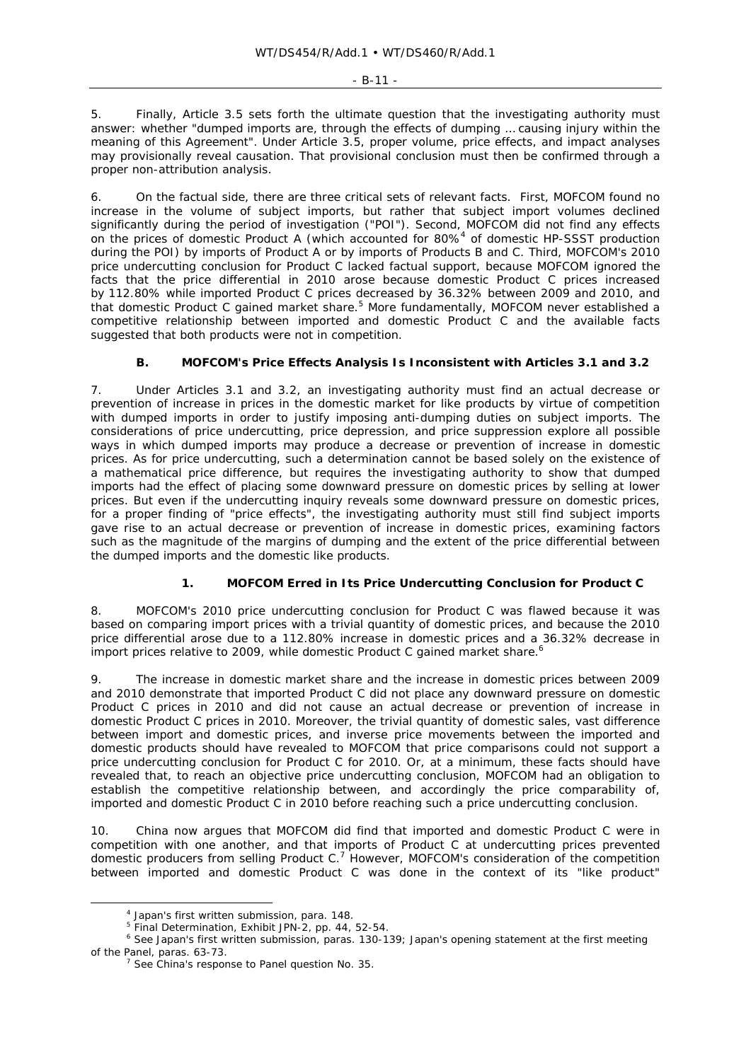5. Finally, Article 3.5 sets forth the ultimate question that the investigating authority must answer: whether "dumped imports are, through the effects of dumping … causing injury within the meaning of this Agreement". Under Article 3.5, proper volume, price effects, and impact analyses may provisionally reveal causation. That provisional conclusion must then be confirmed through a proper non-attribution analysis.

6. On the factual side, there are three critical sets of relevant facts. First, MOFCOM found no increase in the volume of subject imports, but rather that subject import volumes declined significantly during the period of investigation ("POI"). Second, MOFCOM did not find any effects on the prices of domestic Product A (which accounted for  $80\%$ <sup>4</sup> of domestic HP-SSST production during the POI) by imports of Product A or by imports of Products B and C. Third, MOFCOM's 2010 price undercutting conclusion for Product C lacked factual support, because MOFCOM ignored the facts that the price differential in 2010 arose because domestic Product C prices *increased* by 112.80% while imported Product C prices *decreased* by 36.32% between 2009 and 2010, and that domestic Product C gained market share.<sup>5</sup> More fundamentally, MOFCOM never established a competitive relationship between imported and domestic Product C and the available facts suggested that both products were not in competition.

# **B. MOFCOM's Price Effects Analysis Is Inconsistent with Articles 3.1 and 3.2**

7. Under Articles 3.1 and 3.2, an investigating authority must find an actual decrease or prevention of increase in prices in the domestic market for like products by virtue of competition with dumped imports in order to justify imposing anti-dumping duties on subject imports. The considerations of price undercutting, price depression, and price suppression explore all possible ways in which dumped imports may produce a decrease or prevention of increase in domestic prices. As for price undercutting, such a determination cannot be based solely on the existence of a mathematical price difference, but requires the investigating authority to show that dumped imports had the effect of placing some downward pressure on domestic prices by selling at lower prices. But even if the undercutting inquiry reveals some downward pressure on domestic prices, for a proper finding of "price effects", the investigating authority must still find subject imports gave rise to an actual decrease or prevention of increase in domestic prices, examining factors such as the magnitude of the margins of dumping and the extent of the price differential between the dumped imports and the domestic like products.

# **1. MOFCOM Erred in Its Price Undercutting Conclusion for Product C**

8. MOFCOM's 2010 price undercutting conclusion for Product C was flawed because it was based on comparing import prices with a trivial quantity of domestic prices, and because the 2010 price differential arose due to a 112.80% *increase* in domestic prices and a 36.32% *decrease* in import prices relative to 2009, while domestic Product C gained market share.<sup>6</sup>

9. The increase in domestic market share and the increase in domestic prices between 2009 and 2010 demonstrate that imported Product C did not place any downward pressure on domestic Product C prices in 2010 and did not cause an actual decrease or prevention of increase in domestic Product C prices in 2010. Moreover, the trivial quantity of domestic sales, vast difference between import and domestic prices, and inverse price movements between the imported and domestic products should have revealed to MOFCOM that price comparisons could not support a price undercutting conclusion for Product C for 2010. Or, at a minimum, these facts should have revealed that, to reach an objective price undercutting conclusion, MOFCOM had an obligation to establish the competitive relationship between, and accordingly the price comparability of, imported and domestic Product C in 2010 before reaching such a price undercutting conclusion.

10. China now argues that MOFCOM did find that imported and domestic Product C were in competition with one another, and that imports of Product C at undercutting prices prevented domestic producers from selling Product  $C<sup>7</sup>$  However, MOFCOM's consideration of the competition between imported and domestic Product C was done in the context of its "like product"

 $\overline{a}$  $<sup>4</sup>$  Japan's first written submission, para. 148.</sup>

<sup>&</sup>lt;sup>5</sup> Final Determination, Exhibit JPN-2, pp. 44, 52-54.

<sup>6</sup> *See* Japan's first written submission, paras. 130-139; Japan's opening statement at the first meeting of the Panel, paras. 63-73. 7 *See* China's response to Panel question No. 35.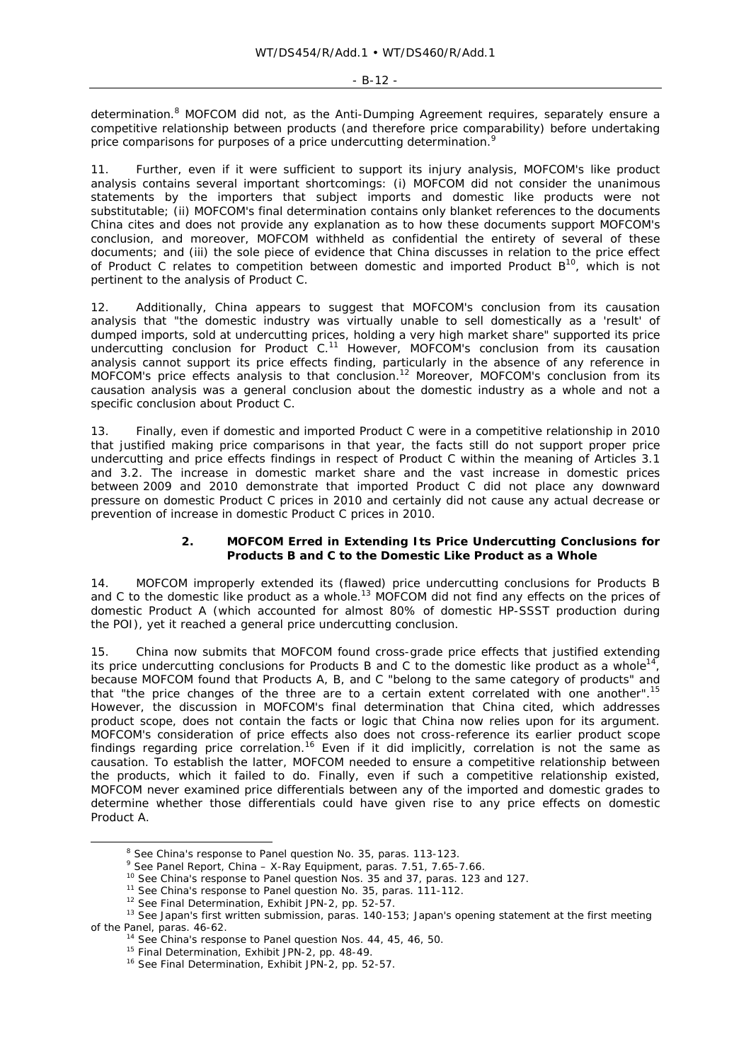determination.<sup>8</sup> MOFCOM did not, as the Anti-Dumping Agreement requires, separately ensure a competitive relationship between products (and therefore price comparability) before undertaking price comparisons for purposes of a price undercutting determination.

Further, even if it were sufficient to support its injury analysis, MOFCOM's like product analysis contains several important shortcomings: (i) MOFCOM did not consider the unanimous statements by the importers that subject imports and domestic like products were not substitutable; (ii) MOFCOM's final determination contains only blanket references to the documents China cites and does not provide any explanation as to how these documents support MOFCOM's conclusion, and moreover, MOFCOM withheld as confidential the entirety of several of these documents; and (iii) the sole piece of evidence that China discusses in relation to the price effect of Product C relates to competition between domestic and imported Product  $B^{10}$ , which is not pertinent to the analysis of Product C.

Additionally, China appears to suggest that MOFCOM's conclusion from its causation analysis that "the domestic industry was virtually unable to sell domestically as a 'result' of dumped imports, sold at undercutting prices, holding a very high market share" supported its price undercutting conclusion for Product  $C<sup>11</sup>$  However, MOFCOM's conclusion from its causation analysis cannot support its price effects finding, particularly in the absence of any reference in MOFCOM's price effects analysis to that conclusion.12 Moreover*,* MOFCOM's conclusion from its causation analysis was a general conclusion about the domestic industry as a whole and not a specific conclusion about Product C.

13. Finally, even if domestic and imported Product C were in a competitive relationship in 2010 that justified making price comparisons in that year, the facts still do not support proper price undercutting and price effects findings in respect of Product C within the meaning of Articles 3.1 and 3.2. The increase in domestic market share and the vast increase in domestic prices between 2009 and 2010 demonstrate that imported Product C did not place any downward pressure on domestic Product C prices in 2010 and certainly did not cause any actual decrease or prevention of increase in domestic Product C prices in 2010.

### **2. MOFCOM Erred in Extending Its Price Undercutting Conclusions for Products B and C to the Domestic Like Product as a Whole**

14. MOFCOM improperly extended its (flawed) price undercutting conclusions for Products B and C to the domestic like product as a whole.<sup>13</sup> MOFCOM did not find any effects on the prices of domestic Product A (which accounted for almost 80% of domestic HP-SSST production during the POI), yet it reached a general price undercutting conclusion.

15. China now submits that MOFCOM found cross-grade price effects that justified extending its price undercutting conclusions for Products B and C to the domestic like product as a whole<sup>14</sup>, because MOFCOM found that Products A, B, and C "belong to the same category of products" and that "the price changes of the three are to a certain extent correlated with one another".15 However, the discussion in MOFCOM's final determination that China cited, which addresses product scope, does not contain the facts or logic that China now relies upon for its argument. MOFCOM's consideration of price effects also does not cross-reference its earlier product scope findings regarding price correlation.<sup>16</sup> Even if it did implicitly, correlation is not the same as causation. To establish the latter, MOFCOM needed to ensure a competitive relationship between the products, which it failed to do. Finally, even if such a competitive relationship existed, MOFCOM never examined price differentials between any of the imported and domestic grades to determine whether those differentials could have given rise to any price effects on domestic Product A.

<sup>&</sup>lt;sup>8</sup> See China's response to Panel question No. 35, paras. 113-123.<br>
<sup>9</sup> See Panel Report, *China – X-Ray Equipment*, paras. 7.51, 7.65-7.66.<br>
<sup>10</sup> See China's response to Panel question Nos. 35 and 37, paras. 123 and 127. of the Panel, paras. 46-62.<br><sup>14</sup> *See* China's response to Panel question Nos. 44, 45, 46, 50.<br><sup>15</sup> Final Determination, Exhibit JPN-2, pp. 48-49.<br><sup>16</sup> *See* Final Determination, Exhibit JPN-2, pp. 52-57.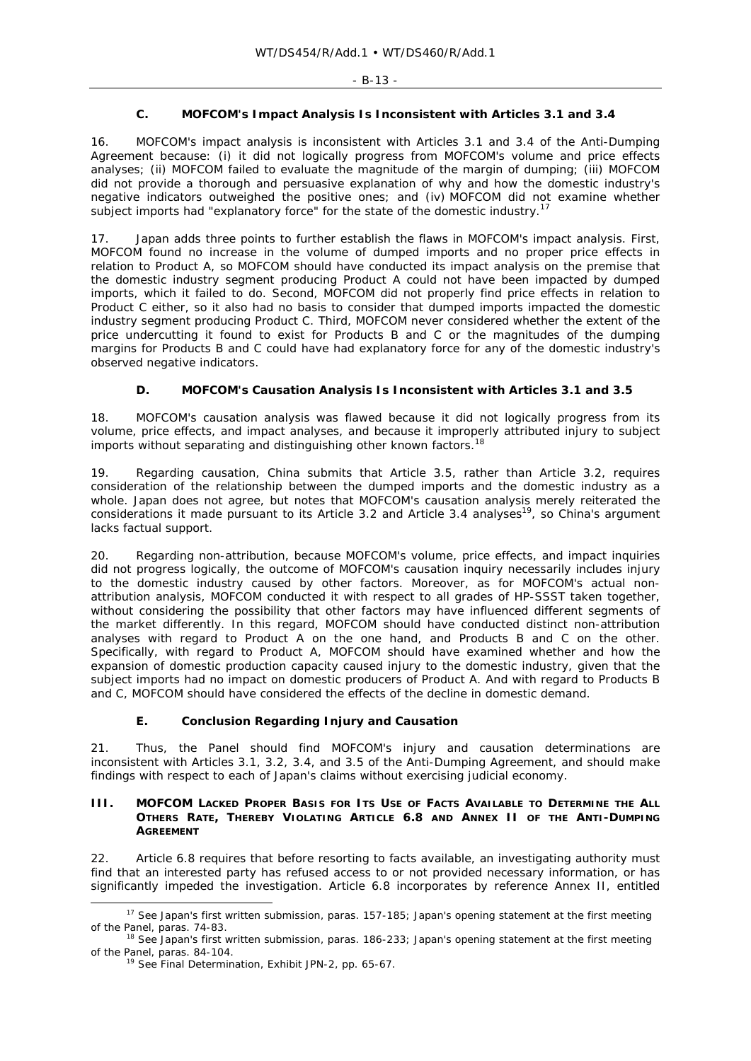# **C. MOFCOM's Impact Analysis Is Inconsistent with Articles 3.1 and 3.4**

16. MOFCOM's impact analysis is inconsistent with Articles 3.1 and 3.4 of the Anti-Dumping Agreement because: (i) it did not logically progress from MOFCOM's volume and price effects analyses; (ii) MOFCOM failed to evaluate the magnitude of the margin of dumping; (iii) MOFCOM did not provide a thorough and persuasive explanation of why and how the domestic industry's negative indicators outweighed the positive ones; and (iv) MOFCOM did not examine whether subject imports had "explanatory force" for the state of the domestic industry.<sup>17</sup>

17. Japan adds three points to further establish the flaws in MOFCOM's impact analysis. First, MOFCOM found no increase in the volume of dumped imports and no proper price effects in relation to Product A, so MOFCOM should have conducted its impact analysis on the premise that the domestic industry segment producing Product A could not have been impacted by dumped imports, which it failed to do. Second, MOFCOM did not properly find price effects in relation to Product C either, so it also had no basis to consider that dumped imports impacted the domestic industry segment producing Product C. Third, MOFCOM never considered whether the extent of the price undercutting it found to exist for Products B and C or the magnitudes of the dumping margins for Products B and C could have had explanatory force for any of the domestic industry's observed negative indicators.

# **D. MOFCOM's Causation Analysis Is Inconsistent with Articles 3.1 and 3.5**

18. MOFCOM's causation analysis was flawed because it did not logically progress from its volume, price effects, and impact analyses, and because it improperly attributed injury to subject imports without separating and distinguishing other known factors.<sup>18</sup>

19. Regarding causation, China submits that Article 3.5, rather than Article 3.2, requires consideration of the relationship between the dumped imports and the domestic industry as a whole. Japan does not agree, but notes that MOFCOM's causation analysis merely reiterated the considerations it made pursuant to its Article 3.2 and Article 3.4 analyses<sup>19</sup>, so China's argument lacks factual support.

20. Regarding non-attribution, because MOFCOM's volume, price effects, and impact inquiries did not progress logically, the outcome of MOFCOM's causation inquiry necessarily includes injury to the domestic industry caused by other factors. Moreover, as for MOFCOM's actual nonattribution analysis, MOFCOM conducted it with respect to all grades of HP-SSST taken together, without considering the possibility that other factors may have influenced different segments of the market differently. In this regard, MOFCOM should have conducted distinct non-attribution analyses with regard to Product A on the one hand, and Products B and C on the other. Specifically, with regard to Product A, MOFCOM should have examined whether and how the expansion of domestic production capacity caused injury to the domestic industry, given that the subject imports had no impact on domestic producers of Product A. And with regard to Products B and C, MOFCOM should have considered the effects of the decline in domestic demand.

# **E. Conclusion Regarding Injury and Causation**

21. Thus, the Panel should find MOFCOM's injury and causation determinations are inconsistent with Articles 3.1, 3.2, 3.4, and 3.5 of the Anti-Dumping Agreement, and should make findings with respect to each of Japan's claims without exercising judicial economy.

### **III. MOFCOM LACKED PROPER BASIS FOR ITS USE OF FACTS AVAILABLE TO DETERMINE THE ALL OTHERS RATE, THEREBY VIOLATING ARTICLE 6.8 AND ANNEX II OF THE ANTI-DUMPING AGREEMENT**

22. Article 6.8 requires that before resorting to facts available, an investigating authority must find that an interested party has refused access to or not provided necessary information, or has significantly impeded the investigation. Article 6.8 incorporates by reference Annex II, entitled

 <sup>17</sup> *See* Japan's first written submission, paras. 157-185; Japan's opening statement at the first meeting of the Panel, paras. 74-83. 18 *See* Japan's first written submission, paras. 186-233; Japan's opening statement at the first meeting

of the Panel, paras. 84-104. 19 *See* Final Determination, Exhibit JPN-2, pp. 65-67.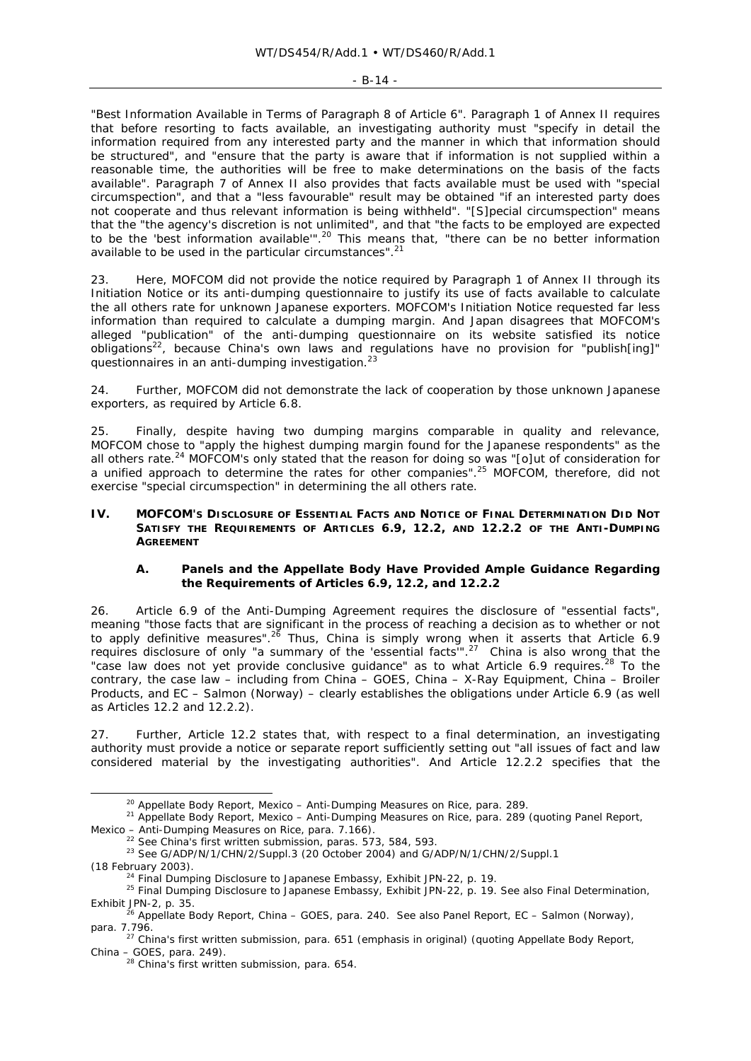#### $-$  R-14  $-$

"Best Information Available in Terms of Paragraph 8 of Article 6". Paragraph 1 of Annex II requires that before resorting to facts available, an investigating authority must "specify in detail the information required from any interested party and the manner in which that information should be structured", and "ensure that the party is aware that if information is not supplied within a reasonable time, the authorities will be free to make determinations on the basis of the facts available". Paragraph 7 of Annex II also provides that facts available must be used with "special circumspection", and that a "less favourable" result may be obtained "if an interested party does not cooperate and thus relevant information is being withheld". "[S]pecial circumspection" means that the "the agency's discretion is not unlimited", and that "the facts to be employed are expected to be the 'best information available"<sup>.20</sup> This means that, "there can be no better information available to be used in the particular circumstances".<sup>21</sup>

23. Here, MOFCOM did not provide the notice required by Paragraph 1 of Annex II through its Initiation Notice or its anti-dumping questionnaire to justify its use of facts available to calculate the all others rate for unknown Japanese exporters. MOFCOM's Initiation Notice requested far less information than required to calculate a dumping margin. And Japan disagrees that MOFCOM's alleged "publication" of the anti-dumping questionnaire on its website satisfied its notice obligations<sup>22</sup>, because China's own laws and regulations have no provision for "publish[ing]" questionnaires in an anti-dumping investigation.<sup>23</sup>

24. Further, MOFCOM did not demonstrate the lack of cooperation by those unknown Japanese exporters, as required by Article 6.8.

25. Finally, despite having two dumping margins comparable in quality and relevance, MOFCOM chose to "apply the highest dumping margin found for the Japanese respondents" as the all others rate.<sup>24</sup> MOFCOM's only stated that the reason for doing so was "[o]ut of consideration for a unified approach to determine the rates for other companies".25 MOFCOM, therefore, did not exercise "special circumspection" in determining the all others rate.

### **IV. MOFCOM'S DISCLOSURE OF ESSENTIAL FACTS AND NOTICE OF FINAL DETERMINATION DID NOT SATISFY THE REQUIREMENTS OF ARTICLES 6.9, 12.2, AND 12.2.2 OF THE ANTI-DUMPING AGREEMENT**

# **A. Panels and the Appellate Body Have Provided Ample Guidance Regarding the Requirements of Articles 6.9, 12.2, and 12.2.2**

26. Article 6.9 of the Anti-Dumping Agreement requires the disclosure of "essential facts", meaning "those facts that are significant in the process of reaching a decision as to whether or not to apply definitive measures".<sup>26</sup> Thus, China is simply wrong when it asserts that Article 6.9 requires disclosure of only "a *summary* of the 'essential facts'".27 China is also wrong that the "case law does not yet provide conclusive guidance" as to what Article 6.9 requires.<sup>28</sup> To the contrary, the case law – including from *China – GOES*, *China – X-Ray Equipment*, *China – Broiler Products*, and *EC – Salmon (Norway)* – clearly establishes the obligations under Article 6.9 (as well as Articles 12.2 and 12.2.2).

Further, Article 12.2 states that, with respect to a final determination, an investigating authority must provide a notice or separate report sufficiently setting out "all issues of fact and law considered material by the investigating authorities". And Article 12.2.2 specifies that the

<sup>&</sup>lt;sup>20</sup> Appellate Body Report, *Mexico – Anti-Dumping Measures on Rice*, para. 289.<br><sup>21</sup> Appellate Body Report, *Mexico – Anti-Dumping Measures on Rice*, para. 289 (quoting Panel Report,

*Mexico – Anti-Dumping Measures on Rice*, para. 7.166).<br><sup>22</sup> *See* China's first written submission, paras. 573, 584, 593.<br><sup>23</sup> *See* G/ADP/N/1/CHN/2/Suppl.3 (20 October 2004) and G/ADP/N/1/CHN/2/Suppl.1

<sup>(18</sup> February 2003). 24 Final Dumping Disclosure to Japanese Embassy, Exhibit JPN-22, p. 19. 25 Final Dumping Disclosure to Japanese Embassy, Exhibit JPN-22, p. 19. *See also* Final Determination,

<sup>&</sup>lt;sup>26</sup> Appellate Body Report, *China – GOES*, para. 240. *See also* Panel Report, *EC – Salmon (Norway)*,

para. 7.796.<br><sup>27</sup> China's first written submission, para. 651 (emphasis in original) (quoting Appellate Body Report,<br>*China – GOES*, para. 249).

<sup>&</sup>lt;sup>28</sup> China's first written submission, para. 654.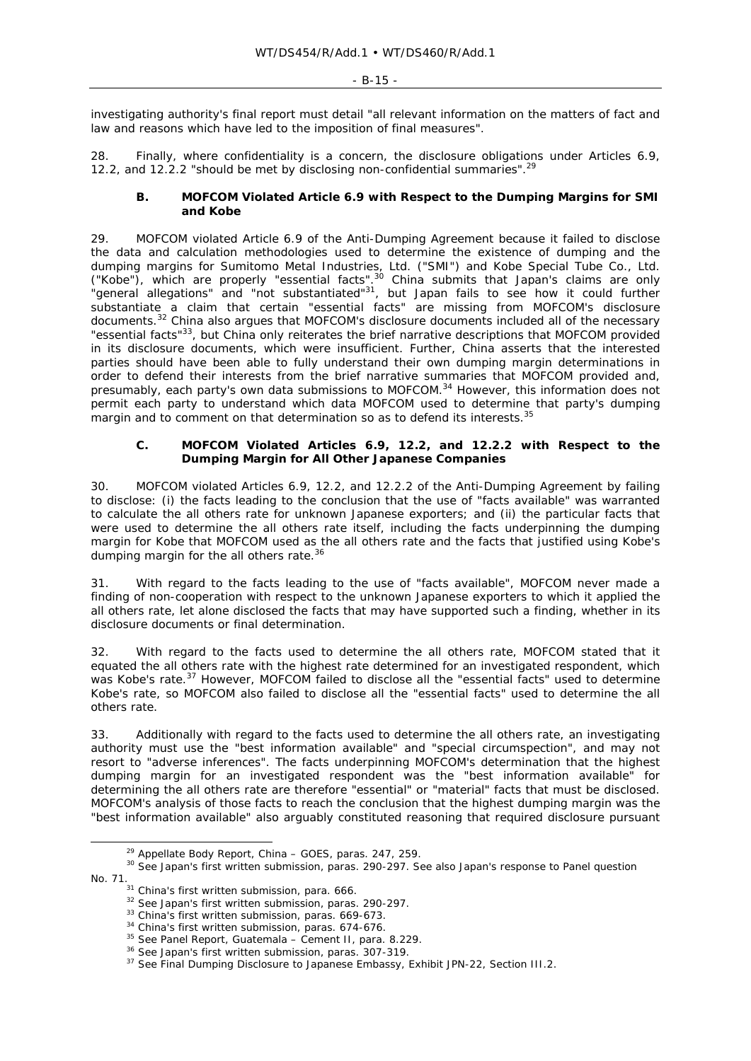investigating authority's final report must detail "all relevant information on the matters of fact and law and reasons which have led to the imposition of final measures".

28. Finally, where confidentiality is a concern, the disclosure obligations under Articles 6.9, 12.2, and 12.2.2 "should be met by disclosing non-confidential summaries".<sup>29</sup>

# **B. MOFCOM Violated Article 6.9 with Respect to the Dumping Margins for SMI and Kobe**

29. MOFCOM violated Article 6.9 of the Anti-Dumping Agreement because it failed to disclose the data and calculation methodologies used to determine the existence of dumping and the dumping margins for Sumitomo Metal Industries, Ltd. ("SMI") and Kobe Special Tube Co., Ltd. ("Kobe"), which are properly "essential facts". $30$  China submits that Japan's claims are only "general allegations" and "not substantiated"31, but Japan fails to see how it could further substantiate a claim that certain "essential facts" are *missing* from MOFCOM's disclosure documents.32 China also argues that MOFCOM's disclosure documents included all of the necessary "essential facts"<sup>33</sup>, but China only reiterates the brief narrative descriptions that MOFCOM provided in its disclosure documents, which were insufficient. Further, China asserts that the interested parties should have been able to fully understand their own dumping margin determinations in order to defend their interests from the brief narrative summaries that MOFCOM provided and, presumably, each party's own data submissions to MOFCOM.<sup>34</sup> However, this information does not permit each party to understand which data MOFCOM used to determine that party's dumping margin and to comment on that determination so as to defend its interests.<sup>3</sup>

### **C. MOFCOM Violated Articles 6.9, 12.2, and 12.2.2 with Respect to the Dumping Margin for All Other Japanese Companies**

30. MOFCOM violated Articles 6.9, 12.2, and 12.2.2 of the Anti-Dumping Agreement by failing to disclose: (i) the facts leading to the conclusion that the use of "facts available" was warranted to calculate the all others rate for unknown Japanese exporters; and (ii) the particular facts that were used to determine the all others rate itself, including the facts underpinning the dumping margin for Kobe that MOFCOM used as the all others rate and the facts that justified using Kobe's dumping margin for the all others rate.<sup>36</sup>

With regard to the facts leading to the use of "facts available", MOFCOM never made a finding of non-cooperation with respect to the unknown Japanese exporters to which it applied the all others rate, let alone disclosed the facts that may have supported such a finding, whether in its disclosure documents or final determination.

32. With regard to the facts used to determine the all others rate, MOFCOM stated that it equated the all others rate with the highest rate determined for an investigated respondent, which was Kobe's rate.<sup>37</sup> However, MOFCOM failed to disclose all the "essential facts" used to determine Kobe's rate, so MOFCOM also failed to disclose all the "essential facts" used to determine the all others rate.

33. Additionally with regard to the facts used to determine the all others rate, an investigating authority must use the "best information available" and "special circumspection", and may not resort to "adverse inferences". The facts underpinning MOFCOM's determination that the highest dumping margin for an investigated respondent was the "best information available" for determining the all others rate are therefore "essential" or "material" facts that must be disclosed. MOFCOM's analysis of those facts to reach the conclusion that the highest dumping margin was the "best information available" also arguably constituted reasoning that required disclosure pursuant

<sup>&</sup>lt;sup>29</sup> Appellate Body Report, *China – GOES*, paras. 247, 259.<br><sup>30</sup> *See* Japan's first written submission, paras. 290-297. *See also* Japan's response to Panel question No. 71.<br><sup>31</sup> China's first written submission, para. 666.<br><sup>32</sup> *See Japan's first written submission, paras.* 290-297.<br><sup>33</sup> China's first written submission, paras. 669-673.<br><sup>34</sup> China's first written submission, paras. 67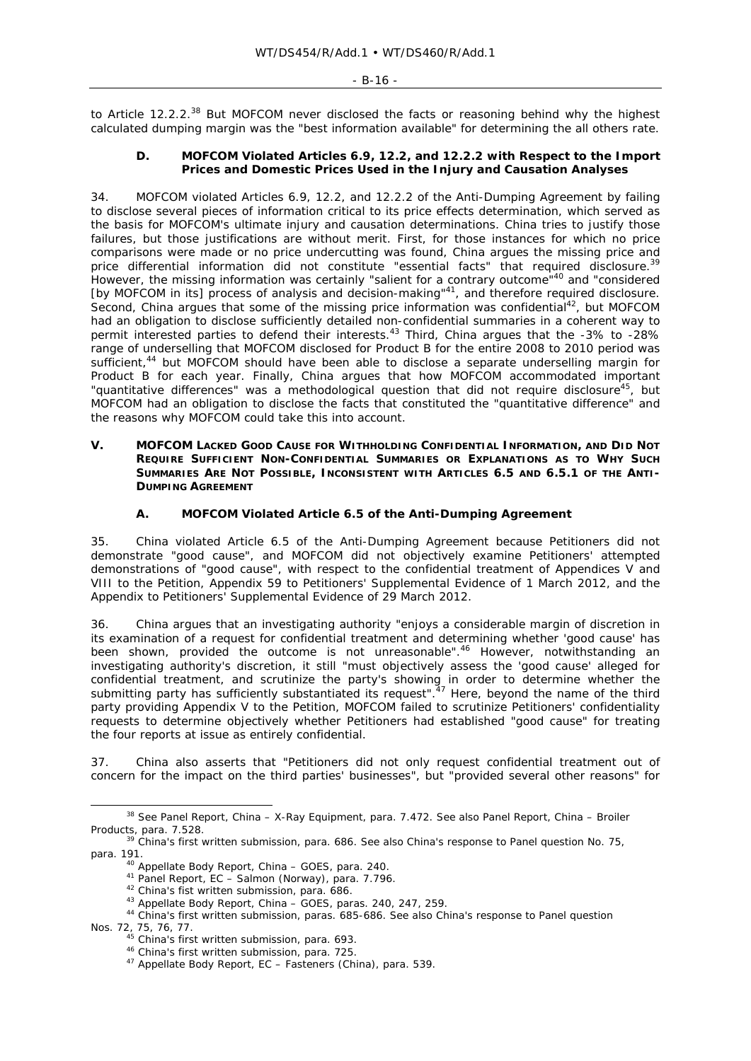to Article 12.2.2.<sup>38</sup> But MOFCOM never disclosed the facts or reasoning behind why the highest calculated dumping margin was the "best information available" for determining the all others rate.

### **D. MOFCOM Violated Articles 6.9, 12.2, and 12.2.2 with Respect to the Import Prices and Domestic Prices Used in the Injury and Causation Analyses**

34. MOFCOM violated Articles 6.9, 12.2, and 12.2.2 of the Anti-Dumping Agreement by failing to disclose several pieces of information critical to its price effects determination, which served as the basis for MOFCOM's ultimate injury and causation determinations. China tries to justify those failures, but those justifications are without merit. First, for those instances for which no price comparisons were made or no price undercutting was found, China argues the missing price and price differential information did not constitute "essential facts" that required disclosure.<sup>39</sup> However, the missing information was certainly "salient for a contrary outcome<sup>"40</sup> and "considered [by MOFCOM in its] process of analysis and decision-making"<sup>41</sup>, and therefore required disclosure. Second, China argues that some of the missing price information was confidential<sup>42</sup>, but MOFCOM had an obligation to disclose sufficiently detailed non-confidential summaries in a coherent way to permit interested parties to defend their interests.<sup>43</sup> Third, China argues that the -3% to -28% range of underselling that MOFCOM disclosed for Product B for the entire 2008 to 2010 period was sufficient,<sup>44</sup> but MOFCOM should have been able to disclose a separate underselling margin for Product B for each year. Finally, China argues that how MOFCOM accommodated important "quantitative differences" was a methodological question that did not require disclosure<sup>45</sup>, but MOFCOM had an obligation to disclose the facts that constituted the "quantitative difference" and the reasons why MOFCOM could take this into account.

### **V. MOFCOM LACKED GOOD CAUSE FOR WITHHOLDING CONFIDENTIAL INFORMATION, AND DID NOT REQUIRE SUFFICIENT NON-CONFIDENTIAL SUMMARIES OR EXPLANATIONS AS TO WHY SUCH SUMMARIES ARE NOT POSSIBLE, INCONSISTENT WITH ARTICLES 6.5 AND 6.5.1 OF THE ANTI-DUMPING AGREEMENT**

# **A. MOFCOM Violated Article 6.5 of the Anti-Dumping Agreement**

35. China violated Article 6.5 of the Anti-Dumping Agreement because Petitioners did not demonstrate "good cause", and MOFCOM did not objectively examine Petitioners' attempted demonstrations of "good cause", with respect to the confidential treatment of Appendices V and VIII to the Petition, Appendix 59 to Petitioners' Supplemental Evidence of 1 March 2012, and the Appendix to Petitioners' Supplemental Evidence of 29 March 2012.

36. China argues that an investigating authority "enjoys a considerable margin of discretion in its examination of a request for confidential treatment and determining whether 'good cause' has been shown, provided the outcome is not unreasonable".<sup>46</sup> However, notwithstanding an investigating authority's discretion, it still "must objectively assess the 'good cause' alleged for confidential treatment, and scrutinize the party's showing in order to determine whether the submitting party has sufficiently substantiated its request". $47$  Here, beyond the name of the third party providing Appendix V to the Petition, MOFCOM failed to scrutinize Petitioners' confidentiality requests to determine objectively whether Petitioners had established "good cause" for treating the four reports at issue as entirely confidential.

37. China also asserts that "Petitioners did not only request confidential treatment out of concern for the impact on the third parties' businesses", but "provided several other reasons" for

 <sup>38</sup> *See* Panel Report, *China – X-Ray Equipment*, para. 7.472. *See also* Panel Report, *China – Broiler Products*, para. 7.528.

<sup>39</sup> China's first written submission, para. 686. *See also* China's response to Panel question No. 75, para. 191.<br><sup>40</sup> Appellate Body Report, *China - GOES*, para. 240.

<sup>&</sup>lt;sup>41</sup> Panel Report,  $EC - Salmon (Norway)$ , para. 7.796.<br><sup>42</sup> China's fist written submission, para. 686.<br><sup>43</sup> Appellate Body Report, *China – GOES*, paras. 240, 247, 259.<br><sup>44</sup> China's first written submission, paras. 685-686. *See al* Nos. 72, 75, 76, 77.<br><sup>45</sup> China's first written submission, para. 693.<br><sup>46</sup> China's first written submission, para. 725.<br><sup>47</sup> Appellate Body Report, *EC – Fasteners (China)*, para. 539.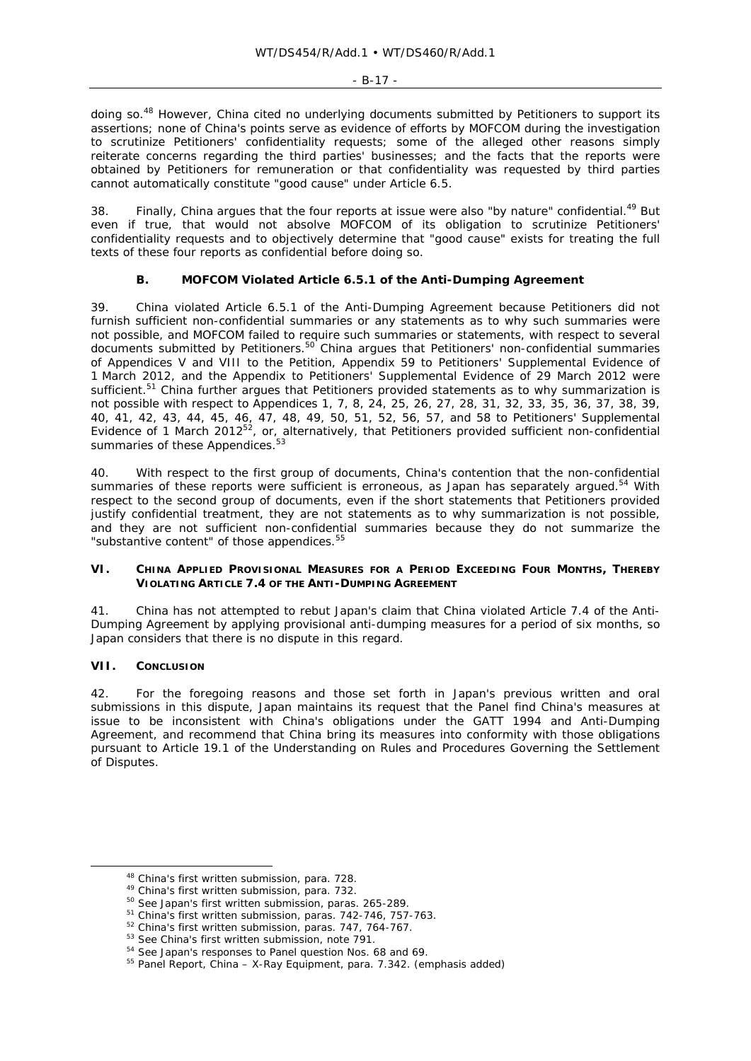#### $- R - 17 -$

doing so.<sup>48</sup> However, China cited no underlying documents submitted by Petitioners to support its assertions; none of China's points serve as evidence of efforts by MOFCOM during the investigation to scrutinize Petitioners' confidentiality requests; some of the alleged other reasons simply reiterate concerns regarding the third parties' businesses; and the facts that the reports were obtained by Petitioners for remuneration or that confidentiality was requested by third parties cannot automatically constitute "good cause" under Article 6.5.

38. Finally, China argues that the four reports at issue were also "by nature" confidential.<sup>49</sup> But even if true, that would not absolve MOFCOM of its obligation to scrutinize Petitioners' confidentiality requests and to objectively determine that "good cause" exists for treating the full texts of these four reports as confidential before doing so.

# **B. MOFCOM Violated Article 6.5.1 of the Anti-Dumping Agreement**

39. China violated Article 6.5.1 of the Anti-Dumping Agreement because Petitioners did not furnish sufficient non-confidential summaries or any statements as to why such summaries were not possible, and MOFCOM failed to require such summaries or statements, with respect to several documents submitted by Petitioners.<sup>50</sup> China argues that Petitioners' non-confidential summaries of Appendices V and VIII to the Petition, Appendix 59 to Petitioners' Supplemental Evidence of 1 March 2012, and the Appendix to Petitioners' Supplemental Evidence of 29 March 2012 were sufficient.<sup>51</sup> China further argues that Petitioners provided statements as to why summarization is not possible with respect to Appendices 1, 7, 8, 24, 25, 26, 27, 28, 31, 32, 33, 35, 36, 37, 38, 39, 40, 41, 42, 43, 44, 45, 46, 47, 48, 49, 50, 51, 52, 56, 57, and 58 to Petitioners' Supplemental Evidence of 1 March 2012<sup>52</sup>, or, alternatively, that Petitioners provided sufficient non-confidential summaries of these Appendices.<sup>53</sup>

40. With respect to the first group of documents, China's contention that the non-confidential summaries of these reports were sufficient is erroneous, as Japan has separately argued.<sup>54</sup> With respect to the second group of documents, even if the short statements that Petitioners provided justify confidential treatment, they are not statements as to why summarization is not possible, and they are not sufficient non-confidential summaries because they do not summarize the "*substantive content*" of those appendices.<sup>55</sup>

### **VI. CHINA APPLIED PROVISIONAL MEASURES FOR A PERIOD EXCEEDING FOUR MONTHS, THEREBY VIOLATING ARTICLE 7.4 OF THE ANTI-DUMPING AGREEMENT**

41. China has not attempted to rebut Japan's claim that China violated Article 7.4 of the Anti-Dumping Agreement by applying provisional anti-dumping measures for a period of six months, so Japan considers that there is no dispute in this regard.

# **VII. CONCLUSION**

42. For the foregoing reasons and those set forth in Japan's previous written and oral submissions in this dispute, Japan maintains its request that the Panel find China's measures at issue to be inconsistent with China's obligations under the GATT 1994 and Anti-Dumping Agreement, and recommend that China bring its measures into conformity with those obligations pursuant to Article 19.1 of the Understanding on Rules and Procedures Governing the Settlement of Disputes.

<sup>&</sup>lt;sup>48</sup> China's first written submission, para. 728.<br>
<sup>49</sup> China's first written submission, para. 732.<br>
<sup>50</sup> *See* Japan's first written submission, paras. 265-289.<br>
<sup>51</sup> China's first written submission, paras. 742-746, 75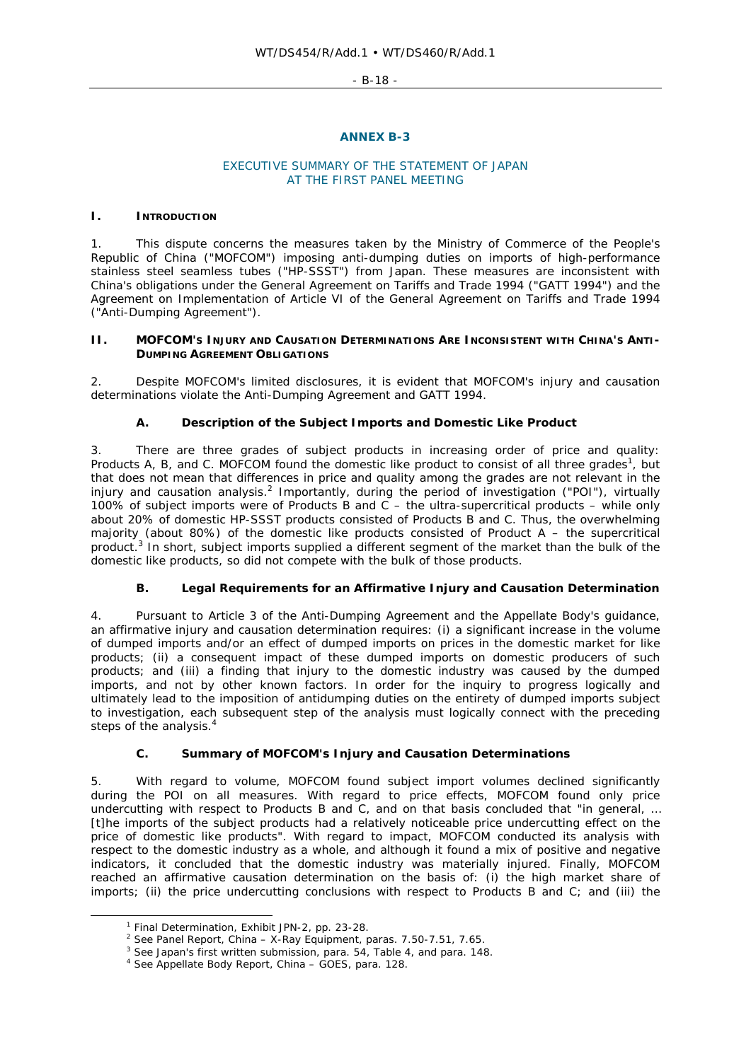- B-18 -

### **ANNEX B-3**

## EXECUTIVE SUMMARY OF THE STATEMENT OF JAPAN AT THE FIRST PANEL MEETING

### **I. INTRODUCTION**

1. This dispute concerns the measures taken by the Ministry of Commerce of the People's Republic of China ("MOFCOM") imposing anti-dumping duties on imports of high-performance stainless steel seamless tubes ("HP-SSST") from Japan. These measures are inconsistent with China's obligations under the General Agreement on Tariffs and Trade 1994 ("GATT 1994") and the Agreement on Implementation of Article VI of the General Agreement on Tariffs and Trade 1994 ("Anti-Dumping Agreement").

### **II. MOFCOM'S INJURY AND CAUSATION DETERMINATIONS ARE INCONSISTENT WITH CHINA'S ANTI-DUMPING AGREEMENT OBLIGATIONS**

2. Despite MOFCOM's limited disclosures, it is evident that MOFCOM's injury and causation determinations violate the Anti-Dumping Agreement and GATT 1994.

# **A. Description of the Subject Imports and Domestic Like Product**

3. There are three grades of subject products in increasing order of price and quality: Products A, B, and C. MOFCOM found the domestic like product to consist of all three grades<sup>1</sup>, but that does not mean that differences in price and quality among the grades are not relevant in the injury and causation analysis.<sup>2</sup> Importantly, during the period of investigation ("POI"), virtually 100% of subject imports were of Products B and C – the ultra-supercritical products – while only about 20% of domestic HP-SSST products consisted of Products B and C. Thus, the overwhelming majority (about 80%) of the domestic like products consisted of Product  $A - B$  the supercritical product.<sup>3</sup> In short, subject imports supplied a different segment of the market than the bulk of the domestic like products, so did not compete with the bulk of those products.

# **B. Legal Requirements for an Affirmative Injury and Causation Determination**

4. Pursuant to Article 3 of the Anti-Dumping Agreement and the Appellate Body's guidance, an affirmative injury and causation determination requires: (i) a significant increase in the volume of dumped imports and/or an effect of dumped imports on prices in the domestic market for like products; (ii) a consequent impact of these dumped imports on domestic producers of such products; and (iii) a finding that injury to the domestic industry was caused by the dumped imports, and not by other known factors. In order for the inquiry to progress logically and ultimately lead to the imposition of antidumping duties on the entirety of dumped imports subject to investigation, each subsequent step of the analysis must logically connect with the preceding steps of the analysis.<sup>4</sup>

# **C. Summary of MOFCOM's Injury and Causation Determinations**

5. With regard to volume, MOFCOM found subject import volumes declined significantly during the POI on all measures. With regard to price effects, MOFCOM found only price undercutting with respect to Products B and C, and on that basis concluded that "in general, ... [t]he imports of the subject products had a relatively noticeable price undercutting effect on the price of domestic like products". With regard to impact, MOFCOM conducted its analysis with respect to the domestic industry as a whole, and although it found a mix of positive and negative indicators, it concluded that the domestic industry was materially injured. Finally, MOFCOM reached an affirmative causation determination on the basis of: (i) the high market share of imports; (ii) the price undercutting conclusions with respect to Products B and C; and (iii) the

 $\overline{\phantom{a}}$ 

<sup>&</sup>lt;sup>1</sup> Final Determination, Exhibit JPN-2, pp. 23-28.<br><sup>2</sup> See Panel Report, *China – X-Ray Equipment*, paras. 7.50-7.51, 7.65.

<sup>&</sup>lt;sup>3</sup> See Japan's first written submission, para. 54, Table 4, and para. 148.<br><sup>4</sup> See Appellate Body Report, *China – GOES*, para. 128.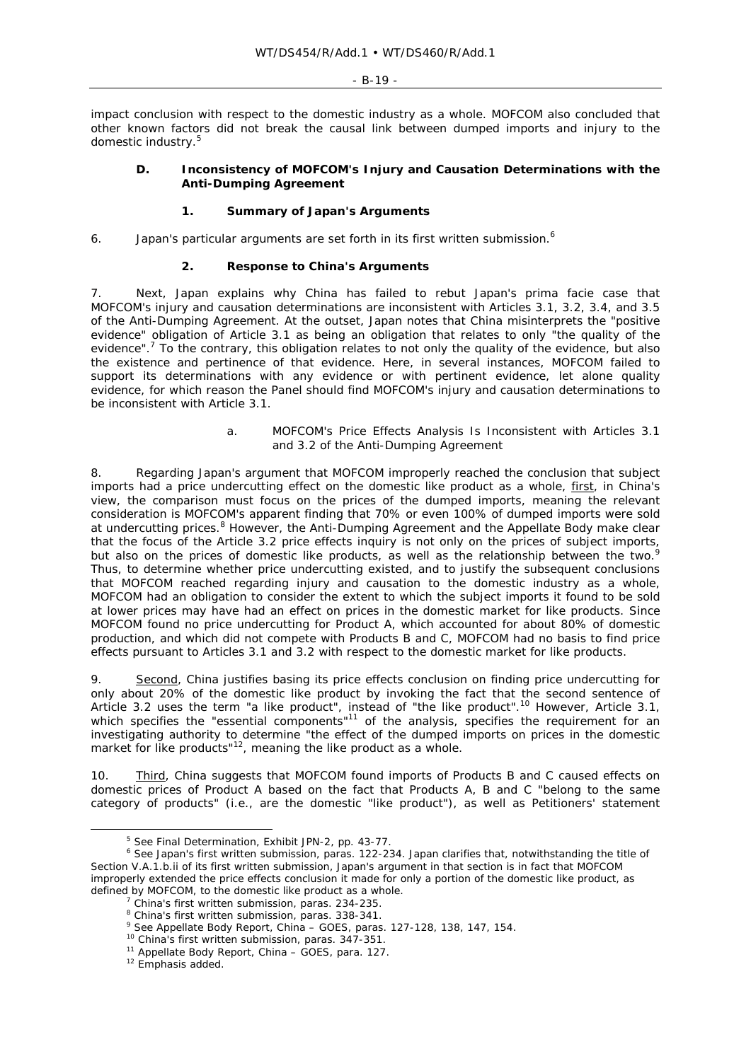impact conclusion with respect to the domestic industry as a whole. MOFCOM also concluded that other known factors did not break the causal link between dumped imports and injury to the domestic industry.<sup>5</sup>

### **D. Inconsistency of MOFCOM's Injury and Causation Determinations with the Anti-Dumping Agreement**

## **1. Summary of Japan's Arguments**

6. Japan's particular arguments are set forth in its first written submission.<sup>6</sup>

### **2. Response to China's Arguments**

7. Next, Japan explains why China has failed to rebut Japan's *prima facie* case that MOFCOM's injury and causation determinations are inconsistent with Articles 3.1, 3.2, 3.4, and 3.5 of the Anti-Dumping Agreement. At the outset, Japan notes that China misinterprets the "positive evidence" obligation of Article 3.1 as being an obligation that relates to only "the quality of the evidence".<sup>7</sup> To the contrary, this obligation relates to not only the quality of the evidence, but also the *existence* and *pertinence* of that evidence. Here, in several instances, MOFCOM failed to support its determinations with any evidence or with pertinent evidence, let alone quality evidence, for which reason the Panel should find MOFCOM's injury and causation determinations to be inconsistent with Article 3.1.

### *a. MOFCOM's Price Effects Analysis Is Inconsistent with Articles 3.1 and 3.2 of the Anti-Dumping Agreement*

8. Regarding Japan's argument that MOFCOM improperly reached the conclusion that subject imports had a price undercutting effect on the domestic like product as a whole, first, in China's view, the comparison must focus on the prices of the dumped imports, meaning the relevant consideration is MOFCOM's apparent finding that 70% or even 100% of dumped imports were sold at undercutting prices.<sup>8</sup> However, the Anti-Dumping Agreement and the Appellate Body make clear that the focus of the Article 3.2 price effects inquiry is not only on the prices of subject imports, but also on the prices of domestic like products, as well as the relationship between the two.<sup>9</sup> Thus, to determine whether price undercutting existed, and to justify the subsequent conclusions that MOFCOM reached regarding injury and causation to the domestic industry as a whole, MOFCOM had an obligation to consider the extent to which the subject imports it found to be sold at lower prices may have had an effect on prices in the domestic market for like products. Since MOFCOM found no price undercutting for Product A, which accounted for about 80% of domestic production, and which did not compete with Products B and C, MOFCOM had no basis to find price effects pursuant to Articles 3.1 and 3.2 with respect to the domestic market for like products.

9. Second, China justifies basing its price effects conclusion on finding price undercutting for only about 20% of the domestic like product by invoking the fact that the second sentence of Article 3.2 uses the term "a like product", instead of "the like product".<sup>10</sup> However, Article 3.1, which specifies the "essential components"<sup>11</sup> of the analysis, specifies the requirement for an investigating authority to determine "the effect of the dumped imports on prices in *the* domestic market for like products"<sup>12</sup>, meaning the like product as a whole.

10. **Third, China suggests that MOFCOM found imports of Products B and C caused effects on** domestic prices of Product A based on the fact that Products A, B and C "belong to the same category of products" (i.e., are the domestic "like product"), as well as Petitioners' statement

<sup>&</sup>lt;sup>5</sup> See Final Determination, Exhibit JPN-2, pp. 43-77.<br><sup>6</sup> See Japan's first written submission, paras. 122-234. Japan clarifies that, notwithstanding the title of Section V.A.1.b.ii of its first written submission, Japan's argument in that section is in fact that MOFCOM improperly extended the price effects conclusion it made for only a portion of the domestic like product, as defined by MOFCOM, to *the domestic like product as a whole*. 7

 $^7$  China's first written submission, paras. 234-235.

<sup>&</sup>lt;sup>8</sup> China's first written submission, paras. 338-341.

<sup>&</sup>lt;sup>9</sup> *See* Appellate Body Report, *China – GOES*, paras. 127-128, 138, 147, 154.<br><sup>10</sup> China's first written submission, paras. 347-351.<br><sup>11</sup> Appellate Body Report, *China – GOES*, para. 127.<br><sup>12</sup> Emphasis added.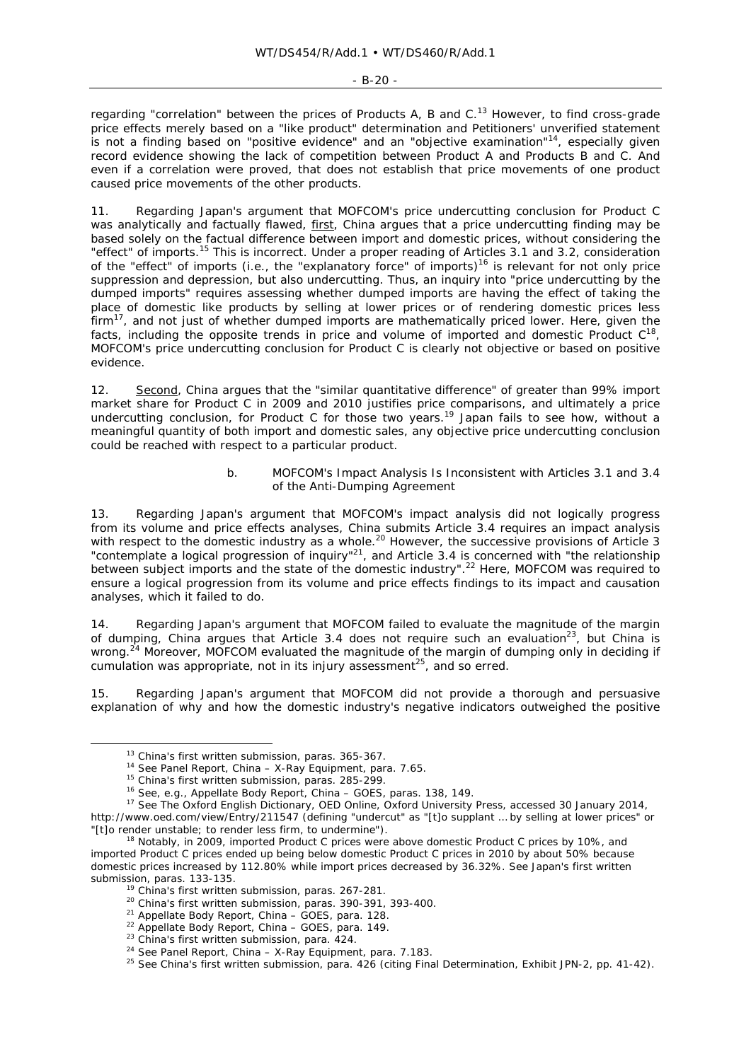#### $-$  B-20  $-$

regarding "correlation" between the prices of Products A, B and  $C<sup>13</sup>$  However, to find cross-grade price effects merely based on a "like product" determination and Petitioners' unverified statement is not a finding based on "positive evidence" and an "objective examination"14, especially given record evidence showing the lack of competition between Product A and Products B and C. And even if a correlation were proved, that does not establish that price movements of one product caused price movements of the other products.

11. Regarding Japan's argument that MOFCOM's price undercutting conclusion for Product C was analytically and factually flawed, first, China argues that a price undercutting finding may be based solely on the factual difference between import and domestic prices, without considering the "effect" of imports.15 This is incorrect. Under a proper reading of Articles 3.1 and 3.2, consideration of the "effect" of imports (i.e., the "explanatory force" of imports)<sup>16</sup> is relevant for not only price suppression and depression, but also undercutting. Thus, an inquiry into "price undercutting by the dumped imports" requires assessing whether dumped imports are having the *effect* of taking the place of domestic like products by selling at lower prices or of rendering domestic prices less firm<sup>17</sup>, and not just of whether dumped imports are mathematically priced lower. Here, given the facts, including the opposite trends in price and volume of imported and domestic Product  $C^{18}$ , MOFCOM's price undercutting conclusion for Product C is clearly not objective or based on positive evidence.

12. Second, China argues that the "similar quantitative difference" of greater than 99% import market share for Product C in 2009 and 2010 justifies price comparisons, and ultimately a price undercutting conclusion, for Product C for those two years.<sup>19</sup> Japan fails to see how, without a meaningful quantity of both import and domestic sales, any objective price undercutting conclusion could be reached with respect to a particular product.

### *b. MOFCOM's Impact Analysis Is Inconsistent with Articles 3.1 and 3.4 of the Anti-Dumping Agreement*

13. Regarding Japan's argument that MOFCOM's impact analysis did not logically progress from its volume and price effects analyses, China submits Article 3.4 requires an impact analysis with respect to the domestic industry as a whole.<sup>20</sup> However, the successive provisions of Article 3 "contemplate a logical progression of inquiry"<sup>21</sup>, and Article 3.4 is concerned with "the relationship" between subject imports and the state of the domestic industry".22 Here, MOFCOM was required to ensure a logical progression from its volume and price effects findings to its impact and causation analyses, which it failed to do.

14. Regarding Japan's argument that MOFCOM failed to evaluate the magnitude of the margin of dumping, China argues that Article 3.4 does not require such an evaluation<sup>23</sup>, but China is wrong.<sup>24</sup> Moreover, MOFCOM evaluated the magnitude of the margin of dumping only in deciding if cumulation was appropriate, not in its injury assessment<sup>25</sup>, and so erred.

Regarding Japan's argument that MOFCOM did not provide a thorough and persuasive explanation of why and how the domestic industry's negative indicators outweighed the positive

<sup>&</sup>lt;sup>13</sup> China's first written submission, paras. 365-367.<br><sup>14</sup> See Panel Report, *China – X-Ray Equipment*, para. 7.65.<br><sup>15</sup> China's first written submission, paras. 285-299.<br><sup>16</sup> See, e.g., Appellate Body Report, *China – G* http://www.oed.com/view/Entry/211547 (defining "undercut" as "[t]o supplant … by selling at lower prices" or "[t]o render unstable; to render less firm, to undermine"). 18 Notably, in 2009, imported Product C prices were *above* domestic Product C prices by 10%, and

imported Product C prices ended up being below domestic Product C prices in 2010 by about 50% because domestic prices *increased* by 112.80% while import prices *decreased* by 36.32%. *See* Japan's first written

<sup>&</sup>lt;sup>19</sup> China's first written submission, paras. 267-281.<br><sup>20</sup> China's first written submission, paras. 390-391, 393-400.<br><sup>21</sup> Appellate Body Report, *China – GOES*, para. 128.<br><sup>22</sup> Appellate Body Report, *China – GOES*, par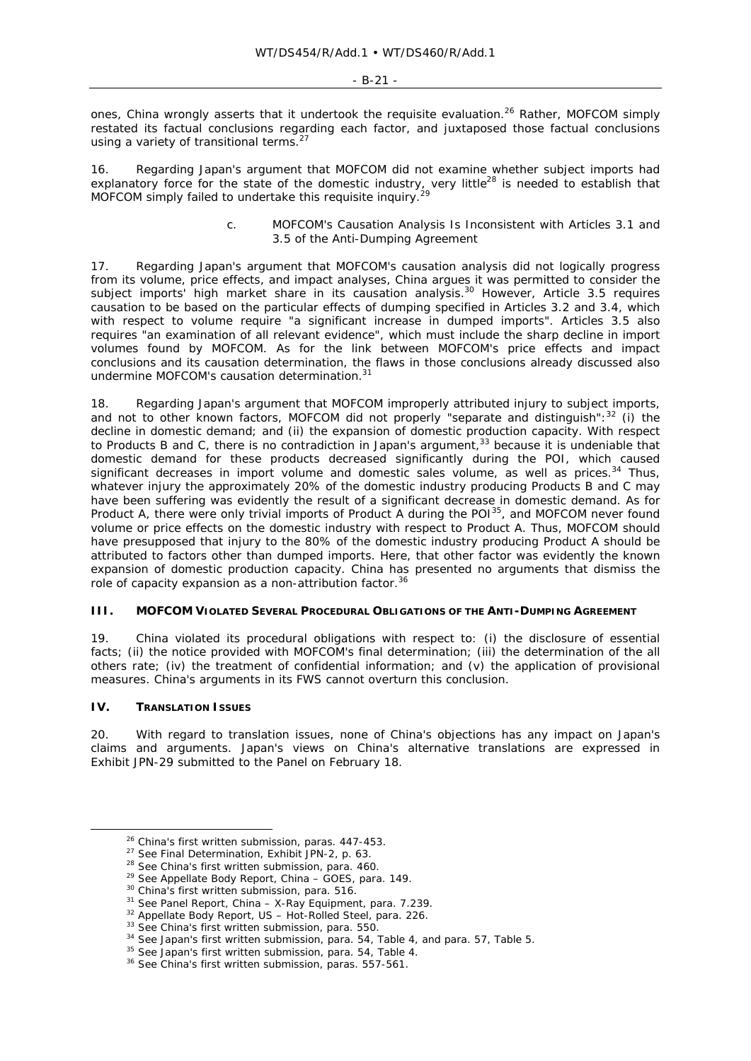#### - B-21 -

ones, China wrongly asserts that it undertook the requisite evaluation.<sup>26</sup> Rather, MOFCOM simply restated its factual conclusions regarding each factor, and juxtaposed those factual conclusions using a variety of transitional terms.<sup>2</sup>

Regarding Japan's argument that MOFCOM did not examine whether subject imports had explanatory force for the state of the domestic industry, very little<sup>28</sup> is needed to establish that MOFCOM simply failed to undertake this requisite inquiry.<sup>29</sup>

### *c. MOFCOM's Causation Analysis Is Inconsistent with Articles 3.1 and 3.5 of the Anti-Dumping Agreement*

17. Regarding Japan's argument that MOFCOM's causation analysis did not logically progress from its volume, price effects, and impact analyses, China argues it was permitted to consider the subject imports' high market share in its causation analysis.<sup>30</sup> However, Article 3.5 requires causation to be based on the particular effects of dumping specified in Articles 3.2 and 3.4, which with respect to volume require "a significant increase in dumped imports". Articles 3.5 also requires "an examination of all relevant evidence", which must include the sharp decline in import volumes found by MOFCOM. As for the link between MOFCOM's price effects and impact conclusions and its causation determination, the flaws in those conclusions already discussed also undermine MOFCOM's causation determination.<sup>3</sup>

18. Regarding Japan's argument that MOFCOM improperly attributed injury to subject imports, and not to other known factors, MOFCOM did not properly "separate and distinguish":<sup>32</sup> (i) the decline in domestic demand; and (ii) the expansion of domestic production capacity. With respect to Products B and C, there is no contradiction in Japan's argument,<sup>33</sup> because it is undeniable that domestic demand for these products decreased significantly during the POI, which caused significant decreases in import volume and domestic sales volume, as well as prices.<sup>34</sup> Thus, whatever injury the approximately 20% of the domestic industry producing Products B and C may have been suffering was evidently the result of a significant decrease in domestic demand. As for Product A, there were only trivial imports of Product A during the POI<sup>35</sup>, and MOFCOM never found volume or price effects on the domestic industry with respect to Product A. Thus, MOFCOM should have presupposed that injury to the 80% of the domestic industry producing Product A should be attributed to factors other than dumped imports. Here, that other factor was evidently the known expansion of domestic production capacity. China has presented no arguments that dismiss the role of capacity expansion as a non-attribution factor.<sup>36</sup>

### **III. MOFCOM VIOLATED SEVERAL PROCEDURAL OBLIGATIONS OF THE ANTI-DUMPING AGREEMENT**

19. China violated its procedural obligations with respect to: (i) the disclosure of essential facts; (ii) the notice provided with MOFCOM's final determination; (iii) the determination of the all others rate; (iv) the treatment of confidential information; and (v) the application of provisional measures. China's arguments in its FWS cannot overturn this conclusion.

### **IV. TRANSLATION ISSUES**

20. With regard to translation issues, none of China's objections has any impact on Japan's claims and arguments. Japan's views on China's alternative translations are expressed in Exhibit JPN-29 submitted to the Panel on February 18.

<sup>&</sup>lt;sup>26</sup> China's first written submission, paras. 447-453.<br>
<sup>27</sup> See Final Determination, Exhibit JPN-2, p. 63.<br>
<sup>28</sup> See China's first written submission, para. 460.<br>
<sup>29</sup> See Appellate Body Report, *China – GOES*, para. 149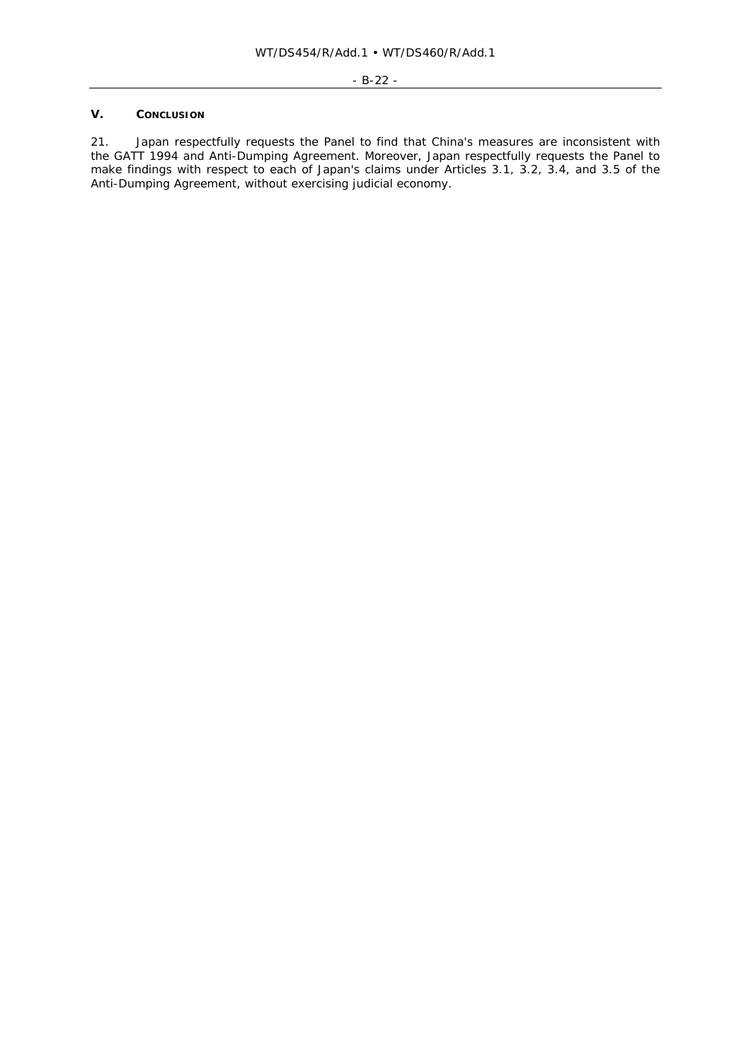# **V. CONCLUSION**

21. Japan respectfully requests the Panel to find that China's measures are inconsistent with the GATT 1994 and Anti-Dumping Agreement. Moreover, Japan respectfully requests the Panel to make findings with respect to each of Japan's claims under Articles 3.1, 3.2, 3.4, and 3.5 of the Anti-Dumping Agreement, without exercising judicial economy.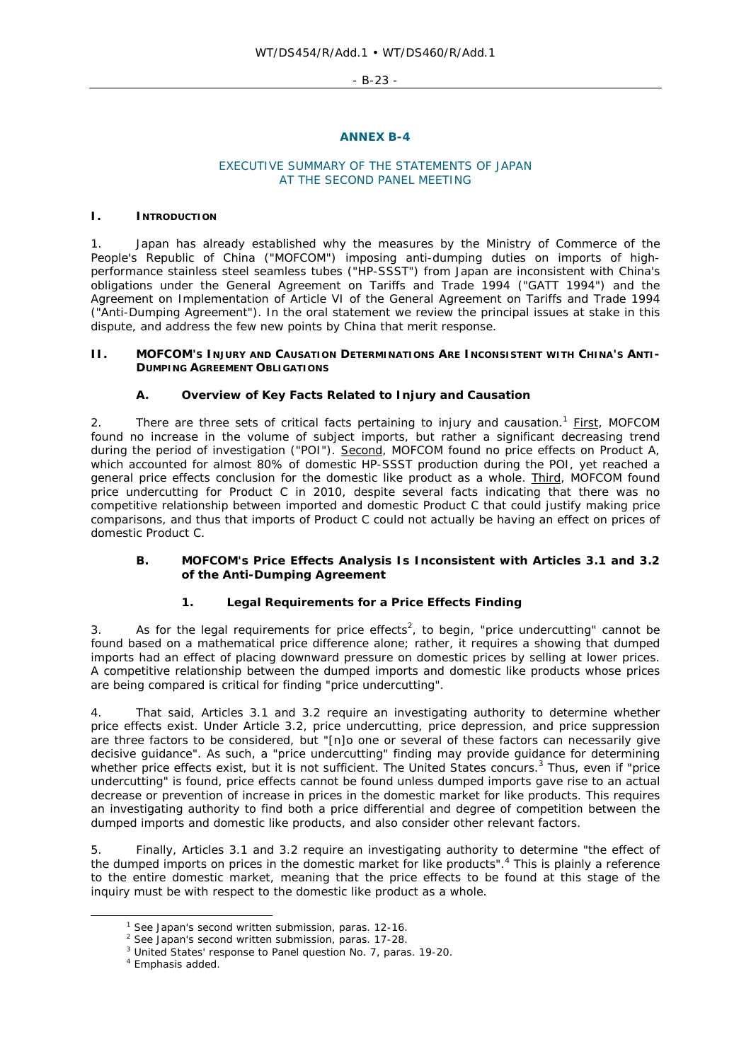- B-23 -

### **ANNEX B-4**

## EXECUTIVE SUMMARY OF THE STATEMENTS OF JAPAN AT THE SECOND PANEL MEETING

### **I. INTRODUCTION**

1. Japan has already established why the measures by the Ministry of Commerce of the People's Republic of China ("MOFCOM") imposing anti-dumping duties on imports of highperformance stainless steel seamless tubes ("HP-SSST") from Japan are inconsistent with China's obligations under the General Agreement on Tariffs and Trade 1994 ("GATT 1994") and the Agreement on Implementation of Article VI of the General Agreement on Tariffs and Trade 1994 ("Anti-Dumping Agreement"). In the oral statement we review the principal issues at stake in this dispute, and address the few new points by China that merit response.

### **II. MOFCOM'S INJURY AND CAUSATION DETERMINATIONS ARE INCONSISTENT WITH CHINA'S ANTI-DUMPING AGREEMENT OBLIGATIONS**

# **A. Overview of Key Facts Related to Injury and Causation**

2. There are three sets of critical facts pertaining to injury and causation.<sup>1</sup> First, MOFCOM found no increase in the volume of subject imports, but rather a significant decreasing trend during the period of investigation ("POI"). Second, MOFCOM found no price effects on Product A, which accounted for almost 80% of domestic HP-SSST production during the POI, yet reached a general price effects conclusion for the domestic like product as a whole. Third, MOFCOM found price undercutting for Product C in 2010, despite several facts indicating that there was no competitive relationship between imported and domestic Product C that could justify making price comparisons, and thus that imports of Product C could not actually be having an effect on prices of domestic Product C.

# **B. MOFCOM's Price Effects Analysis Is Inconsistent with Articles 3.1 and 3.2 of the Anti-Dumping Agreement**

# **1. Legal Requirements for a Price Effects Finding**

3. As for the legal requirements for price effects<sup>2</sup>, to begin, "price undercutting" cannot be found based on a mathematical price difference alone; rather, it requires a showing that dumped imports had an effect of placing downward pressure on domestic prices by selling at lower prices. A competitive relationship between the dumped imports and domestic like products whose prices are being compared is critical for finding "price undercutting".

4. That said, Articles 3.1 and 3.2 require an investigating authority to determine whether *price effects* exist. Under Article 3.2, price undercutting, price depression, and price suppression are three factors to be considered, but "[n]o one or several of these factors can necessarily give decisive guidance". As such, a "price undercutting" finding may provide guidance for determining whether price effects exist, but it is not sufficient. The United States concurs.<sup>3</sup> Thus, even if "price undercutting" is found, *price effects* cannot be found unless dumped imports gave rise to an actual decrease or prevention of increase in prices in the domestic market for like products. This requires an investigating authority to find both a price differential and degree of competition between the dumped imports and domestic like products, and also consider other relevant factors.

5. Finally, Articles 3.1 and 3.2 require an investigating authority to determine "the effect of the dumped imports on prices *in the domestic market for like products*".<sup>4</sup> This is plainly a reference to the entire domestic market, meaning that the price effects to be found at this stage of the inquiry must be with respect to the domestic like product as a whole.

<sup>&</sup>lt;sup>1</sup> *See* Japan's second written submission, paras. 12-16.<br><sup>2</sup> *See* Japan's second written submission, paras. 17-28.

<sup>&</sup>lt;sup>3</sup> United States' response to Panel question No. 7, paras. 19-20.

<sup>&</sup>lt;sup>4</sup> Emphasis added.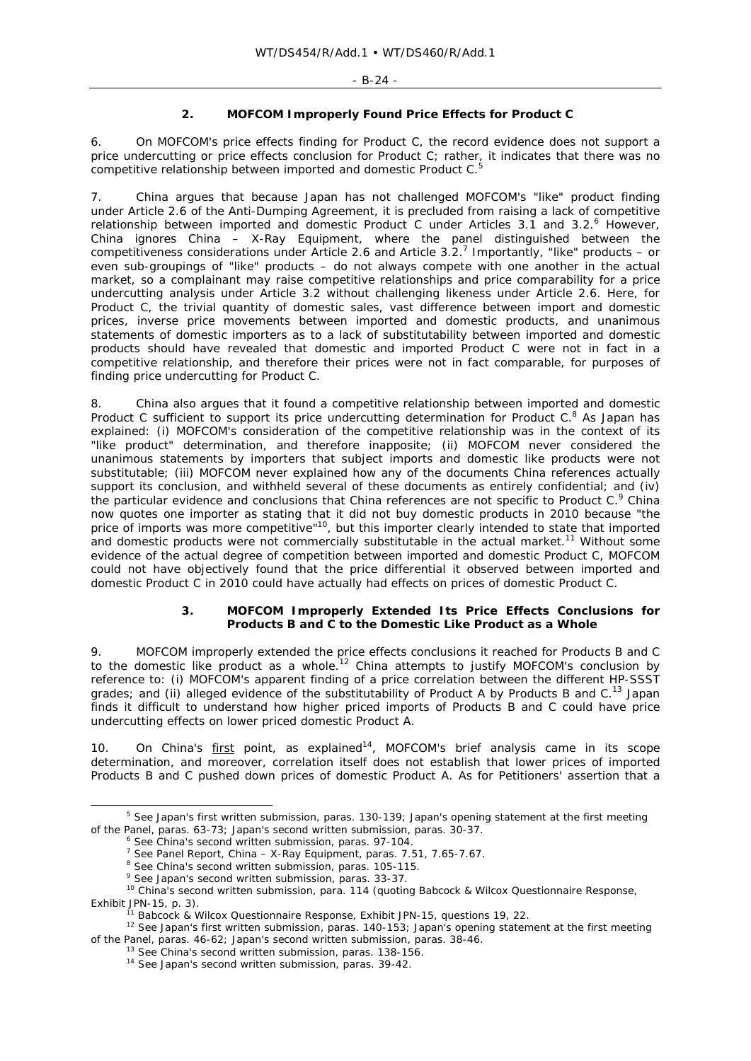### **2. MOFCOM Improperly Found Price Effects for Product C**

6. On MOFCOM's price effects finding for Product C, the record evidence does not support a price undercutting or price effects conclusion for Product C; rather, it indicates that there was no competitive relationship between imported and domestic Product  $C<sup>5</sup>$ 

7. China argues that because Japan has not challenged MOFCOM's "like" product finding under Article 2.6 of the Anti-Dumping Agreement, it is precluded from raising a lack of competitive relationship between imported and domestic Product C under Articles 3.1 and 3.2.<sup>6</sup> However, China ignores *China – X-Ray Equipment*, where the panel distinguished between the competitiveness considerations under Article 2.6 and Article 3.2.7 Importantly, "like" products – or even sub-groupings of "like" products – do not always compete with one another in the actual market, so a complainant may raise competitive relationships and price comparability for a price undercutting analysis under Article 3.2 without challenging likeness under Article 2.6. Here, for Product C, the trivial quantity of domestic sales, vast difference between import and domestic prices, inverse price movements between imported and domestic products, and unanimous statements of domestic importers as to a lack of substitutability between imported and domestic products should have revealed that domestic and imported Product C were not in fact in a competitive relationship, and therefore their prices were not in fact comparable, for purposes of finding price undercutting for Product C.

8. China also argues that it found a competitive relationship between imported and domestic Product C sufficient to support its price undercutting determination for Product  $C<sup>8</sup>$  As Japan has explained: (i) MOFCOM's consideration of the competitive relationship was in the context of its "like product" determination, and therefore inapposite; (ii) MOFCOM never considered the unanimous statements by importers that subject imports and domestic like products were not substitutable; (iii) MOFCOM never explained how any of the documents China references actually support its conclusion, and withheld several of these documents as entirely confidential; and (iv) the particular evidence and conclusions that China references are not specific to Product C.<sup>9</sup> China now quotes one importer as stating that it did not buy domestic products in 2010 because "the price of imports was more competitive"<sup>10</sup>, but this importer clearly intended to state that imported and domestic products were not commercially substitutable in the actual market.<sup>11</sup> Without some evidence of the actual degree of competition between imported and domestic Product C, MOFCOM could not have objectively found that the price differential it observed between imported and domestic Product C in 2010 could have actually had effects on prices of domestic Product C.

# **3. MOFCOM Improperly Extended Its Price Effects Conclusions for Products B and C to the Domestic Like Product as a Whole**

9. MOFCOM improperly extended the price effects conclusions it reached for Products B and C to the domestic like product as a whole.<sup>12</sup> China attempts to justify MOFCOM's conclusion by reference to: (i) MOFCOM's apparent finding of a price correlation between the different HP-SSST grades; and (ii) alleged evidence of the substitutability of Product A by Products B and  $C<sup>13</sup>$  Japan finds it difficult to understand how *higher* priced imports of Products B and C could have price *undercutting* effects on *lower* priced domestic Product A.

10. On China's  $first$  point, as explained<sup>14</sup>, MOFCOM's brief analysis came in its scope determination, and moreover, correlation itself does not establish that lower prices of imported Products B and C pushed down prices of domestic Product A. As for Petitioners' assertion that a

 <sup>5</sup> *See* Japan's first written submission, paras. 130-139; Japan's opening statement at the first meeting of the Panel, paras. 63-73; Japan's second written submission, paras. 30-37.<br>  $\circ$  See China's second written submission, paras. 97-104.<br>  $\circ$  See Panel Report, *China – X-Ray Equipment*, paras. 7.51, 7.65-7.67.<br>  $\circ$  See

Exhibit JPN-15, p. 3).<br><sup>11</sup> Babcock & Wilcox Questionnaire Response, Exhibit JPN-15, questions 19, 22.<br><sup>12</sup> *See* Japan's first written submission, paras. 140-153; Japan's opening statement at the first meeting

of the Panel, paras. 46-62; Japan's second written submission, paras. 38-46.<br><sup>13</sup> *See* China's second written submission, paras. 138-156.<br><sup>14</sup> *See* Japan's second written submission, paras. 39-42.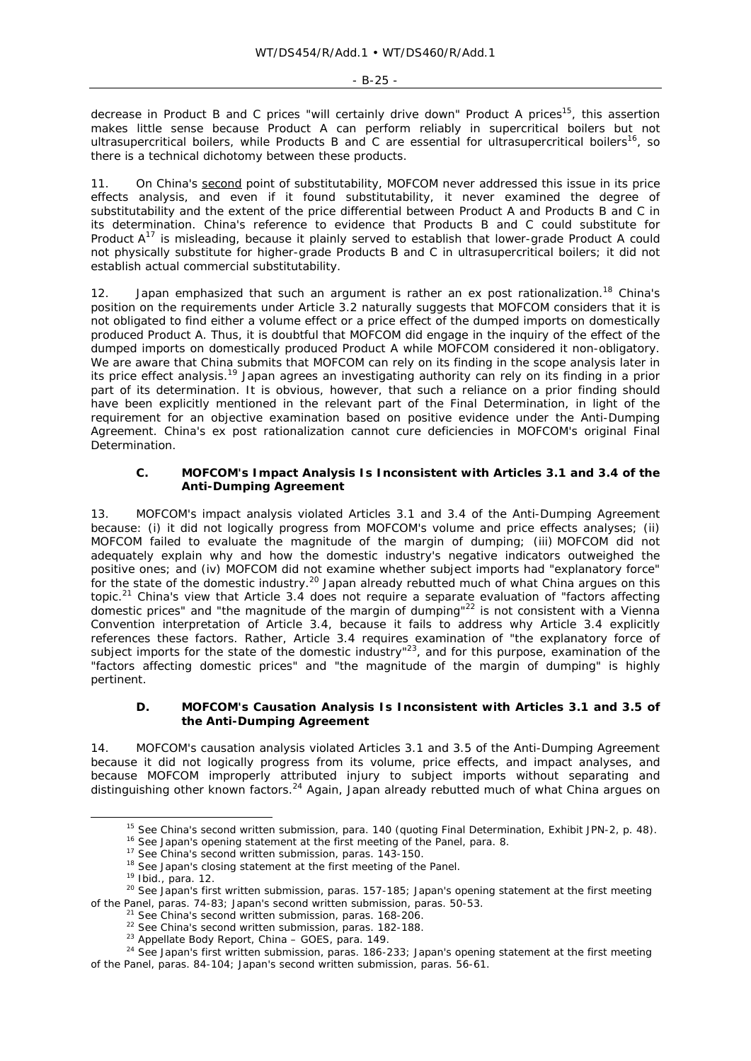decrease in Product B and C prices "will certainly drive down" Product A prices<sup>15</sup>, this assertion makes little sense because Product A can perform reliably in supercritical boilers but not ultrasupercritical boilers, while Products B and C are essential for ultrasupercritical boilers<sup>16</sup>, so there is a technical dichotomy between these products.

11. On China's second point of substitutability, MOFCOM never addressed this issue in its price effects analysis, and even if it found substitutability, it never examined the degree of substitutability and the extent of the price differential between Product A and Products B and C in its determination. China's reference to evidence that Products B and C could substitute for Product  $A^{17}$  is misleading, because it plainly served to establish that lower-grade Product A could not physically substitute for higher-grade Products B and C in ultrasupercritical boilers; it did not establish actual *commercial substitutability*.

12. Japan emphasized that such an argument is rather an ex post rationalization.<sup>18</sup> China's position on the requirements under Article 3.2 naturally suggests that MOFCOM considers that it is not obligated to find either a volume effect or a price effect of the dumped imports on domestically produced Product A. Thus, it is doubtful that MOFCOM did engage in the inquiry of the effect of the dumped imports on domestically produced Product A while MOFCOM considered it non-obligatory. We are aware that China submits that MOFCOM can rely on its finding in the scope analysis later in its price effect analysis.<sup>19</sup> Japan agrees an investigating authority can rely on its finding in a prior part of its determination. It is obvious, however, that such a reliance on a prior finding should have been explicitly mentioned in the relevant part of the Final Determination, in light of the requirement for an objective examination based on positive evidence under the Anti-Dumping Agreement. China's ex post rationalization cannot cure deficiencies in MOFCOM's original Final Determination.

### **C. MOFCOM's Impact Analysis Is Inconsistent with Articles 3.1 and 3.4 of the Anti-Dumping Agreement**

13. MOFCOM's impact analysis violated Articles 3.1 and 3.4 of the Anti-Dumping Agreement because: (i) it did not logically progress from MOFCOM's volume and price effects analyses; (ii) MOFCOM failed to evaluate the magnitude of the margin of dumping; (iii) MOFCOM did not adequately explain why and how the domestic industry's negative indicators outweighed the positive ones; and (iv) MOFCOM did not examine whether subject imports had "explanatory force" for the state of the domestic industry.<sup>20</sup> Japan already rebutted much of what China argues on this topic.21 China's view that Article 3.4 does not require a separate evaluation of "factors affecting domestic prices" and "the magnitude of the margin of dumping"<sup>22</sup> is not consistent with a Vienna Convention interpretation of Article 3.4, because it fails to address why Article 3.4 explicitly references these factors. Rather, Article 3.4 requires examination of "the explanatory force of subject imports for the state of the domestic industry"<sup>23</sup>, and for this purpose, examination of the "factors affecting domestic prices" and "the magnitude of the margin of dumping" is highly pertinent.

### **D. MOFCOM's Causation Analysis Is Inconsistent with Articles 3.1 and 3.5 of the Anti-Dumping Agreement**

14. MOFCOM's causation analysis violated Articles 3.1 and 3.5 of the Anti-Dumping Agreement because it did not logically progress from its volume, price effects, and impact analyses, and because MOFCOM improperly attributed injury to subject imports without separating and distinguishing other known factors.<sup>24</sup> Again, Japan already rebutted much of what China argues on

<sup>&</sup>lt;sup>15</sup> See China's second written submission, para. 140 (quoting Final Determination, Exhibit JPN-2, p. 48).<br><sup>16</sup> See Japan's opening statement at the first meeting of the Panel, para. 8.<br><sup>17</sup> See China's second written sub

<sup>&</sup>lt;sup>21</sup> See China's second written submission, paras. 168-206.<br>
<sup>22</sup> See China's second written submission, paras. 182-188.<br>
<sup>23</sup> Appellate Body Report, *China – GOES*, para. 149.<br>
<sup>24</sup> See Japan's first written submission, of the Panel, paras. 84-104; Japan's second written submission, paras. 56-61.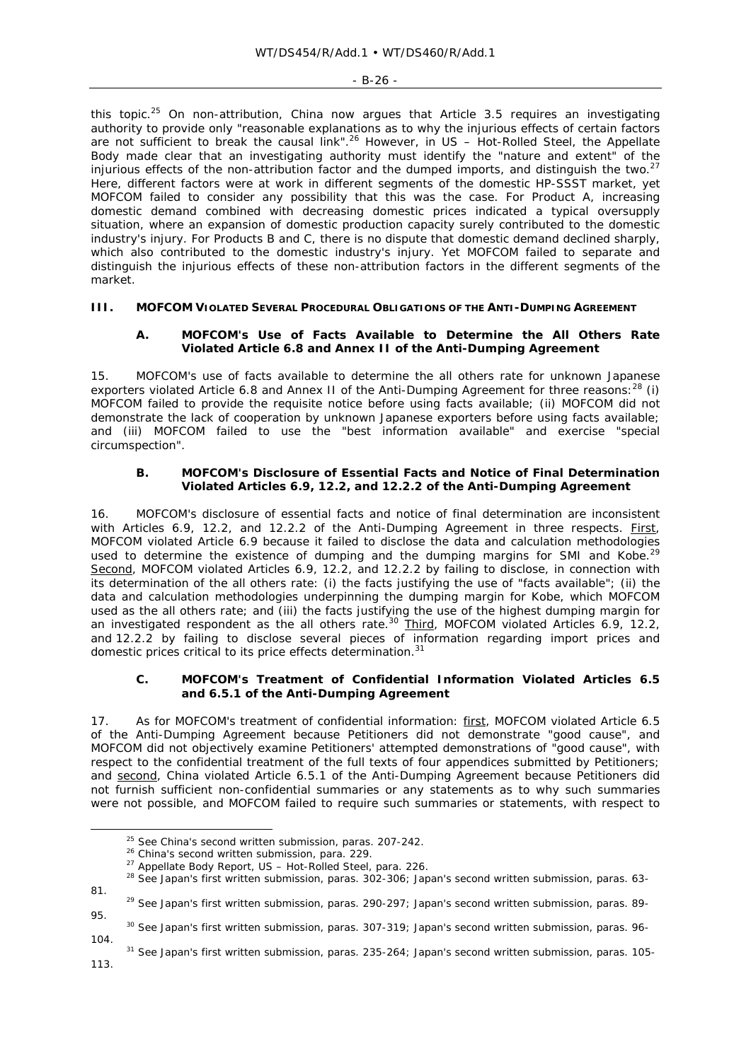this topic.<sup>25</sup> On non-attribution, China now argues that Article 3.5 requires an investigating authority to provide only "reasonable explanations as to why the injurious effects of certain factors are not sufficient to break the causal link".26 However, in *US – Hot-Rolled Steel*, the Appellate Body made clear that an investigating authority must identify the "nature and extent" of the injurious effects of the non-attribution factor and the dumped imports, and distinguish the two. $27$ Here, different factors were at work in different segments of the domestic HP-SSST market, yet MOFCOM failed to consider any possibility that this was the case. For Product A, increasing domestic demand combined with decreasing domestic prices indicated a typical oversupply situation, where an expansion of domestic production capacity surely contributed to the domestic industry's injury. For Products B and C, there is no dispute that domestic demand declined sharply, which also contributed to the domestic industry's injury. Yet MOFCOM failed to separate and distinguish the injurious effects of these non-attribution factors in the different segments of the market.

# **III. MOFCOM VIOLATED SEVERAL PROCEDURAL OBLIGATIONS OF THE ANTI-DUMPING AGREEMENT**

# **A. MOFCOM's Use of Facts Available to Determine the All Others Rate Violated Article 6.8 and Annex II of the Anti-Dumping Agreement**

15. MOFCOM's use of facts available to determine the all others rate for unknown Japanese exporters violated Article 6.8 and Annex II of the Anti-Dumping Agreement for three reasons:<sup>28</sup> (i) MOFCOM failed to provide the requisite notice before using facts available; (ii) MOFCOM did not demonstrate the lack of cooperation by unknown Japanese exporters before using facts available; and (iii) MOFCOM failed to use the "best information available" and exercise "special circumspection".

# **B. MOFCOM's Disclosure of Essential Facts and Notice of Final Determination Violated Articles 6.9, 12.2, and 12.2.2 of the Anti-Dumping Agreement**

16. MOFCOM's disclosure of essential facts and notice of final determination are inconsistent with Articles 6.9, 12.2, and 12.2.2 of the Anti-Dumping Agreement in three respects. *First*, MOFCOM violated Article 6.9 because it failed to disclose the data and calculation methodologies used to determine the existence of dumping and the dumping margins for SMI and Kobe.<sup>29</sup> Second, MOFCOM violated Articles 6.9, 12.2, and 12.2.2 by failing to disclose, in connection with its determination of the all others rate: (i) the facts justifying the use of "facts available"; (ii) the data and calculation methodologies underpinning the dumping margin for Kobe, which MOFCOM used as the all others rate; and (iii) the facts justifying the use of the highest dumping margin for an investigated respondent as the all others rate.<sup>30</sup> Third, MOFCOM violated Articles 6.9, 12.2, and 12.2.2 by failing to disclose several pieces of information regarding import prices and domestic prices critical to its price effects determination.<sup>31</sup>

### **C. MOFCOM's Treatment of Confidential Information Violated Articles 6.5 and 6.5.1 of the Anti-Dumping Agreement**

17. As for MOFCOM's treatment of confidential information: first, MOFCOM violated Article 6.5 of the Anti-Dumping Agreement because Petitioners did not demonstrate "good cause", and MOFCOM did not objectively examine Petitioners' attempted demonstrations of "good cause", with respect to the confidential treatment of the full texts of four appendices submitted by Petitioners; and second, China violated Article 6.5.1 of the Anti-Dumping Agreement because Petitioners did not furnish sufficient non-confidential summaries or any statements as to why such summaries were not possible, and MOFCOM failed to require such summaries or statements, with respect to

<sup>&</sup>lt;sup>25</sup> See China's second written submission, paras. 207-242.<br><sup>26</sup> China's second written submission, para. 229.<br><sup>27</sup> Appellate Body Report, *US – Hot-Rolled Steel*, para. 226.<br><sup>28</sup> See Japan's first written submission, par

<sup>81. 29</sup> *See* Japan's first written submission, paras. 290-297; Japan's second written submission, paras. 89- 95. 30 *See* Japan's first written submission, paras. 307-319; Japan's second written submission, paras. 96-

<sup>104. 31</sup> *See* Japan's first written submission, paras. 235-264; Japan's second written submission, paras. 105- 113.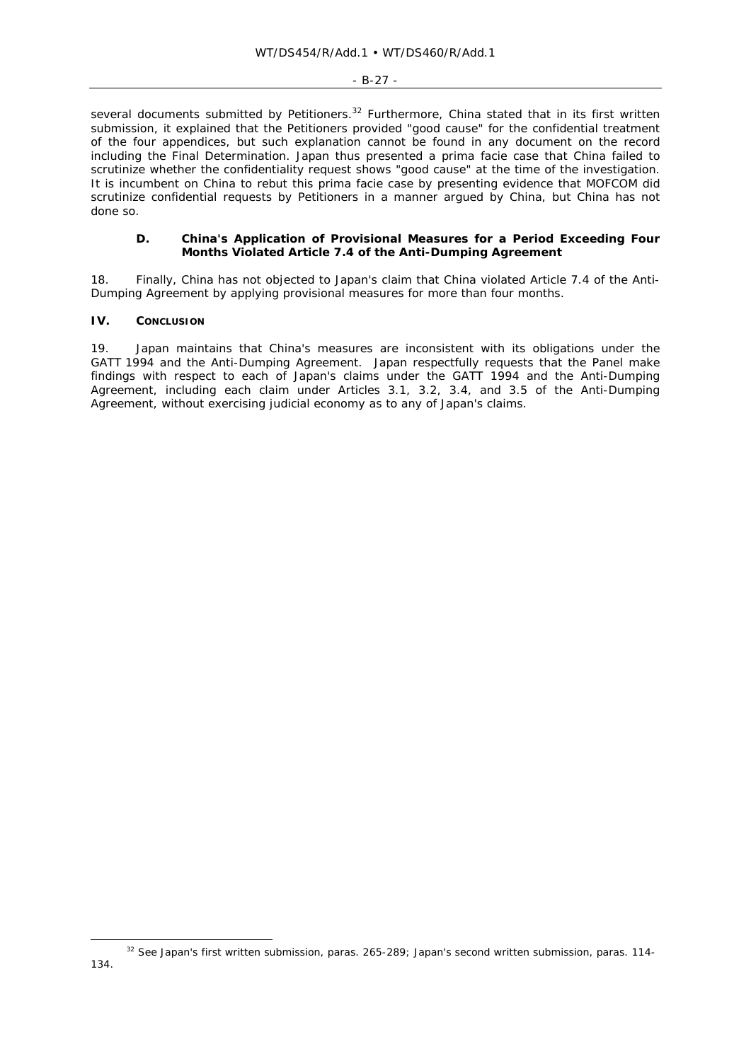#### - B-27 -

several documents submitted by Petitioners.<sup>32</sup> Furthermore, China stated that in its first written submission, it explained that the Petitioners provided "good cause" for the confidential treatment of the four appendices, but such explanation cannot be found in any document on the record including the Final Determination. Japan thus presented a prima facie case that China failed to scrutinize whether the confidentiality request shows "good cause" at the time of the investigation. It is incumbent on China to rebut this prima facie case by presenting evidence that MOFCOM did scrutinize confidential requests by Petitioners in a manner argued by China, but China has not done so.

#### **D. China's Application of Provisional Measures for a Period Exceeding Four Months Violated Article 7.4 of the Anti-Dumping Agreement**

18. Finally, China has not objected to Japan's claim that China violated Article 7.4 of the Anti-Dumping Agreement by applying provisional measures for more than four months.

## **IV. CONCLUSION**

19. Japan maintains that China's measures are inconsistent with its obligations under the GATT 1994 and the Anti-Dumping Agreement. Japan respectfully requests that the Panel make findings with respect to *each* of Japan's claims under the GATT 1994 and the Anti-Dumping Agreement, including each claim under Articles 3.1, 3.2, 3.4, and 3.5 of the Anti-Dumping Agreement, without exercising judicial economy as to any of Japan's claims.

 <sup>32</sup> *See* Japan's first written submission, paras. 265-289; Japan's second written submission, paras. 114-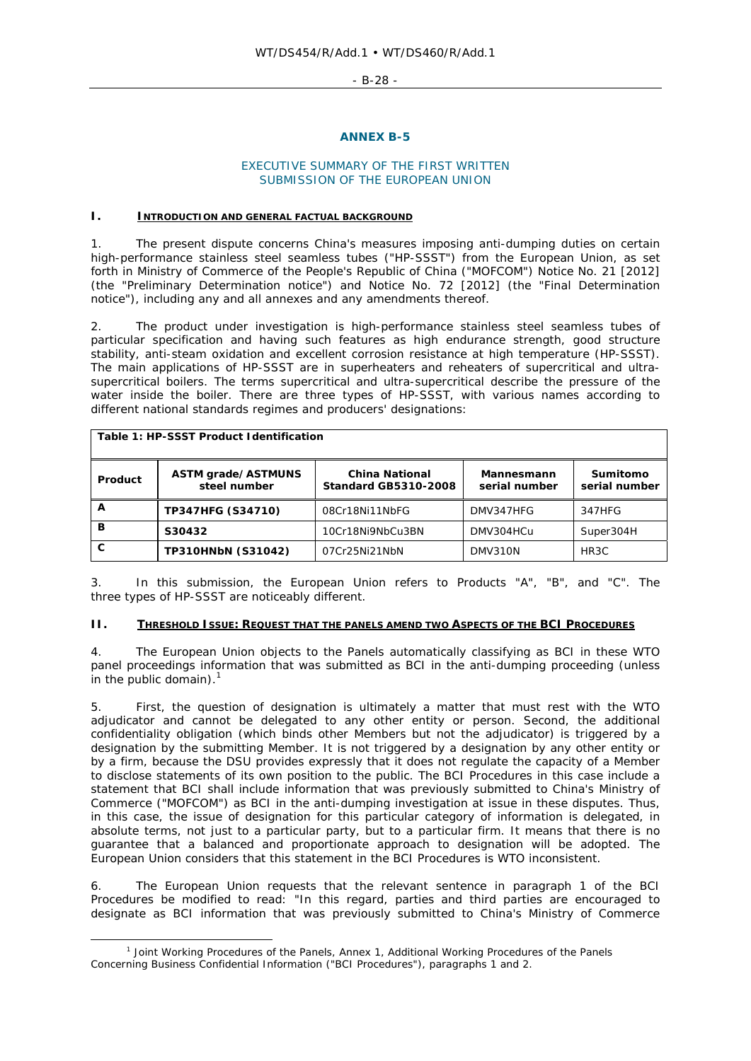- B-28 -

#### **ANNEX B-5**

## EXECUTIVE SUMMARY OF THE FIRST WRITTEN SUBMISSION OF THE EUROPEAN UNION

#### **I. INTRODUCTION AND GENERAL FACTUAL BACKGROUND**

1. The present dispute concerns China's measures imposing anti-dumping duties on certain high-performance stainless steel seamless tubes ("HP-SSST") from the European Union, as set forth in Ministry of Commerce of the People's Republic of China ("MOFCOM") Notice No. 21 [2012] (the "Preliminary Determination notice") and Notice No. 72 [2012] (the "Final Determination notice"), including any and all annexes and any amendments thereof.

2. The product under investigation is high-performance stainless steel seamless tubes of particular specification and having such features as high endurance strength, good structure stability, anti-steam oxidation and excellent corrosion resistance at high temperature (HP-SSST). The main applications of HP-SSST are in superheaters and reheaters of supercritical and ultrasupercritical boilers. The terms supercritical and ultra-supercritical describe the pressure of the water inside the boiler. There are three types of HP-SSST, with various names according to different national standards regimes and producers' designations:

| Table 1: HP-SSST Product Identification |                                    |                                                      |                                    |                           |  |  |
|-----------------------------------------|------------------------------------|------------------------------------------------------|------------------------------------|---------------------------|--|--|
| <b>Product</b>                          | ASTM grade/ASTMUNS<br>steel number | <b>China National</b><br><b>Standard GB5310-2008</b> | <b>Mannesmann</b><br>serial number | Sumitomo<br>serial number |  |  |
| А                                       | <b>TP347HFG (S34710)</b>           | 08Cr18Ni11NbFG                                       | DMV347HFG                          | 347HFG                    |  |  |
| в                                       | S30432                             | 10Cr18Ni9NbCu3BN                                     | DMV304HCu                          | Super304H                 |  |  |
| C                                       | <b>TP310HNbN (S31042)</b>          | 07Cr25Ni21NbN                                        | DMV310N                            | HR <sub>3</sub> C         |  |  |

3. In this submission, the European Union refers to Products "A", "B", and "C". The three types of HP-SSST are noticeably different.

# **II. THRESHOLD ISSUE: REQUEST THAT THE PANELS AMEND TWO ASPECTS OF THE BCI PROCEDURES**

4. The European Union objects to the Panels automatically classifying as BCI in these WTO panel proceedings information that was submitted as BCI in the anti-dumping proceeding (unless in the public domain). $<sup>1</sup>$ </sup>

5. First, the question of designation is ultimately a matter that must rest with the WTO adjudicator and cannot be delegated to any other entity or person. Second, the additional confidentiality obligation (which binds other Members but not the adjudicator) is triggered by a designation by the submitting Member. It is not triggered by a designation by any other entity or by a firm, because the DSU provides expressly that it does not regulate the capacity of a Member to disclose statements of its own position to the public. The BCI Procedures in this case include a statement that BCI shall include information that was previously submitted to China's Ministry of Commerce ("MOFCOM") as BCI in the anti-dumping investigation at issue in these disputes. Thus, in this case, the issue of designation for this particular category of information is delegated, in absolute terms, not just to a particular party, but to a particular firm. It means that there is no guarantee that a balanced and proportionate approach to designation will be adopted. The European Union considers that this statement in the BCI Procedures is WTO inconsistent.

6. The European Union requests that the relevant sentence in paragraph 1 of the BCI Procedures be modified to read: "In this regard, parties and third parties are encouraged to designate as BCI information that was previously submitted to China's Ministry of Commerce

 $\overline{\phantom{a}}$  $<sup>1</sup>$  Joint Working Procedures of the Panels, Annex 1, Additional Working Procedures of the Panels</sup> Concerning Business Confidential Information ("BCI Procedures"), paragraphs 1 and 2.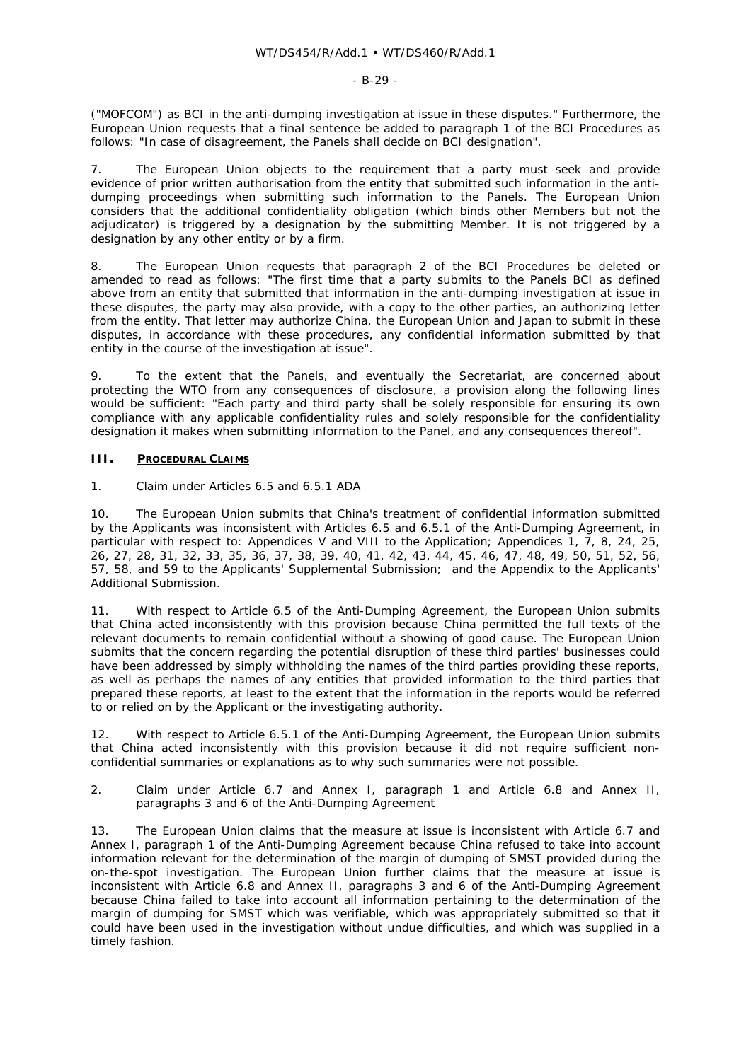("MOFCOM") as BCI in the anti-dumping investigation at issue in these disputes." Furthermore, the European Union requests that a final sentence be added to paragraph 1 of the BCI Procedures as follows: "In case of disagreement, the Panels shall decide on BCI designation".

7. The European Union objects to the requirement that a party must seek and provide evidence of prior written authorisation from the entity that submitted such information in the antidumping proceedings when submitting such information to the Panels. The European Union considers that the additional confidentiality obligation (which binds other Members but not the adjudicator) is triggered by a designation by the submitting Member. It is not triggered by a designation by any other entity or by a firm.

8. The European Union requests that paragraph 2 of the BCI Procedures be deleted or amended to read as follows: "The first time that a party submits to the Panels BCI as defined above from an entity that submitted that information in the anti-dumping investigation at issue in these disputes, the party may also provide, with a copy to the other parties, an authorizing letter from the entity. That letter may authorize China, the European Union and Japan to submit in these disputes, in accordance with these procedures, any confidential information submitted by that entity in the course of the investigation at issue".

9. To the extent that the Panels, and eventually the Secretariat, are concerned about protecting the WTO from any consequences of disclosure, a provision along the following lines would be sufficient: "Each party and third party shall be solely responsible for ensuring its own compliance with any applicable confidentiality rules and solely responsible for the confidentiality designation it makes when submitting information to the Panel, and any consequences thereof".

## **III. PROCEDURAL CLAIMS**

#### *1. Claim under Articles 6.5 and 6.5.1 ADA*

10. The European Union submits that China's treatment of confidential information submitted by the Applicants was inconsistent with Articles 6.5 and 6.5.1 of the Anti-Dumping Agreement, in particular with respect to: Appendices V and VIII to the Application; Appendices 1, 7, 8, 24, 25, 26, 27, 28, 31, 32, 33, 35, 36, 37, 38, 39, 40, 41, 42, 43, 44, 45, 46, 47, 48, 49, 50, 51, 52, 56, 57, 58, and 59 to the Applicants' Supplemental Submission; and the Appendix to the Applicants' Additional Submission.

11. With respect to Article 6.5 of the Anti-Dumping Agreement, the European Union submits that China acted inconsistently with this provision because China permitted the full texts of the relevant documents to remain confidential without a showing of good cause. The European Union submits that the concern regarding the potential disruption of these third parties' businesses could have been addressed by simply withholding the names of the third parties providing these reports, as well as perhaps the names of any entities that provided information to the third parties that prepared these reports, at least to the extent that the information in the reports would be referred to or relied on by the Applicant or the investigating authority.

12. With respect to Article 6.5.1 of the Anti-Dumping Agreement, the European Union submits that China acted inconsistently with this provision because it did not require sufficient nonconfidential summaries or explanations as to why such summaries were not possible.

## *2. Claim under Article 6.7 and Annex I, paragraph 1 and Article 6.8 and Annex II, paragraphs 3 and 6 of the Anti-Dumping Agreement*

13. The European Union claims that the measure at issue is inconsistent with Article 6.7 and Annex I, paragraph 1 of the Anti-Dumping Agreement because China refused to take into account information relevant for the determination of the margin of dumping of SMST provided during the on-the-spot investigation. The European Union further claims that the measure at issue is inconsistent with Article 6.8 and Annex II, paragraphs 3 and 6 of the Anti-Dumping Agreement because China failed to take into account all information pertaining to the determination of the margin of dumping for SMST which was verifiable, which was appropriately submitted so that it could have been used in the investigation without undue difficulties, and which was supplied in a timely fashion.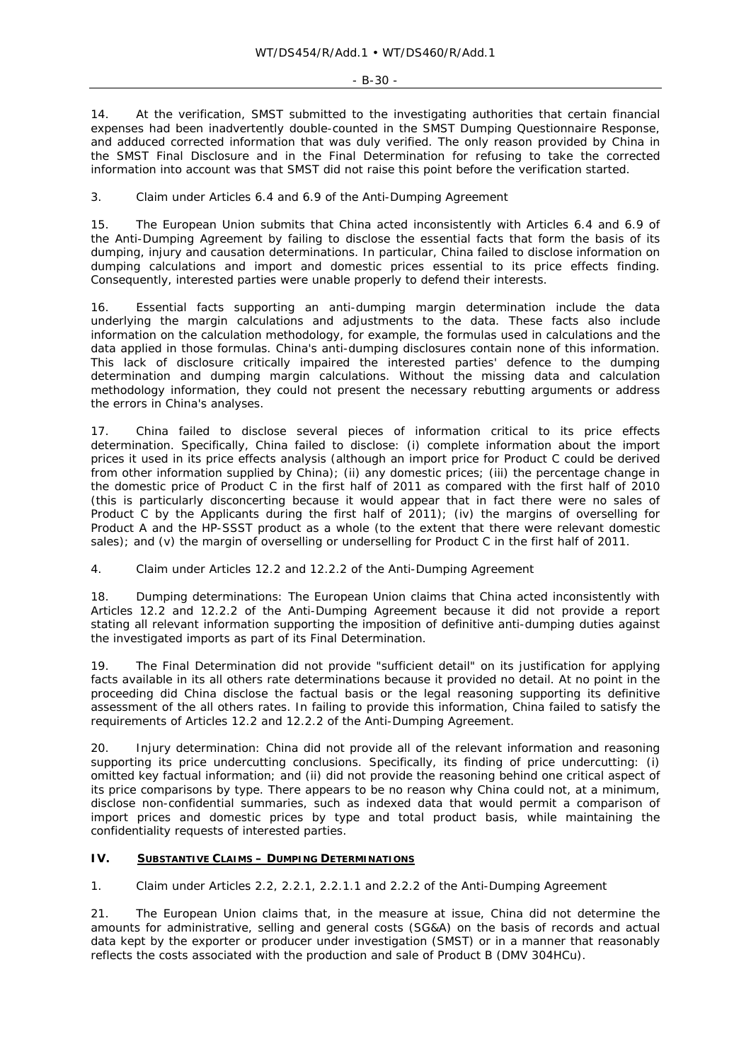14. At the verification, SMST submitted to the investigating authorities that certain financial expenses had been inadvertently double-counted in the SMST Dumping Questionnaire Response, and adduced corrected information that was duly verified. The only reason provided by China in the SMST Final Disclosure and in the Final Determination for refusing to take the corrected information into account was that SMST did not raise this point before the verification started.

## *3. Claim under Articles 6.4 and 6.9 of the Anti-Dumping Agreement*

15. The European Union submits that China acted inconsistently with Articles 6.4 and 6.9 of the Anti-Dumping Agreement by failing to disclose the essential facts that form the basis of its dumping, injury and causation determinations. In particular, China failed to disclose information on dumping calculations and import and domestic prices essential to its price effects finding. Consequently, interested parties were unable properly to defend their interests.

16. Essential facts supporting an anti-dumping margin determination include the data underlying the margin calculations and adjustments to the data. These facts also include information on the calculation methodology, for example, the formulas used in calculations and the data applied in those formulas. China's anti-dumping disclosures contain none of this information. This lack of disclosure critically impaired the interested parties' defence to the dumping determination and dumping margin calculations. Without the missing data and calculation methodology information, they could not present the necessary rebutting arguments or address the errors in China's analyses.

17. China failed to disclose several pieces of information critical to its price effects determination. Specifically, China failed to disclose: (i) complete information about the import prices it used in its price effects analysis (although an import price for Product C could be derived from other information supplied by China); (ii) any domestic prices; (iii) the percentage change in the domestic price of Product C in the first half of 2011 as compared with the first half of 2010 (this is particularly disconcerting because it would appear that in fact there were no sales of Product C by the Applicants during the first half of 2011); (iv) the margins of overselling for Product A and the HP-SSST product as a whole (to the extent that there were relevant domestic sales); and (v) the margin of overselling or underselling for Product C in the first half of 2011.

## *4. Claim under Articles 12.2 and 12.2.2 of the Anti-Dumping Agreement*

18. *Dumping determinations:* The European Union claims that China acted inconsistently with Articles 12.2 and 12.2.2 of the Anti-Dumping Agreement because it did not provide a report stating all relevant information supporting the imposition of definitive anti-dumping duties against the investigated imports as part of its Final Determination.

19. The Final Determination did not provide "sufficient detail" on its justification for applying facts available in its all others rate determinations because it provided no detail. At no point in the proceeding did China disclose the factual basis or the legal reasoning supporting its definitive assessment of the all others rates. In failing to provide this information, China failed to satisfy the requirements of Articles 12.2 and 12.2.2 of the Anti-Dumping Agreement.

20. *Injury determination:* China did not provide all of the relevant information and reasoning supporting its price undercutting conclusions. Specifically, its finding of price undercutting: (i) omitted key factual information; and (ii) did not provide the reasoning behind one critical aspect of its price comparisons by type. There appears to be no reason why China could not, at a minimum, disclose non-confidential summaries, such as indexed data that would permit a comparison of import prices and domestic prices by type and total product basis, while maintaining the confidentiality requests of interested parties.

#### **IV. SUBSTANTIVE CLAIMS – DUMPING DETERMINATIONS**

## *1. Claim under Articles 2.2, 2.2.1, 2.2.1.1 and 2.2.2 of the Anti-Dumping Agreement*

21. The European Union claims that, in the measure at issue, China did not determine the amounts for administrative, selling and general costs (SG&A) on the basis of records and actual data kept by the exporter or producer under investigation (SMST) or in a manner that reasonably reflects the costs associated with the production and sale of Product B (DMV 304HCu).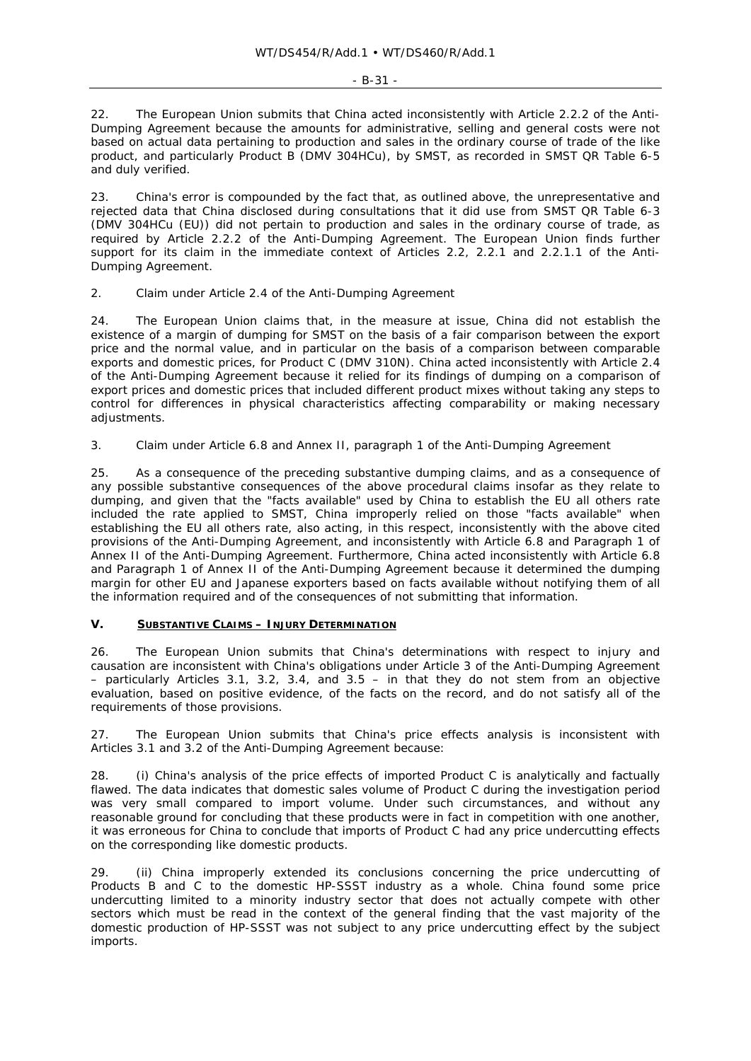#### - B-31 -

22. The European Union submits that China acted inconsistently with Article 2.2.2 of the Anti-Dumping Agreement because the amounts for administrative, selling and general costs were not based on actual data pertaining to production and sales in the ordinary course of trade of the like product, and particularly Product B (DMV 304HCu), by SMST, as recorded in SMST QR Table 6-5 and duly verified.

23. China's error is compounded by the fact that, as outlined above, the unrepresentative and rejected data that China disclosed during consultations that it did use from SMST QR Table 6-3 (DMV 304HCu (EU)) did not pertain to production and sales in the ordinary course of trade, as required by Article 2.2.2 of the Anti-Dumping Agreement. The European Union finds further support for its claim in the immediate context of Articles 2.2, 2.2.1 and 2.2.1.1 of the Anti-Dumping Agreement.

## *2. Claim under Article 2.4 of the Anti-Dumping Agreement*

24. The European Union claims that, in the measure at issue, China did not establish the existence of a margin of dumping for SMST on the basis of a fair comparison between the export price and the normal value, and in particular on the basis of a comparison between comparable exports and domestic prices, for Product C (DMV 310N). China acted inconsistently with Article 2.4 of the Anti-Dumping Agreement because it relied for its findings of dumping on a comparison of export prices and domestic prices that included different product mixes without taking any steps to control for differences in physical characteristics affecting comparability or making necessary adiustments.

## *3. Claim under Article 6.8 and Annex II, paragraph 1 of the Anti-Dumping Agreement*

25. As a consequence of the preceding substantive dumping claims, and as a consequence of any possible substantive consequences of the above procedural claims insofar as they relate to dumping, and given that the "facts available" used by China to establish the EU all others rate included the rate applied to SMST, China improperly relied on those "facts available" when establishing the EU all others rate, also acting, in this respect, inconsistently with the above cited provisions of the Anti-Dumping Agreement, and inconsistently with Article 6.8 and Paragraph 1 of Annex II of the Anti-Dumping Agreement. Furthermore, China acted inconsistently with Article 6.8 and Paragraph 1 of Annex II of the Anti-Dumping Agreement because it determined the dumping margin for other EU and Japanese exporters based on facts available without notifying them of all the information required and of the consequences of not submitting that information.

# **V. SUBSTANTIVE CLAIMS – INJURY DETERMINATION**

26. The European Union submits that China's determinations with respect to injury and causation are inconsistent with China's obligations under Article 3 of the Anti-Dumping Agreement – particularly Articles 3.1, 3.2, 3.4, and 3.5 – in that they do not stem from an objective evaluation, based on positive evidence, of the facts on the record, and do not satisfy all of the requirements of those provisions.

27. The European Union submits that China's price effects analysis is inconsistent with Articles 3.1 and 3.2 of the Anti-Dumping Agreement because:

28. (i) China's analysis of the price effects of imported Product C is analytically and factually flawed. The data indicates that domestic sales volume of Product C during the investigation period was very small compared to import volume. Under such circumstances, and without any reasonable ground for concluding that these products were in fact in competition with one another, it was erroneous for China to conclude that imports of Product C had any price undercutting effects on the corresponding like domestic products.

29. (ii) China improperly extended its conclusions concerning the price undercutting of Products B and C to the domestic HP-SSST industry as a whole. China found *some* price undercutting limited to a *minority* industry sector that *does not actually compete* with other sectors which must be read in the context of the general finding that the *vast majority* of the domestic production of HP-SSST was not subject to any price undercutting effect by the subject imports.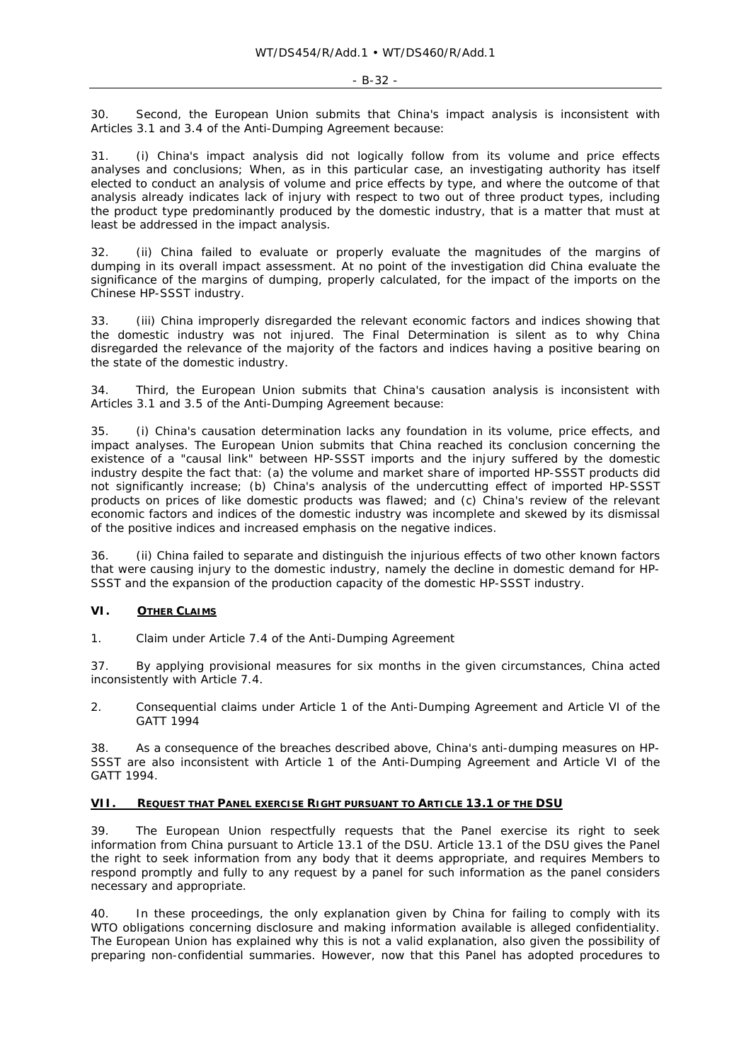30. Second, the European Union submits that China's impact analysis is inconsistent with Articles 3.1 and 3.4 of the Anti-Dumping Agreement because:

31. (i) China's impact analysis did not logically follow from its volume and price effects analyses and conclusions; When, as in this particular case, an investigating authority *has itself elected* to conduct an analysis of volume and price effects by type, and where *the outcome of that analysis already indicates lack of injury with respect to two out of three product types, including the product type predominantly produced by the domestic industry*, that is a matter that must at least be *addressed* in the impact analysis.

32. (ii) China failed to evaluate or properly evaluate the magnitudes of the margins of dumping in its overall impact assessment. At no point of the investigation did China evaluate the significance of the margins of dumping, properly calculated, for the impact of the imports on the Chinese HP-SSST industry.

33. (iii) China improperly disregarded the relevant economic factors and indices showing that the domestic industry was not injured. The Final Determination is silent as to why China disregarded the relevance of the majority of the factors and indices having a positive bearing on the state of the domestic industry.

34. Third, the European Union submits that China's causation analysis is inconsistent with Articles 3.1 and 3.5 of the Anti-Dumping Agreement because:

35. (i) China's causation determination lacks any foundation in its volume, price effects, and impact analyses. The European Union submits that China reached its conclusion concerning the existence of a "causal link" between HP-SSST imports and the injury suffered by the domestic industry despite the fact that: (a) the volume and market share of imported HP-SSST products did not significantly increase; (b) China's analysis of the undercutting effect of imported HP-SSST products on prices of like domestic products was flawed; and (c) China's review of the relevant economic factors and indices of the domestic industry was incomplete and skewed by its dismissal of the positive indices and increased emphasis on the negative indices.

(ii) China failed to separate and distinguish the injurious effects of two other known factors that were causing injury to the domestic industry, namely the decline in domestic demand for HP-SSST and the expansion of the production capacity of the domestic HP-SSST industry.

## **VI. OTHER CLAIMS**

*1. Claim under Article 7.4 of the Anti-Dumping Agreement* 

37. By applying provisional measures for six months in the given circumstances, China acted inconsistently with Article 7.4.

*2. Consequential claims under Article 1 of the Anti-Dumping Agreement and Article VI of the GATT 1994* 

38. As a consequence of the breaches described above, China's anti-dumping measures on HP-SSST are also inconsistent with Article 1 of the Anti-Dumping Agreement and Article VI of the GATT 1994.

## **VII. REQUEST THAT PANEL EXERCISE RIGHT PURSUANT TO ARTICLE 13.1 OF THE DSU**

39. The European Union respectfully requests that the Panel exercise its right to seek information from China pursuant to Article 13.1 of the DSU. Article 13.1 of the DSU gives the Panel the right to seek information from any body that it deems appropriate, and requires Members to respond promptly and fully to any request by a panel for such information as the panel considers necessary and appropriate.

40. In these proceedings, the only explanation given by China for failing to comply with its WTO obligations concerning disclosure and making information available is alleged confidentiality. The European Union has explained why this is not a valid explanation, also given the possibility of preparing non-confidential summaries. However, now that this Panel has adopted procedures to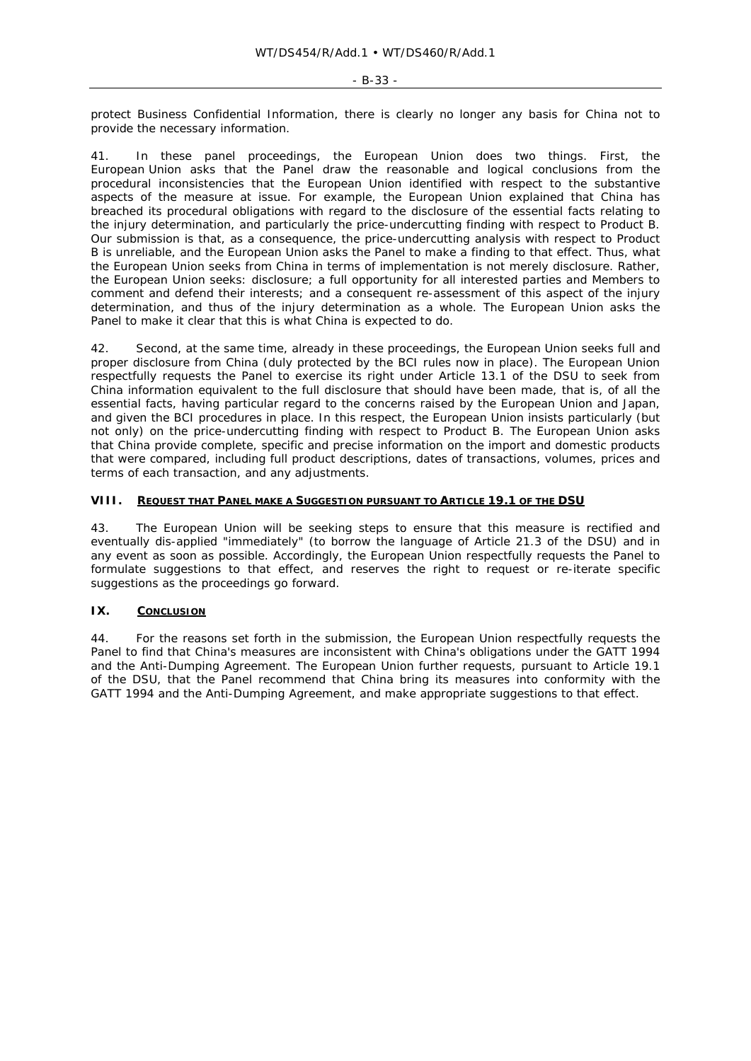protect Business Confidential Information, there is clearly no longer any basis for China not to provide the necessary information.

In these panel proceedings, the European Union does two things. First, the European Union asks that the Panel draw the reasonable and logical conclusions from the procedural inconsistencies that the European Union identified with respect to the substantive aspects of the measure at issue. For example, the European Union explained that China has breached its procedural obligations with regard to the disclosure of the essential facts relating to the injury determination, and particularly the price-undercutting finding with respect to Product B. Our submission is that, as a consequence, the price-undercutting analysis with respect to Product B is unreliable, and the European Union asks the Panel to make a finding to that effect. Thus, what the European Union seeks from China in terms of implementation is not merely disclosure. Rather, the European Union seeks: disclosure; a full opportunity for all interested parties and Members to comment and defend their interests; and a consequent re-assessment of this aspect of the injury determination, and thus of the injury determination as a whole. The European Union asks the Panel to make it clear that this is what China is expected to do.

42. Second, at the same time, already in these proceedings, the European Union seeks full and proper disclosure from China (duly protected by the BCI rules now in place). The European Union respectfully requests the Panel to exercise its right under Article 13.1 of the DSU to seek from China information equivalent to the full disclosure that should have been made, that is, of all the essential facts, having particular regard to the concerns raised by the European Union and Japan, and given the BCI procedures in place. In this respect, the European Union insists particularly (but not only) on the price-undercutting finding with respect to Product B. The European Union asks that China provide complete, specific and precise information on the import and domestic products that were compared, including full product descriptions, dates of transactions, volumes, prices and terms of each transaction, and any adjustments.

#### **VIII. REQUEST THAT PANEL MAKE A SUGGESTION PURSUANT TO ARTICLE 19.1 OF THE DSU**

43. The European Union will be seeking steps to ensure that this measure is rectified and eventually dis-applied "immediately" (to borrow the language of Article 21.3 of the DSU) and in any event as soon as possible. Accordingly, the European Union respectfully requests the Panel to formulate suggestions to that effect, and reserves the right to request or re-iterate specific suggestions as the proceedings go forward.

## **IX. CONCLUSION**

44. For the reasons set forth in the submission, the European Union respectfully requests the Panel to find that China's measures are inconsistent with China's obligations under the GATT 1994 and the Anti-Dumping Agreement. The European Union further requests, pursuant to Article 19.1 of the DSU, that the Panel recommend that China bring its measures into conformity with the GATT 1994 and the Anti-Dumping Agreement, and make appropriate suggestions to that effect.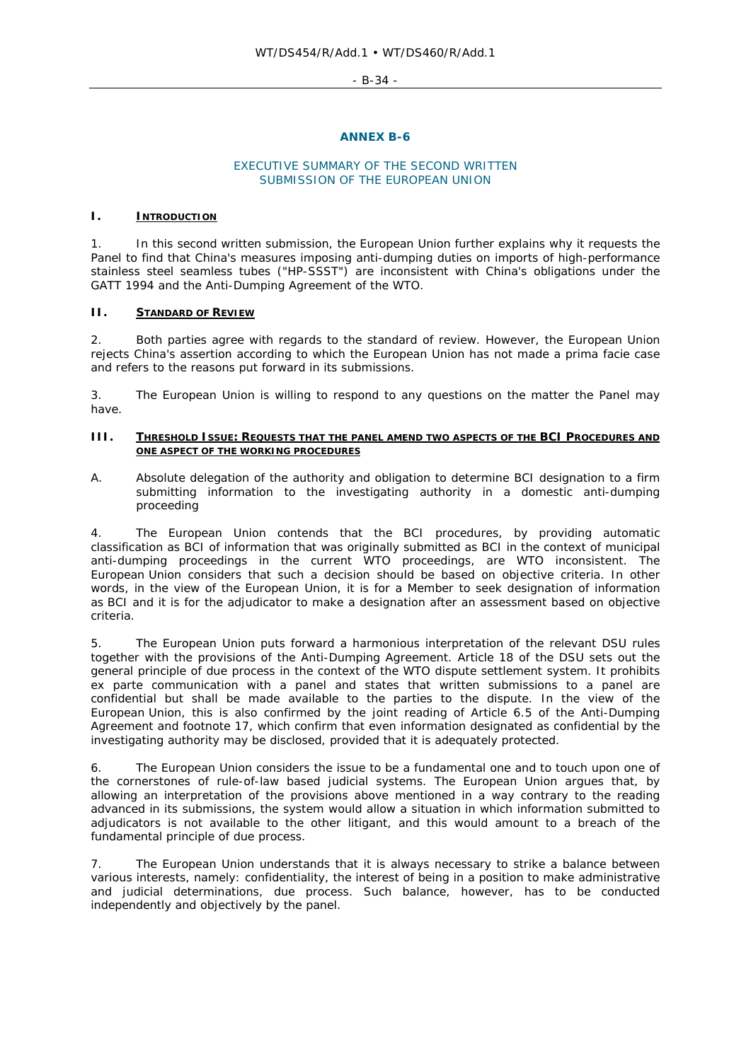$- R - 34 -$ 

#### **ANNEX B-6**

#### EXECUTIVE SUMMARY OF THE SECOND WRITTEN SUBMISSION OF THE EUROPEAN UNION

#### **I. INTRODUCTION**

1. In this second written submission, the European Union further explains why it requests the Panel to find that China's measures imposing anti-dumping duties on imports of high-performance stainless steel seamless tubes ("HP-SSST") are inconsistent with China's obligations under the GATT 1994 and the Anti-Dumping Agreement of the WTO.

## **II. STANDARD OF REVIEW**

2. Both parties agree with regards to the standard of review. However, the European Union rejects China's assertion according to which the European Union has not made a *prima facie* case and refers to the reasons put forward in its submissions.

3. The European Union is willing to respond to any questions on the matter the Panel may have.

#### **III. THRESHOLD ISSUE: REQUESTS THAT THE PANEL AMEND TWO ASPECTS OF THE BCI PROCEDURES AND ONE ASPECT OF THE WORKING PROCEDURES**

*A. Absolute delegation of the authority and obligation to determine BCI designation to a firm submitting information to the investigating authority in a domestic anti-dumping proceeding* 

4. The European Union contends that the BCI procedures, by providing automatic classification as BCI of information that was originally submitted as BCI in the context of municipal anti-dumping proceedings in the current WTO proceedings, are WTO inconsistent. The European Union considers that such a decision should be based on objective criteria. In other words, in the view of the European Union, it is for a Member to seek designation of information as BCI and it is for the adjudicator to make a designation after an assessment based on objective criteria.

5. The European Union puts forward a harmonious interpretation of the relevant DSU rules together with the provisions of the Anti-Dumping Agreement. Article 18 of the DSU sets out the general principle of due process in the context of the WTO dispute settlement system. It prohibits *ex parte* communication with a panel and states that written submissions to a panel are confidential but shall be made available to the parties to the dispute. In the view of the European Union, this is also confirmed by the joint reading of Article 6.5 of the Anti-Dumping Agreement and footnote 17, which confirm that even information designated as confidential by the investigating authority may be disclosed, provided that it is adequately protected.

6. The European Union considers the issue to be a fundamental one and to touch upon one of the cornerstones of rule-of-law based judicial systems. The European Union argues that, by allowing an interpretation of the provisions above mentioned in a way contrary to the reading advanced in its submissions, the system would allow a situation in which information submitted to adjudicators is not available to the other litigant, and this would amount to a breach of the fundamental principle of due process.

7. The European Union understands that it is always necessary to strike a balance between various interests, namely: confidentiality, the interest of being in a position to make administrative and judicial determinations, due process. Such balance, however, has to be conducted independently and objectively by the panel.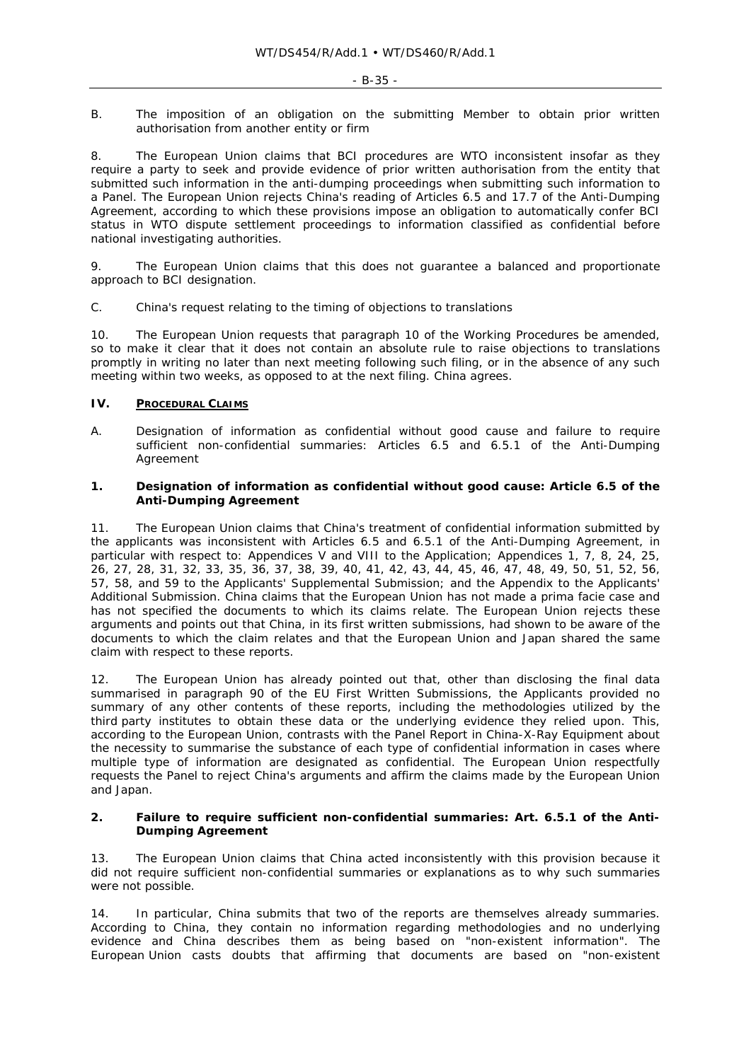#### *B. The imposition of an obligation on the submitting Member to obtain prior written authorisation from another entity or firm*

8. The European Union claims that BCI procedures are WTO inconsistent insofar as they require a party to seek and provide evidence of prior written authorisation from the entity that submitted such information in the anti-dumping proceedings when submitting such information to a Panel. The European Union rejects China's reading of Articles 6.5 and 17.7 of the Anti-Dumping Agreement, according to which these provisions impose an obligation to automatically confer BCI status in WTO dispute settlement proceedings to information classified as confidential before national investigating authorities.

9. The European Union claims that this does not guarantee a balanced and proportionate approach to BCI designation.

## *C. China's request relating to the timing of objections to translations*

10. The European Union requests that paragraph 10 of the Working Procedures be amended, so to make it clear that it does not contain an absolute rule to raise objections to translations promptly in writing no later than next meeting following such filing, or in the absence of any such meeting within two weeks, as opposed to at the next filing. China agrees.

## **IV. PROCEDURAL CLAIMS**

*A. Designation of information as confidential without good cause and failure to require sufficient non-confidential summaries: Articles 6.5 and 6.5.1 of the Anti-Dumping Agreement* 

## **1. Designation of information as confidential without good cause: Article 6.5 of the Anti-Dumping Agreement**

11. The European Union claims that China's treatment of confidential information submitted by the applicants was inconsistent with Articles 6.5 and 6.5.1 of the Anti-Dumping Agreement, in particular with respect to: Appendices V and VIII to the Application; Appendices 1, 7, 8, 24, 25, 26, 27, 28, 31, 32, 33, 35, 36, 37, 38, 39, 40, 41, 42, 43, 44, 45, 46, 47, 48, 49, 50, 51, 52, 56, 57, 58, and 59 to the Applicants' Supplemental Submission; and the Appendix to the Applicants' Additional Submission. China claims that the European Union has not made a *prima facie* case and has not specified the documents to which its claims relate. The European Union rejects these arguments and points out that China, in its first written submissions, had shown to be aware of the documents to which the claim relates and that the European Union and Japan shared the same claim with respect to these reports.

12. The European Union has already pointed out that, other than disclosing the final data summarised in paragraph 90 of the EU First Written Submissions, the Applicants provided no summary of any other contents of these reports, including the methodologies utilized by the third party institutes to obtain these data or the underlying evidence they relied upon. This, according to the European Union, contrasts with the Panel Report in *China-X-Ray Equipment* about the necessity to summarise the substance of each type of confidential information in cases where multiple type of information are designated as confidential. The European Union respectfully requests the Panel to reject China's arguments and affirm the claims made by the European Union and Japan.

#### **2. Failure to require sufficient non-confidential summaries: Art. 6.5.1 of the Anti-Dumping Agreement**

13. The European Union claims that China acted inconsistently with this provision because it did not require sufficient non-confidential summaries or explanations as to why such summaries were not possible.

14. In particular, China submits that two of the reports are themselves already summaries. According to China, they contain no information regarding methodologies and no underlying evidence and China describes them as being based on "non-existent information". The European Union casts doubts that affirming that documents are based on "non-existent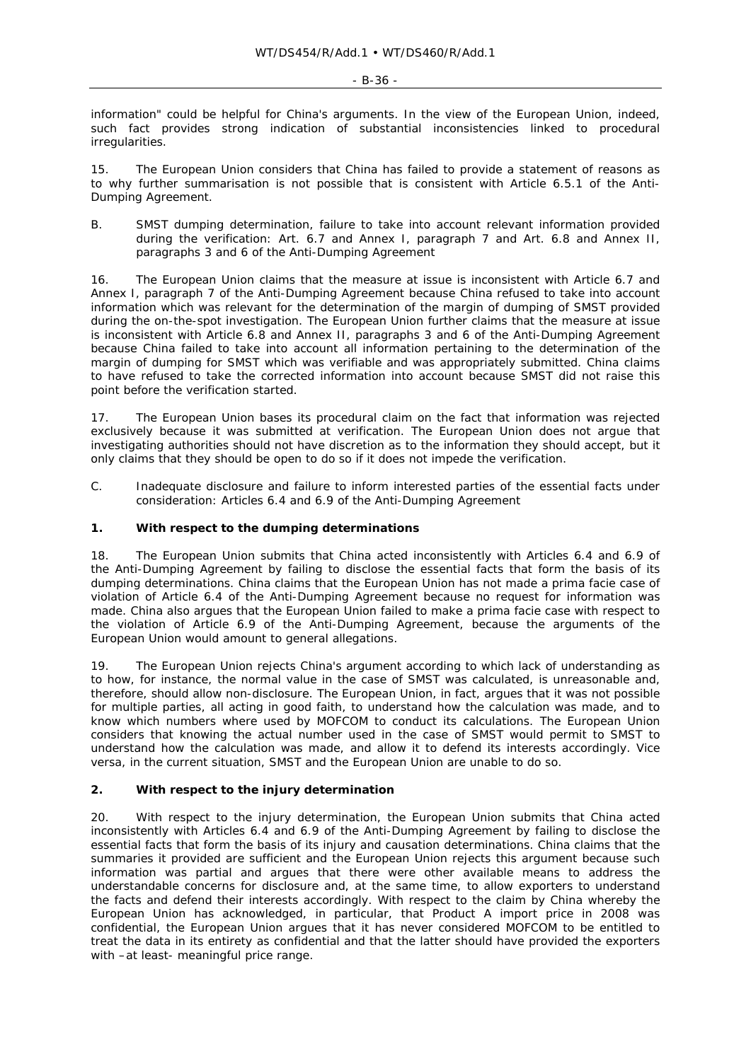information" could be helpful for China's arguments. In the view of the European Union, indeed, such fact provides strong indication of substantial inconsistencies linked to procedural irregularities.

15. The European Union considers that China has failed to provide a statement of reasons as to why further summarisation is not possible that is consistent with Article 6.5.1 of the Anti-Dumping Agreement.

*B. SMST dumping determination, failure to take into account relevant information provided during the verification: Art. 6.7 and Annex I, paragraph 7 and Art. 6.8 and Annex II, paragraphs 3 and 6 of the Anti-Dumping Agreement* 

16. The European Union claims that the measure at issue is inconsistent with Article 6.7 and Annex I, paragraph 7 of the Anti-Dumping Agreement because China refused to take into account information which was relevant for the determination of the margin of dumping of SMST provided during the on-the-spot investigation. The European Union further claims that the measure at issue is inconsistent with Article 6.8 and Annex II, paragraphs 3 and 6 of the Anti-Dumping Agreement because China failed to take into account all information pertaining to the determination of the margin of dumping for SMST which was verifiable and was appropriately submitted. China claims to have refused to take the corrected information into account because SMST did not raise this point before the verification started.

17. The European Union bases its procedural claim on the fact that information was rejected exclusively because it was submitted at verification. The European Union does not argue that investigating authorities should not have discretion as to the information they should accept, but it only claims that they should be open to do so if it does not impede the verification.

*C. Inadequate disclosure and failure to inform interested parties of the essential facts under consideration: Articles 6.4 and 6.9 of the Anti-Dumping Agreement* 

## **1. With respect to the dumping determinations**

18. The European Union submits that China acted inconsistently with Articles 6.4 and 6.9 of the Anti-Dumping Agreement by failing to disclose the essential facts that form the basis of its dumping determinations. China claims that the European Union has not made a *prima facie* case of violation of Article 6.4 of the Anti-Dumping Agreement because no request for information was made. China also argues that the European Union failed to make a *prima facie* case with respect to the violation of Article 6.9 of the Anti-Dumping Agreement, because the arguments of the European Union would amount to general allegations.

19. The European Union rejects China's argument according to which lack of understanding as to how, for instance, the normal value in the case of SMST was calculated, is unreasonable and, therefore, should allow non-disclosure. The European Union, in fact, argues that it was not possible for multiple parties, all acting in good faith, to understand how the calculation was made, and to know which numbers where used by MOFCOM to conduct its calculations. The European Union considers that knowing the actual number used in the case of SMST would permit to SMST to understand how the calculation was made, and allow it to defend its interests accordingly. *Vice versa*, in the current situation, SMST and the European Union are unable to do so.

## **2. With respect to the injury determination**

20. With respect to the injury determination, the European Union submits that China acted inconsistently with Articles 6.4 and 6.9 of the Anti-Dumping Agreement by failing to disclose the essential facts that form the basis of its injury and causation determinations. China claims that the summaries it provided are sufficient and the European Union rejects this argument because such information was partial and argues that there were other available means to address the understandable concerns for disclosure and, at the same time, to allow exporters to understand the facts and defend their interests accordingly. With respect to the claim by China whereby the European Union has acknowledged, in particular, that Product A import price in 2008 was confidential, the European Union argues that it has never considered MOFCOM to be entitled to treat the data in its entirety as confidential and that the latter should have provided the exporters with –at least- meaningful price range.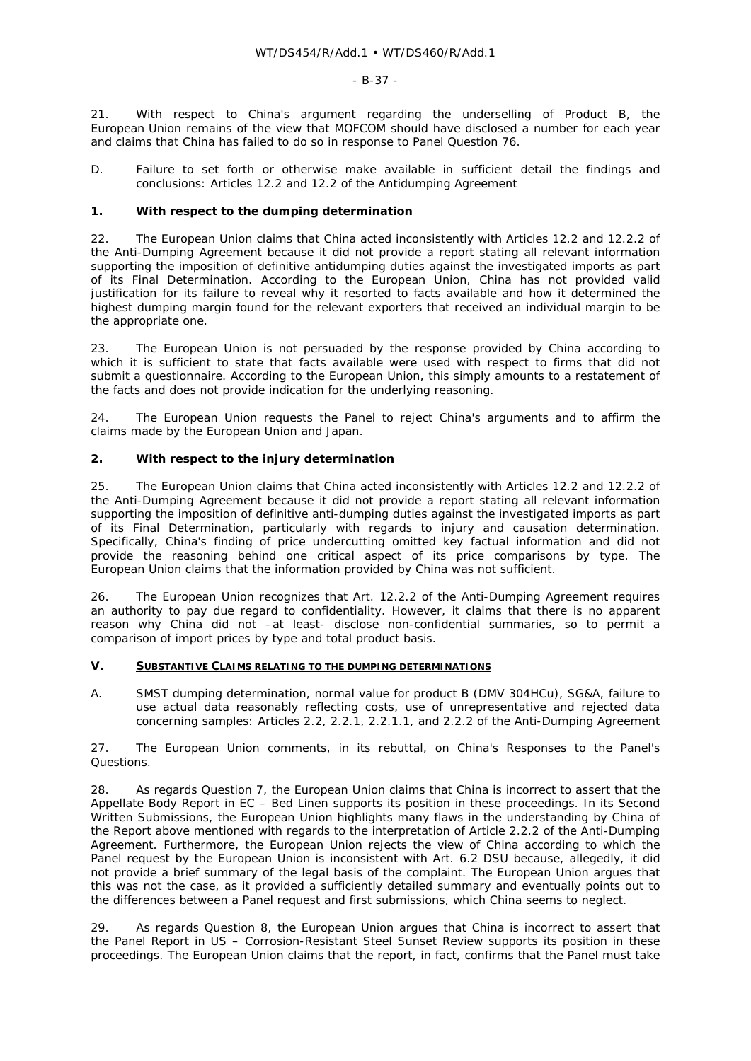21. With respect to China's argument regarding the underselling of Product B, the European Union remains of the view that MOFCOM should have disclosed a number for each year and claims that China has failed to do so in response to Panel Question 76.

*D. Failure to set forth or otherwise make available in sufficient detail the findings and conclusions: Articles 12.2 and 12.2 of the Antidumping Agreement* 

## **1. With respect to the dumping determination**

22. The European Union claims that China acted inconsistently with Articles 12.2 and 12.2.2 of the Anti-Dumping Agreement because it did not provide a report stating all relevant information supporting the imposition of definitive antidumping duties against the investigated imports as part of its Final Determination. According to the European Union, China has not provided valid justification for its failure to reveal why it resorted to facts available and how it determined the highest dumping margin found for the relevant exporters that received an individual margin to be the appropriate one.

23. The European Union is not persuaded by the response provided by China according to which it is sufficient to state that facts available were used with respect to firms that did not submit a questionnaire. According to the European Union, this simply amounts to a restatement of the facts and does not provide indication for the underlying reasoning.

24. The European Union requests the Panel to reject China's arguments and to affirm the claims made by the European Union and Japan.

## **2. With respect to the injury determination**

25. The European Union claims that China acted inconsistently with Articles 12.2 and 12.2.2 of the Anti-Dumping Agreement because it did not provide a report stating all relevant information supporting the imposition of definitive anti-dumping duties against the investigated imports as part of its Final Determination, particularly with regards to injury and causation determination. Specifically, China's finding of price undercutting omitted key factual information and did not provide the reasoning behind one critical aspect of its price comparisons by type. The European Union claims that the information provided by China was not sufficient.

26. The European Union recognizes that Art. 12.2.2 of the Anti-Dumping Agreement requires an authority to pay due regard to confidentiality. However, it claims that there is no apparent reason why China did not –at least- disclose non-confidential summaries, so to permit a comparison of import prices by type and total product basis.

#### **V. SUBSTANTIVE CLAIMS RELATING TO THE DUMPING DETERMINATIONS**

*A. SMST dumping determination, normal value for product B (DMV 304HCu), SG&A, failure to use actual data reasonably reflecting costs, use of unrepresentative and rejected data concerning samples: Articles 2.2, 2.2.1, 2.2.1.1, and 2.2.2 of the Anti-Dumping Agreement* 

27. The European Union comments, in its rebuttal, on China's Responses to the Panel's Questions.

28. As regards Question 7, the European Union claims that China is incorrect to assert that the Appellate Body Report in *EC – Bed Linen* supports its position in these proceedings. In its Second Written Submissions, the European Union highlights many flaws in the understanding by China of the Report above mentioned with regards to the interpretation of Article 2.2.2 of the Anti-Dumping Agreement. Furthermore, the European Union rejects the view of China according to which the Panel request by the European Union is inconsistent with Art. 6.2 DSU because, allegedly, it did not provide a brief summary of the legal basis of the complaint. The European Union argues that this was not the case, as it provided a sufficiently detailed summary and eventually points out to the differences between a Panel request and first submissions, which China seems to neglect.

29. As regards Question 8, the European Union argues that China is incorrect to assert that the Panel Report in *US – Corrosion-Resistant Steel Sunset Review* supports its position in these proceedings. The European Union claims that the report, in fact, confirms that the Panel must take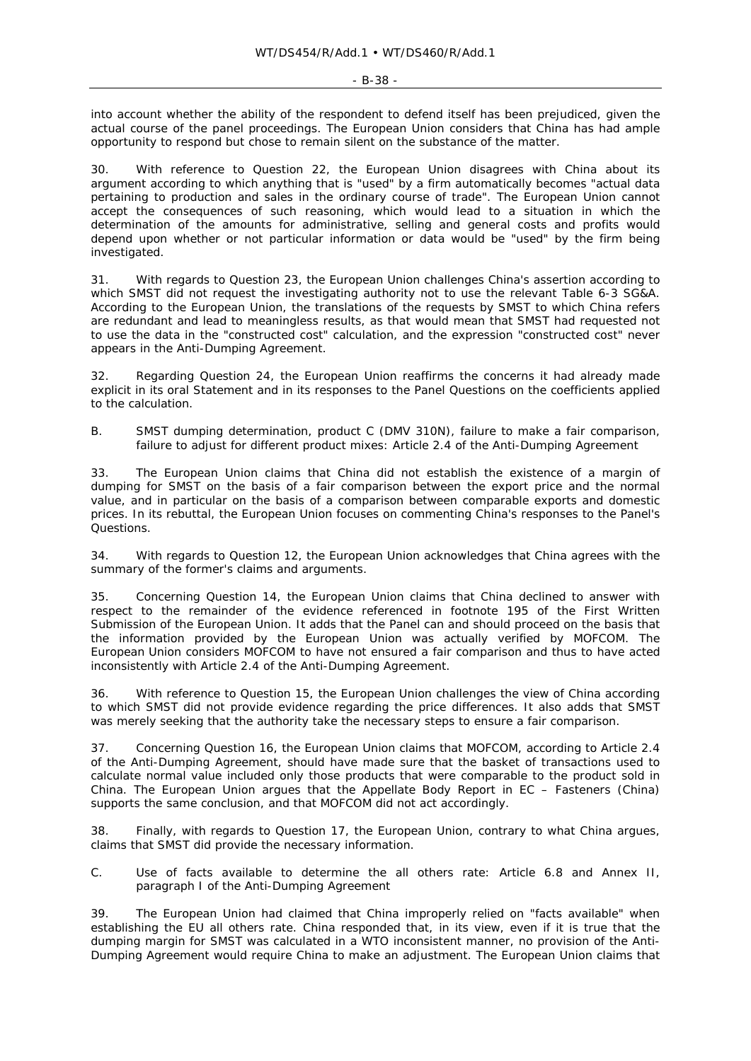- B-38 -

into account whether the ability of the respondent to defend itself has been prejudiced, given the actual course of the panel proceedings. The European Union considers that China has had ample opportunity to respond but chose to remain silent on the substance of the matter.

With reference to Question 22, the European Union disagrees with China about its argument according to which anything that is "used" by a firm automatically becomes "actual data pertaining to production and sales in the ordinary course of trade". The European Union cannot accept the consequences of such reasoning, which would lead to a situation in which the determination of the amounts for administrative, selling and general costs and profits would depend upon whether or not particular information or data would be "used" by the firm being investigated.

31. With regards to Question 23, the European Union challenges China's assertion according to which SMST did not request the investigating authority not to use the relevant Table 6-3 SG&A. According to the European Union, the translations of the requests by SMST to which China refers are redundant and lead to meaningless results, as that would mean that SMST had requested not to use the data in the "constructed cost" calculation, and the expression "constructed cost" never appears in the Anti-Dumping Agreement.

32. Regarding Question 24, the European Union reaffirms the concerns it had already made explicit in its oral Statement and in its responses to the Panel Questions on the coefficients applied to the calculation.

*B. SMST dumping determination, product C (DMV 310N), failure to make a fair comparison, failure to adjust for different product mixes: Article 2.4 of the Anti-Dumping Agreement* 

33. The European Union claims that China did not establish the existence of a margin of dumping for SMST on the basis of a fair comparison between the export price and the normal value, and in particular on the basis of a comparison between comparable exports and domestic prices. In its rebuttal, the European Union focuses on commenting China's responses to the Panel's Questions.

34. With regards to Question 12, the European Union acknowledges that China agrees with the summary of the former's claims and arguments.

35. Concerning Question 14, the European Union claims that China declined to answer with respect to the remainder of the evidence referenced in footnote 195 of the First Written Submission of the European Union. It adds that the Panel can and should proceed on the basis that the information provided by the European Union was actually verified by MOFCOM. The European Union considers MOFCOM to have not ensured a fair comparison and thus to have acted inconsistently with Article 2.4 of the Anti-Dumping Agreement.

36. With reference to Question 15, the European Union challenges the view of China according to which SMST did not provide evidence regarding the price differences. It also adds that SMST was merely seeking that the authority take the necessary steps to ensure a fair comparison.

37. Concerning Question 16, the European Union claims that MOFCOM, according to Article 2.4 of the Anti-Dumping Agreement, should have made sure that the basket of transactions used to calculate normal value included only those products that were comparable to the product sold in China. The European Union argues that the Appellate Body Report in *EC – Fasteners (China)* supports the same conclusion, and that MOFCOM did not act accordingly.

38. Finally, with regards to Question 17, the European Union, contrary to what China argues, claims that SMST did provide the necessary information.

*C. Use of facts available to determine the all others rate: Article 6.8 and Annex II, paragraph I of the Anti-Dumping Agreement* 

39. The European Union had claimed that China improperly relied on "facts available" when establishing the EU all others rate. China responded that, in its view, even if it is true that the dumping margin for SMST was calculated in a WTO inconsistent manner, no provision of the Anti-Dumping Agreement would require China to make an adjustment. The European Union claims that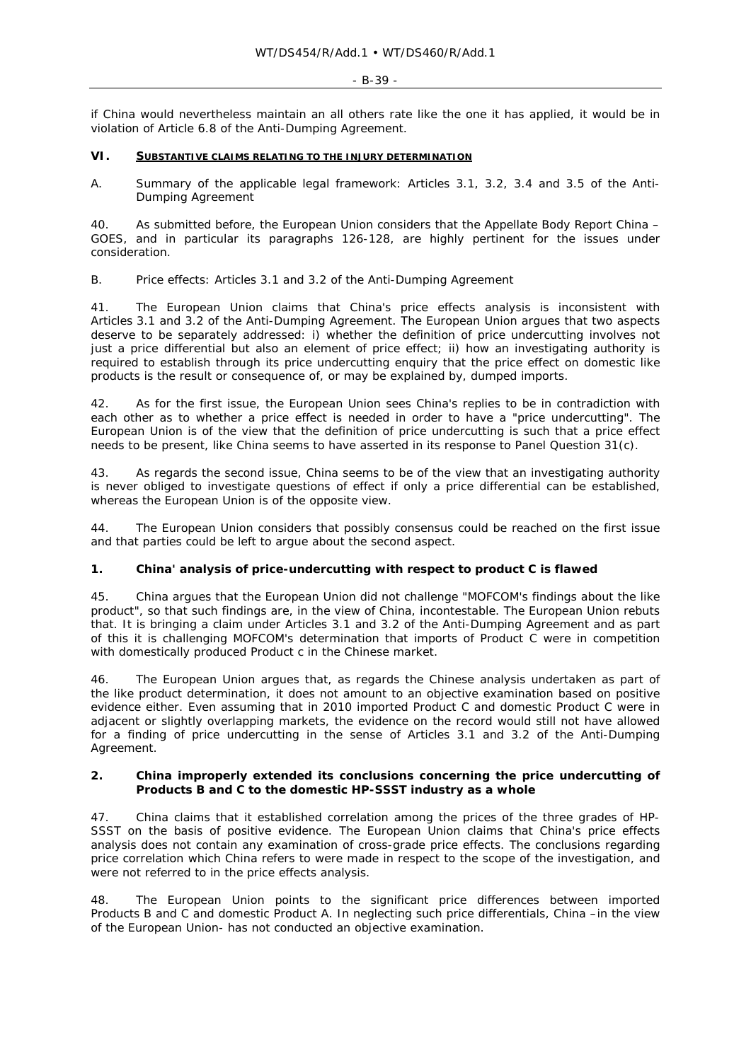#### - B-39 -

if China would nevertheless maintain an all others rate like the one it has applied, it would be in violation of Article 6.8 of the Anti-Dumping Agreement.

## **VI. SUBSTANTIVE CLAIMS RELATING TO THE INJURY DETERMINATION**

*A. Summary of the applicable legal framework: Articles 3.1, 3.2, 3.4 and 3.5 of the Anti-Dumping Agreement* 

40. As submitted before, the European Union considers that the Appellate Body Report *China – GOES*, and in particular its paragraphs 126-128, are highly pertinent for the issues under consideration.

# *B. Price effects: Articles 3.1 and 3.2 of the Anti-Dumping Agreement*

41. The European Union claims that China's price effects analysis is inconsistent with Articles 3.1 and 3.2 of the Anti-Dumping Agreement. The European Union argues that two aspects deserve to be separately addressed: i) whether the definition of price undercutting involves not just a price differential but also an element of price effect; ii) *how* an investigating authority is required to establish through its price undercutting enquiry that the price effect on domestic like products is the result or consequence of, or may be explained by, dumped imports.

42. As for the first issue, the European Union sees China's replies to be in contradiction with each other as to whether a price effect is needed in order to have a "price undercutting". The European Union is of the view that the definition of price undercutting is such that a price effect needs to be present, like China seems to have asserted in its response to Panel Question 31(c).

43. As regards the second issue, China seems to be of the view that an investigating authority is never obliged to investigate questions of effect if only a price differential can be established, whereas the European Union is of the opposite view.

44. The European Union considers that possibly consensus could be reached on the first issue and that parties could be left to argue about the second aspect.

## **1. China' analysis of price-undercutting with respect to product C is flawed**

45. China argues that the European Union did not challenge "MOFCOM's findings about the like product", so that such findings are, in the view of China, incontestable. The European Union rebuts that. It is bringing a claim under Articles 3.1 and 3.2 of the Anti-Dumping Agreement and as part of this it is challenging MOFCOM's determination that imports of Product C were in competition with domestically produced Product c in the Chinese market.

46. The European Union argues that, as regards the Chinese analysis undertaken as part of the like product determination, it does not amount to an objective examination based on positive evidence either. Even assuming that in 2010 imported Product C and domestic Product C were in adjacent or slightly overlapping markets, the evidence on the record would still not have allowed for a finding of price undercutting in the sense of Articles 3.1 and 3.2 of the Anti-Dumping Agreement.

#### **2. China improperly extended its conclusions concerning the price undercutting of Products B and C to the domestic HP-SSST industry as a whole**

47. China claims that it established correlation among the prices of the three grades of HP-SSST on the basis of positive evidence. The European Union claims that China's price effects analysis does not contain any examination of cross-grade price effects. The conclusions regarding price correlation which China refers to were made in respect to the scope of the investigation, and were not referred to in the price effects analysis.

48. The European Union points to the significant price differences between imported Products B and C and domestic Product A. In neglecting such price differentials, China –in the view of the European Union- has not conducted an objective examination.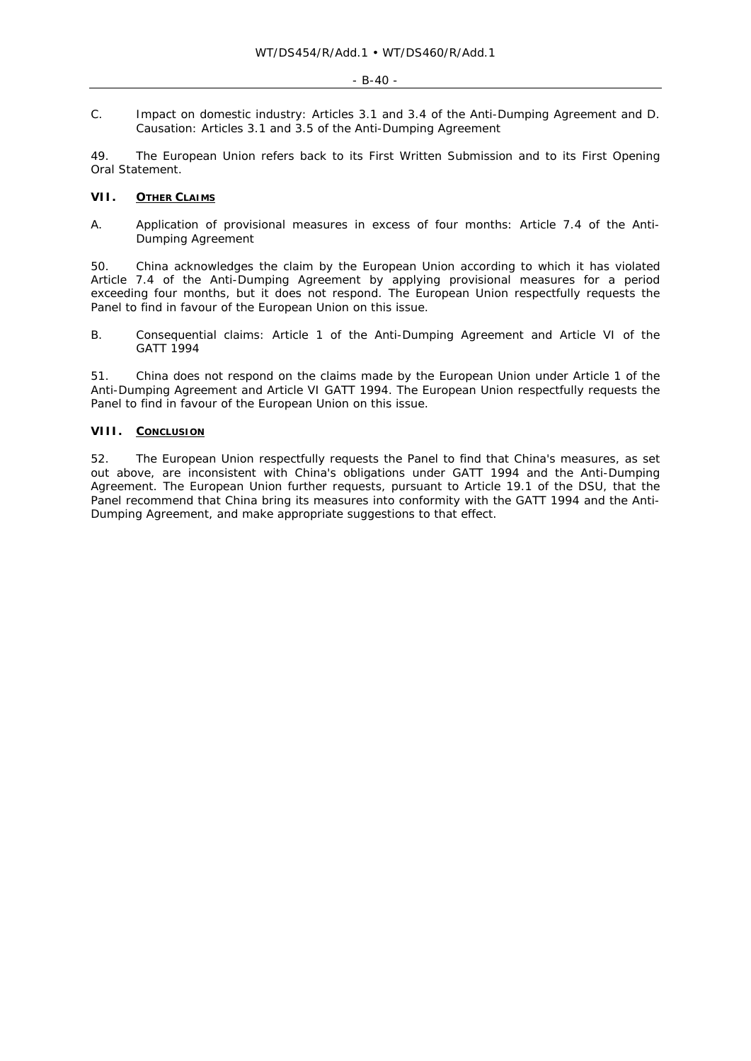*C. Impact on domestic industry: Articles 3.1 and 3.4 of the Anti-Dumping Agreement and D. Causation: Articles 3.1 and 3.5 of the Anti-Dumping Agreement* 

49. The European Union refers back to its First Written Submission and to its First Opening Oral Statement.

## **VII. OTHER CLAIMS**

*A. Application of provisional measures in excess of four months: Article 7.4 of the Anti-Dumping Agreement* 

50. China acknowledges the claim by the European Union according to which it has violated Article 7.4 of the Anti-Dumping Agreement by applying provisional measures for a period exceeding four months, but it does not respond. The European Union respectfully requests the Panel to find in favour of the European Union on this issue.

*B. Consequential claims: Article 1 of the Anti-Dumping Agreement and Article VI of the GATT 1994* 

51. China does not respond on the claims made by the European Union under Article 1 of the Anti-Dumping Agreement and Article VI GATT 1994. The European Union respectfully requests the Panel to find in favour of the European Union on this issue.

## **VIII. CONCLUSION**

52. The European Union respectfully requests the Panel to find that China's measures, as set out above, are inconsistent with China's obligations under GATT 1994 and the Anti-Dumping Agreement. The European Union further requests, pursuant to Article 19.1 of the DSU, that the Panel recommend that China bring its measures into conformity with the GATT 1994 and the Anti-Dumping Agreement, and make appropriate suggestions to that effect.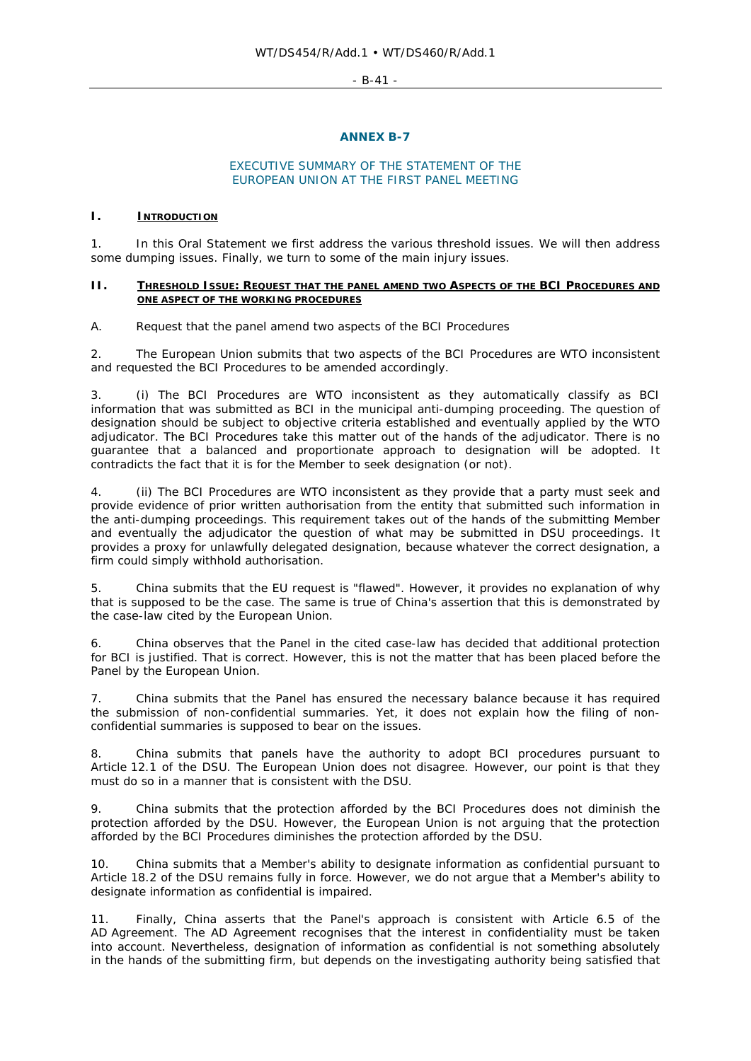$-$  R-41  $-$ 

## **ANNEX B-7**

## EXECUTIVE SUMMARY OF THE STATEMENT OF THE EUROPEAN UNION AT THE FIRST PANEL MEETING

#### **I. INTRODUCTION**

1. In this Oral Statement we first address the various threshold issues. We will then address some dumping issues. Finally, we turn to some of the main injury issues.

#### **II. THRESHOLD ISSUE: REQUEST THAT THE PANEL AMEND TWO ASPECTS OF THE BCI PROCEDURES AND ONE ASPECT OF THE WORKING PROCEDURES**

#### *A. Request that the panel amend two aspects of the BCI Procedures*

2. The European Union submits that two aspects of the BCI Procedures are WTO inconsistent and requested the BCI Procedures to be amended accordingly.

3. (i) The BCI Procedures are WTO inconsistent as they automatically classify as BCI information that was submitted as BCI in the municipal anti-dumping proceeding. The question of designation should be subject to objective criteria established and eventually applied by the WTO adjudicator. The BCI Procedures take this matter out of the hands of the adjudicator. There is no guarantee that a balanced and proportionate approach to designation will be adopted. It contradicts the fact that it is for the Member to seek designation (or not).

4. (ii) The BCI Procedures are WTO inconsistent as they provide that a party must seek and provide evidence of prior written authorisation from the entity that submitted such information in the anti-dumping proceedings. This requirement takes out of the hands of the submitting Member and eventually the adjudicator the question of what may be submitted in DSU proceedings. It provides a proxy for unlawfully delegated designation, because whatever the correct designation, a firm could simply withhold authorisation.

5. China submits that the EU request is "flawed". However, it provides no explanation of why that is supposed to be the case. The same is true of China's assertion that this is demonstrated by the case-law cited by the European Union.

6. China observes that the Panel in the cited case-law has decided that additional protection for BCI is justified. That is correct. However, this is not the matter that has been placed before the Panel by the European Union.

7. China submits that the Panel has ensured the necessary balance because it has required the submission of non-confidential summaries. Yet, it does not explain how the filing of nonconfidential summaries is supposed to bear on the issues.

8. China submits that panels have the authority to adopt BCI procedures pursuant to Article 12.1 of the DSU. The European Union does not disagree. However, our point is that they must do so in a manner that is consistent with the DSU.

9. China submits that the protection afforded by the BCI Procedures does not diminish the protection afforded by the DSU. However, the European Union is not arguing that the protection afforded by the BCI Procedures diminishes the protection afforded by the DSU.

10. China submits that a Member's ability to designate information as confidential pursuant to Article 18.2 of the DSU remains fully in force. However, we do not argue that a Member's ability to designate information as confidential is impaired.

Finally, China asserts that the Panel's approach is consistent with Article 6.5 of the AD Agreement. The AD Agreement recognises that the interest in confidentiality must be taken into account. Nevertheless, designation of information as confidential is not something absolutely in the hands of the submitting firm, but depends on the investigating authority being satisfied that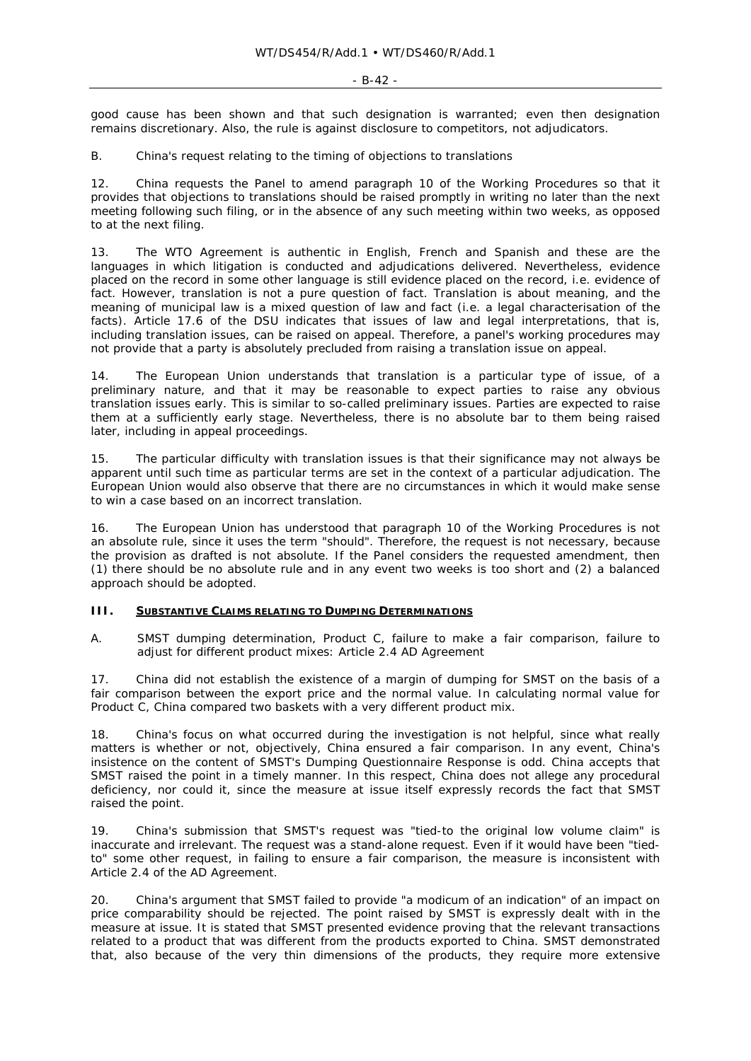good cause has been shown and that such designation is warranted; even then designation remains discretionary. Also, the rule is against disclosure to competitors, not adjudicators.

## *B. China's request relating to the timing of objections to translations*

12. China requests the Panel to amend paragraph 10 of the Working Procedures so that it provides that objections to translations should be raised promptly in writing no later than the next meeting following such filing, or in the absence of any such meeting within two weeks, as opposed to at the next filing.

13. The WTO Agreement is authentic in English, French and Spanish and these are the languages in which litigation is conducted and adjudications delivered. Nevertheless, evidence placed on the record in some other language is still evidence placed on the record, i.e. evidence of fact. However, translation is not a pure question of fact. Translation is about meaning, and the meaning of municipal law is a mixed question of law and fact (i.e. a legal characterisation of the facts). Article 17.6 of the DSU indicates that issues of law and legal interpretations, that is, including translation issues, can be raised on appeal. Therefore, a panel's working procedures may not provide that a party is absolutely precluded from raising a translation issue on appeal.

14. The European Union understands that translation is a particular type of issue, of a preliminary nature, and that it may be reasonable to expect parties to raise any obvious translation issues early. This is similar to so-called preliminary issues. Parties are expected to raise them at a sufficiently early stage. Nevertheless, there is no absolute bar to them being raised later, including in appeal proceedings.

15. The particular difficulty with translation issues is that their significance may not always be apparent until such time as particular terms are set in the context of a particular adjudication. The European Union would also observe that there are no circumstances in which it would make sense to win a case based on an incorrect translation.

16. The European Union has understood that paragraph 10 of the Working Procedures is not an absolute rule, since it uses the term "should". Therefore, the request is not necessary, because the provision as drafted is not absolute. If the Panel considers the requested amendment, then (1) there should be no absolute rule and in any event two weeks is too short and (2) a balanced approach should be adopted.

#### **III. SUBSTANTIVE CLAIMS RELATING TO DUMPING DETERMINATIONS**

*A. SMST dumping determination, Product C, failure to make a fair comparison, failure to adjust for different product mixes: Article 2.4 AD Agreement* 

17. China did not establish the existence of a margin of dumping for SMST on the basis of a fair comparison between the export price and the normal value. In calculating normal value for Product C, China compared two baskets with a very different product mix.

18. China's focus on what occurred during the investigation is not helpful, since what really matters is whether or not, objectively, China ensured a fair comparison. In any event, China's insistence on the content of SMST's Dumping Questionnaire Response is odd. China accepts that SMST raised the point in a timely manner. In this respect, China does not allege any procedural deficiency, nor could it, since the measure at issue itself expressly records the fact that SMST raised the point.

19. China's submission that SMST's request was "tied-to the original low volume claim" is inaccurate and irrelevant. The request was a stand-alone request. Even if it would have been "tiedto" some other request, in failing to ensure a fair comparison, the measure is inconsistent with Article 2.4 of the AD Agreement.

20. China's argument that SMST failed to provide "a modicum of an indication" of an impact on price comparability should be rejected. The point raised by SMST is expressly dealt with in the measure at issue. It is stated that SMST presented *evidence proving* that the relevant transactions related to a product that was *different* from the products exported to China. SMST demonstrated that, also because of the very thin dimensions of the products, they require more extensive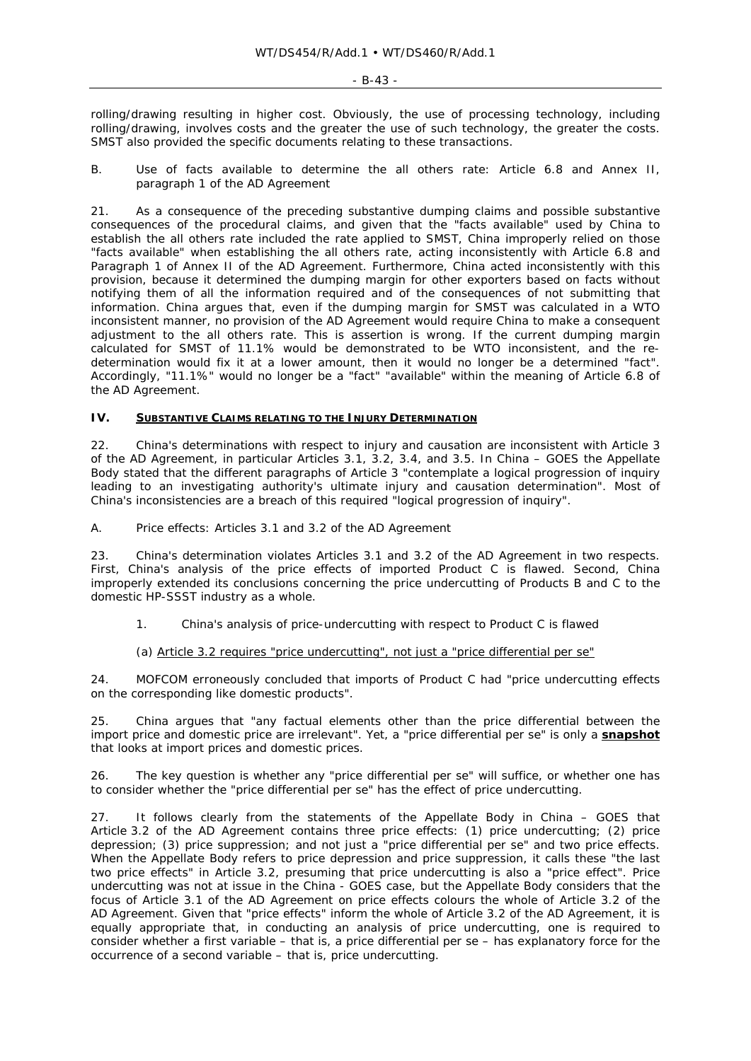#### $-B-43 -$

rolling/drawing resulting in higher cost. Obviously, the use of processing technology, including rolling/drawing, involves costs and the greater the use of such technology, the greater the costs. SMST also provided the specific documents relating to these transactions.

#### *B. Use of facts available to determine the all others rate: Article 6.8 and Annex II, paragraph 1 of the AD Agreement*

21. As a consequence of the preceding substantive dumping claims and possible substantive consequences of the procedural claims, and given that the "facts available" used by China to establish the all others rate included the rate applied to SMST, China improperly relied on those "facts available" when establishing the all others rate, acting inconsistently with Article 6.8 and Paragraph 1 of Annex II of the AD Agreement. Furthermore, China acted inconsistently with this provision, because it determined the dumping margin for other exporters based on facts without notifying them of all the information required and of the consequences of not submitting that information. China argues that, even if the dumping margin for SMST was calculated in a WTO inconsistent manner, *no provision* of the AD Agreement would require China to make a consequent adjustment to the all others rate. This is assertion is wrong. If the current dumping margin calculated for SMST of 11.1% would be demonstrated to be WTO inconsistent, and the redetermination would fix it at a lower amount, then it would no longer be a determined "fact". Accordingly, "11.1%" would no longer be a "fact" "available" within the meaning of Article 6.8 of the AD Agreement.

## **IV. SUBSTANTIVE CLAIMS RELATING TO THE INJURY DETERMINATION**

22. China's determinations with respect to injury and causation are inconsistent with Article 3 of the AD Agreement, in particular Articles 3.1, 3.2, 3.4, and 3.5. In *China – GOES* the Appellate Body stated that the different paragraphs of Article 3 "contemplate a logical progression of inquiry leading to an investigating authority's ultimate injury and causation determination". Most of China's inconsistencies are a breach of this required "logical progression of inquiry".

#### *A. Price effects: Articles 3.1 and 3.2 of the AD Agreement*

23. China's determination violates Articles 3.1 and 3.2 of the AD Agreement in two respects. First, China's analysis of the price effects of imported Product C is flawed. Second, China improperly extended its conclusions concerning the price undercutting of Products B and C to the domestic HP-SSST industry as a whole.

#### *1. China's analysis of price-undercutting with respect to Product C is flawed*

#### (a) Article 3.2 requires "price undercutting", not just a "price differential *per se*"

24. MOFCOM erroneously concluded that imports of Product C had "price undercutting effects on the corresponding like domestic products".

25. China argues that "any factual elements other than the price differential between the import price and domestic price are irrelevant". Yet, a "price differential *per se*" is only a **snapshot** that looks at import prices and domestic prices.

26. The key question is whether any "price differential *per se*" will suffice, or whether one has to consider whether the "price differential *per se*" has the effect of price undercutting.

27. It follows clearly from the statements of the Appellate Body in *China – GOES* that Article 3.2 of the AD Agreement contains *three* price *effects*: (1) price undercutting; (2) price depression; (3) price suppression; and not just a "price differential *per se*" and two price effects. When the Appellate Body refers to price depression and price suppression, it calls these "the last two price effects" in Article 3.2, presuming that price undercutting is also a "price effect". Price undercutting was not at issue in the *China - GOES* case, but the Appellate Body considers that the focus of Article 3.1 of the AD Agreement on price effects colours the whole of Article 3.2 of the AD Agreement. Given that "price effects" inform the whole of Article 3.2 of the AD Agreement, it is equally appropriate that, in conducting an analysis of price undercutting, one is required to consider whether a first variable – that is, a price differential *per se* – has explanatory force for the occurrence of a second variable – that is, price undercutting.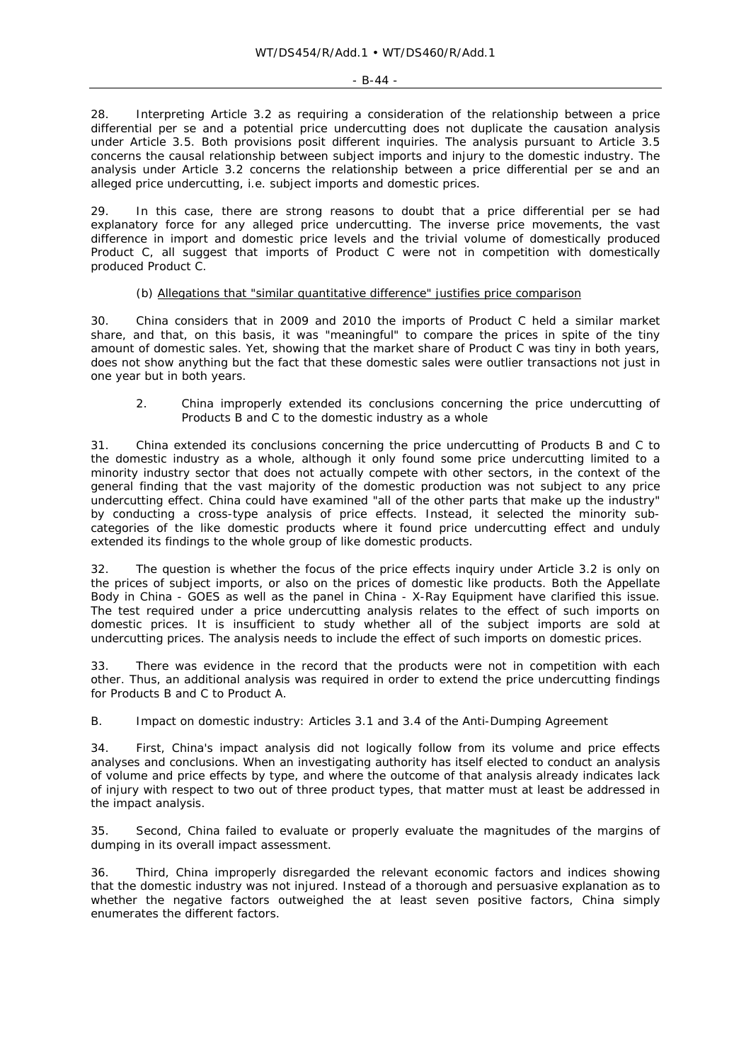#### $-$  B-44  $-$

28. Interpreting Article 3.2 as requiring a consideration of the relationship between a price differential *per se* and a potential price undercutting does not duplicate the causation analysis under Article 3.5. Both provisions posit different inquiries. The analysis pursuant to Article 3.5 concerns the causal relationship between subject imports and injury to the domestic industry. The analysis under Article 3.2 concerns the relationship between a price differential *per se* and an alleged price undercutting, i.e. subject imports and domestic prices.

29. In this case, there are strong reasons to doubt that a price differential *per se* had explanatory force for any alleged price undercutting. The inverse price movements, the vast difference in import and domestic price levels and the trivial volume of domestically produced Product C, all suggest that imports of Product C were not in competition with domestically produced Product C.

## (b) Allegations that "similar quantitative difference" justifies price comparison

30. China considers that in 2009 and 2010 the imports of Product C held a similar market share, and that, on this basis, it was "meaningful" to compare the prices in spite of the tiny amount of domestic sales. Yet, showing that the market share of Product C was tiny in both years, does not show anything but the fact that these domestic sales were outlier transactions not just in one year but in both years.

#### *2. China improperly extended its conclusions concerning the price undercutting of Products B and C to the domestic industry as a whole*

31. China extended its conclusions concerning the price undercutting of Products B and C to the domestic industry as a whole, although it only found some price undercutting limited to a minority industry sector that does not actually compete with other sectors, in the context of the general finding that the vast majority of the domestic production was not subject to any price undercutting effect. China could have examined "all of the other parts that make up the industry" by conducting a cross-type analysis of price effects. Instead, it selected the minority subcategories of the like domestic products where it found price undercutting effect and unduly extended its findings to the whole group of like domestic products.

32. The question is whether the focus of the price effects inquiry under Article 3.2 is only on the prices of subject imports, or also on the prices of domestic like products. Both the Appellate Body in *China - GOES* as well as the panel in *China - X-Ray Equipment* have clarified this issue. The test required under a price undercutting analysis relates to the effect of such imports on domestic prices. It is insufficient to study whether all of the subject imports are sold at undercutting prices. The analysis needs to include the effect of such imports on domestic prices.

33. There was evidence in the record that the products were not in competition with each other. Thus, an additional analysis was required in order to extend the price undercutting findings for Products B and C to Product A.

## *B. Impact on domestic industry: Articles 3.1 and 3.4 of the Anti-Dumping Agreement*

34. First, China's impact analysis did not logically follow from its volume and price effects analyses and conclusions. When an investigating authority has itself elected to conduct an analysis of volume and price effects by type, and where the outcome of that analysis already indicates lack of injury with respect to two out of three product types, that matter must at least be addressed in the impact analysis.

35. Second, China failed to evaluate or properly evaluate the magnitudes of the margins of dumping in its overall impact assessment.

36. Third, China improperly disregarded the relevant economic factors and indices showing that the domestic industry was not injured. Instead of a thorough and persuasive explanation as to whether the negative factors outweighed the at least seven positive factors, China simply enumerates the different factors.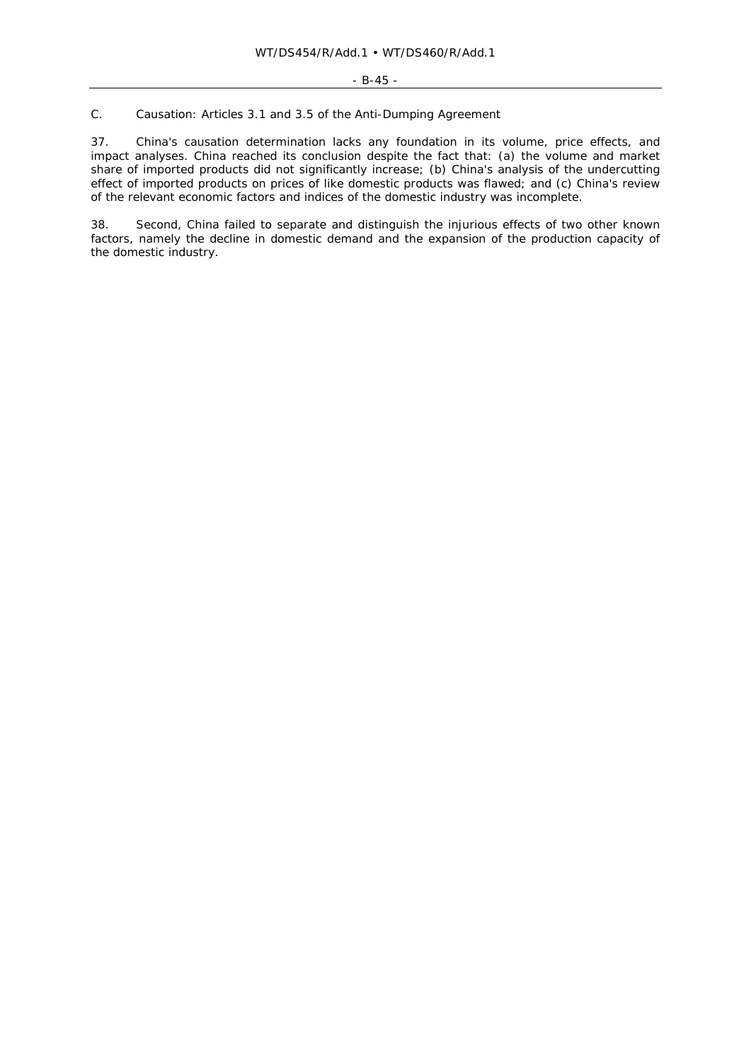## *C. Causation: Articles 3.1 and 3.5 of the Anti-Dumping Agreement*

37. China's causation determination lacks any foundation in its volume, price effects, and impact analyses. China reached its conclusion despite the fact that: (a) the volume and market share of imported products did not significantly increase; (b) China's analysis of the undercutting effect of imported products on prices of like domestic products was flawed; and (c) China's review of the relevant economic factors and indices of the domestic industry was incomplete.

38. Second, China failed to separate and distinguish the injurious effects of two other known factors, namely the decline in domestic demand and the expansion of the production capacity of the domestic industry.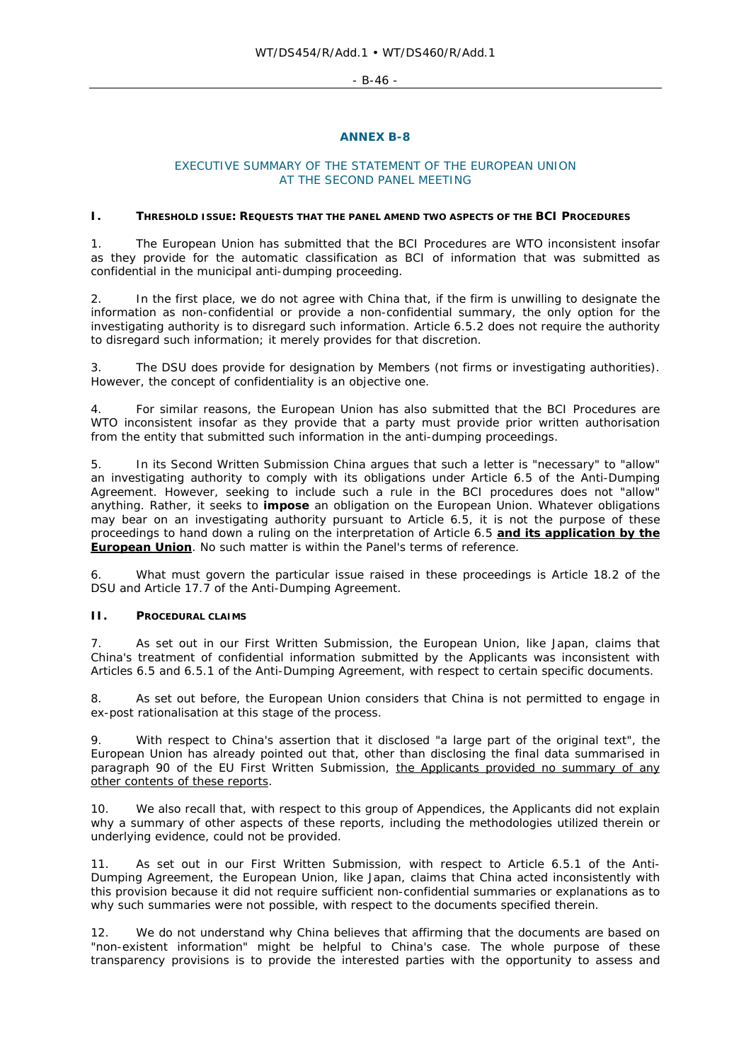$-$  B-46  $-$ 

## **ANNEX B-8**

## EXECUTIVE SUMMARY OF THE STATEMENT OF THE EUROPEAN UNION AT THE SECOND PANEL MEETING

#### **I. THRESHOLD ISSUE: REQUESTS THAT THE PANEL AMEND TWO ASPECTS OF THE BCI PROCEDURES**

1. The European Union has submitted that the BCI Procedures are WTO inconsistent insofar as they provide for the automatic classification as BCI of information that was submitted as confidential in the municipal anti-dumping proceeding.

2. In the first place, we do not agree with China that, if the firm is unwilling to designate the information as non-confidential or provide a non-confidential summary, the only option for the investigating authority is to disregard such information. Article 6.5.2 does not *require* the authority to disregard such information; it merely provides for that *discretion*.

The DSU does provide for designation by Members (not firms or investigating authorities). However, the concept of confidentiality is an objective one.

4. For similar reasons, the European Union has also submitted that the BCI Procedures are WTO inconsistent insofar as they provide that a party must provide prior written authorisation from the entity that submitted such information in the anti-dumping proceedings.

5. In its Second Written Submission China argues that such a letter is "necessary" to "allow" an investigating authority to comply with its obligations under Article 6.5 of the Anti-Dumping Agreement. However, seeking to include such a rule in the BCI procedures does not "allow" anything. Rather, it seeks to *impose* an obligation on the European Union. Whatever obligations may bear on an investigating authority pursuant to Article 6.5, it is not the purpose of these proceedings to hand down a ruling on the interpretation of Article 6.5 *and its application by the European Union*. No such matter is within the Panel's terms of reference.

6. What must govern the particular issue raised in *these proceedings* is Article 18.2 of the DSU and Article 17.7 of the Anti-Dumping Agreement.

# **II. PROCEDURAL CLAIMS**

7. As set out in our First Written Submission, the European Union, like Japan, claims that China's treatment of confidential information submitted by the Applicants was inconsistent with Articles 6.5 and 6.5.1 of the Anti-Dumping Agreement, with respect to certain specific documents.

8. As set out before, the European Union considers that China is not permitted to engage in *ex-post* rationalisation at this stage of the process.

9. With respect to China's assertion that it disclosed "a large part of the original text", the European Union has already pointed out that, other than disclosing the final data summarised in paragraph 90 of the EU First Written Submission, the Applicants provided no summary of any other contents of these reports.

10. We also recall that, with respect to this group of Appendices, the Applicants did not explain why a summary of other aspects of these reports, including the methodologies utilized therein or underlying evidence, could not be provided.

11. As set out in our First Written Submission, with respect to Article 6.5.1 of the Anti-Dumping Agreement, the European Union, like Japan, claims that China acted inconsistently with this provision because it did not require sufficient non-confidential summaries or explanations as to why such summaries were not possible, with respect to the documents specified therein.

12. We do not understand why China believes that affirming that the documents are based on "non-existent information" might be helpful to China's case. The whole purpose of these transparency provisions is to provide the interested parties with the opportunity to assess and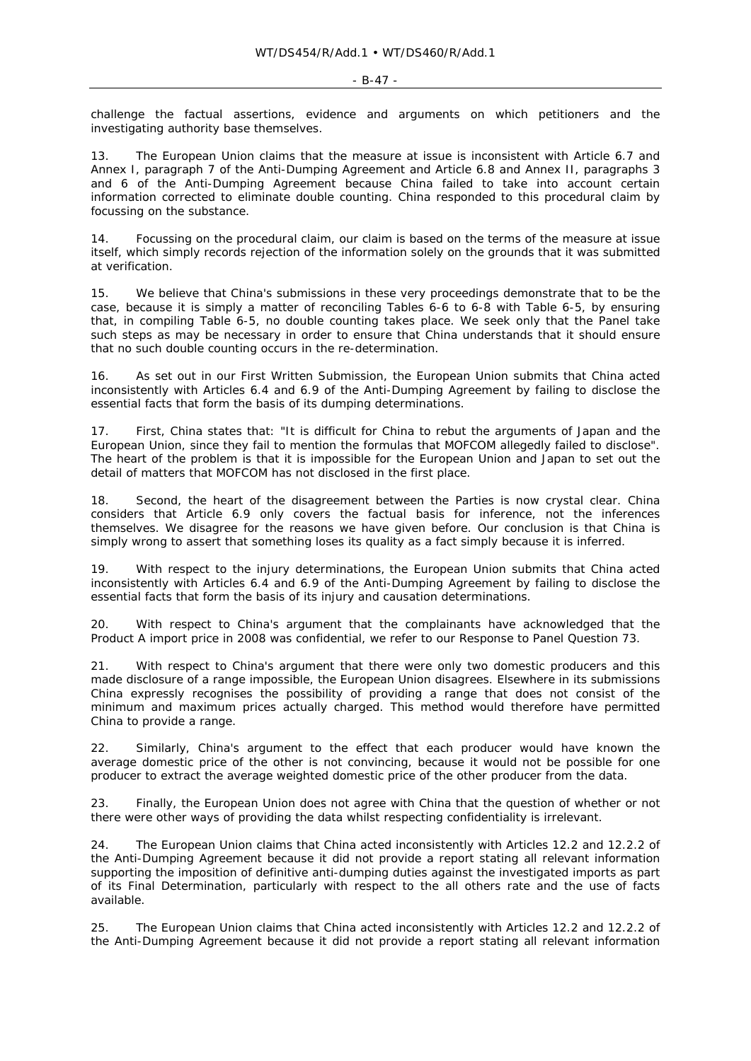challenge the factual assertions, evidence and arguments on which petitioners and the investigating authority base themselves.

13. The European Union claims that the measure at issue is inconsistent with Article 6.7 and Annex I, paragraph 7 of the Anti-Dumping Agreement and Article 6.8 and Annex II, paragraphs 3 and 6 of the Anti-Dumping Agreement because China failed to take into account certain information corrected to eliminate double counting. China responded to this *procedural* claim by focussing on the substance.

14. Focussing on the *procedural* claim, our claim is based on the terms of the measure at issue itself, which simply records rejection of the information *solely* on the grounds that it was submitted at verification.

15. We believe that China's submissions in these very proceedings demonstrate that to be the case, because it is simply a matter of reconciling Tables 6-6 to 6-8 with Table 6-5, by ensuring that, in compiling Table 6-5, no double counting takes place. We seek only that the Panel take such steps as may be necessary in order to ensure that China understands that it should ensure that no such double counting occurs in the re-determination.

16. As set out in our First Written Submission, the European Union submits that China acted inconsistently with Articles 6.4 and 6.9 of the Anti-Dumping Agreement by failing to disclose the essential facts that form the basis of its dumping determinations.

17. First, China states that: "It is difficult for China to rebut the arguments of Japan and the European Union, since they fail to mention the formulas that MOFCOM allegedly failed to disclose". The heart of the problem is that it is impossible for the European Union and Japan to set out the detail of matters that MOFCOM has not disclosed in the first place.

18. Second, the heart of the disagreement between the Parties is now crystal clear. China considers that Article 6.9 only covers the factual basis for inference, not the inferences themselves. We disagree for the reasons we have given before. Our conclusion is that China is simply wrong to assert that something loses its quality as a fact simply because it is inferred.

19. With respect to the injury determinations, the European Union submits that China acted inconsistently with Articles 6.4 and 6.9 of the Anti-Dumping Agreement by failing to disclose the essential facts that form the basis of its injury and causation determinations.

20. With respect to China's argument that the complainants have acknowledged that the Product A import price in 2008 was confidential, we refer to our Response to Panel Question 73.

21. With respect to China's argument that there were only two domestic producers and this made disclosure of a range impossible, the European Union disagrees. Elsewhere in its submissions China expressly recognises the possibility of providing a range that does not consist of the minimum and maximum prices actually charged. This method would therefore have permitted China to provide a range.

22. Similarly, China's argument to the effect that each producer would have known the average domestic price of the other is not convincing, because it would not be possible for one producer to extract the average *weighted* domestic price of the other producer from the data.

23. Finally, the European Union does not agree with China that the question of whether or not there were other ways of providing the data whilst respecting confidentiality is irrelevant.

24. The European Union claims that China acted inconsistently with Articles 12.2 and 12.2.2 of the Anti-Dumping Agreement because it did not provide a report stating all relevant information supporting the imposition of definitive anti-dumping duties against the investigated imports as part of its Final Determination, particularly with respect to the all others rate and the use of facts available.

25. The European Union claims that China acted inconsistently with Articles 12.2 and 12.2.2 of the Anti-Dumping Agreement because it did not provide a report stating all relevant information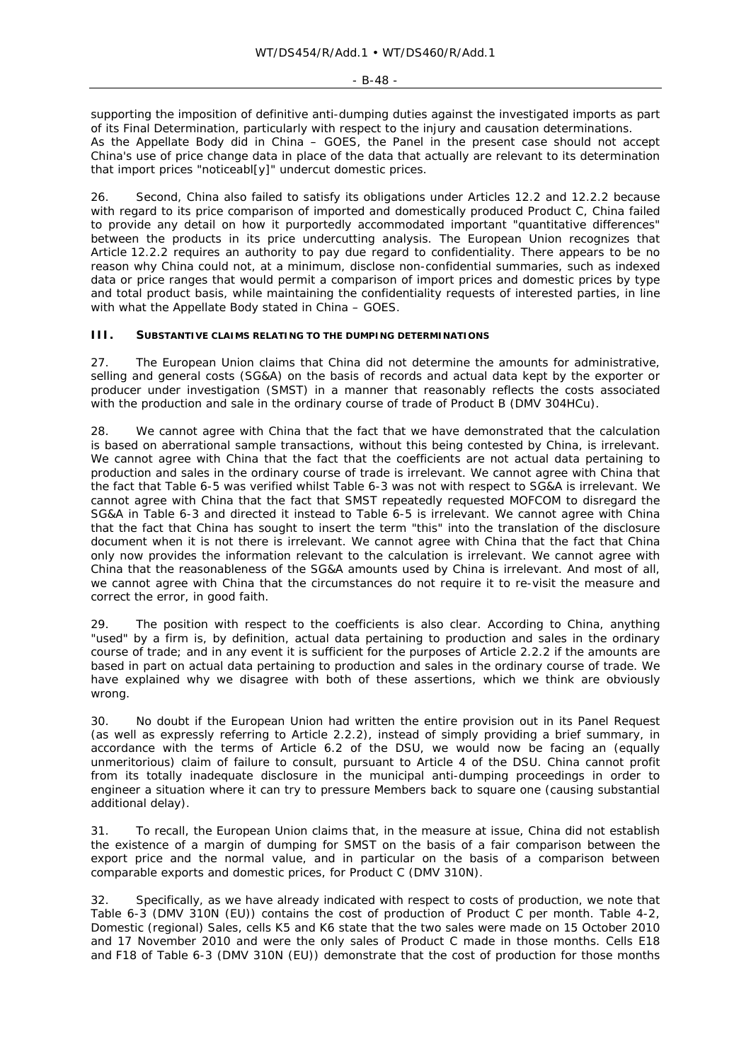supporting the imposition of definitive anti-dumping duties against the investigated imports as part of its Final Determination, particularly with respect to the injury and causation determinations. As the Appellate Body did in *China – GOES*, the Panel in the present case should not accept China's use of price change data in place of the data that actually are relevant to its determination that import prices "noticeabl[y]" undercut domestic prices.

26. Second, China also failed to satisfy its obligations under Articles 12.2 and 12.2.2 because with regard to its price comparison of imported and domestically produced Product C, China failed to provide any detail on how it purportedly accommodated important "quantitative differences" between the products in its price undercutting analysis. The European Union recognizes that Article 12.2.2 requires an authority to pay due regard to confidentiality. There appears to be no reason why China could not, at a minimum, disclose non-confidential summaries, such as indexed data or price ranges that would permit a comparison of import prices and domestic prices by type and total product basis, while maintaining the confidentiality requests of interested parties, in line with what the Appellate Body stated in *China – GOES.*

#### **III. SUBSTANTIVE CLAIMS RELATING TO THE DUMPING DETERMINATIONS**

27. The European Union claims that China did not determine the amounts for administrative, selling and general costs (SG&A) on the basis of records and actual data kept by the exporter or producer under investigation (SMST) in a manner that reasonably reflects the costs associated with the production and sale in the ordinary course of trade of Product B (DMV 304HCu).

28. We cannot agree with China that the fact that we have demonstrated that the calculation is based on aberrational sample transactions, without this being contested by China, is irrelevant. We cannot agree with China that the fact that the coefficients are not actual data pertaining to production and sales in the ordinary course of trade is irrelevant. We cannot agree with China that the fact that Table 6-5 was verified whilst Table 6-3 was not with respect to SG&A is irrelevant. We cannot agree with China that the fact that SMST repeatedly requested MOFCOM to disregard the SG&A in Table 6-3 and directed it instead to Table 6-5 is irrelevant. We cannot agree with China that the fact that China has sought to insert the term "this" into the translation of the disclosure document when it is not there is irrelevant. We cannot agree with China that the fact that China only now provides the information relevant to the calculation is irrelevant. We cannot agree with China that the reasonableness of the SG&A amounts used by China is irrelevant. And most of all, we cannot agree with China that the circumstances do not require it to re-visit the measure and correct the error, in good faith.

29. The position with respect to the coefficients is also clear. According to China, anything "used" by a firm is, by definition, actual data pertaining to production and sales in the ordinary course of trade; and in any event it is sufficient for the purposes of Article 2.2.2 if the amounts are based *in part* on actual data pertaining to production and sales in the ordinary course of trade. We have explained why we disagree with both of these assertions, which we think are obviously wrong.

30. No doubt if the European Union had written the entire provision out in its Panel Request (as well as expressly referring to Article 2.2.2), instead of simply providing a brief summary, in accordance with the terms of Article 6.2 of the DSU, we would now be facing an (equally unmeritorious) claim of failure to consult, pursuant to Article 4 of the DSU. China cannot profit from its totally inadequate disclosure in the municipal anti-dumping proceedings in order to engineer a situation where it can try to pressure Members back to square one (causing substantial additional delay).

31. To recall, the European Union claims that, in the measure at issue, China did not establish the existence of a margin of dumping for SMST on the basis of a fair comparison between the export price and the normal value, and in particular on the basis of a comparison between comparable exports and domestic prices, for Product C (DMV 310N).

32. Specifically, as we have already indicated with respect to costs of production, we note that Table 6-3 (DMV 310N (EU)) contains the cost of production of Product C per month. Table 4-2, Domestic (regional) Sales, cells K5 and K6 state that the two sales were made on 15 October 2010 and 17 November 2010 and were the only sales of Product C made in those months. Cells E18 and F18 of Table 6-3 (DMV 310N (EU)) demonstrate that the cost of production for those months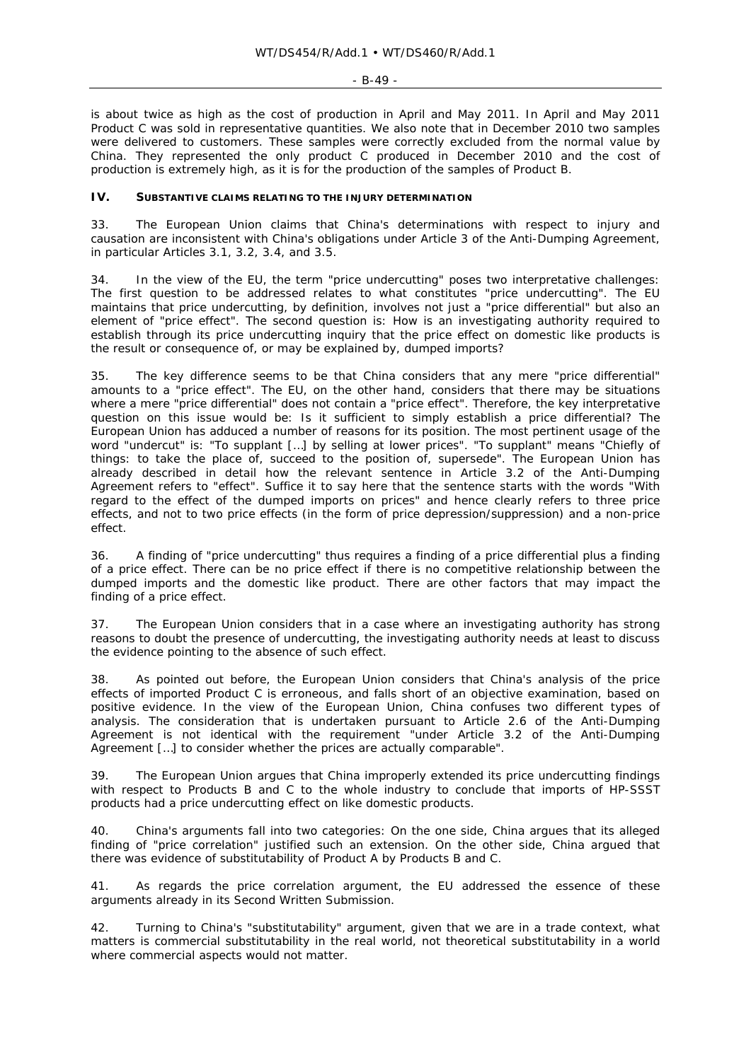#### - B-49 -

is about twice as high as the cost of production in April and May 2011. In April and May 2011 Product C was sold in representative quantities. We also note that in December 2010 two samples were delivered to customers. These samples were correctly excluded from the normal value by China. They represented the only product C produced in December 2010 and the cost of production is extremely high, as it is for the production of the samples of Product B.

#### **IV. SUBSTANTIVE CLAIMS RELATING TO THE INJURY DETERMINATION**

33. The European Union claims that China's determinations with respect to injury and causation are inconsistent with China's obligations under Article 3 of the Anti-Dumping Agreement, in particular Articles 3.1, 3.2, 3.4, and 3.5.

34. In the view of the EU, the term "price undercutting" poses two interpretative challenges: The first question to be addressed relates to what constitutes "price undercutting". The EU maintains that price undercutting, by definition, involves not just a "price differential" but also an element of "price effect". The second question is: *How* is an investigating authority required to establish through its price undercutting inquiry that the price effect on domestic like products is the result or consequence of, or may be explained by, dumped imports?

35. The key difference seems to be that China considers that any mere "price differential" amounts to a "price effect". The EU, on the other hand, considers that there may be situations where a mere "price differential" does not contain a "price effect". Therefore, the key interpretative question on this issue would be: Is it sufficient to simply establish a price differential? The European Union has adduced a number of reasons for its position. The most pertinent usage of the word "undercut" is: "To supplant […] by selling at lower prices". "To supplant" means "Chiefly of things: to take the place of, succeed to the position of, supersede". The European Union has already described in detail how the relevant sentence in Article 3.2 of the Anti-Dumping Agreement refers to "effect". Suffice it to say here that the sentence starts with the words "With regard to the effect of the dumped imports on prices" and hence clearly refers to three price effects, and not to two price effects (in the form of price depression/suppression) and a non-price effect.

36. A finding of "price undercutting" thus requires a finding of a price differential plus a finding of a price effect. There can be no price effect if there is no competitive relationship between the dumped imports and the domestic like product. There are other factors that may impact the finding of a price effect.

37. The European Union considers that in a case where an investigating authority has strong reasons to doubt the presence of undercutting, the investigating authority needs at least *to discuss* the evidence pointing to the absence of such effect.

38. As pointed out before, the European Union considers that China's analysis of the price effects of imported Product C is erroneous, and falls short of an objective examination, based on positive evidence. In the view of the European Union, China confuses two different types of analysis. The consideration that is undertaken pursuant to Article 2.6 of the Anti-Dumping Agreement is not identical with the requirement "under Article 3.2 of the Anti-Dumping Agreement […] to consider whether the prices are actually comparable".

39. The European Union argues that China improperly extended its price undercutting findings with respect to Products B and C to the whole industry to conclude that imports of HP-SSST products had a price undercutting effect on like domestic products.

40. China's arguments fall into two categories: On the one side, China argues that its alleged finding of "price correlation" justified such an extension. On the other side, China argued that there was evidence of substitutability of Product A by Products B and C.

41. As regards the price correlation argument, the EU addressed the essence of these arguments already in its Second Written Submission.

42. Turning to China's "substitutability" argument, given that we are in a trade context, what matters is *commercial substitutability* in the real world, not theoretical substitutability in a world where commercial aspects would not matter.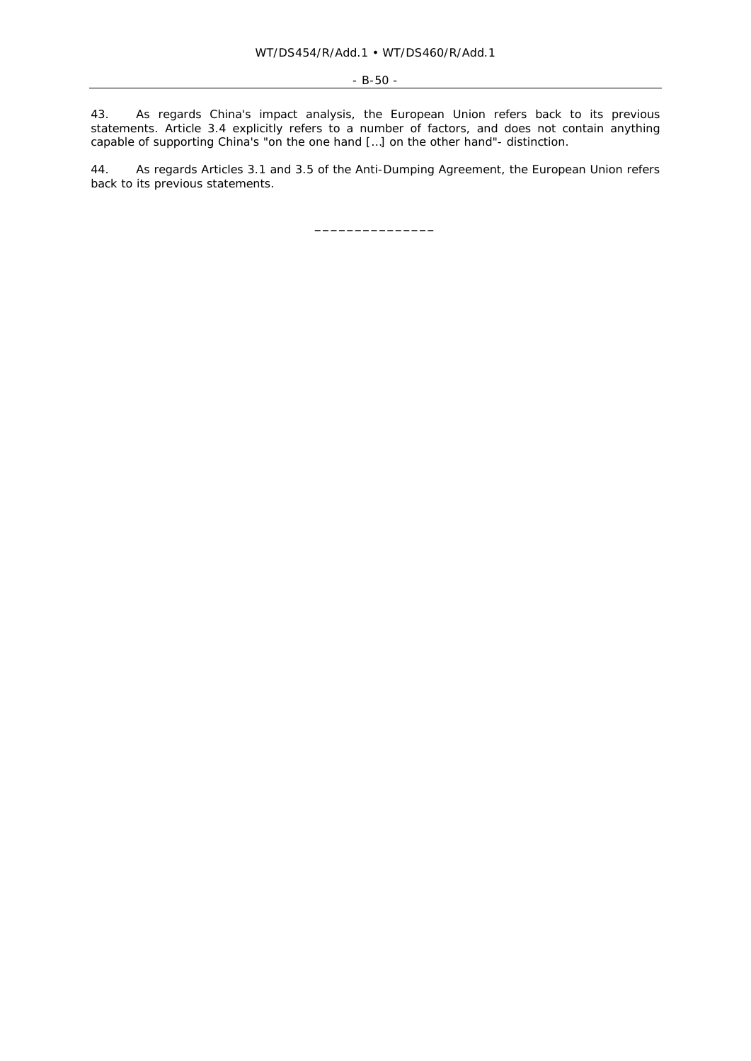43. As regards China's impact analysis, the European Union refers back to its previous statements. Article 3.4 explicitly refers to a number of factors, and does not contain anything capable of supporting China's "on the one hand […] on the other hand"- distinction.

44. As regards Articles 3.1 and 3.5 of the Anti-Dumping Agreement, the European Union refers back to its previous statements.

**\_\_\_\_\_\_\_\_\_\_\_\_\_\_\_**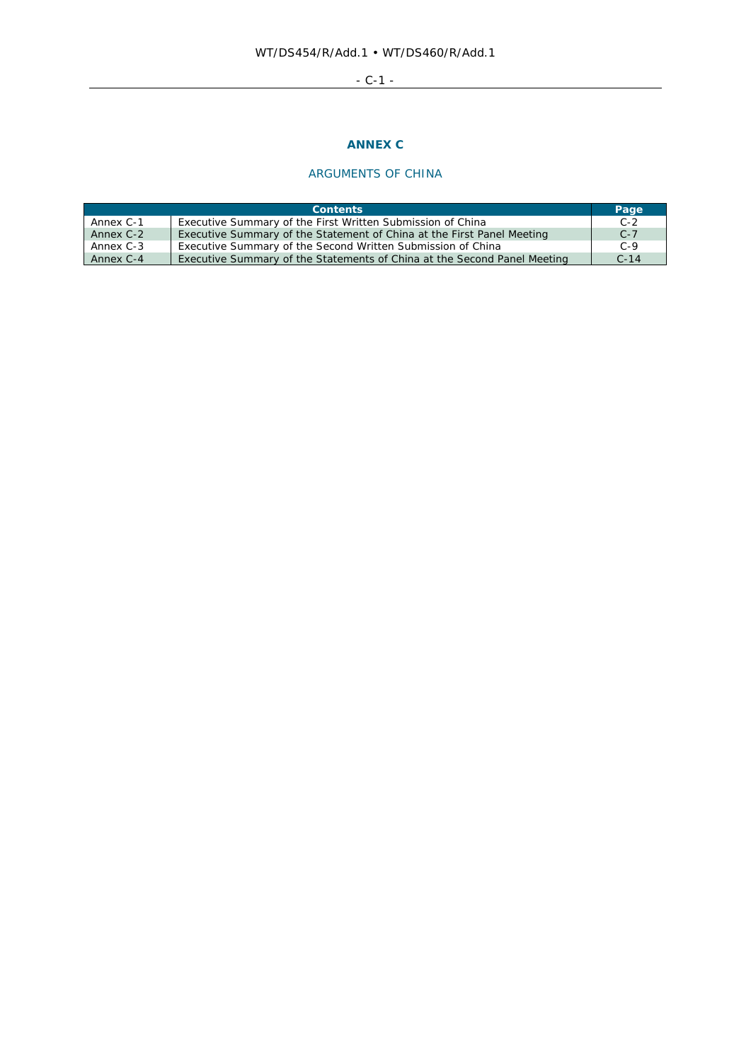# - C-1 -

# **ANNEX C**

# ARGUMENTS OF CHINA

| <b>Contents</b> |                                                                          |        |
|-----------------|--------------------------------------------------------------------------|--------|
| Annex C-1       | Executive Summary of the First Written Submission of China               | $C-2$  |
| Annex C-2       | Executive Summary of the Statement of China at the First Panel Meeting   | $C-7$  |
| Annex C-3       | Executive Summary of the Second Written Submission of China              | $C-9$  |
| Annex C-4       | Executive Summary of the Statements of China at the Second Panel Meeting | $C-14$ |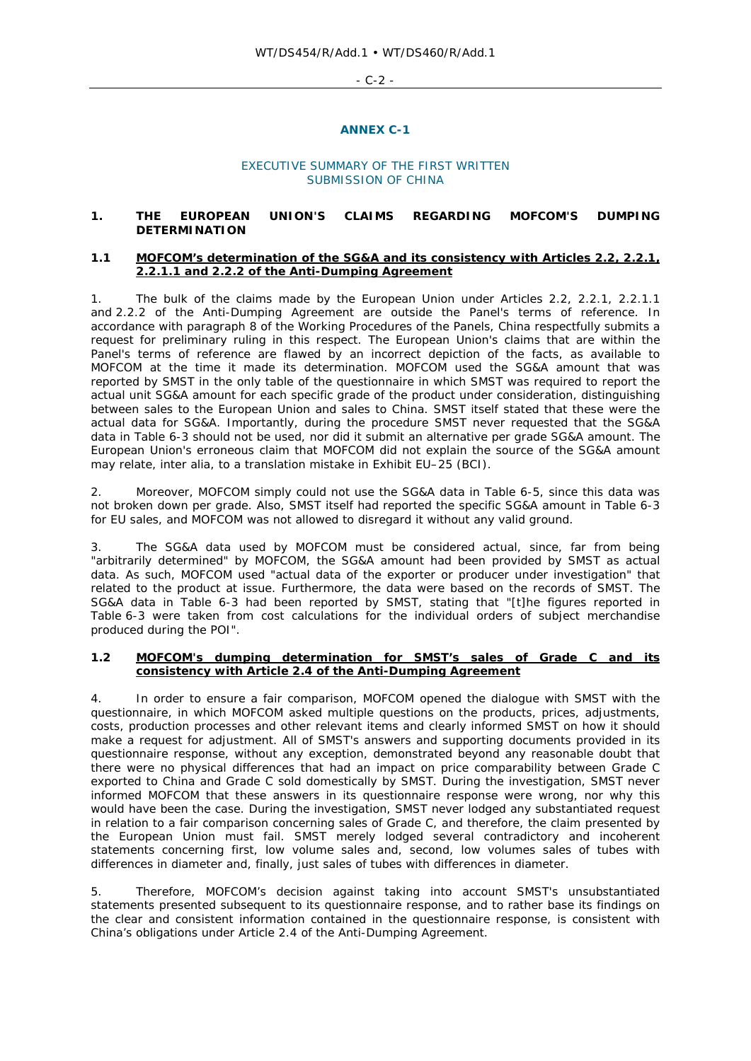- C-2 -

#### **ANNEX C-1**

#### EXECUTIVE SUMMARY OF THE FIRST WRITTEN SUBMISSION OF CHINA

## **1. THE EUROPEAN UNION'S CLAIMS REGARDING MOFCOM'S DUMPING DETERMINATION**

#### **1.1 MOFCOM's determination of the SG&A and its consistency with Articles 2.2, 2.2.1, 2.2.1.1 and 2.2.2 of the Anti-Dumping Agreement**

1. The bulk of the claims made by the European Union under Articles 2.2, 2.2.1, 2.2.1.1 and 2.2.2 of the Anti-Dumping Agreement are outside the Panel's terms of reference. In accordance with paragraph 8 of the Working Procedures of the Panels, China respectfully submits a request for preliminary ruling in this respect. The European Union's claims that are within the Panel's terms of reference are flawed by an incorrect depiction of the facts, as available to MOFCOM at the time it made its determination. MOFCOM used the SG&A amount that was reported by SMST in the *only table* of the questionnaire in which SMST was required to report the *actual unit SG&A amount for each specific grade* of the product under consideration, distinguishing between sales to the European Union and sales to China. SMST itself stated that these were the actual data for SG&A. Importantly, during the procedure SMST never requested that the SG&A data in Table 6-3 should not be used, nor did it submit an alternative per grade SG&A amount. The European Union's erroneous claim that MOFCOM did not explain the source of the SG&A amount may relate, *inter alia*, to a translation mistake in Exhibit EU–25 (BCI).

2. Moreover, MOFCOM simply could not use the SG&A data in Table 6-5, since this data was not broken down per grade. Also, SMST itself had reported the specific SG&A amount in Table 6-3 for EU sales, and MOFCOM was not allowed to disregard it without any valid ground.

3. The SG&A data used by MOFCOM must be considered actual, since, far from being "arbitrarily determined" by MOFCOM, the SG&A amount had been provided by SMST as actual data. As such, MOFCOM used "actual data of the exporter or producer under investigation" that related to the product at issue. Furthermore, the data were based on the records of SMST. The SG&A data in Table 6-3 had been reported by SMST, stating that "[t]he figures reported in Table 6-3 were taken from cost calculations for the individual orders of subject merchandise produced during the POI".

## **1.2 MOFCOM's dumping determination for SMST's sales of Grade C and its consistency with Article 2.4 of the Anti-Dumping Agreement**

4. In order to ensure a fair comparison, MOFCOM opened the dialogue with SMST with the questionnaire, in which MOFCOM asked multiple questions on the products, prices, adjustments, costs, production processes and other relevant items and clearly informed SMST on how it should make a request for adjustment. All of SMST's answers and supporting documents provided in its questionnaire response, without any exception, demonstrated beyond any reasonable doubt that there were no physical differences that had an impact on price comparability between Grade C exported to China and Grade C sold domestically by SMST. During the investigation, SMST never informed MOFCOM that these answers in its questionnaire response were wrong, nor why this would have been the case. During the investigation, SMST never lodged any substantiated request in relation to a fair comparison concerning sales of Grade C, and therefore, the claim presented by the European Union must fail. SMST merely lodged several contradictory and incoherent statements concerning first, low volume sales and, second, low volumes sales of tubes with differences in diameter and, finally, just sales of tubes with differences in diameter.

5. Therefore, MOFCOM's decision against taking into account SMST's unsubstantiated statements presented subsequent to its questionnaire response, and to rather base its findings on the clear and consistent information contained in the questionnaire response, is consistent with China's obligations under Article 2.4 of the Anti-Dumping Agreement.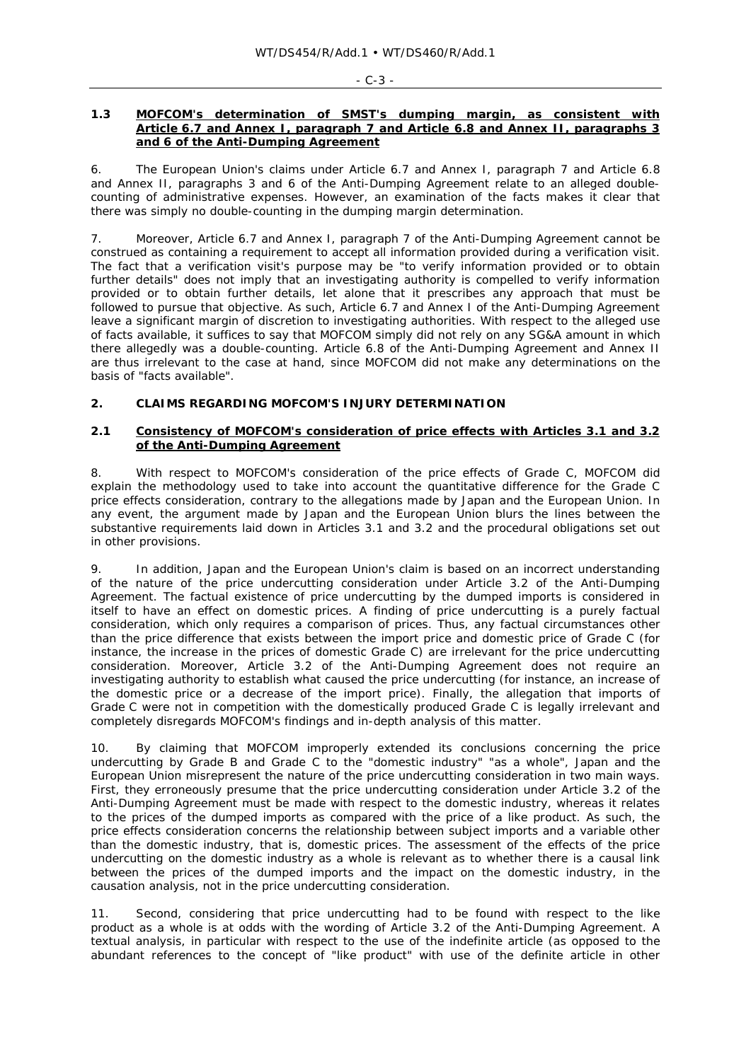#### - C-3 -

#### **1.3 MOFCOM's determination of SMST's dumping margin, as consistent with Article 6.7 and Annex I, paragraph 7 and Article 6.8 and Annex II, paragraphs 3 and 6 of the Anti-Dumping Agreement**

6. The European Union's claims under Article 6.7 and Annex I, paragraph 7 and Article 6.8 and Annex II, paragraphs 3 and 6 of the Anti-Dumping Agreement relate to an alleged doublecounting of administrative expenses. However, an examination of the facts makes it clear that there was simply no double-counting in the dumping margin determination.

7. Moreover, Article 6.7 and Annex I, paragraph 7 of the Anti-Dumping Agreement cannot be construed as containing a requirement to accept all information provided during a verification visit. The fact that a verification visit's purpose may be "to verify information provided or to obtain further details" does not imply that an investigating authority is *compelled* to verify information provided or to obtain further details, let alone that it prescribes any approach that must be followed to pursue that objective. As such, Article 6.7 and Annex I of the Anti-Dumping Agreement leave a significant margin of discretion to investigating authorities. With respect to the alleged use of facts available, it suffices to say that MOFCOM simply did not rely on any SG&A amount in which there allegedly was a double-counting. Article 6.8 of the Anti-Dumping Agreement and Annex II are thus irrelevant to the case at hand, since MOFCOM did not make any determinations on the basis of "facts available".

## **2. CLAIMS REGARDING MOFCOM'S INJURY DETERMINATION**

## **2.1 Consistency of MOFCOM's consideration of price effects with Articles 3.1 and 3.2 of the Anti-Dumping Agreement**

8. With respect to MOFCOM's consideration of the price effects of Grade C, MOFCOM did explain the methodology used to take into account the quantitative difference for the Grade C price effects consideration, contrary to the allegations made by Japan and the European Union. In any event, the argument made by Japan and the European Union blurs the lines between the substantive requirements laid down in Articles 3.1 and 3.2 and the procedural obligations set out in other provisions.

9. In addition, Japan and the European Union's claim is based on an incorrect understanding of the nature of the price undercutting consideration under Article 3.2 of the Anti-Dumping Agreement. The factual existence of price undercutting by the dumped imports is considered in itself to have an effect on domestic prices. A finding of price undercutting is a purely factual consideration, which only requires a comparison of prices. Thus, any factual circumstances other than the price difference that exists between the import price and domestic price of Grade C (for instance, the increase in the prices of domestic Grade C) are irrelevant for the price undercutting consideration. Moreover, Article 3.2 of the Anti-Dumping Agreement does not require an investigating authority to establish what caused the price undercutting (for instance, an increase of the domestic price or a decrease of the import price). Finally, the allegation that imports of Grade C were not in competition with the domestically produced Grade C is legally irrelevant and completely disregards MOFCOM's findings and in-depth analysis of this matter.

10. By claiming that MOFCOM improperly extended its conclusions concerning the price undercutting by Grade B and Grade C to the "domestic industry" "as a whole", Japan and the European Union misrepresent the nature of the price undercutting consideration in two main ways. First, they erroneously presume that the price undercutting consideration under Article 3.2 of the Anti-Dumping Agreement must be made with respect to the *domestic industry*, whereas it relates to the prices of the dumped imports as compared with the *price of a like product*. As such, the price effects consideration concerns the relationship between subject imports and a variable other than the domestic industry, that is, *domestic prices*. The assessment of the effects of the price undercutting on the domestic industry as a whole is relevant as to whether there is a causal link between the prices of the dumped imports and the impact on the domestic industry, in the *causation* analysis, not in the price undercutting consideration.

11. Second, considering that price undercutting had to be found with respect to the like product *as a whole* is at odds with the wording of Article 3.2 of the Anti-Dumping Agreement. A textual analysis, in particular with respect to the use of the indefinite article (as opposed to the abundant references to the concept of "like product" with use of the definite article in other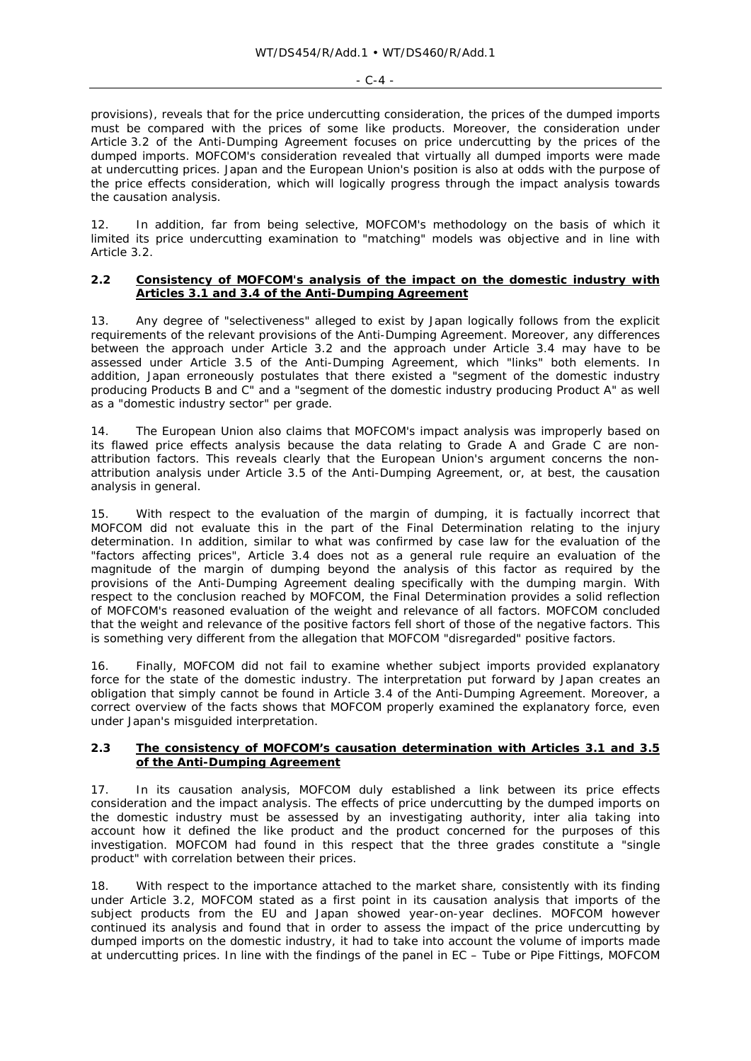#### - C-4 -

provisions), reveals that for the price undercutting consideration, the prices of the dumped imports must be compared with the prices of *some* like products. Moreover, the consideration under Article 3.2 of the Anti-Dumping Agreement focuses on price undercutting *by the prices of the dumped imports*. MOFCOM's consideration revealed that virtually all dumped imports were made at undercutting prices. Japan and the European Union's position is also at odds with the purpose of the price effects consideration, which will logically progress through the impact analysis towards the causation analysis.

12. In addition, far from being selective, MOFCOM's methodology on the basis of which it limited its price undercutting examination to "matching" models was objective and in line with Article 3.2.

#### **2.2 Consistency of MOFCOM's analysis of the impact on the domestic industry with Articles 3.1 and 3.4 of the Anti-Dumping Agreement**

13. Any degree of "selectiveness" alleged to exist by Japan logically follows from the explicit requirements of the relevant provisions of the Anti-Dumping Agreement. Moreover, any differences between the approach under Article 3.2 and the approach under Article 3.4 may have to be assessed under Article 3.5 of the Anti-Dumping Agreement, which "links" both elements. In addition, Japan erroneously postulates that there existed a "segment of the domestic industry producing Products B and C" and a "segment of the domestic industry producing Product A" as well as a "domestic industry sector" per grade.

14. The European Union also claims that MOFCOM's impact analysis was improperly based on its flawed price effects analysis because the data relating to Grade A and Grade C are nonattribution factors. This reveals clearly that the European Union's argument concerns the nonattribution analysis under Article 3.5 of the Anti-Dumping Agreement, or, at best, the causation analysis in general.

15. With respect to the evaluation of the margin of dumping, it is factually incorrect that MOFCOM did not evaluate this in the part of the Final Determination relating to the injury determination. In addition, similar to what was confirmed by case law for the evaluation of the "factors affecting prices", Article 3.4 does not as a general rule require an evaluation of the magnitude of the margin of dumping beyond the analysis of this factor as required by the provisions of the Anti-Dumping Agreement dealing specifically with the dumping margin. With respect to the conclusion reached by MOFCOM, the Final Determination provides a solid reflection of MOFCOM's reasoned evaluation of the weight and relevance of all factors. MOFCOM concluded that the weight and relevance of the positive factors fell short of those of the negative factors. This is something very different from the allegation that MOFCOM "disregarded" positive factors.

16. Finally, MOFCOM did not fail to examine whether subject imports provided explanatory force for the state of the domestic industry. The interpretation put forward by Japan creates an obligation that simply cannot be found in Article 3.4 of the Anti-Dumping Agreement. Moreover, a correct overview of the facts shows that MOFCOM properly examined the explanatory force, even under Japan's misguided interpretation.

## **2.3 The consistency of MOFCOM's causation determination with Articles 3.1 and 3.5 of the Anti-Dumping Agreement**

17. In its causation analysis, MOFCOM duly established a link between its price effects consideration and the impact analysis. The effects of price undercutting by the dumped imports on the domestic industry must be assessed by an investigating authority, *inter alia* taking into account how it defined the like product and the product concerned for the purposes of this investigation. MOFCOM had found in this respect that the three grades constitute a "single product" with correlation between their prices.

18. With respect to the importance attached to the market share, consistently with its finding under Article 3.2, MOFCOM stated as a first point in its causation analysis that imports of the subject products from the EU and Japan showed year-on-year declines. MOFCOM however continued its analysis and found that in order to assess the impact of the price undercutting by dumped imports on the domestic industry, it had to take into account the volume of imports made at undercutting prices. In line with the findings of the panel in *EC – Tube or Pipe Fittings*, MOFCOM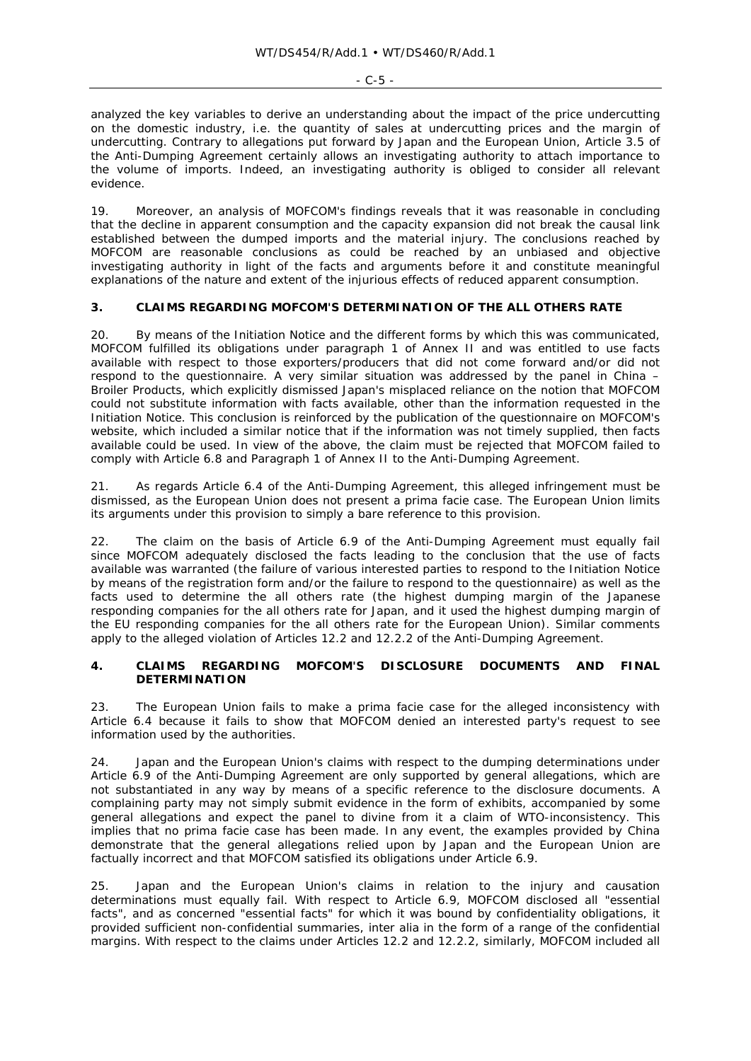analyzed the key variables to derive an understanding about the impact of the price undercutting on the domestic industry, i.e. the quantity of sales at undercutting prices and the margin of undercutting. Contrary to allegations put forward by Japan and the European Union, Article 3.5 of the Anti-Dumping Agreement certainly allows an investigating authority to attach importance to the volume of imports. Indeed, an investigating authority is obliged to consider all relevant evidence.

19. Moreover, an analysis of MOFCOM's findings reveals that it was reasonable in concluding that the decline in apparent consumption and the capacity expansion did not break the causal link established between the dumped imports and the material injury. The conclusions reached by MOFCOM are reasonable conclusions as could be reached by an unbiased and objective investigating authority in light of the facts and arguments before it and constitute meaningful explanations of the nature and extent of the injurious effects of reduced apparent consumption.

# **3. CLAIMS REGARDING MOFCOM'S DETERMINATION OF THE ALL OTHERS RATE**

20. By means of the Initiation Notice and the different forms by which this was communicated, MOFCOM fulfilled its obligations under paragraph 1 of Annex II and was entitled to use facts available with respect to those exporters/producers that did not come forward and/or did not respond to the questionnaire. A very similar situation was addressed by the panel in *China – Broiler Products*, which explicitly dismissed Japan's misplaced reliance on the notion that MOFCOM could not substitute information with facts available, other than the information requested in the Initiation Notice. This conclusion is reinforced by the publication of the questionnaire on MOFCOM's website, which included a similar notice that if the information was not timely supplied, then facts available could be used. In view of the above, the claim must be rejected that MOFCOM failed to comply with Article 6.8 and Paragraph 1 of Annex II to the Anti-Dumping Agreement.

21. As regards Article 6.4 of the Anti-Dumping Agreement, this alleged infringement must be dismissed, as the European Union does not present a *prima facie* case. The European Union limits its arguments under this provision to simply a bare reference to this provision.

22. The claim on the basis of Article 6.9 of the Anti-Dumping Agreement must equally fail since MOFCOM adequately disclosed the facts leading to the conclusion that the use of facts available was warranted (the failure of various interested parties to respond to the Initiation Notice by means of the registration form and/or the failure to respond to the questionnaire) as well as the facts used to determine the all others rate (the highest dumping margin of the Japanese responding companies for the all others rate for Japan, and it used the highest dumping margin of the EU responding companies for the all others rate for the European Union). Similar comments apply to the alleged violation of Articles 12.2 and 12.2.2 of the Anti-Dumping Agreement.

## **4. CLAIMS REGARDING MOFCOM'S DISCLOSURE DOCUMENTS AND FINAL DETERMINATION**

23. The European Union fails to make a *prima facie* case for the alleged inconsistency with Article 6.4 because it fails to show that MOFCOM denied an interested party's request to see information used by the authorities.

24. Japan and the European Union's claims with respect to the dumping determinations under Article 6.9 of the Anti-Dumping Agreement are only supported by general allegations, which are not substantiated in any way by means of a specific reference to the disclosure documents. A complaining party may not simply submit evidence in the form of exhibits, accompanied by some general allegations and expect the panel to divine from it a claim of WTO-inconsistency. This implies that no *prima facie* case has been made. In any event, the examples provided by China demonstrate that the general allegations relied upon by Japan and the European Union are factually incorrect and that MOFCOM satisfied its obligations under Article 6.9.

25. Japan and the European Union's claims in relation to the injury and causation determinations must equally fail. With respect to Article 6.9, MOFCOM disclosed all "essential facts", and as concerned "essential facts" for which it was bound by confidentiality obligations, it provided sufficient non-confidential summaries, *inter alia* in the form of a range of the confidential margins. With respect to the claims under Articles 12.2 and 12.2.2, similarly, MOFCOM included all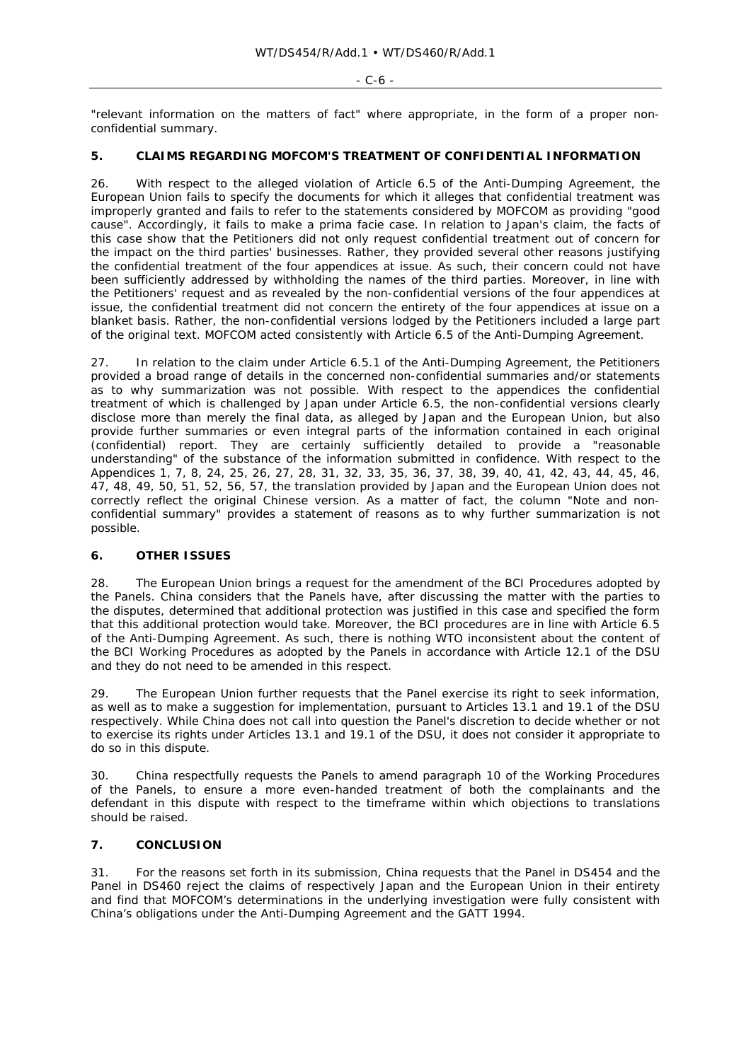#### - C-6 -

"relevant information on the matters of fact" where appropriate, in the form of a proper nonconfidential summary.

## **5. CLAIMS REGARDING MOFCOM'S TREATMENT OF CONFIDENTIAL INFORMATION**

26. With respect to the alleged violation of Article 6.5 of the Anti-Dumping Agreement, the European Union fails to specify the documents for which it alleges that confidential treatment was improperly granted and fails to refer to the statements considered by MOFCOM as providing "good cause". Accordingly, it fails to make a *prima facie* case. In relation to Japan's claim, the facts of this case show that the Petitioners did not only request confidential treatment out of concern for the impact on the third parties' businesses. Rather, they provided several other reasons justifying the confidential treatment of the four appendices at issue. As such, their concern could not have been sufficiently addressed by withholding the names of the third parties. Moreover, in line with the Petitioners' request and as revealed by the non-confidential versions of the four appendices at issue, the confidential treatment did *not* concern the entirety of the four appendices at issue *on a blanket basis*. Rather, the non-confidential versions lodged by the Petitioners included a large part of the original text. MOFCOM acted consistently with Article 6.5 of the Anti-Dumping Agreement.

27. In relation to the claim under Article 6.5.1 of the Anti-Dumping Agreement, the Petitioners provided a broad range of details in the concerned non-confidential summaries and/or statements as to why summarization was not possible. With respect to the appendices the confidential treatment of which is challenged by Japan under Article 6.5, the non-confidential versions clearly disclose more than merely the final data, as alleged by Japan and the European Union, but also provide further summaries or even integral parts of the information contained in each original (confidential) report. They are certainly sufficiently detailed to provide a "reasonable understanding" of the substance of the information submitted in confidence. With respect to the Appendices 1, 7, 8, 24, 25, 26, 27, 28, 31, 32, 33, 35, 36, 37, 38, 39, 40, 41, 42, 43, 44, 45, 46, 47, 48, 49, 50, 51, 52, 56, 57, the translation provided by Japan and the European Union does not correctly reflect the original Chinese version. As a matter of fact, the column "Note and nonconfidential summary" provides a statement of reasons as to why further summarization is not possible.

## **6. OTHER ISSUES**

28. The European Union brings a request for the amendment of the BCI Procedures adopted by the Panels. China considers that the Panels have, after discussing the matter with the parties to the disputes, determined that additional protection was justified in this case and specified the form that this additional protection would take. Moreover, the BCI procedures are in line with Article 6.5 of the Anti-Dumping Agreement. As such, there is nothing WTO inconsistent about the content of the BCI Working Procedures as adopted by the Panels in accordance with Article 12.1 of the DSU and they do not need to be amended in this respect.

29. The European Union further requests that the Panel exercise its right to seek information, as well as to make a suggestion for implementation, pursuant to Articles 13.1 and 19.1 of the DSU respectively. While China does not call into question the Panel's discretion to decide whether or not to exercise its rights under Articles 13.1 and 19.1 of the DSU, it does not consider it appropriate to do so in this dispute.

30. China respectfully requests the Panels to amend paragraph 10 of the Working Procedures of the Panels, to ensure a more even-handed treatment of both the complainants and the defendant in this dispute with respect to the timeframe within which objections to translations should be raised.

#### **7. CONCLUSION**

31. For the reasons set forth in its submission, China requests that the Panel in DS454 and the Panel in DS460 reject the claims of respectively Japan and the European Union in their entirety and find that MOFCOM's determinations in the underlying investigation were fully consistent with China's obligations under the Anti-Dumping Agreement and the GATT 1994.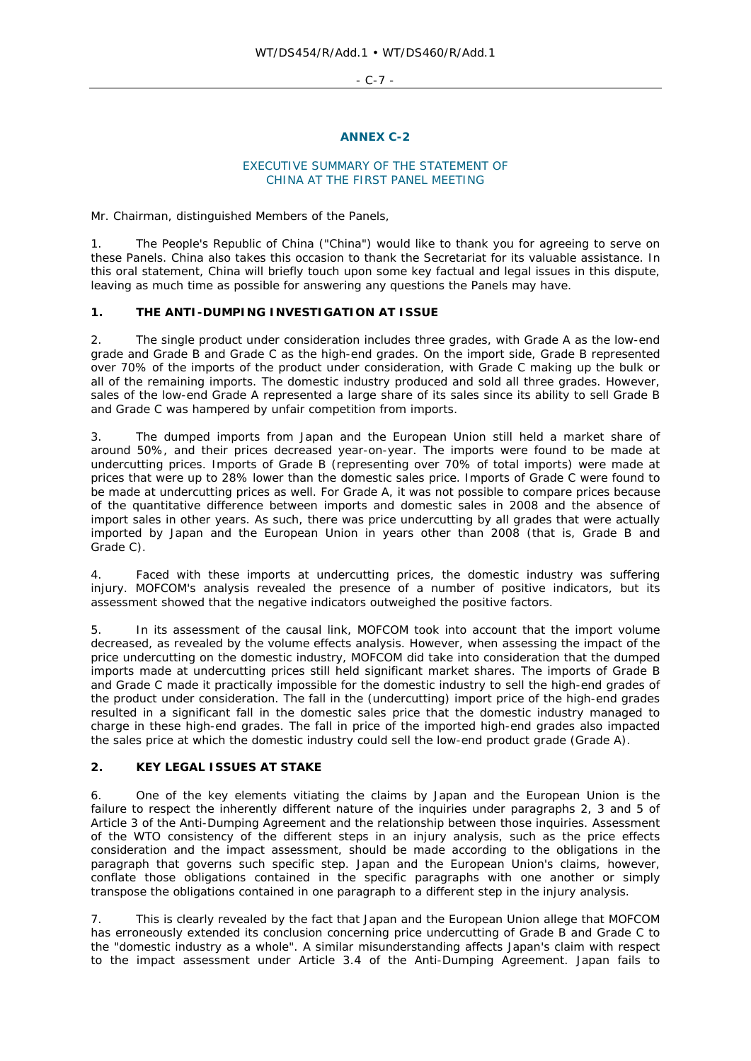- C-7 -

#### **ANNEX C-2**

#### EXECUTIVE SUMMARY OF THE STATEMENT OF CHINA AT THE FIRST PANEL MEETING

Mr. Chairman, distinguished Members of the Panels,

1. The People's Republic of China ("China") would like to thank you for agreeing to serve on these Panels. China also takes this occasion to thank the Secretariat for its valuable assistance. In this oral statement, China will briefly touch upon some key factual and legal issues in this dispute, leaving as much time as possible for answering any questions the Panels may have.

# **1. THE ANTI-DUMPING INVESTIGATION AT ISSUE**

2. The single product under consideration includes three grades, with Grade A as the low-end grade and Grade B and Grade C as the high-end grades. On the import side, Grade B represented over 70% of the imports of the product under consideration, with Grade C making up the bulk or all of the remaining imports. The domestic industry produced and sold all three grades. However, sales of the low-end Grade A represented a large share of its sales since its ability to sell Grade B and Grade C was hampered by unfair competition from imports.

3. The dumped imports from Japan and the European Union still held a market share of around 50%, and their prices decreased year-on-year. The imports were found to be made at undercutting prices. Imports of Grade B (representing over 70% of total imports) were made at prices that were up to 28% lower than the domestic sales price. Imports of Grade C were found to be made at undercutting prices as well. For Grade A, it was not possible to compare prices because of the quantitative difference between imports and domestic sales in 2008 and the absence of import sales in other years. As such, there was price undercutting by all grades that were actually imported by Japan and the European Union in years other than 2008 (that is, Grade B and Grade C).

4. Faced with these imports at undercutting prices, the domestic industry was suffering injury. MOFCOM's analysis revealed the presence of a number of positive indicators, but its assessment showed that the negative indicators outweighed the positive factors.

5. In its assessment of the causal link, MOFCOM took into account that the import volume decreased, as revealed by the volume effects analysis. However, when assessing the impact of the price undercutting on the domestic industry, MOFCOM did take into consideration that the dumped imports made at undercutting prices still held significant market shares. The imports of Grade B and Grade C made it practically impossible for the domestic industry to sell the high-end grades of the product under consideration. The fall in the (undercutting) import price of the high-end grades resulted in a significant fall in the domestic sales price that the domestic industry managed to charge in these high-end grades. The fall in price of the imported high-end grades also impacted the sales price at which the domestic industry could sell the low-end product grade (Grade A).

## **2. KEY LEGAL ISSUES AT STAKE**

6. One of the key elements vitiating the claims by Japan and the European Union is the failure to respect the inherently different nature of the inquiries under paragraphs 2, 3 and 5 of Article 3 of the Anti-Dumping Agreement and the relationship between those inquiries. Assessment of the WTO consistency of the different steps in an injury analysis, such as the price effects consideration and the impact assessment, should be made according to the obligations in the paragraph that governs such specific step. Japan and the European Union's claims, however, conflate those obligations contained in the specific paragraphs with one another or simply transpose the obligations contained in one paragraph to a different step in the injury analysis.

7. This is clearly revealed by the fact that Japan and the European Union allege that MOFCOM has erroneously extended its conclusion concerning price undercutting of Grade B and Grade C to the "domestic industry as a whole". A similar misunderstanding affects Japan's claim with respect to the impact assessment under Article 3.4 of the Anti-Dumping Agreement. Japan fails to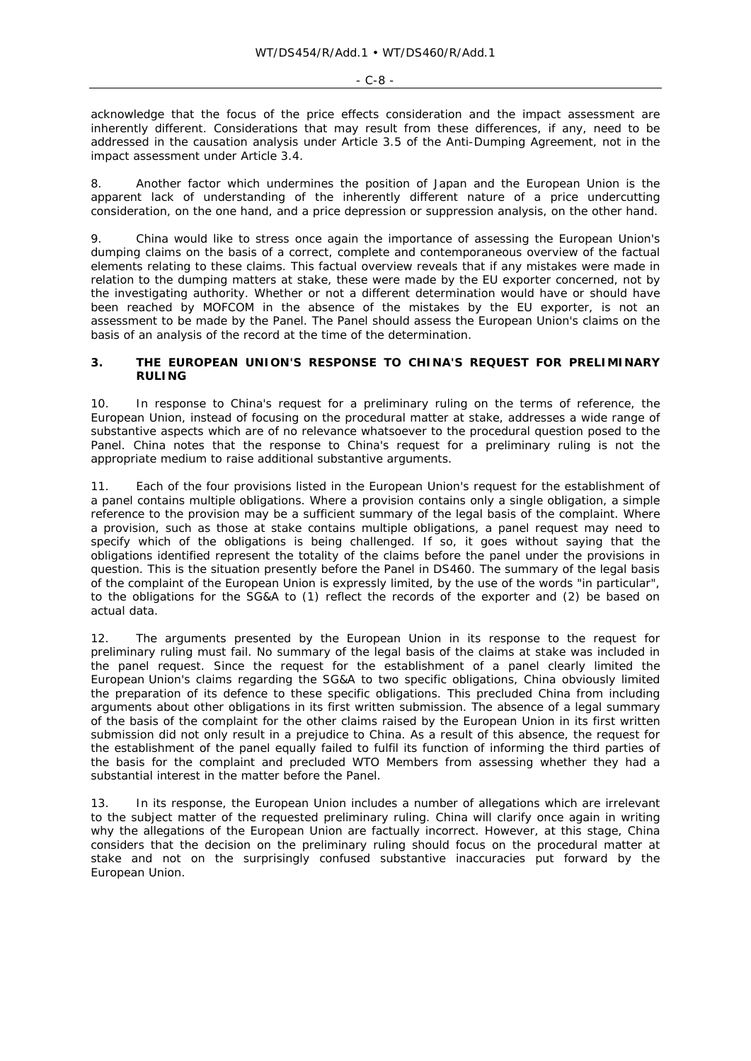acknowledge that the focus of the price effects consideration and the impact assessment are inherently different. Considerations that may result from these differences, if any, need to be addressed in the causation analysis under Article 3.5 of the Anti-Dumping Agreement, not in the impact assessment under Article 3.4.

8. Another factor which undermines the position of Japan and the European Union is the apparent lack of understanding of the inherently different nature of a price undercutting consideration, on the one hand, and a price depression or suppression analysis, on the other hand.

9. China would like to stress once again the importance of assessing the European Union's dumping claims on the basis of a correct, complete and contemporaneous overview of the factual elements relating to these claims. This factual overview reveals that if any mistakes were made in relation to the dumping matters at stake, these were made by the EU exporter concerned, not by the investigating authority. Whether or not a different determination would have or should have been reached by MOFCOM in the absence of the mistakes by the EU exporter, is not an assessment to be made by the Panel. The Panel should assess the European Union's claims on the basis of an analysis of the record at the time of the determination.

## **3. THE EUROPEAN UNION'S RESPONSE TO CHINA'S REQUEST FOR PRELIMINARY RULING**

10. In response to China's request for a preliminary ruling on the terms of reference, the European Union, instead of focusing on the procedural matter at stake, addresses a wide range of substantive aspects which are of no relevance whatsoever to the procedural question posed to the Panel. China notes that the response to China's request for a preliminary ruling is not the appropriate medium to raise additional substantive arguments.

11. Each of the four provisions listed in the European Union's request for the establishment of a panel contains multiple obligations. Where a provision contains only a single obligation, a simple reference to the provision may be a sufficient summary of the legal basis of the complaint. Where a provision, such as those at stake contains multiple obligations, a panel request may need to specify which of the obligations is being challenged. If so, it goes without saying that the obligations identified represent the totality of the claims before the panel under the provisions in question. This is the situation presently before the Panel in DS460. The summary of the legal basis of the complaint of the European Union is expressly limited, by the use of the words "in particular", to the obligations for the SG&A to (1) reflect the records of the exporter and (2) be based on actual data.

12. The arguments presented by the European Union in its response to the request for preliminary ruling must fail. No summary of the legal basis of the claims at stake was included in the panel request. Since the request for the establishment of a panel clearly limited the European Union's claims regarding the SG&A to two specific obligations, China obviously limited the preparation of its defence to these specific obligations. This precluded China from including arguments about other obligations in its first written submission. The absence of a legal summary of the basis of the complaint for the other claims raised by the European Union in its first written submission did not only result in a prejudice to China. As a result of this absence, the request for the establishment of the panel equally failed to fulfil its function of informing the third parties of the basis for the complaint and precluded WTO Members from assessing whether they had a substantial interest in the matter before the Panel.

13. In its response, the European Union includes a number of allegations which are irrelevant to the subject matter of the requested preliminary ruling. China will clarify once again in writing why the allegations of the European Union are factually incorrect. However, at this stage, China considers that the decision on the preliminary ruling should focus on the procedural matter at stake and not on the surprisingly confused substantive inaccuracies put forward by the European Union.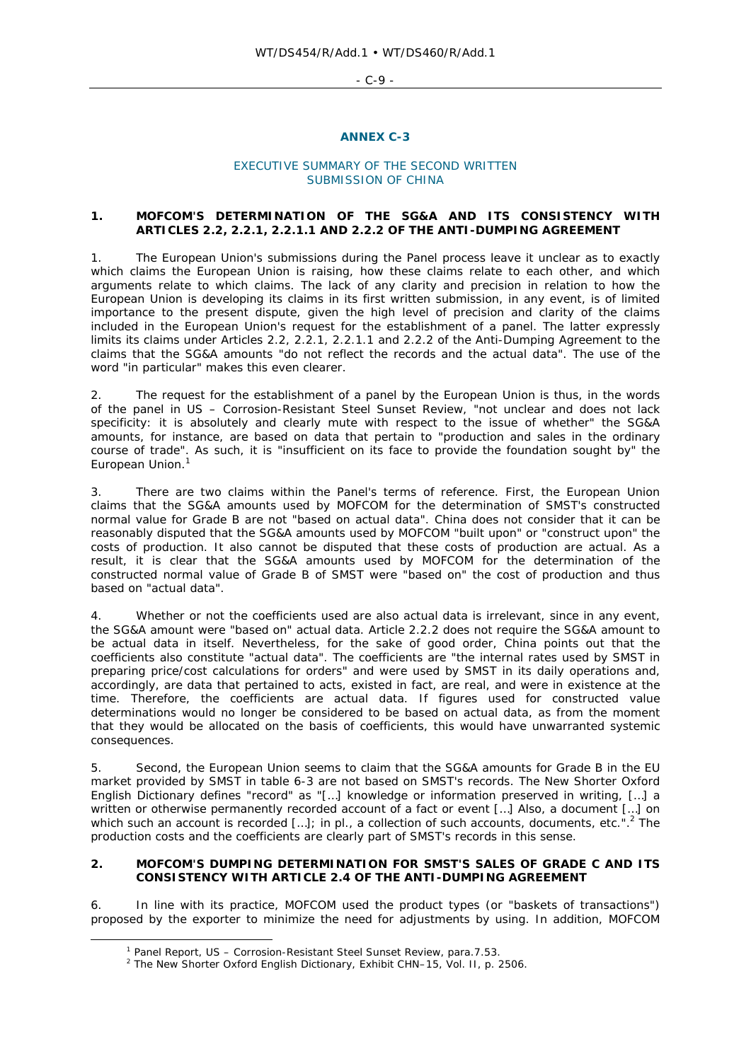$-C-9 -$ 

#### **ANNEX C-3**

## EXECUTIVE SUMMARY OF THE SECOND WRITTEN SUBMISSION OF CHINA

## **1. MOFCOM'S DETERMINATION OF THE SG&A AND ITS CONSISTENCY WITH ARTICLES 2.2, 2.2.1, 2.2.1.1 AND 2.2.2 OF THE ANTI-DUMPING AGREEMENT**

1. The European Union's submissions during the Panel process leave it unclear as to exactly which claims the European Union is raising, how these claims relate to each other, and which arguments relate to which claims. The lack of any clarity and precision in relation to how the European Union is developing its claims in its first written submission, in any event, is of limited importance to the present dispute, given the high level of precision and clarity of the claims included in the European Union's request for the establishment of a panel. The latter expressly limits its claims under Articles 2.2, 2.2.1, 2.2.1.1 and 2.2.2 of the Anti-Dumping Agreement to the claims that the SG&A amounts "do not reflect the records and the actual data". The use of the word "in particular" makes this even clearer.

2. The request for the establishment of a panel by the European Union is thus, in the words of the panel in *US – Corrosion-Resistant Steel Sunset Review*, "not unclear and does not lack specificity: it is absolutely and clearly mute with respect to the issue of whether" the SG&A amounts, for instance, are based on data that pertain to "production and sales in the ordinary course of trade". As such, it is "insufficient on its face to provide the foundation sought by" the European Union.<sup>1</sup>

3. There are two claims within the Panel's terms of reference. First, the European Union claims that the SG&A amounts used by MOFCOM for the determination of SMST's constructed normal value for Grade B are not "based on actual data". China does not consider that it can be reasonably disputed that the SG&A amounts used by MOFCOM "built upon" or "construct upon" the costs of production. It also cannot be disputed that these costs of production are actual. As a result, it is clear that the SG&A amounts used by MOFCOM for the determination of the constructed normal value of Grade B of SMST were "based on" the cost of production and thus based on "actual data".

4. Whether or not the coefficients used are also actual data is irrelevant, since in any event, the SG&A amount were "based on" actual data. Article 2.2.2 does not require the SG&A amount to be actual data in itself. Nevertheless, for the sake of good order, China points out that the coefficients also constitute "actual data". The coefficients are "the internal rates used by SMST in preparing price/cost calculations for orders" and were used by SMST in its daily operations and, accordingly, are data that pertained to acts, existed in fact, are real, and were in existence at the time. Therefore, the coefficients are actual data. If figures used for constructed value determinations would no longer be considered to be based on actual data, as from the moment that they would be allocated on the basis of coefficients, this would have unwarranted systemic consequences.

5. Second, the European Union seems to claim that the SG&A amounts for Grade B in the EU market provided by SMST in table 6-3 are not based on SMST's records. The *New Shorter Oxford English Dictionary* defines "record" as "[…] knowledge or information preserved in writing, […] a written or otherwise permanently recorded account of a fact or event […] Also, a document […] on which such an account is recorded [...]; in pl., a collection of such accounts, documents, etc.".<sup>2</sup> The production costs and the coefficients are clearly part of SMST's records in this sense.

## **2. MOFCOM'S DUMPING DETERMINATION FOR SMST'S SALES OF GRADE C AND ITS CONSISTENCY WITH ARTICLE 2.4 OF THE ANTI-DUMPING AGREEMENT**

6. In line with its practice, MOFCOM used the product types (or "baskets of transactions") proposed by the exporter to minimize the need for adjustments by using. In addition, MOFCOM

 $\overline{\phantom{a}}$ Panel Report, *US – Corrosion-Resistant Steel Sunset Review*, para.7.53. 2

<sup>&</sup>lt;sup>2</sup> The New Shorter Oxford English Dictionary, Exhibit CHN-15, Vol. II, p. 2506.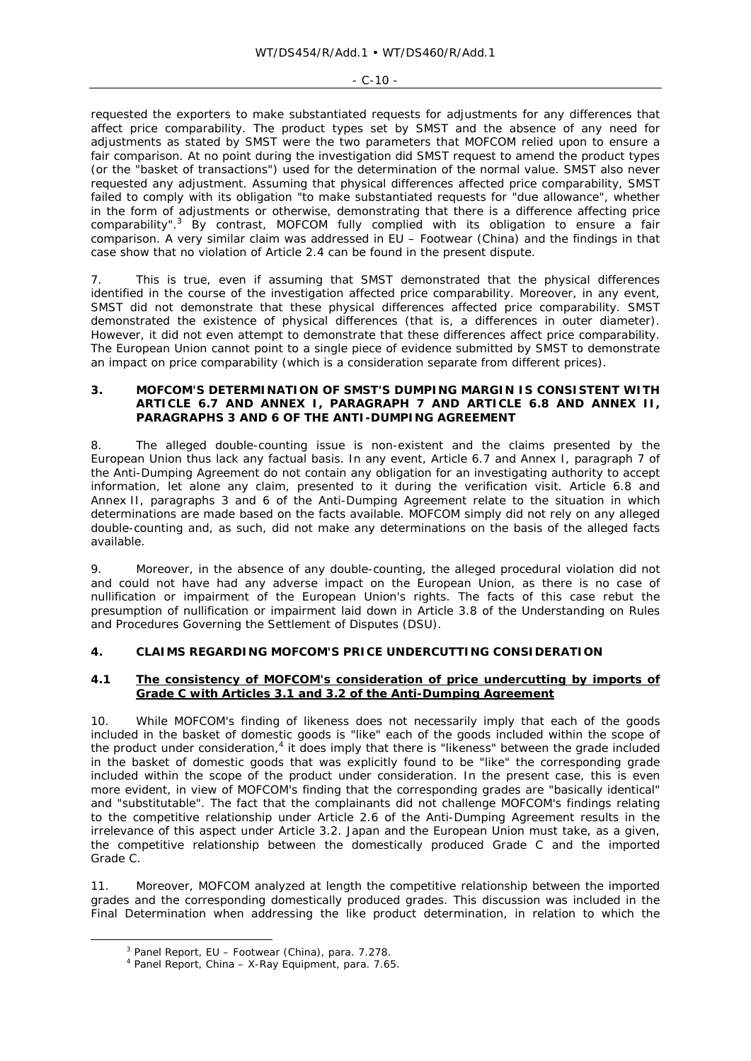#### $-C-10 -$

requested the exporters to make substantiated requests for adjustments for any differences that affect price comparability. The product types set by SMST and the absence of any need for adjustments as stated by SMST were the two parameters that MOFCOM relied upon to ensure a fair comparison. At no point during the investigation did SMST request to amend the product types (or the "basket of transactions") used for the determination of the normal value. SMST also never requested any adjustment. Assuming that physical differences affected price comparability, SMST failed to comply with its obligation "to make substantiated requests for "due allowance", whether in the form of adjustments or otherwise, demonstrating that there is a difference affecting price comparability".<sup>3</sup> By contrast, MOFCOM fully complied with its obligation to ensure a fair comparison. A very similar claim was addressed in *EU – Footwear (China)* and the findings in that case show that no violation of Article 2.4 can be found in the present dispute.

7. This is true, even if assuming that SMST demonstrated that the physical differences identified in the course of the investigation affected price comparability. Moreover, in any event, SMST did not demonstrate that these physical differences affected price comparability. SMST demonstrated the existence of physical differences (that is, a differences in outer diameter). However, it did not even attempt to demonstrate that these differences affect price comparability. The European Union cannot point to a single piece of evidence submitted by SMST to demonstrate an impact on price comparability (which is a consideration separate from different prices).

#### **3. MOFCOM'S DETERMINATION OF SMST'S DUMPING MARGIN IS CONSISTENT WITH ARTICLE 6.7 AND ANNEX I, PARAGRAPH 7 AND ARTICLE 6.8 AND ANNEX II, PARAGRAPHS 3 AND 6 OF THE ANTI-DUMPING AGREEMENT**

8. The alleged double-counting issue is non-existent and the claims presented by the European Union thus lack any factual basis. In any event, Article 6.7 and Annex I, paragraph 7 of the Anti-Dumping Agreement do not contain any obligation for an investigating authority to accept information, let alone any claim, presented to it during the verification visit. Article 6.8 and Annex II, paragraphs 3 and 6 of the Anti-Dumping Agreement relate to the situation in which determinations are made based on the facts available. MOFCOM simply did not rely on any alleged double-counting and, as such, did not make any determinations on the basis of the alleged facts available.

9. Moreover, in the absence of any double-counting, the alleged procedural violation did not and could not have had any adverse impact on the European Union, as there is no case of nullification or impairment of the European Union's rights. The facts of this case rebut the presumption of nullification or impairment laid down in Article 3.8 of the *Understanding on Rules and Procedures Governing the Settlement of Disputes* (DSU).

## **4. CLAIMS REGARDING MOFCOM'S PRICE UNDERCUTTING CONSIDERATION**

## **4.1 The consistency of MOFCOM's consideration of price undercutting by imports of Grade C with Articles 3.1 and 3.2 of the Anti-Dumping Agreement**

10. While MOFCOM's finding of likeness does not necessarily imply that each of the goods included in the basket of domestic goods is "like" each of the goods included within the scope of the product under consideration, $<sup>4</sup>$  it does imply that there is "likeness" between the grade included</sup> in the basket of domestic goods that was explicitly found to be "like" the corresponding grade included within the scope of the product under consideration. In the present case, this is even more evident, in view of MOFCOM's finding that the corresponding grades are "basically identical" and "substitutable". The fact that the complainants did not challenge MOFCOM's findings relating to the competitive relationship under Article 2.6 of the Anti-Dumping Agreement results in the irrelevance of this aspect under Article 3.2. Japan and the European Union must take, as a given, the competitive relationship between the domestically produced Grade C and the imported Grade C.

11. Moreover, MOFCOM analyzed at length the competitive relationship between the imported grades and the corresponding domestically produced grades. This discussion was included in the Final Determination when addressing the like product determination, in relation to which the

 $\frac{1}{3}$ Panel Report, *EU – Footwear (China)*, para. 7.278. 4

Panel Report, *China – X-Ray Equipment*, para. 7.65.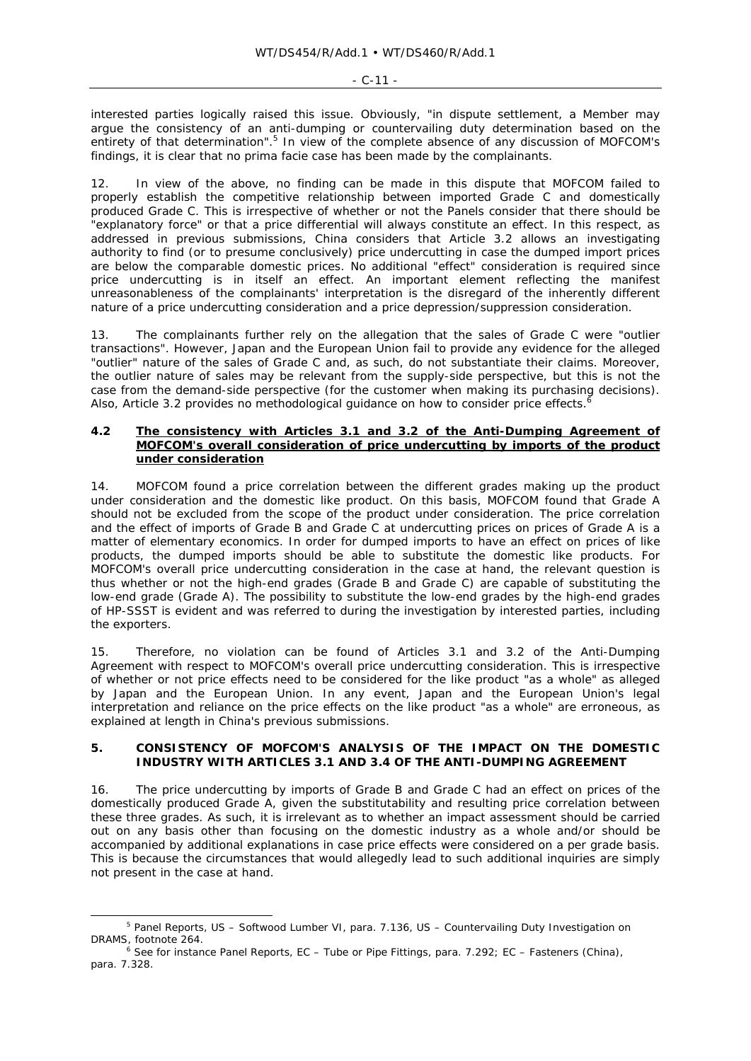interested parties logically raised this issue. Obviously, "in dispute settlement, a Member may argue the consistency of an anti-dumping or countervailing duty determination based on the entirety of that determination".<sup>5</sup> In view of the complete absence of any discussion of MOFCOM's findings, it is clear that no *prima facie* case has been made by the complainants.

12. In view of the above, no finding can be made in this dispute that MOFCOM failed to properly establish the competitive relationship between imported Grade C and domestically produced Grade C. This is irrespective of whether or not the Panels consider that there should be .<br>"explanatory force" or that a price differential will always constitute an effect. In this respect, as addressed in previous submissions, China considers that Article 3.2 allows an investigating authority to find (or to presume conclusively) price undercutting in case the dumped import prices are below the comparable domestic prices. No additional "effect" consideration is required since price undercutting is in itself an effect. An important element reflecting the manifest unreasonableness of the complainants' interpretation is the disregard of the inherently different nature of a price undercutting consideration and a price depression/suppression consideration.

13. The complainants further rely on the allegation that the sales of Grade C were "outlier transactions". However, Japan and the European Union fail to provide any evidence for the alleged "outlier" nature of the sales of Grade C and, as such, do not substantiate their claims. Moreover, the outlier nature of sales may be relevant from the supply-side perspective, but this is not the case from the demand-side perspective (for the customer when making its purchasing decisions). Also, Article 3.2 provides no methodological guidance on how to consider price effects.<sup>6</sup>

#### **4.2 The consistency with Articles 3.1 and 3.2 of the Anti-Dumping Agreement of MOFCOM's overall consideration of price undercutting by imports of the product under consideration**

14. MOFCOM found a price correlation between the different grades making up the product under consideration and the domestic like product. On this basis, MOFCOM found that Grade A should not be excluded from the scope of the product under consideration. The price correlation and the effect of imports of Grade B and Grade C at undercutting prices on prices of Grade A is a matter of elementary economics. In order for dumped imports to have an effect on prices of like products, the dumped imports should be able to substitute the domestic like products. For MOFCOM's overall price undercutting consideration in the case at hand, the relevant question is thus whether or not the high-end grades (Grade B and Grade C) are capable of substituting the low-end grade (Grade A). The possibility to substitute the low-end grades by the high-end grades of HP-SSST is evident and was referred to during the investigation by interested parties, including the exporters.

15. Therefore, no violation can be found of Articles 3.1 and 3.2 of the Anti-Dumping Agreement with respect to MOFCOM's overall price undercutting consideration. This is irrespective of whether or not price effects need to be considered for the like product "as a whole" as alleged by Japan and the European Union. In any event, Japan and the European Union's legal interpretation and reliance on the price effects on the like product "as a whole" are erroneous, as explained at length in China's previous submissions.

## **5. CONSISTENCY OF MOFCOM'S ANALYSIS OF THE IMPACT ON THE DOMESTIC INDUSTRY WITH ARTICLES 3.1 AND 3.4 OF THE ANTI-DUMPING AGREEMENT**

16. The price undercutting by imports of Grade B and Grade C had an effect on prices of the domestically produced Grade A, given the substitutability and resulting price correlation between these three grades. As such, it is irrelevant as to whether an impact assessment should be carried out on any basis other than focusing on the domestic industry as a whole and/or should be accompanied by additional explanations in case price effects were considered on a per grade basis. This is because the circumstances that would allegedly lead to such additional inquiries are simply not present in the case at hand.

 $\frac{1}{5}$  Panel Reports, *US – Softwood Lumber VI*, para. 7.136, *US – Countervailing Duty Investigation on DRAMS*, footnote 264. 6 See for instance Panel Reports, *EC – Tube or Pipe Fittings*, para. 7.292; *EC – Fasteners (China)*,

para. 7.328.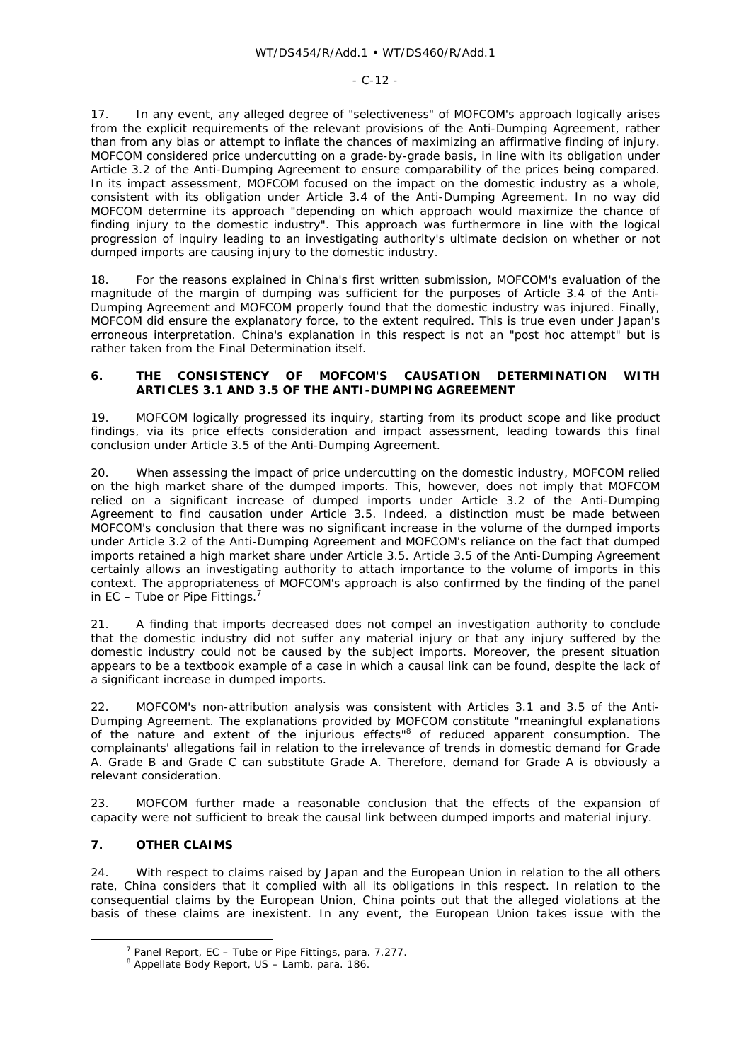17. In any event, any alleged degree of "selectiveness" of MOFCOM's approach logically arises from the explicit requirements of the relevant provisions of the Anti-Dumping Agreement, rather than from any bias or attempt to inflate the chances of maximizing an affirmative finding of injury. MOFCOM considered price undercutting on a grade-by-grade basis, in line with its obligation under Article 3.2 of the Anti-Dumping Agreement to ensure comparability of the prices being compared. In its impact assessment, MOFCOM focused on the impact on the domestic industry as a whole, consistent with its obligation under Article 3.4 of the Anti-Dumping Agreement. In no way did MOFCOM determine its approach "depending on which approach would maximize the chance of finding injury to the domestic industry". This approach was furthermore in line with the logical progression of inquiry leading to an investigating authority's ultimate decision on whether or not dumped imports are causing injury to the domestic industry.

18. For the reasons explained in China's first written submission, MOFCOM's evaluation of the magnitude of the margin of dumping was sufficient for the purposes of Article 3.4 of the Anti-Dumping Agreement and MOFCOM properly found that the domestic industry was injured. Finally, MOFCOM did ensure the explanatory force, to the extent required. This is true even under Japan's erroneous interpretation. China's explanation in this respect is not an "post hoc attempt" but is rather taken from the Final Determination itself.

## **6. THE CONSISTENCY OF MOFCOM'S CAUSATION DETERMINATION WITH ARTICLES 3.1 AND 3.5 OF THE ANTI-DUMPING AGREEMENT**

19. MOFCOM logically progressed its inquiry, starting from its product scope and like product findings, via its price effects consideration and impact assessment, leading towards this final conclusion under Article 3.5 of the Anti-Dumping Agreement.

20. When assessing the impact of price undercutting on the domestic industry, MOFCOM relied on the high market share of the dumped imports. This, however, does not imply that MOFCOM relied on a significant increase of dumped imports under Article 3.2 of the Anti-Dumping Agreement to find causation under Article 3.5. Indeed, a distinction must be made between MOFCOM's conclusion that there was no significant increase in the volume of the dumped imports under Article 3.2 of the Anti-Dumping Agreement and MOFCOM's reliance on the fact that dumped imports retained a high market share under Article 3.5. Article 3.5 of the Anti-Dumping Agreement certainly allows an investigating authority to attach importance to the volume of imports in this context. The appropriateness of MOFCOM's approach is also confirmed by the finding of the panel in *EC – Tube or Pipe Fittings*. 7

21. A finding that imports decreased does not compel an investigation authority to conclude that the domestic industry did not suffer any material injury or that any injury suffered by the domestic industry could not be caused by the subject imports. Moreover, the present situation appears to be a textbook example of a case in which a causal link can be found, despite the lack of a significant increase in dumped imports.

22. MOFCOM's non-attribution analysis was consistent with Articles 3.1 and 3.5 of the Anti-Dumping Agreement. The explanations provided by MOFCOM constitute "meaningful explanations of the nature and extent of the injurious effects" of reduced apparent consumption. The complainants' allegations fail in relation to the irrelevance of trends in domestic demand for Grade A. Grade B and Grade C can substitute Grade A. Therefore, demand for Grade A is obviously a relevant consideration.

23. MOFCOM further made a reasonable conclusion that the effects of the expansion of capacity were not sufficient to break the causal link between dumped imports and material injury.

# **7. OTHER CLAIMS**

24. With respect to claims raised by Japan and the European Union in relation to the all others rate, China considers that it complied with all its obligations in this respect. In relation to the consequential claims by the European Union, China points out that the alleged violations at the basis of these claims are inexistent. In any event, the European Union takes issue with the

 $\overline{\phantom{a}}$ <sup>7</sup> Panel Report, *EC - Tube or Pipe Fittings*, para. 7.277.

Appellate Body Report*, US – Lamb*, para. 186.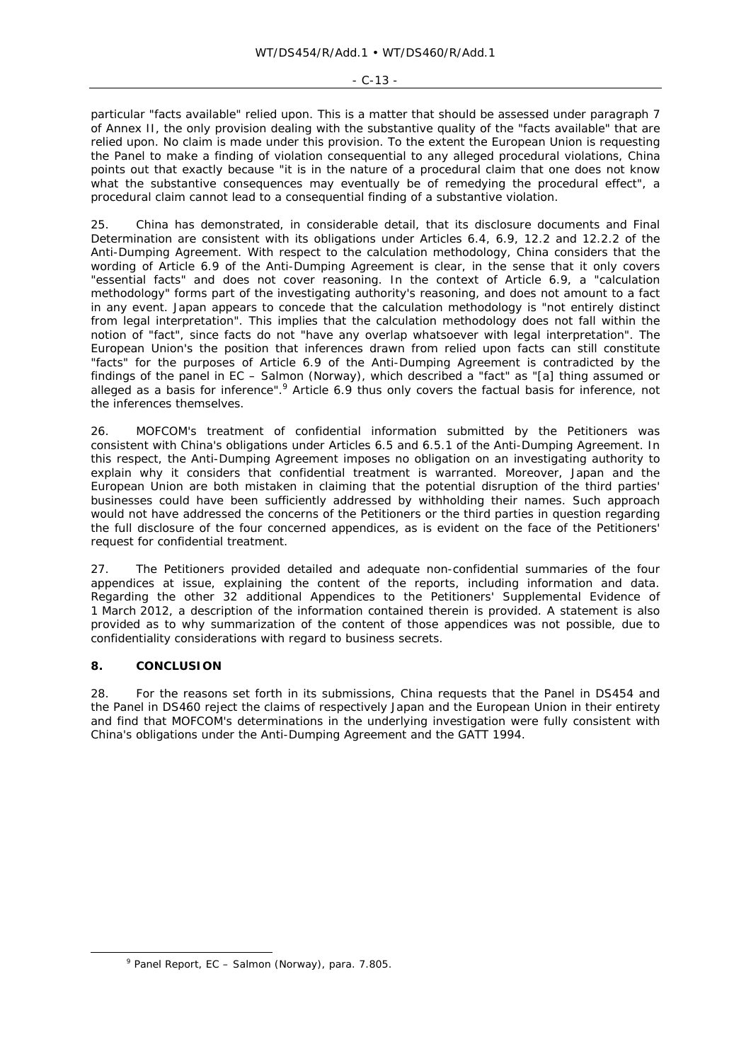$-C-13 -$ 

particular "facts available" relied upon. This is a matter that should be assessed under paragraph 7 of Annex II, the only provision dealing with the substantive quality of the "facts available" that are relied upon. No claim is made under this provision. To the extent the European Union is requesting the Panel to make a finding of violation consequential to any alleged procedural violations, China points out that exactly because "it is in the nature of a procedural claim that one does not know what the substantive consequences may eventually be of remedying the procedural effect", a procedural claim cannot lead to a consequential finding of a substantive violation.

25. China has demonstrated, in considerable detail, that its disclosure documents and Final Determination are consistent with its obligations under Articles 6.4, 6.9, 12.2 and 12.2.2 of the Anti-Dumping Agreement. With respect to the calculation methodology, China considers that the wording of Article 6.9 of the Anti-Dumping Agreement is clear, in the sense that it only covers "essential facts" and does not cover reasoning. In the context of Article 6.9, a "calculation methodology" forms part of the investigating authority's reasoning, and does not amount to a fact in any event. Japan appears to concede that the calculation methodology is "not entirely distinct from legal interpretation". This implies that the calculation methodology does not fall within the notion of "fact", since facts do not "have any overlap whatsoever with legal interpretation". The European Union's the position that inferences drawn from relied upon facts can still constitute "facts" for the purposes of Article 6.9 of the Anti-Dumping Agreement is contradicted by the findings of the panel in *EC – Salmon (Norway)*, which described a "fact" as "[a] thing assumed or alleged as a basis for inference".<sup>9</sup> Article 6.9 thus only covers the factual basis for inference, not the inferences themselves.

26. MOFCOM's treatment of confidential information submitted by the Petitioners was consistent with China's obligations under Articles 6.5 and 6.5.1 of the Anti-Dumping Agreement. In this respect, the Anti-Dumping Agreement imposes no obligation on an investigating authority to explain why it considers that confidential treatment is warranted. Moreover, Japan and the European Union are both mistaken in claiming that the potential disruption of the third parties' businesses could have been sufficiently addressed by withholding their names. Such approach would not have addressed the concerns of the Petitioners or the third parties in question regarding the full disclosure of the four concerned appendices, as is evident on the face of the Petitioners' request for confidential treatment.

27. The Petitioners provided detailed and adequate non-confidential summaries of the four appendices at issue, explaining the content of the reports, including information and data. Regarding the other 32 additional Appendices to the Petitioners' Supplemental Evidence of 1 March 2012, a description of the information contained therein is provided. A statement is also provided as to why summarization of the content of those appendices was not possible, due to confidentiality considerations with regard to business secrets.

# **8. CONCLUSION**

28. For the reasons set forth in its submissions, China requests that the Panel in DS454 and the Panel in DS460 reject the claims of respectively Japan and the European Union in their entirety and find that MOFCOM's determinations in the underlying investigation were fully consistent with China's obligations under the Anti-Dumping Agreement and the GATT 1994.

 $\frac{1}{\sqrt{2}}$ Panel Report, *EC – Salmon (Norway)*, para. 7.805.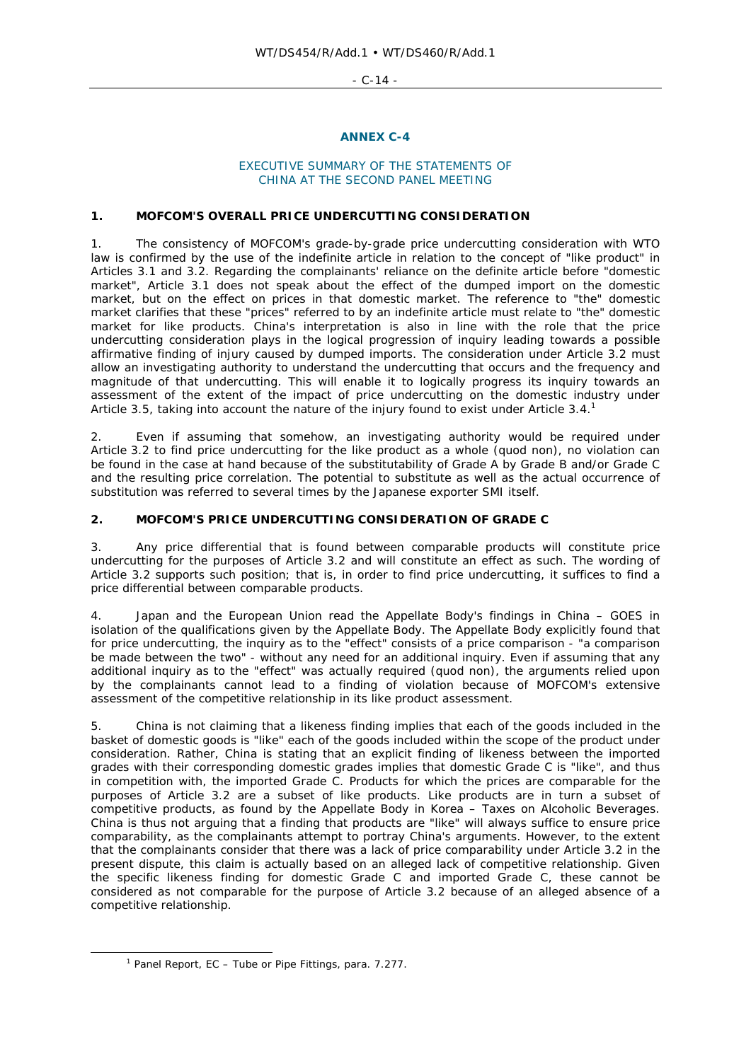- C-14 -

#### **ANNEX C-4**

#### EXECUTIVE SUMMARY OF THE STATEMENTS OF CHINA AT THE SECOND PANEL MEETING

#### **1. MOFCOM'S OVERALL PRICE UNDERCUTTING CONSIDERATION**

1. The consistency of MOFCOM's grade-by-grade price undercutting consideration with WTO law is confirmed by the use of the indefinite article in relation to the concept of "like product" in Articles 3.1 and 3.2. Regarding the complainants' reliance on the definite article before "domestic market", Article 3.1 does not speak about the effect of the dumped import on *the* domestic market, but on the effect on *prices* in that domestic market. The reference to "the" domestic market clarifies that these "prices" referred to by an indefinite article must relate to "the" domestic market for like products. China's interpretation is also in line with the role that the price undercutting consideration plays in the logical progression of inquiry leading towards a possible affirmative finding of injury caused by dumped imports. The consideration under Article 3.2 must allow an investigating authority to understand the undercutting that occurs and the frequency and magnitude of that undercutting. This will enable it to logically progress its inquiry towards an assessment of the extent of the impact of price undercutting on the domestic industry under Article 3.5, taking into account the nature of the injury found to exist under Article 3.4.<sup>1</sup>

2. Even if assuming that somehow, an investigating authority would be required under Article 3.2 to find price undercutting for the like product as a whole (*quod non*), no violation can be found in the case at hand because of the substitutability of Grade A by Grade B and/or Grade C and the resulting price correlation. The potential to substitute as well as the actual occurrence of substitution was referred to several times by the Japanese exporter SMI itself.

#### **2. MOFCOM'S PRICE UNDERCUTTING CONSIDERATION OF GRADE C**

3. Any price differential that is found between comparable products will constitute price undercutting for the purposes of Article 3.2 and will constitute an effect as such. The wording of Article 3.2 supports such position; that is, in order to find price undercutting, it suffices to find a price differential between comparable products.

4. Japan and the European Union read the Appellate Body's findings in *China – GOES* in isolation of the qualifications given by the Appellate Body. The Appellate Body explicitly found that for price undercutting, the inquiry as to the "effect" consists of a price comparison - "a comparison be made between the two" - without any need for an additional inquiry. Even if assuming that any additional inquiry as to the "effect" was actually required (*quod non*), the arguments relied upon by the complainants cannot lead to a finding of violation because of MOFCOM's extensive assessment of the competitive relationship in its like product assessment.

5. China is not claiming that a likeness finding implies that each of the goods included in the basket of domestic goods is "like" each of the goods included within the scope of the product under consideration. Rather, China is stating that an explicit finding of likeness between the imported grades with their corresponding domestic grades implies that domestic Grade C is "like", and thus in competition with, the imported Grade C. Products for which the prices are comparable for the purposes of Article 3.2 are a subset of like products. Like products are in turn a subset of competitive products, as found by the Appellate Body in *Korea – Taxes on Alcoholic Beverages*. China is thus not arguing that a finding that products are "like" will always suffice to ensure price comparability, as the complainants attempt to portray China's arguments. However, to the extent that the complainants consider that there was a lack of price comparability under Article 3.2 in the present dispute, this claim is actually based on an alleged lack of competitive relationship. Given the specific likeness finding for domestic Grade C and imported Grade C, these cannot be considered as not comparable for the purpose of Article 3.2 because of an alleged absence of a competitive relationship.

 $\overline{\phantom{a}}$ Panel Report, *EC – Tube or Pipe Fittings*, para. 7.277.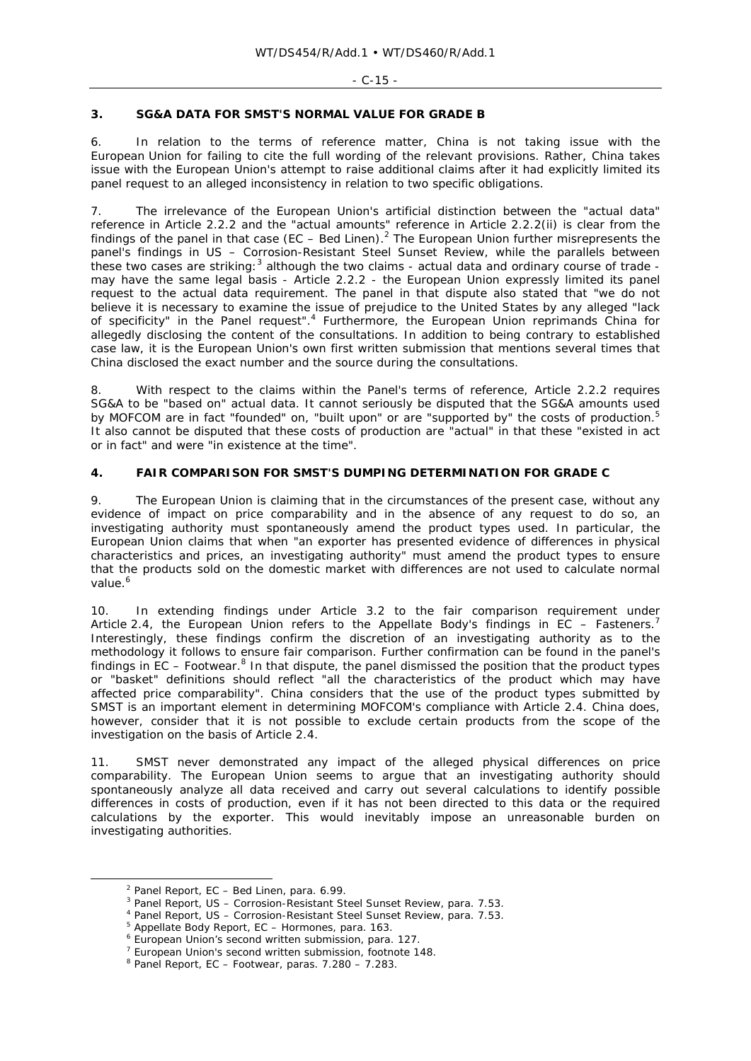# **3. SG&A DATA FOR SMST'S NORMAL VALUE FOR GRADE B**

6. In relation to the terms of reference matter, China is not taking issue with the European Union for failing to cite the full wording of the relevant provisions. Rather, China takes issue with the European Union's attempt to raise additional claims after it had explicitly limited its panel request to an alleged inconsistency in relation to two specific obligations.

7. The irrelevance of the European Union's artificial distinction between the "actual data" reference in Article 2.2.2 and the "actual amounts" reference in Article 2.2.2(ii) is clear from the findings of the panel in that case (*EC – Bed Linen*).<sup>2</sup> The European Union further misrepresents the panel's findings in *US – Corrosion-Resistant Steel Sunset Review*, while the parallels between these two cases are striking: $3$  although the two claims - actual data and ordinary course of trade may have the same legal basis - Article 2.2.2 - the European Union expressly limited its panel request to the actual data requirement. The panel in that dispute also stated that "we do not believe it is necessary to examine the issue of prejudice to the United States by any alleged "lack of specificity" in the Panel request".<sup>4</sup> Furthermore, the European Union reprimands China for allegedly disclosing the content of the consultations. In addition to being contrary to established case law, it is the European Union's own first written submission that mentions several times that China disclosed the exact number and the source during the consultations.

8. With respect to the claims within the Panel's terms of reference, Article 2.2.2 requires SG&A to be "based on" actual data. It cannot seriously be disputed that the SG&A amounts used by MOFCOM are in fact "founded" on, "built upon" or are "supported by" the costs of production.5 It also cannot be disputed that these costs of production are "actual" in that these "existed in act or in fact" and were "in existence at the time".

# **4. FAIR COMPARISON FOR SMST'S DUMPING DETERMINATION FOR GRADE C**

9. The European Union is claiming that in the circumstances of the present case, without any evidence of impact on price comparability and in the absence of any request to do so, an investigating authority must spontaneously amend the product types used. In particular, the European Union claims that when "an exporter has presented evidence of differences in physical characteristics and prices, an investigating authority" must amend the product types to ensure that the products sold on the domestic market with differences are not used to calculate normal value.<sup>6</sup>

10. In extending findings under Article 3.2 to the fair comparison requirement under Article 2.4, the European Union refers to the Appellate Body's findings in *EC – Fasteners*. 7 Interestingly, these findings confirm the discretion of an investigating authority as to the methodology it follows to ensure fair comparison. Further confirmation can be found in the panel's findings in *EC – Footwear*.<sup>8</sup> In that dispute, the panel dismissed the position that the product types or "basket" definitions should reflect "all the characteristics of the product which may have affected price comparability". China considers that the use of the product types submitted by SMST is an important element in determining MOFCOM's compliance with Article 2.4. China does, however, consider that it is not possible to exclude certain products from the scope of the investigation on the basis of Article 2.4.

11. SMST never demonstrated any impact of the alleged physical differences on price comparability. The European Union seems to argue that an investigating authority should spontaneously analyze all data received and carry out several calculations to identify possible differences in costs of production, even if it has not been directed to this data or the required calculations by the exporter. This would inevitably impose an unreasonable burden on investigating authorities.

 $\overline{2}$  $<sup>2</sup>$  Panel Report,  $EC - Bed$  Linen, para. 6.99.</sup>

Panel Report, *US – Corrosion-Resistant Steel Sunset Review*, para. 7.53. 4

<sup>&</sup>lt;sup>4</sup> Panel Report, *US - Corrosion-Resistant Steel Sunset Review*, para. 7.53.

<sup>&</sup>lt;sup>5</sup> Appellate Body Report, *EC - Hormones*, para. 163.

European Union's second written submission, para. 127.

<sup>&</sup>lt;sup>7</sup> European Union's second written submission, footnote 148.

<sup>8</sup> Panel Report, *EC –* Footwear, paras. 7.280 – 7.283.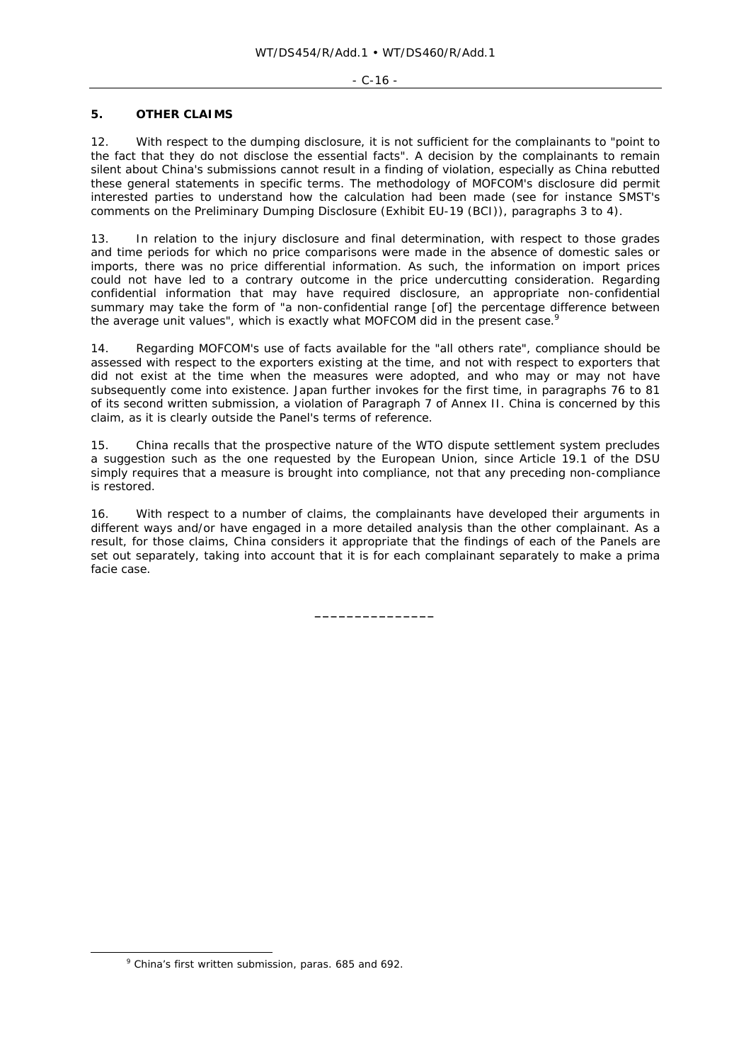#### - C-16 -

# **5. OTHER CLAIMS**

12. With respect to the dumping disclosure, it is not sufficient for the complainants to "point to the fact that they do not disclose the essential facts". A decision by the complainants to remain silent about China's submissions cannot result in a finding of violation, especially as China rebutted these general statements in specific terms. The methodology of MOFCOM's disclosure did permit interested parties to understand how the calculation had been made (see for instance SMST's comments on the Preliminary Dumping Disclosure (Exhibit EU-19 (BCI)), paragraphs 3 to 4).

13. In relation to the injury disclosure and final determination, with respect to those grades and time periods for which no price comparisons were made in the absence of domestic sales or imports, there was no price differential information. As such, the information on import prices could not have led to a contrary outcome in the price undercutting consideration. Regarding confidential information that may have required disclosure, an appropriate non-confidential summary may take the form of "a non-confidential range [of] the percentage difference between the average unit values", which is exactly what MOFCOM did in the present case.<sup>9</sup>

14. Regarding MOFCOM's use of facts available for the "all others rate", compliance should be assessed with respect to the exporters existing at the time, and not with respect to exporters that did not exist at the time when the measures were adopted, and who may or may not have subsequently come into existence. Japan further invokes for the first time, in paragraphs 76 to 81 of its second written submission, a violation of Paragraph 7 of Annex II. China is concerned by this claim, as it is clearly outside the Panel's terms of reference.

15. China recalls that the prospective nature of the WTO dispute settlement system precludes a suggestion such as the one requested by the European Union, since Article 19.1 of the DSU simply requires that a measure is brought into compliance, not that any preceding non-compliance is restored.

16. With respect to a number of claims, the complainants have developed their arguments in different ways and/or have engaged in a more detailed analysis than the other complainant. As a result, for those claims, China considers it appropriate that the findings of each of the Panels are set out separately, taking into account that it is for each complainant separately to make a *prima facie* case.

**\_\_\_\_\_\_\_\_\_\_\_\_\_\_\_** 

 $\frac{1}{\sqrt{2}}$ China's first written submission, paras. 685 and 692.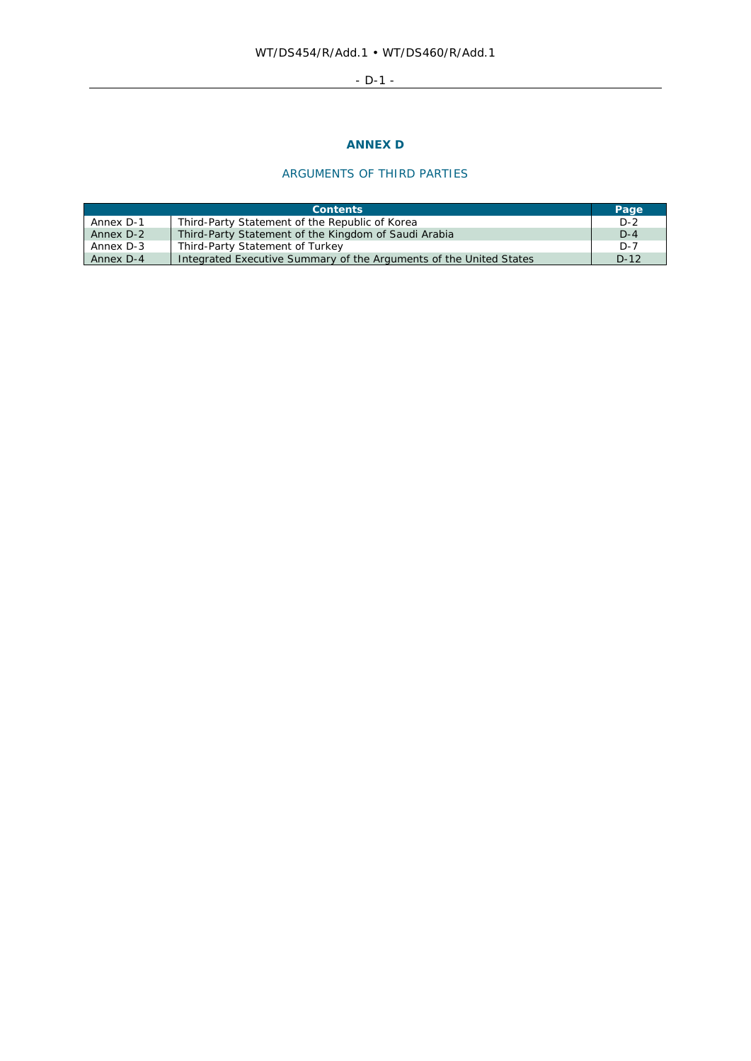# - D-1 -

# **ANNEX D**

# ARGUMENTS OF THIRD PARTIES

| <b>Contents</b> |                                                                    | Page    |
|-----------------|--------------------------------------------------------------------|---------|
| Annex D-1       | Third-Party Statement of the Republic of Korea                     | $D-2$   |
| Annex D-2       | Third-Party Statement of the Kingdom of Saudi Arabia               | $D-4$   |
| Annex D-3       | Third-Party Statement of Turkey                                    | $D - 7$ |
| Annex D-4       | Integrated Executive Summary of the Arguments of the United States | $D-12$  |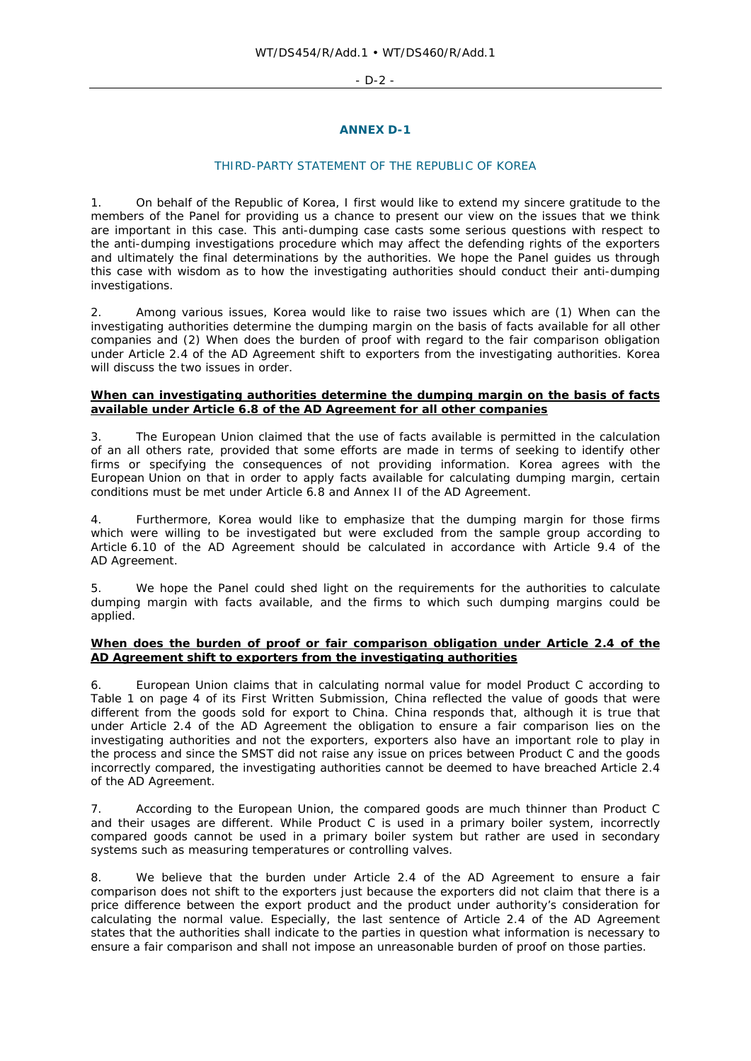#### - D-2 -

#### **ANNEX D-1**

#### THIRD-PARTY STATEMENT OF THE REPUBLIC OF KOREA

1. On behalf of the Republic of Korea, I first would like to extend my sincere gratitude to the members of the Panel for providing us a chance to present our view on the issues that we think are important in this case. This anti-dumping case casts some serious questions with respect to the anti-dumping investigations procedure which may affect the defending rights of the exporters and ultimately the final determinations by the authorities. We hope the Panel guides us through this case with wisdom as to how the investigating authorities should conduct their anti-dumping investigations.

2. Among various issues, Korea would like to raise two issues which are (1) When can the investigating authorities determine the dumping margin on the basis of facts available for all other companies and (2) When does the burden of proof with regard to the fair comparison obligation under Article 2.4 of the AD Agreement shift to exporters from the investigating authorities. Korea will discuss the two issues in order.

#### **When can investigating authorities determine the dumping margin on the basis of facts available under Article 6.8 of the AD Agreement for all other companies**

3. The European Union claimed that the use of facts available is permitted in the calculation of an all others rate, provided that some efforts are made in terms of seeking to identify other firms or specifying the consequences of not providing information. Korea agrees with the European Union on that in order to apply facts available for calculating dumping margin, certain conditions must be met under Article 6.8 and Annex II of the AD Agreement.

4. Furthermore, Korea would like to emphasize that the dumping margin for those firms which were willing to be investigated but were excluded from the sample group according to Article 6.10 of the AD Agreement should be calculated in accordance with Article 9.4 of the AD Agreement.

5. We hope the Panel could shed light on the requirements for the authorities to calculate dumping margin with facts available, and the firms to which such dumping margins could be applied.

## **When does the burden of proof or fair comparison obligation under Article 2.4 of the AD Agreement shift to exporters from the investigating authorities**

6. European Union claims that in calculating normal value for model Product C according to Table 1 on page 4 of its First Written Submission, China reflected the value of goods that were different from the goods sold for export to China. China responds that, although it is true that under Article 2.4 of the AD Agreement the obligation to ensure a fair comparison lies on the investigating authorities and not the exporters, exporters also have an important role to play in the process and since the SMST did not raise any issue on prices between Product C and the goods incorrectly compared, the investigating authorities cannot be deemed to have breached Article 2.4 of the AD Agreement.

7. According to the European Union, the compared goods are much thinner than Product C and their usages are different. While Product C is used in a primary boiler system, incorrectly compared goods cannot be used in a primary boiler system but rather are used in secondary systems such as measuring temperatures or controlling valves.

8. We believe that the burden under Article 2.4 of the AD Agreement to ensure a fair comparison does not shift to the exporters just because the exporters did not claim that there is a price difference between the export product and the product under authority's consideration for calculating the normal value. Especially, the last sentence of Article 2.4 of the AD Agreement states that the authorities shall indicate to the parties in question what information is necessary to ensure a fair comparison and shall not impose an unreasonable burden of proof on those parties.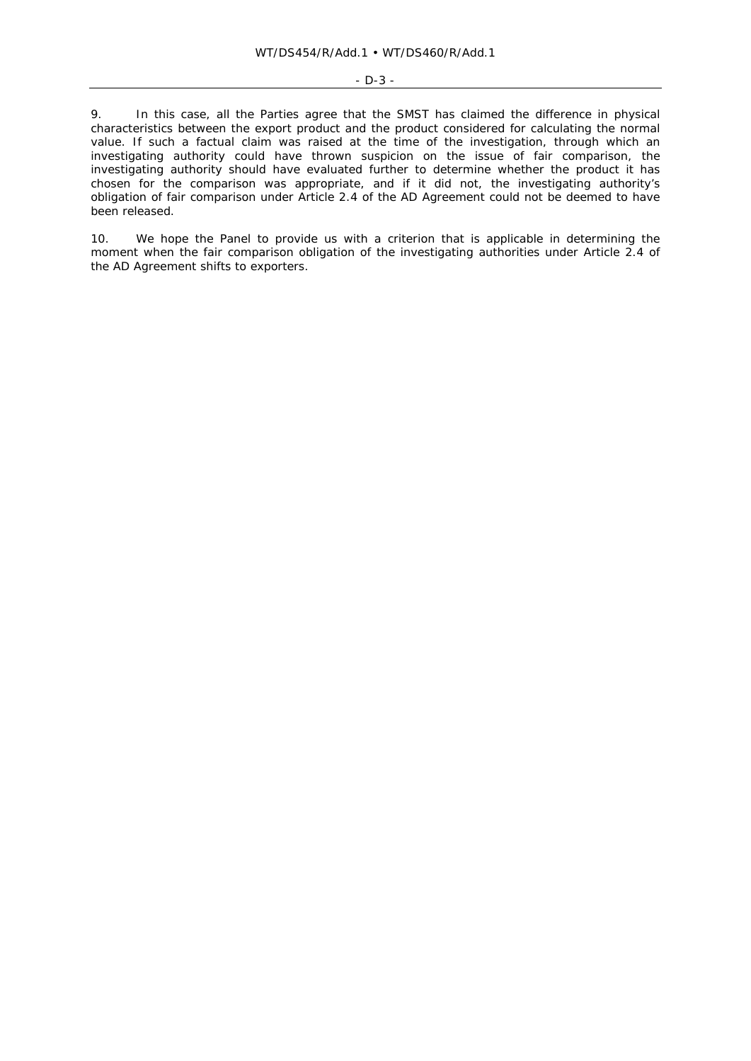#### - D-3 -

9. In this case, all the Parties agree that the SMST has claimed the difference in physical characteristics between the export product and the product considered for calculating the normal value. If such a factual claim was raised at the time of the investigation, through which an investigating authority could have thrown suspicion on the issue of fair comparison, the investigating authority should have evaluated further to determine whether the product it has chosen for the comparison was appropriate, and if it did not, the investigating authority's obligation of fair comparison under Article 2.4 of the AD Agreement could not be deemed to have been released.

10. We hope the Panel to provide us with a criterion that is applicable in determining the moment when the fair comparison obligation of the investigating authorities under Article 2.4 of the AD Agreement shifts to exporters.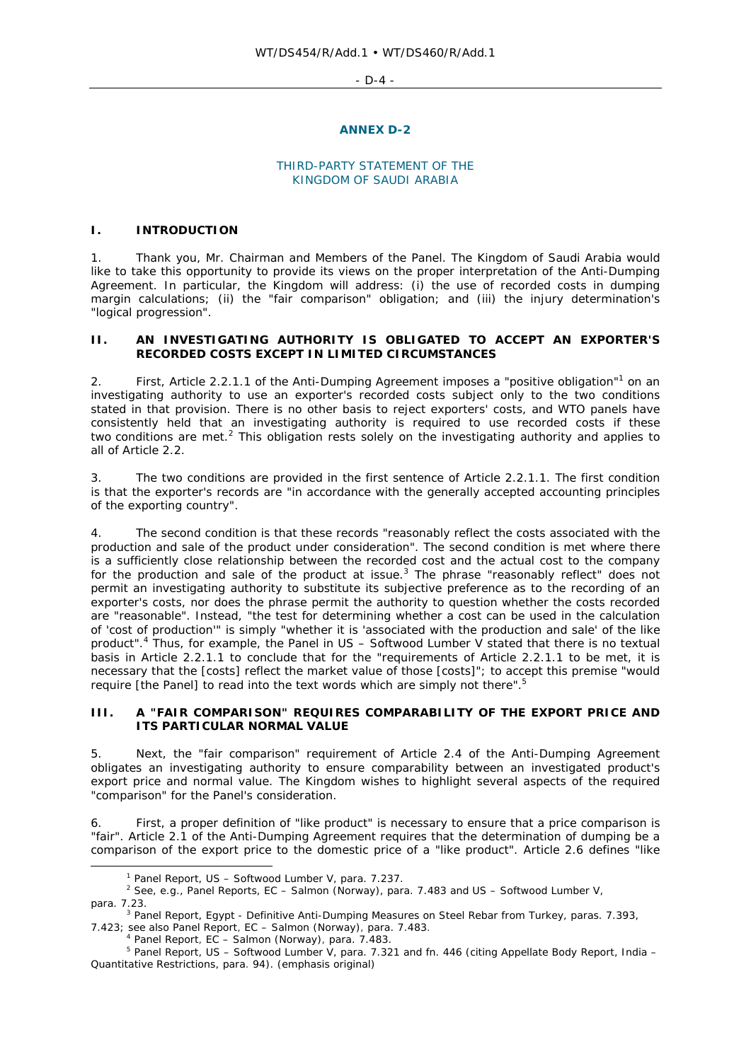#### $-D-4$  -

#### **ANNEX D-2**

#### THIRD-PARTY STATEMENT OF THE KINGDOM OF SAUDI ARABIA

### **I. INTRODUCTION**

1. Thank you, Mr. Chairman and Members of the Panel. The Kingdom of Saudi Arabia would like to take this opportunity to provide its views on the proper interpretation of the Anti-Dumping Agreement. In particular, the Kingdom will address: (i) the use of recorded costs in dumping margin calculations; (ii) the "fair comparison" obligation; and (iii) the injury determination's "logical progression".

# **II. AN INVESTIGATING AUTHORITY IS OBLIGATED TO ACCEPT AN EXPORTER'S RECORDED COSTS EXCEPT IN LIMITED CIRCUMSTANCES**

2. First, Article 2.2.1.1 of the Anti-Dumping Agreement imposes a "positive obligation"<sup>1</sup> on an investigating authority to use an exporter's recorded costs subject *only* to the two conditions stated in that provision. There is no other basis to reject exporters' costs, and WTO panels have consistently held that an investigating authority is required to use recorded costs if these two conditions are met.<sup>2</sup> This obligation rests solely on the investigating authority and applies to all of Article 2.2.

3. The two conditions are provided in the first sentence of Article 2.2.1.1. The first condition is that the exporter's records are "in accordance with the generally accepted accounting principles of the exporting country".

4. The second condition is that these records "reasonably reflect the costs associated with the production and sale of the product under consideration". The second condition is met where there is a sufficiently close relationship between the recorded cost and the actual cost to the company for the production and sale of the product at issue. $3$  The phrase "reasonably reflect" does not permit an investigating authority to substitute its subjective preference as to the recording of an exporter's costs, nor does the phrase permit the authority to question whether the costs recorded are "reasonable". Instead, "the test for determining whether a cost can be used in the calculation of 'cost of production'" is simply "whether it is 'associated with the production and sale' of the like product".<sup>4</sup> Thus, for example, the Panel in *US – Softwood Lumber V* stated that there is no textual basis in Article 2.2.1.1 to conclude that for the "requirements of Article 2.2.1.1 to be met, it is necessary that the [costs] reflect the *market value* of those [costs]"; to accept this premise "would require [the Panel] to read into the text words which are simply not there".<sup>5</sup>

## **III. A "FAIR COMPARISON" REQUIRES COMPARABILITY OF THE EXPORT PRICE AND ITS PARTICULAR NORMAL VALUE**

5. Next, the "fair comparison" requirement of Article 2.4 of the Anti-Dumping Agreement obligates an investigating authority to ensure comparability between an investigated product's export price and normal value. The Kingdom wishes to highlight several aspects of the required "comparison" for the Panel's consideration.

6. First, a proper definition of "like product" is necessary to ensure that a price comparison is "fair". Article 2.1 of the Anti-Dumping Agreement requires that the determination of dumping be a comparison of the export price to the domestic price of a "like product". Article 2.6 defines "like

 $\overline{\phantom{a}}$ <sup>1</sup> Panel Report, *US – Softwood Lumber V*, para. 7.237.

See, e.g., Panel Reports, *EC – Salmon (Norway)*, para. 7.483 and *US – Softwood Lumber V*,

para. 7.23.<br><sup>3</sup> Panel Report, *Egypt - Definitive Anti-Dumping Measures on Steel Rebar from Turkey*, paras. 7.393, 7.423; see also Panel Report, *EC – Salmon (Norway)*, para. 7.483. 4

<sup>&</sup>lt;sup>4</sup> Panel Report, *EC – Salmon (Norway)*, para. 7.483.<br><sup>5</sup> Panel Report, *US – Softwood Lumber V*, para. 7.321 and fn. 446 (citing Appellate Body Report, *India – Quantitative Restrictions*, para. 94). (emphasis original)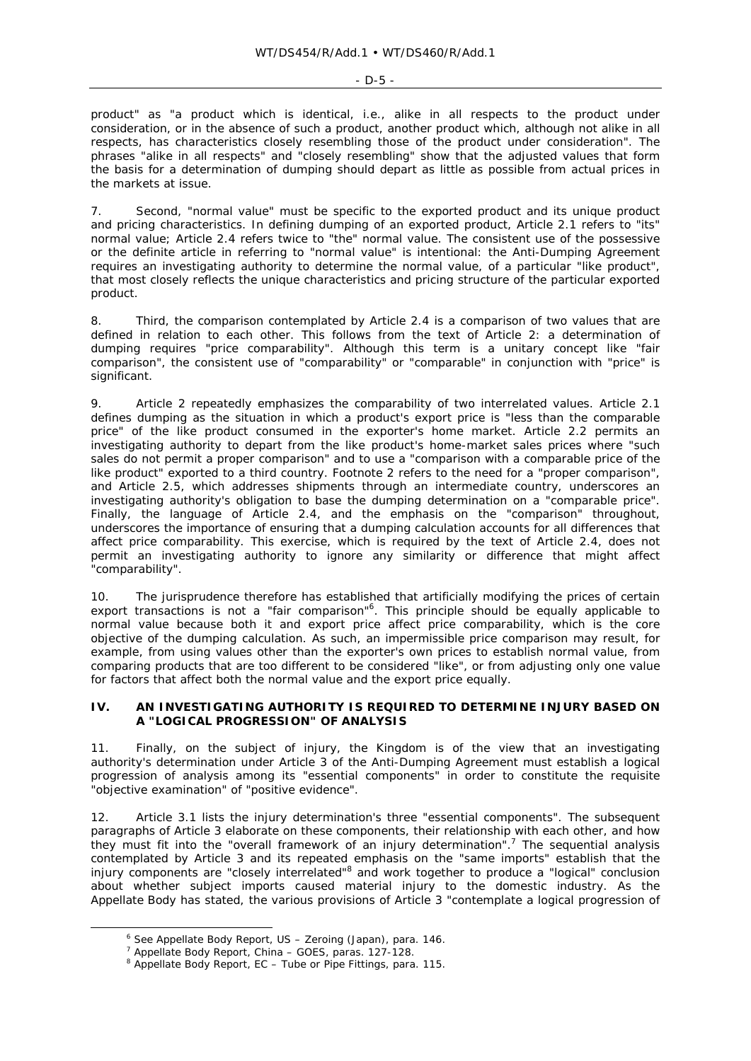product" as "a product which is identical, i.e., alike in all respects to the product under consideration, or in the absence of such a product, another product which, although not alike in all respects, has characteristics closely resembling those of the product under consideration". The phrases "alike in all respects" and "closely resembling" show that the adjusted values that form the basis for a determination of dumping should depart as little as possible from actual prices in the markets at issue.

7. Second, "normal value" must be specific to the exported product and its unique product and pricing characteristics. In defining dumping of an exported product, Article 2.1 refers to "its" normal value; Article 2.4 refers twice to "the" normal value. The consistent use of the possessive or the definite article in referring to "normal value" is intentional: the Anti-Dumping Agreement requires an investigating authority to determine the normal value, of a particular "like product", that most closely reflects the unique characteristics and pricing structure of the particular exported product.

8. Third, the comparison contemplated by Article 2.4 is a comparison of two values that are defined in relation to each other. This follows from the text of Article 2: a determination of dumping requires "price comparability". Although this term is a unitary concept like "fair comparison", the consistent use of "comparability" or "comparable" in conjunction with "price" is significant.

9. Article 2 repeatedly emphasizes the comparability of two interrelated values. Article 2.1 defines dumping as the situation in which a product's export price is "less than the comparable price" of the like product consumed in the exporter's home market. Article 2.2 permits an investigating authority to depart from the like product's home-market sales prices where "such sales do not permit a proper comparison" and to use a "comparison with a comparable price of the like product" exported to a third country. Footnote 2 refers to the need for a "proper comparison", and Article 2.5, which addresses shipments through an intermediate country, underscores an investigating authority's obligation to base the dumping determination on a "comparable price". Finally, the language of Article 2.4, and the emphasis on the "comparison" throughout, underscores the importance of ensuring that a dumping calculation accounts for all differences that affect price comparability. This exercise, which is required by the text of Article 2.4, does not permit an investigating authority to ignore any similarity or difference that might affect "comparability".

10. The jurisprudence therefore has established that artificially modifying the prices of certain export transactions is not a "fair comparison"<sup>6</sup>. This principle should be equally applicable to normal value because both it and export price affect price comparability, which is the core objective of the dumping calculation. As such, an impermissible price comparison may result, for example, from using values other than the exporter's own prices to establish normal value, from comparing products that are too different to be considered "like", or from adjusting only one value for factors that affect both the normal value and the export price equally.

### **IV. AN INVESTIGATING AUTHORITY IS REQUIRED TO DETERMINE INJURY BASED ON A "LOGICAL PROGRESSION" OF ANALYSIS**

11. Finally, on the subject of injury, the Kingdom is of the view that an investigating authority's determination under Article 3 of the Anti-Dumping Agreement must establish a logical progression of analysis among its "essential components" in order to constitute the requisite "objective examination" of "positive evidence".

12. Article 3.1 lists the injury determination's three "essential components". The subsequent paragraphs of Article 3 elaborate on these components, their relationship with each other, and how they must fit into the "overall framework of an injury determination".<sup>7</sup> The sequential analysis contemplated by Article 3 and its repeated emphasis on the "same imports" establish that the injury components are "closely interrelated"<sup>8</sup> and work together to produce a "logical" conclusion about whether subject imports caused material injury to the domestic industry. As the Appellate Body has stated, the various provisions of Article 3 "contemplate a logical progression of

 $\overline{\phantom{a}}$ See Appellate Body Report, *US – Zeroing (Japan)*, para. 146. 7

<sup>&</sup>lt;sup>7</sup> Appellate Body Report, *China – GOES*, paras. 127-128.

Appellate Body Report, *EC – Tube or Pipe Fittings*, para. 115.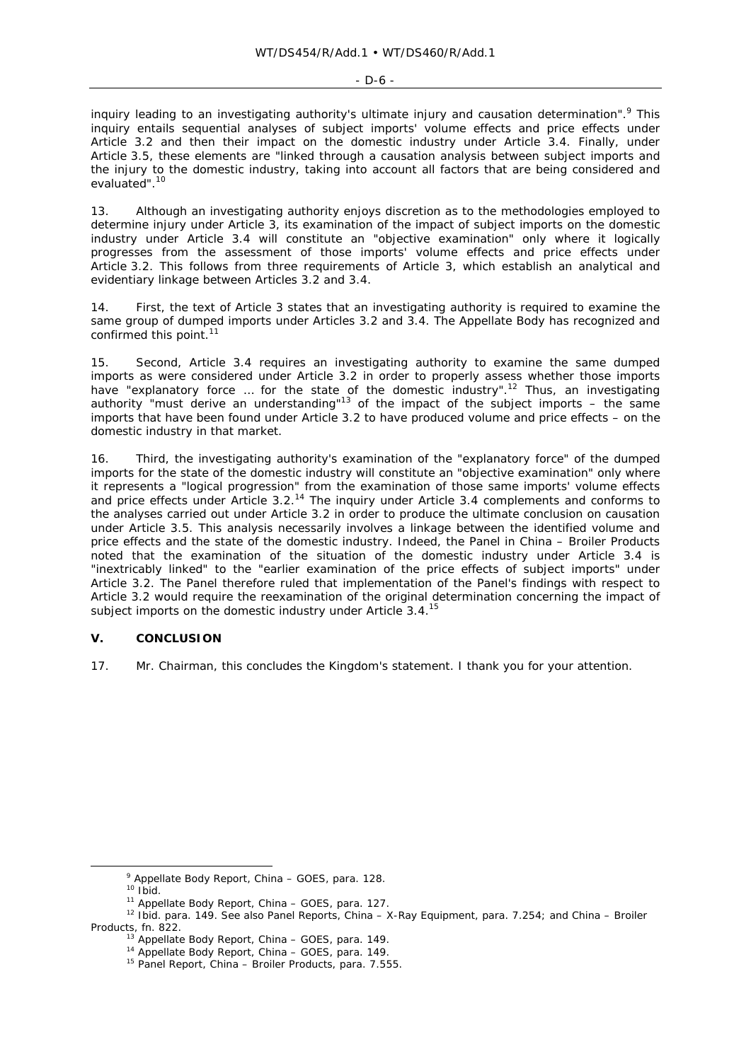inquiry leading to an investigating authority's ultimate injury and causation determination".<sup>9</sup> This inquiry entails sequential analyses of subject imports' volume effects and price effects under Article 3.2 and then their impact on the domestic industry under Article 3.4. Finally, under Article 3.5, these elements are "linked through a causation analysis between subject imports and the injury to the domestic industry, taking into account all factors that are being considered and evaluated".<sup>10</sup>

13. Although an investigating authority enjoys discretion as to the methodologies employed to determine injury under Article 3, its examination of the impact of subject imports on the domestic industry under Article 3.4 will constitute an "objective examination" only where it logically progresses from the assessment of those imports' volume effects and price effects under Article 3.2. This follows from three requirements of Article 3, which establish an analytical and evidentiary linkage between Articles 3.2 and 3.4.

14. First, the text of Article 3 states that an investigating authority is required to examine the same group of dumped imports under Articles 3.2 and 3.4. The Appellate Body has recognized and confirmed this point. $11$ 

15. Second, Article 3.4 requires an investigating authority to examine the same dumped imports as were considered under Article 3.2 in order to properly assess whether those imports have "explanatory force ... for the state of the domestic industry".<sup>12</sup> Thus, an investigating authority "must derive an understanding"<sup>13</sup> of the impact of the subject imports  $-$  the same imports that have been found under Article 3.2 to have produced volume and price effects – on the domestic industry in that market.

16. Third, the investigating authority's examination of the "explanatory force" of the dumped imports for the state of the domestic industry will constitute an "objective examination" only where it represents a "logical progression" from the examination of those same imports' volume effects and price effects under Article 3.2.<sup>14</sup> The inquiry under Article 3.4 complements and conforms to the analyses carried out under Article 3.2 in order to produce the ultimate conclusion on causation under Article 3.5. This analysis necessarily involves a linkage between the identified volume and price effects and the state of the domestic industry. Indeed, the Panel in *China – Broiler Products* noted that the examination of the situation of the domestic industry under Article 3.4 is "inextricably linked" to the "earlier examination of the price effects of subject imports" under Article 3.2. The Panel therefore ruled that implementation of the Panel's findings with respect to Article 3.2 would require the reexamination of the original determination concerning the impact of subject imports on the domestic industry under Article 3.4.<sup>15</sup>

# **V. CONCLUSION**

17. Mr. Chairman, this concludes the Kingdom's statement. I thank you for your attention.

 $\frac{1}{9}$ 

<sup>&</sup>lt;sup>9</sup> Appellate Body Report, *China – GOES*, para. 128.<br><sup>10</sup> Ibid.<br><sup>11</sup> Appellate Body Report, *China – GOES*, para. 127.<br><sup>12</sup> Ibid. para. 149. See also Panel Reports, *China – X-Ray Equipment*, para. 7.254; and *China – Br Products*, fn. 822.

<sup>13</sup> Appellate Body Report, *China – GOES*, para. 149. 14 Appellate Body Report, *China – GOES*, para. 149. 15 Panel Report, *China – Broiler Products*, para. 7.555.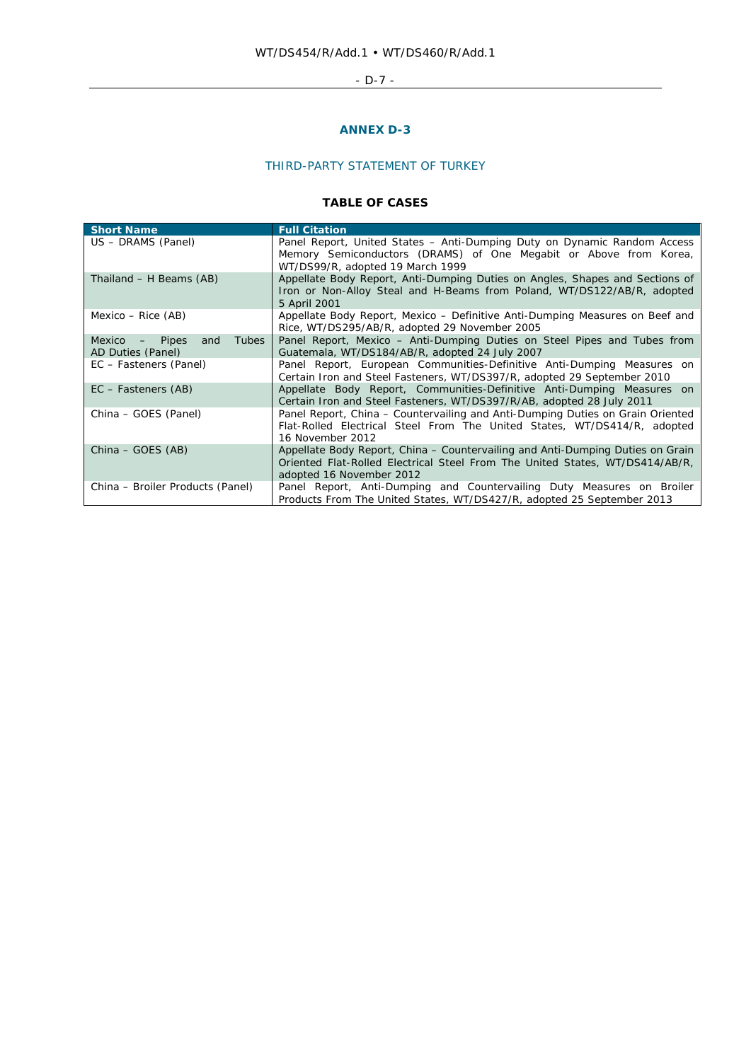# - D-7 -

# **ANNEX D-3**

# THIRD-PARTY STATEMENT OF TURKEY

# **TABLE OF CASES**

| <b>Short Name</b>                                             | <b>Full Citation</b>                                                                                                                                                                       |
|---------------------------------------------------------------|--------------------------------------------------------------------------------------------------------------------------------------------------------------------------------------------|
| US - DRAMS (Panel)                                            | Panel Report, United States - Anti-Dumping Duty on Dynamic Random Access<br>Memory Semiconductors (DRAMS) of One Megabit or Above from Korea,<br>WT/DS99/R, adopted 19 March 1999          |
| Thailand - H Beams (AB)                                       | Appellate Body Report, Anti-Dumping Duties on Angles, Shapes and Sections of<br>Iron or Non-Alloy Steal and H-Beams from Poland, WT/DS122/AB/R, adopted<br>5 April 2001                    |
| Mexico – Rice (AB)                                            | Appellate Body Report, Mexico - Definitive Anti-Dumping Measures on Beef and<br>Rice, WT/DS295/AB/R, adopted 29 November 2005                                                              |
| Tubes<br>and<br><i>Mexico</i><br>- Pipes<br>AD Duties (Panel) | Panel Report, Mexico – Anti-Dumping Duties on Steel Pipes and Tubes from<br>Guatemala, WT/DS184/AB/R, adopted 24 July 2007                                                                 |
| EC – Fasteners (Panel)                                        | Panel Report, European Communities-Definitive Anti-Dumping Measures on<br>Certain Iron and Steel Fasteners, WT/DS397/R, adopted 29 September 2010                                          |
| EC – Fasteners (AB)                                           | Appellate Body Report, <i>Communities-Definitive Anti-Dumping Measures on</i><br>Certain Iron and Steel Fasteners, WT/DS397/R/AB, adopted 28 July 2011                                     |
| China – GOES (Panel)                                          | Panel Report, China - Countervailing and Anti-Dumping Duties on Grain Oriented<br>Flat-Rolled Electrical Steel From The United States, WT/DS414/R, adopted<br>16 November 2012             |
| China – GOES (AB)                                             | Appellate Body Report, China - Countervailing and Anti-Dumping Duties on Grain<br>Oriented Flat-Rolled Electrical Steel From The United States, WT/DS414/AB/R,<br>adopted 16 November 2012 |
| China – Broiler Products (Panel)                              | Panel Report, Anti-Dumping and Countervailing Duty Measures on Broiler<br>Products From The United States, WT/DS427/R, adopted 25 September 2013                                           |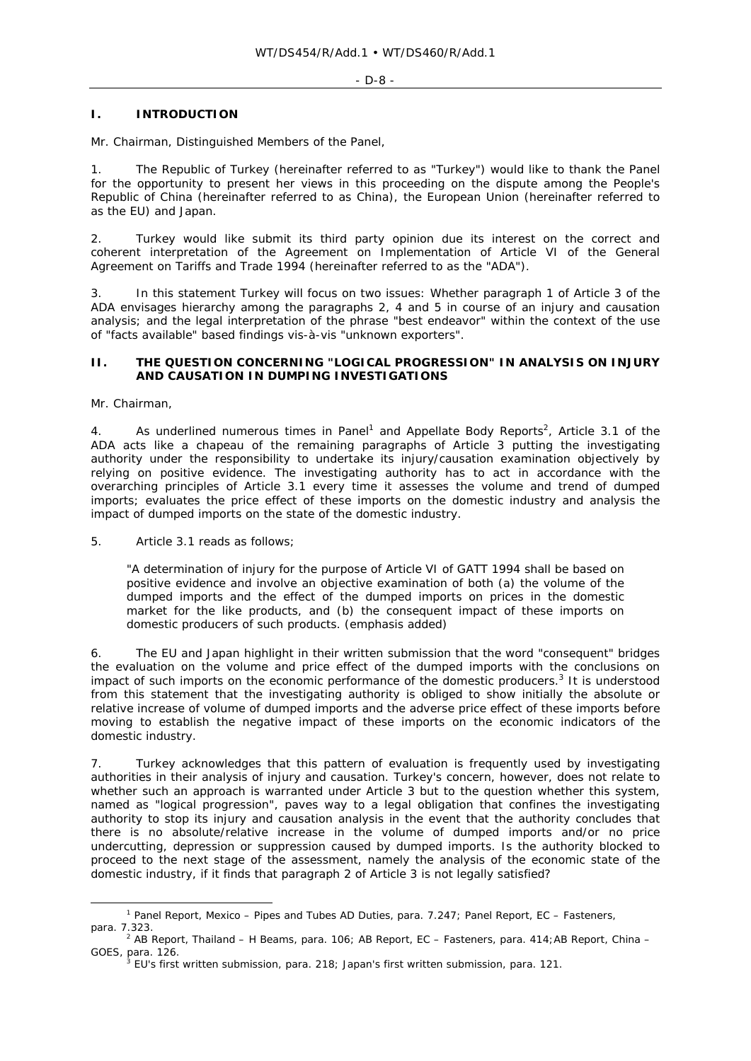## **I. INTRODUCTION**

Mr. Chairman, Distinguished Members of the Panel,

1. The Republic of Turkey (hereinafter referred to as "Turkey") would like to thank the Panel for the opportunity to present her views in this proceeding on the dispute among the People's Republic of China (hereinafter referred to as China), the European Union (hereinafter referred to as the EU) and Japan.

2. Turkey would like submit its third party opinion due its interest on the correct and coherent interpretation of the Agreement on Implementation of Article VI of the General Agreement on Tariffs and Trade 1994 (hereinafter referred to as the "ADA").

3. In this statement Turkey will focus on two issues: Whether paragraph 1 of Article 3 of the ADA envisages hierarchy among the paragraphs 2, 4 and 5 in course of an injury and causation analysis; and the legal interpretation of the phrase "*best endeavor*" within the context of the use of "*facts available*" based findings vis-à-vis "*unknown exporters*".

## **II. THE QUESTION CONCERNING "LOGICAL PROGRESSION" IN ANALYSIS ON INJURY AND CAUSATION IN DUMPING INVESTIGATIONS**

Mr. Chairman,

4. As underlined numerous times in Panel<sup>1</sup> and Appellate Body Reports<sup>2</sup>, Article 3.1 of the ADA acts like a chapeau of the remaining paragraphs of Article 3 putting the investigating authority under the responsibility to undertake its injury/causation examination objectively by relying on positive evidence. The investigating authority has to act in accordance with the overarching principles of Article 3.1 every time it assesses the volume and trend of dumped imports; evaluates the price effect of these imports on the domestic industry and analysis the impact of dumped imports on the state of the domestic industry.

5. Article 3.1 reads as follows;

"A determination of injury for the purpose of Article VI of GATT 1994 shall be based on positive evidence and involve an objective examination of both *(a)* the volume of the dumped imports and the effect of the dumped imports on prices in the domestic market for the like products, and *(b)* the *consequent* impact of *these* imports on domestic producers of such products. *(emphasis added)*

6. The EU and Japan highlight in their written submission that the word "*consequent*" bridges the evaluation on the volume and price effect of the dumped imports with the conclusions on impact of such imports on the economic performance of the domestic producers.<sup>3</sup> It is understood from this statement that the investigating authority is obliged to show initially the absolute or relative increase of volume of dumped imports and the adverse price effect of these imports before moving to establish the negative impact of these imports on the economic indicators of the domestic industry.

7. Turkey acknowledges that this pattern of evaluation is frequently used by investigating authorities in their analysis of injury and causation. Turkey's concern, however, does not relate to whether such an approach is warranted under Article 3 but to the question whether this system, named as "*logical progression*", paves way to a legal obligation that confines the investigating authority to stop its injury and causation analysis in the event that the authority concludes that there is no absolute/relative increase in the volume of dumped imports and/or no price undercutting, depression or suppression caused by dumped imports. Is the authority blocked to proceed to the next stage of the assessment, namely the analysis of the economic state of the domestic industry, if it finds that paragraph 2 of Article 3 is not legally satisfied?

 $\overline{\phantom{a}}$  Panel Report, *Mexico – Pipes and Tubes AD Duties,* para. 7.247; Panel Report, *EC – Fasteners*, para. 7.323. 2 AB Report, *Thailand – H Beams*, para. 106; AB Report, *EC – Fasteners*, para. 414;AB Report, *China –* 

*GOES*, para. 126. 3

EU's first written submission, para. 218; Japan's first written submission, para. 121.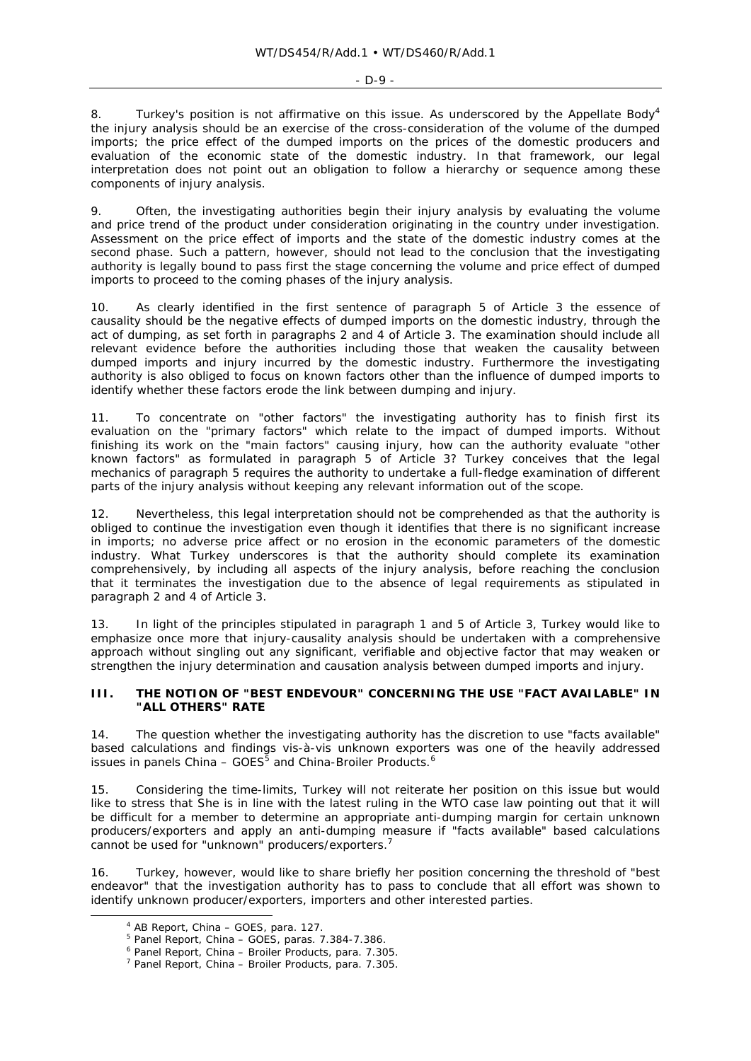#### - D-9 -

8. Turkey's position is not affirmative on this issue. As underscored by the Appellate Body<sup>4</sup> the injury analysis should be an exercise of the cross-consideration of the volume of the dumped imports; the price effect of the dumped imports on the prices of the domestic producers and evaluation of the economic state of the domestic industry. In that framework, our legal interpretation does not point out an obligation to follow a hierarchy or sequence among these components of injury analysis.

9. Often, the investigating authorities begin their injury analysis by evaluating the volume and price trend of the product under consideration originating in the country under investigation. Assessment on the price effect of imports and the state of the domestic industry comes at the second phase. Such a pattern, however, should not lead to the conclusion that the investigating authority is legally bound to pass first the stage concerning the volume and price effect of dumped imports to proceed to the coming phases of the injury analysis.

10. As clearly identified in the first sentence of paragraph 5 of Article 3 the essence of causality should be the negative effects of dumped imports on the domestic industry, through the act of dumping, as set forth in paragraphs 2 and 4 of Article 3. The examination should include all relevant evidence before the authorities including those that weaken the causality between dumped imports and injury incurred by the domestic industry. Furthermore the investigating authority is also obliged to focus on known factors other than the influence of dumped imports to identify whether these factors erode the link between dumping and injury.

11. To concentrate on "other factors" the investigating authority has to finish first its evaluation on the "primary factors" which relate to the impact of dumped imports. Without finishing its work on the "main factors" causing injury, how can the authority evaluate "other known factors" as formulated in paragraph 5 of Article 3? Turkey conceives that the legal mechanics of paragraph 5 requires the authority to undertake a full-fledge examination of different parts of the injury analysis without keeping any relevant information out of the scope.

12. Nevertheless, this legal interpretation should not be comprehended as that the authority is obliged to continue the investigation even though it identifies that there is no significant increase in imports; no adverse price affect or no erosion in the economic parameters of the domestic industry. What Turkey underscores is that the authority should complete its examination comprehensively, by including all aspects of the injury analysis, before reaching the conclusion that it terminates the investigation due to the absence of legal requirements as stipulated in paragraph 2 and 4 of Article 3.

13. In light of the principles stipulated in paragraph 1 and 5 of Article 3, Turkey would like to emphasize once more that injury-causality analysis should be undertaken with a comprehensive approach without singling out any significant, verifiable and objective factor that may weaken or strengthen the injury determination and causation analysis between dumped imports and injury.

### **III. THE NOTION OF "BEST ENDEVOUR" CONCERNING THE USE "FACT AVAILABLE" IN "ALL OTHERS" RATE**

14. The question whether the investigating authority has the discretion to use "facts available" based calculations and findings vis-à-vis unknown exporters was one of the heavily addressed issues in panels *China – GOES5* and *China-Broiler Products*. 6

15. Considering the time-limits, Turkey will not reiterate her position on this issue but would like to stress that She is in line with the latest ruling in the WTO case law pointing out that it will be difficult for a member to determine an appropriate anti-dumping margin for certain unknown producers/exporters and apply an anti-dumping measure if "facts available" based calculations cannot be used for "unknown" producers/exporters.<sup>7</sup>

16. Turkey, however, would like to share briefly her position concerning the threshold of "best endeavor" that the investigation authority has to pass to conclude that all effort was shown to identify unknown producer/exporters, importers and other interested parties.

 $\overline{a}$ AB Report, *China – GOES*, para. 127. 5

<sup>&</sup>lt;sup>5</sup> Panel Report, *China – GOES*, paras. 7.384-7.386.

<sup>&</sup>lt;sup>6</sup> Panel Report, *China – Broiler Products*, para. 7.305.

Panel Report, *China – Broiler Products*, para. 7.305.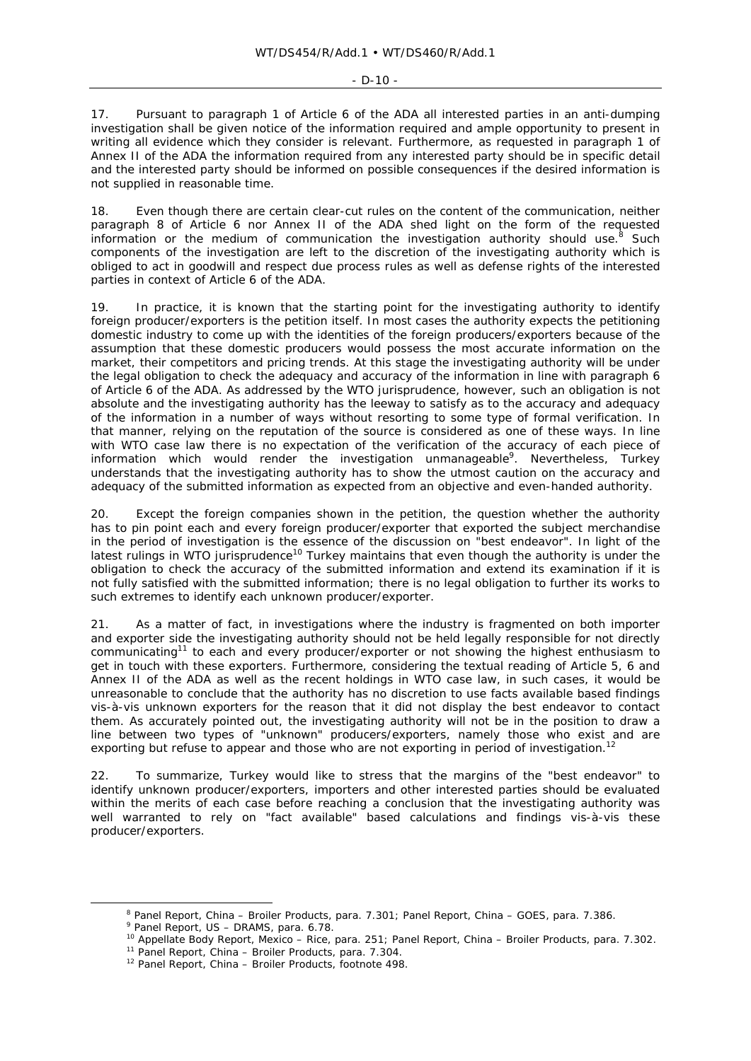#### $-D-10 =$

17. Pursuant to paragraph 1 of Article 6 of the ADA all interested parties in an anti-dumping investigation shall be given notice of the information required and ample opportunity to present in writing all evidence which they consider is relevant. Furthermore, as requested in paragraph 1 of Annex II of the ADA the information required from any interested party should be in specific detail and the interested party should be informed on possible consequences if the desired information is not supplied in reasonable time.

18. Even though there are certain clear-cut rules on the content of the communication, neither paragraph 8 of Article 6 nor Annex II of the ADA shed light on the form of the requested information or the medium of communication the investigation authority should use. $8$  Such components of the investigation are left to the discretion of the investigating authority which is obliged to act in goodwill and respect due process rules as well as defense rights of the interested parties in context of Article 6 of the ADA.

19. In practice, it is known that the starting point for the investigating authority to identify foreign producer/exporters is the petition itself. In most cases the authority expects the petitioning domestic industry to come up with the identities of the foreign producers/exporters because of the assumption that these domestic producers would possess the most accurate information on the market, their competitors and pricing trends. At this stage the investigating authority will be under the legal obligation to check the adequacy and accuracy of the information in line with paragraph 6 of Article 6 of the ADA. As addressed by the WTO jurisprudence, however, such an obligation is not absolute and the investigating authority has the leeway to satisfy as to the accuracy and adequacy of the information in a number of ways without resorting to some type of formal verification. In that manner, relying on the reputation of the source is considered as one of these ways. In line with WTO case law there is no expectation of the verification of the accuracy of each piece of information which would render the investigation unmanageable<sup>9</sup>. Nevertheless, Turkey understands that the investigating authority has to show the utmost caution on the accuracy and adequacy of the submitted information as expected from an objective and even-handed authority.

20. Except the foreign companies shown in the petition, the question whether the authority has to pin point each and every foreign producer/exporter that exported the subject merchandise in the period of investigation is the essence of the discussion on "best endeavor". In light of the latest rulings in WTO jurisprudence<sup>10</sup> Turkey maintains that even though the authority is under the obligation to check the accuracy of the submitted information and extend its examination if it is not fully satisfied with the submitted information; there is no legal obligation to further its works to such extremes to identify each unknown producer/exporter.

21. As a matter of fact, in investigations where the industry is fragmented on both importer and exporter side the investigating authority should not be held legally responsible for not directly communicating<sup>11</sup> to each and every producer/exporter or not showing the highest enthusiasm to get in touch with these exporters. Furthermore, considering the textual reading of Article 5, 6 and Annex II of the ADA as well as the recent holdings in WTO case law, in such cases, it would be unreasonable to conclude that the authority has no discretion to use facts available based findings vis-à-vis unknown exporters for the reason that it did not display the best endeavor to contact them. As accurately pointed out, the investigating authority will not be in the position to draw a line between two types of "unknown" producers/exporters, namely those who exist and are exporting but refuse to appear and those who are not exporting in period of investigation.<sup>12</sup>

22. To summarize, Turkey would like to stress that the margins of the "best endeavor" to identify unknown producer/exporters, importers and other interested parties should be evaluated within the merits of each case before reaching a conclusion that the investigating authority was well warranted to rely on "fact available" based calculations and findings vis-à-vis these producer/exporters.

 <sup>8</sup> <sup>8</sup> Panel Report, *China – Broiler Products*, para. 7.301; Panel Report, *China – GOES*, para. 7.386.<br><sup>9</sup> Panel Report, *US – DRAMS*, para. 6.78.

<sup>&</sup>lt;sup>10</sup> Appellate Body Report, *Mexico – Rice*, para. 251; Panel Report, *China – Broiler Products*, para. 7.302.<br><sup>11</sup> Panel Report, *China – Broiler Products*, para. 7.304.<br><sup>12</sup> Panel Report, *China – Broiler Products*, foo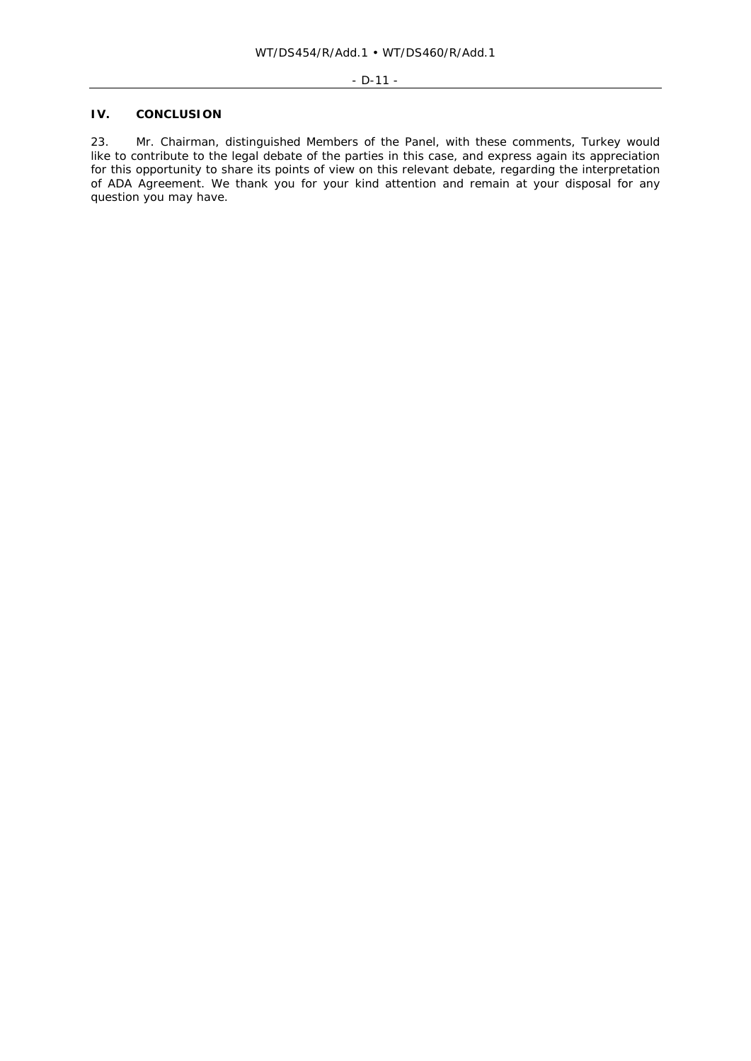# **IV. CONCLUSION**

23. Mr. Chairman, distinguished Members of the Panel, with these comments, Turkey would like to contribute to the legal debate of the parties in this case, and express again its appreciation for this opportunity to share its points of view on this relevant debate, regarding the interpretation of ADA Agreement. We thank you for your kind attention and remain at your disposal for any question you may have.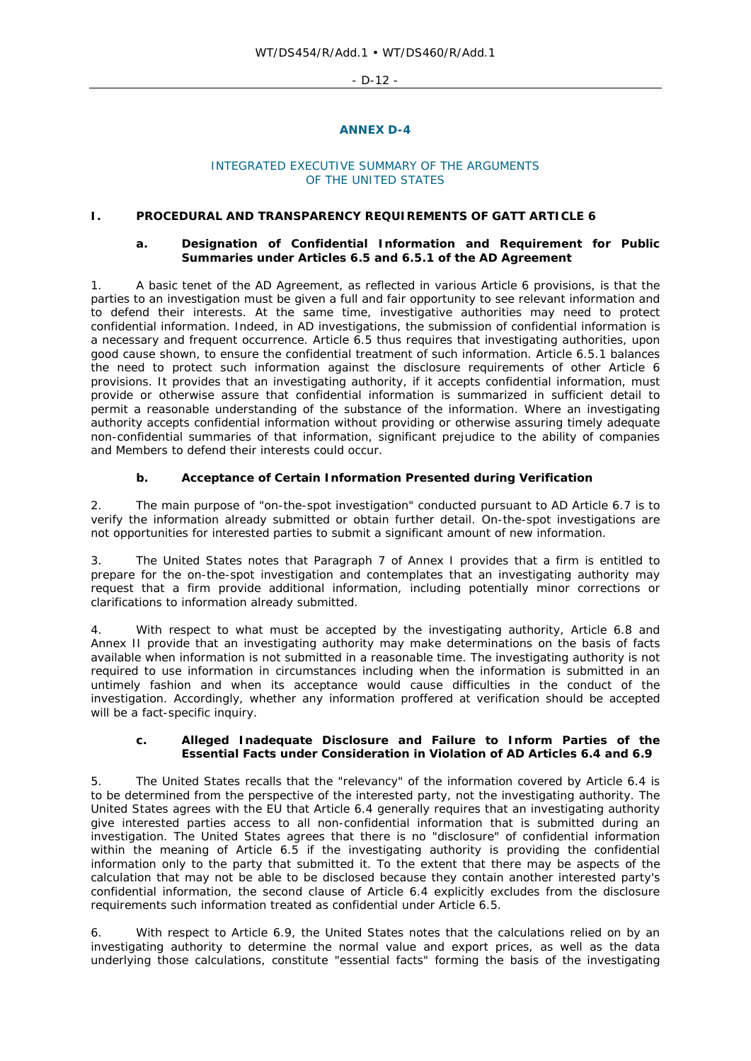$-D-12$  -

## **ANNEX D-4**

#### INTEGRATED EXECUTIVE SUMMARY OF THE ARGUMENTS OF THE UNITED STATES

#### **I. PROCEDURAL AND TRANSPARENCY REQUIREMENTS OF GATT ARTICLE 6**

## **a. Designation of Confidential Information and Requirement for Public Summaries under Articles 6.5 and 6.5.1 of the AD Agreement**

1. A basic tenet of the AD Agreement, as reflected in various Article 6 provisions, is that the parties to an investigation must be given a full and fair opportunity to see relevant information and to defend their interests. At the same time, investigative authorities may need to protect confidential information. Indeed, in AD investigations, the submission of confidential information is a necessary and frequent occurrence. Article 6.5 thus requires that investigating authorities, upon good cause shown, to ensure the confidential treatment of such information. Article 6.5.1 balances the need to protect such information against the disclosure requirements of other Article 6 provisions. It provides that an investigating authority, if it accepts confidential information, must provide or otherwise assure that confidential information is summarized in sufficient detail to permit a reasonable understanding of the substance of the information. Where an investigating authority accepts confidential information without providing or otherwise assuring timely adequate non-confidential summaries of that information, significant prejudice to the ability of companies and Members to defend their interests could occur.

# **b. Acceptance of Certain Information Presented during Verification**

2. The main purpose of "on-the-spot investigation" conducted pursuant to AD Article 6.7 is to verify the information already submitted or obtain further detail. On-the-spot investigations are not opportunities for interested parties to submit a significant amount of new information.

3. The United States notes that Paragraph 7 of Annex I provides that a firm is entitled to prepare for the on-the-spot investigation and contemplates that an investigating authority may request that a firm provide additional information, including potentially minor corrections or clarifications to information already submitted.

4. With respect to what must be accepted by the investigating authority, Article 6.8 and Annex II provide that an investigating authority may make determinations on the basis of facts available when information is not submitted in a reasonable time. The investigating authority is not required to use information in circumstances including when the information is submitted in an untimely fashion and when its acceptance would cause difficulties in the conduct of the investigation. Accordingly, whether any information proffered at verification should be accepted will be a fact-specific inquiry.

#### **c. Alleged Inadequate Disclosure and Failure to Inform Parties of the Essential Facts under Consideration in Violation of AD Articles 6.4 and 6.9**

5. The United States recalls that the "relevancy" of the information covered by Article 6.4 is to be determined from the perspective of the interested party, not the investigating authority. The United States agrees with the EU that Article 6.4 generally requires that an investigating authority give interested parties access to all non-confidential information that is submitted during an investigation. The United States agrees that there is no "disclosure" of confidential information within the meaning of Article 6.5 if the investigating authority is providing the confidential information only to the party that submitted it. To the extent that there may be aspects of the calculation that may not be able to be disclosed because they contain another interested party's confidential information, the second clause of Article 6.4 explicitly excludes from the disclosure requirements such information treated as confidential under Article 6.5.

6. With respect to Article 6.9, the United States notes that the calculations relied on by an investigating authority to determine the normal value and export prices, as well as the data underlying those calculations, constitute "essential facts" forming the basis of the investigating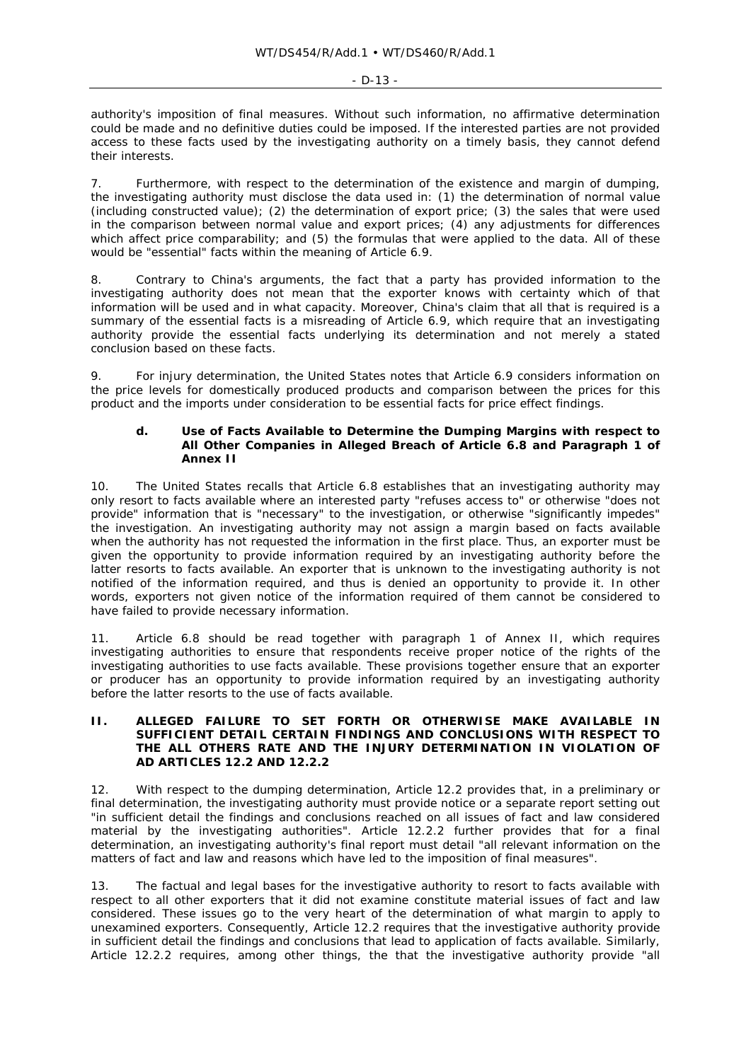authority's imposition of final measures. Without such information, no affirmative determination could be made and no definitive duties could be imposed. If the interested parties are not provided access to these facts used by the investigating authority on a timely basis, they cannot defend their interests.

7. Furthermore, with respect to the determination of the existence and margin of dumping, the investigating authority must disclose the data used in: (1) the determination of normal value (including constructed value); (2) the determination of export price; (3) the sales that were used in the comparison between normal value and export prices; (4) any adjustments for differences which affect price comparability; and (5) the formulas that were applied to the data. All of these would be "essential" facts within the meaning of Article 6.9.

8. Contrary to China's arguments, the fact that a party has provided information to the investigating authority does not mean that the exporter knows with certainty which of that information will be used and in what capacity. Moreover, China's claim that all that is required is a summary of the essential facts is a misreading of Article 6.9, which require that an investigating authority provide the essential facts underlying its determination and not merely a stated conclusion based on these facts.

9. For injury determination, the United States notes that Article 6.9 considers information on the price levels for domestically produced products and comparison between the prices for this product and the imports under consideration to be essential facts for price effect findings.

#### **d. Use of Facts Available to Determine the Dumping Margins with respect to All Other Companies in Alleged Breach of Article 6.8 and Paragraph 1 of Annex II**

10. The United States recalls that Article 6.8 establishes that an investigating authority may only resort to facts available where an interested party "refuses access to" or otherwise "does not provide" information that is "necessary" to the investigation, or otherwise "significantly impedes" the investigation. An investigating authority may not assign a margin based on facts available when the authority has not requested the information in the first place. Thus, an exporter must be given the opportunity to provide information required by an investigating authority before the latter resorts to facts available. An exporter that is unknown to the investigating authority is not notified of the information required, and thus is denied an opportunity to provide it. In other words, exporters not given notice of the information required of them cannot be considered to have failed to provide necessary information.

11. Article 6.8 should be read together with paragraph 1 of Annex II, which requires investigating authorities to ensure that respondents receive proper notice of the rights of the investigating authorities to use facts available. These provisions together ensure that an exporter or producer has an opportunity to provide information required by an investigating authority before the latter resorts to the use of facts available.

### **II. ALLEGED FAILURE TO SET FORTH OR OTHERWISE MAKE AVAILABLE IN SUFFICIENT DETAIL CERTAIN FINDINGS AND CONCLUSIONS WITH RESPECT TO THE ALL OTHERS RATE AND THE INJURY DETERMINATION IN VIOLATION OF AD ARTICLES 12.2 AND 12.2.2**

12. With respect to the dumping determination, Article 12.2 provides that, in a preliminary or final determination, the investigating authority must provide notice or a separate report setting out "in sufficient detail the findings and conclusions reached on all issues of fact and law considered material by the investigating authorities". Article 12.2.2 further provides that for a final determination, an investigating authority's final report must detail "all relevant information on the matters of fact and law and reasons which have led to the imposition of final measures".

13. The factual and legal bases for the investigative authority to resort to facts available with respect to all other exporters that it did not examine constitute material issues of fact and law considered. These issues go to the very heart of the determination of what margin to apply to unexamined exporters. Consequently, Article 12.2 requires that the investigative authority provide in sufficient detail the findings and conclusions that lead to application of facts available. Similarly, Article 12.2.2 requires, among other things, the that the investigative authority provide "all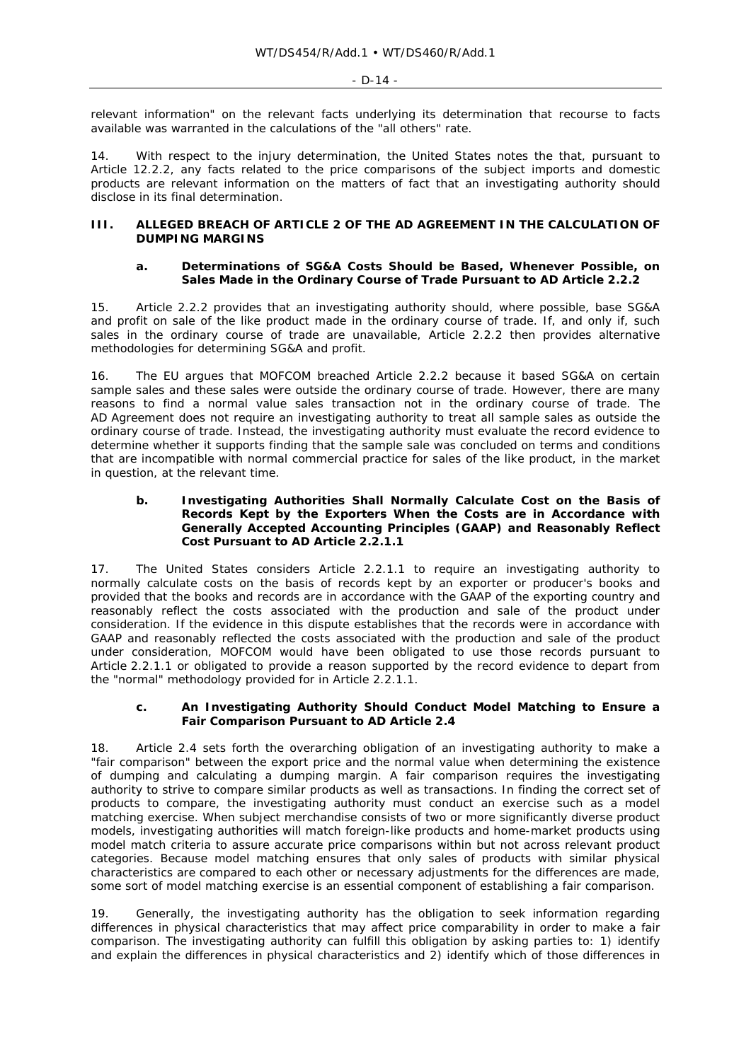relevant information" on the relevant facts underlying its determination that recourse to facts available was warranted in the calculations of the "all others" rate.

14. With respect to the injury determination, the United States notes the that, pursuant to Article 12.2.2, any facts related to the price comparisons of the subject imports and domestic products are relevant information on the matters of fact that an investigating authority should disclose in its final determination.

# **III. ALLEGED BREACH OF ARTICLE 2 OF THE AD AGREEMENT IN THE CALCULATION OF DUMPING MARGINS**

### **a. Determinations of SG&A Costs Should be Based, Whenever Possible, on Sales Made in the Ordinary Course of Trade Pursuant to AD Article 2.2.2**

15. Article 2.2.2 provides that an investigating authority should, where possible, base SG&A and profit on sale of the like product made in the ordinary course of trade. If, and only if, such sales in the ordinary course of trade are unavailable, Article 2.2.2 then provides alternative methodologies for determining SG&A and profit.

16. The EU argues that MOFCOM breached Article 2.2.2 because it based SG&A on certain sample sales and these sales were outside the ordinary course of trade. However, there are many reasons to find a normal value sales transaction not in the ordinary course of trade. The AD Agreement does not require an investigating authority to treat all sample sales as outside the ordinary course of trade. Instead, the investigating authority must evaluate the record evidence to determine whether it supports finding that the sample sale was concluded on terms and conditions that are incompatible with normal commercial practice for sales of the like product, in the market in question, at the relevant time.

### **b. Investigating Authorities Shall Normally Calculate Cost on the Basis of Records Kept by the Exporters When the Costs are in Accordance with Generally Accepted Accounting Principles (GAAP) and Reasonably Reflect Cost Pursuant to AD Article 2.2.1.1**

17. The United States considers Article 2.2.1.1 to require an investigating authority to normally calculate costs on the basis of records kept by an exporter or producer's books and provided that the books and records are in accordance with the GAAP of the exporting country and reasonably reflect the costs associated with the production and sale of the product under consideration. If the evidence in this dispute establishes that the records were in accordance with GAAP and reasonably reflected the costs associated with the production and sale of the product under consideration, MOFCOM would have been obligated to use those records pursuant to Article 2.2.1.1 or obligated to provide a reason supported by the record evidence to depart from the "normal" methodology provided for in Article 2.2.1.1.

### **c. An Investigating Authority Should Conduct Model Matching to Ensure a Fair Comparison Pursuant to AD Article 2.4**

18. Article 2.4 sets forth the overarching obligation of an investigating authority to make a "fair comparison" between the export price and the normal value when determining the existence of dumping and calculating a dumping margin. A fair comparison requires the investigating authority to strive to compare similar products as well as transactions. In finding the correct set of products to compare, the investigating authority must conduct an exercise such as a model matching exercise. When subject merchandise consists of two or more significantly diverse product models, investigating authorities will match foreign-like products and home-market products using model match criteria to assure accurate price comparisons within but not across relevant product categories. Because model matching ensures that only sales of products with similar physical characteristics are compared to each other or necessary adjustments for the differences are made, some sort of model matching exercise is an essential component of establishing a fair comparison.

19. Generally, the investigating authority has the obligation to seek information regarding differences in physical characteristics that may affect price comparability in order to make a fair comparison. The investigating authority can fulfill this obligation by asking parties to: 1) identify and explain the differences in physical characteristics and 2) identify which of those differences in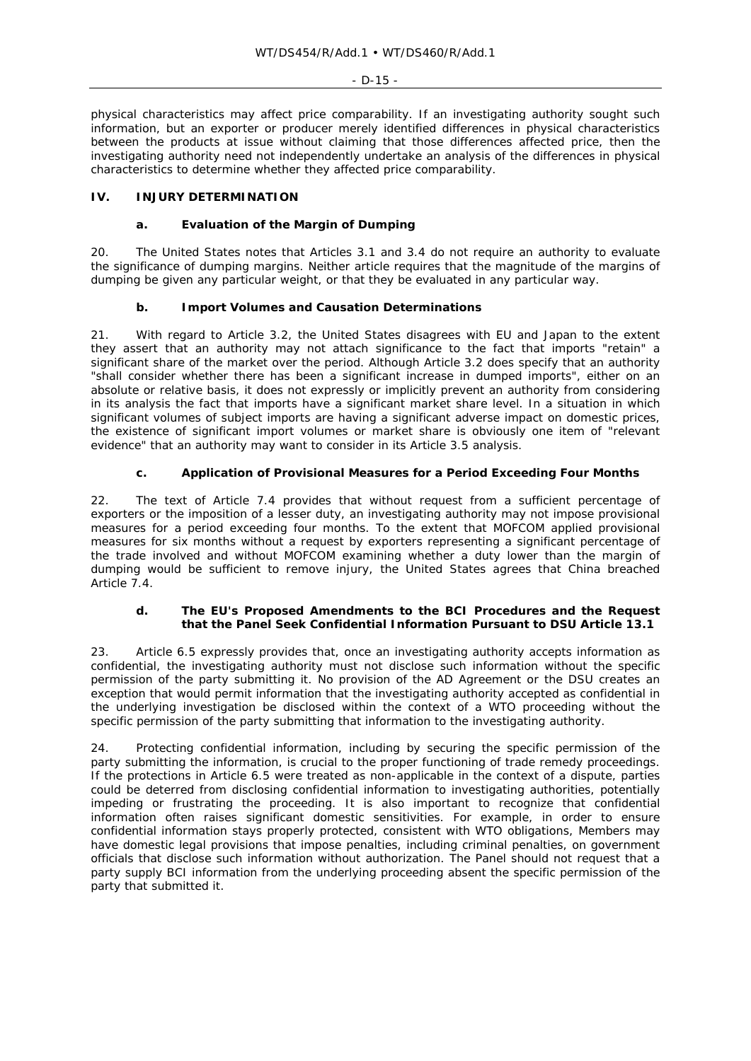physical characteristics may affect price comparability. If an investigating authority sought such information, but an exporter or producer merely identified differences in physical characteristics between the products at issue without claiming that those differences affected price, then the investigating authority need not independently undertake an analysis of the differences in physical characteristics to determine whether they affected price comparability.

## **IV. INJURY DETERMINATION**

### **a. Evaluation of the Margin of Dumping**

20. The United States notes that Articles 3.1 and 3.4 do not require an authority to evaluate the *significance* of dumping margins. Neither article requires that the magnitude of the margins of dumping be given any particular weight, or that they be evaluated in any particular way.

### **b. Import Volumes and Causation Determinations**

21. With regard to Article 3.2, the United States disagrees with EU and Japan to the extent they assert that an authority may not attach significance to the fact that imports "retain" a significant share of the market over the period. Although Article 3.2 does specify that an authority "shall consider whether there has been a significant increase in dumped imports", either on an absolute or relative basis, it does not expressly or implicitly prevent an authority from considering in its analysis the fact that imports have a significant market share level. In a situation in which significant volumes of subject imports are having a significant adverse impact on domestic prices, the existence of significant import volumes or market share is obviously one item of "relevant evidence" that an authority may want to consider in its Article 3.5 analysis.

# **c. Application of Provisional Measures for a Period Exceeding Four Months**

22. The text of Article 7.4 provides that without request from a sufficient percentage of exporters or the imposition of a lesser duty, an investigating authority may not impose provisional measures for a period exceeding four months. To the extent that MOFCOM applied provisional measures for six months without a request by exporters representing a significant percentage of the trade involved and without MOFCOM examining whether a duty lower than the margin of dumping would be sufficient to remove injury, the United States agrees that China breached Article 7.4.

### **d. The EU's Proposed Amendments to the BCI Procedures and the Request that the Panel Seek Confidential Information Pursuant to DSU Article 13.1**

23. Article 6.5 expressly provides that, once an investigating authority accepts information as confidential, the investigating authority must not disclose such information without the specific permission of the party submitting it. No provision of the AD Agreement or the DSU creates an exception that would permit information that the investigating authority accepted as confidential in the underlying investigation be disclosed within the context of a WTO proceeding without the specific permission of the party submitting that information to the investigating authority.

24. Protecting confidential information, including by securing the specific permission of the party submitting the information, is crucial to the proper functioning of trade remedy proceedings. If the protections in Article 6.5 were treated as non-applicable in the context of a dispute, parties could be deterred from disclosing confidential information to investigating authorities, potentially impeding or frustrating the proceeding. It is also important to recognize that confidential information often raises significant domestic sensitivities. For example, in order to ensure confidential information stays properly protected, consistent with WTO obligations, Members may have domestic legal provisions that impose penalties, including criminal penalties, on government officials that disclose such information without authorization. The Panel should not request that a party supply BCI information from the underlying proceeding absent the specific permission of the party that submitted it.